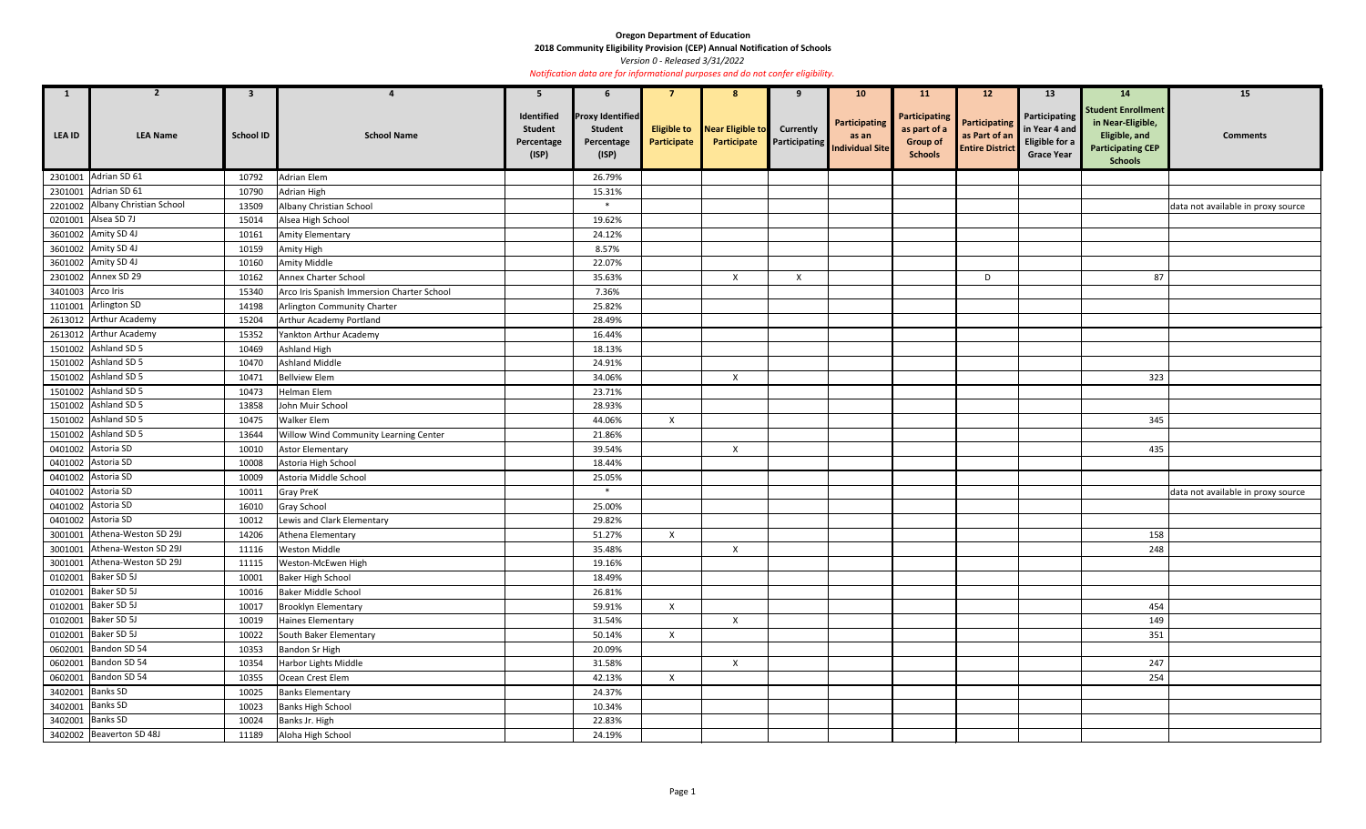**2018 Community Eligibility Provision (CEP) Annual Notification of Schools** 

*Version 0 - Released 3/31/2022* 

| 1                  | $\overline{2}$                  | $3^{\circ}$      |                                            | 5                                                   | $\mathbf b$                                                      |                                   | 8                               |                                          | 10 <sub>1</sub>                                  | <b>11</b>                                                                 | 12                                                              | 13                                                                                  | <b>14</b>                                                                                                            | 15                                 |
|--------------------|---------------------------------|------------------|--------------------------------------------|-----------------------------------------------------|------------------------------------------------------------------|-----------------------------------|---------------------------------|------------------------------------------|--------------------------------------------------|---------------------------------------------------------------------------|-----------------------------------------------------------------|-------------------------------------------------------------------------------------|----------------------------------------------------------------------------------------------------------------------|------------------------------------|
| LEA ID             | <b>LEA Name</b>                 | <b>School ID</b> | <b>School Name</b>                         | Identified<br><b>Student</b><br>Percentage<br>(ISP) | <b>Proxy Identified</b><br><b>Student</b><br>Percentage<br>(ISP) | <b>Eligible to</b><br>Participate | Near Eligible to<br>Participate | <b>Currently</b><br><b>Participating</b> | Participating<br>as an<br><b>Individual Site</b> | <b>Participating</b><br>as part of a<br><b>Group of</b><br><b>Schools</b> | <b>Participating</b><br>as Part of an<br><b>Entire District</b> | <b>Participating</b><br>in Year 4 and<br><b>Eligible for a</b><br><b>Grace Year</b> | <b>Student Enrollment</b><br>in Near-Eligible,<br><b>Eligible, and</b><br><b>Participating CEP</b><br><b>Schools</b> | <b>Comments</b>                    |
|                    | 2301001 Adrian SD 61            | 10792            | <b>Adrian Elem</b>                         |                                                     | 26.79%                                                           |                                   |                                 |                                          |                                                  |                                                                           |                                                                 |                                                                                     |                                                                                                                      |                                    |
|                    | 2301001 Adrian SD 61            | 10790            | Adrian High                                |                                                     | 15.31%                                                           |                                   |                                 |                                          |                                                  |                                                                           |                                                                 |                                                                                     |                                                                                                                      |                                    |
|                    | 2201002 Albany Christian School | 13509            | Albany Christian School                    |                                                     | $\ast$                                                           |                                   |                                 |                                          |                                                  |                                                                           |                                                                 |                                                                                     |                                                                                                                      | data not available in proxy source |
|                    | 0201001 Alsea SD 7J             | 15014            | Alsea High School                          |                                                     | 19.62%                                                           |                                   |                                 |                                          |                                                  |                                                                           |                                                                 |                                                                                     |                                                                                                                      |                                    |
|                    | 3601002 Amity SD 4J             | 10161            | Amity Elementary                           |                                                     | 24.12%                                                           |                                   |                                 |                                          |                                                  |                                                                           |                                                                 |                                                                                     |                                                                                                                      |                                    |
|                    | 3601002 Amity SD 4J             | 10159            | Amity High                                 |                                                     | 8.57%                                                            |                                   |                                 |                                          |                                                  |                                                                           |                                                                 |                                                                                     |                                                                                                                      |                                    |
|                    | 3601002 Amity SD 4J             | 10160            | Amity Middle                               |                                                     | 22.07%                                                           |                                   |                                 |                                          |                                                  |                                                                           |                                                                 |                                                                                     |                                                                                                                      |                                    |
|                    | 2301002 Annex SD 29             | 10162            | Annex Charter School                       |                                                     | 35.63%                                                           |                                   | $\boldsymbol{\mathsf{X}}$       | $\boldsymbol{\mathsf{X}}$                |                                                  |                                                                           | D                                                               |                                                                                     | 87                                                                                                                   |                                    |
| 3401003 Arco Iris  |                                 | 15340            | Arco Iris Spanish Immersion Charter School |                                                     | 7.36%                                                            |                                   |                                 |                                          |                                                  |                                                                           |                                                                 |                                                                                     |                                                                                                                      |                                    |
|                    | 1101001 Arlington SD            | 14198            | Arlington Community Charter                |                                                     | 25.82%                                                           |                                   |                                 |                                          |                                                  |                                                                           |                                                                 |                                                                                     |                                                                                                                      |                                    |
|                    | 2613012 Arthur Academy          | 15204            | Arthur Academy Portland                    |                                                     | 28.49%                                                           |                                   |                                 |                                          |                                                  |                                                                           |                                                                 |                                                                                     |                                                                                                                      |                                    |
|                    | 2613012 Arthur Academy          | 15352            | Yankton Arthur Academy                     |                                                     | 16.44%                                                           |                                   |                                 |                                          |                                                  |                                                                           |                                                                 |                                                                                     |                                                                                                                      |                                    |
|                    | 1501002 Ashland SD 5            | 10469            | Ashland High                               |                                                     | 18.13%                                                           |                                   |                                 |                                          |                                                  |                                                                           |                                                                 |                                                                                     |                                                                                                                      |                                    |
|                    | 1501002 Ashland SD 5            | 10470            | <b>Ashland Middle</b>                      |                                                     | 24.91%                                                           |                                   |                                 |                                          |                                                  |                                                                           |                                                                 |                                                                                     |                                                                                                                      |                                    |
|                    | 1501002 Ashland SD 5            | 10471            | <b>Bellview Elem</b>                       |                                                     | 34.06%                                                           |                                   | X                               |                                          |                                                  |                                                                           |                                                                 |                                                                                     | 323                                                                                                                  |                                    |
|                    | 1501002 Ashland SD 5            | 10473            | Helman Elem                                |                                                     | 23.71%                                                           |                                   |                                 |                                          |                                                  |                                                                           |                                                                 |                                                                                     |                                                                                                                      |                                    |
|                    | 1501002 Ashland SD 5            | 13858            | John Muir School                           |                                                     | 28.93%                                                           |                                   |                                 |                                          |                                                  |                                                                           |                                                                 |                                                                                     |                                                                                                                      |                                    |
|                    | 1501002 Ashland SD 5            | 10475            | Walker Elem                                |                                                     | 44.06%                                                           | $\mathsf{X}$                      |                                 |                                          |                                                  |                                                                           |                                                                 |                                                                                     | 345                                                                                                                  |                                    |
|                    | 1501002 Ashland SD 5            | 13644            | Willow Wind Community Learning Center      |                                                     | 21.86%                                                           |                                   |                                 |                                          |                                                  |                                                                           |                                                                 |                                                                                     |                                                                                                                      |                                    |
|                    | 0401002 Astoria SD              | 10010            | <b>Astor Elementary</b>                    |                                                     | 39.54%                                                           |                                   | $\mathsf{X}$                    |                                          |                                                  |                                                                           |                                                                 |                                                                                     | 435                                                                                                                  |                                    |
| 0401002 Astoria SD |                                 | 10008            | Astoria High School                        |                                                     | 18.44%                                                           |                                   |                                 |                                          |                                                  |                                                                           |                                                                 |                                                                                     |                                                                                                                      |                                    |
|                    | 0401002 Astoria SD              | 10009            | Astoria Middle School                      |                                                     | 25.05%                                                           |                                   |                                 |                                          |                                                  |                                                                           |                                                                 |                                                                                     |                                                                                                                      |                                    |
|                    | 0401002 Astoria SD              | 10011            | Gray PreK                                  |                                                     | $\ast$                                                           |                                   |                                 |                                          |                                                  |                                                                           |                                                                 |                                                                                     |                                                                                                                      | data not available in proxy source |
|                    | 0401002 Astoria SD              | 16010            | Gray School                                |                                                     | 25.00%                                                           |                                   |                                 |                                          |                                                  |                                                                           |                                                                 |                                                                                     |                                                                                                                      |                                    |
|                    | 0401002 Astoria SD              | 10012            | Lewis and Clark Elementary                 |                                                     | 29.82%                                                           |                                   |                                 |                                          |                                                  |                                                                           |                                                                 |                                                                                     |                                                                                                                      |                                    |
|                    | 3001001 Athena-Weston SD 29J    | 14206            | Athena Elementary                          |                                                     | 51.27%                                                           | $\mathsf{X}$                      |                                 |                                          |                                                  |                                                                           |                                                                 |                                                                                     | 158                                                                                                                  |                                    |
|                    | 3001001 Athena-Weston SD 29J    | 11116            | Weston Middle                              |                                                     | 35.48%                                                           |                                   | $\mathsf{X}$                    |                                          |                                                  |                                                                           |                                                                 |                                                                                     | 248                                                                                                                  |                                    |
|                    | 3001001 Athena-Weston SD 29J    | 11115            | Weston-McEwen High                         |                                                     | 19.16%                                                           |                                   |                                 |                                          |                                                  |                                                                           |                                                                 |                                                                                     |                                                                                                                      |                                    |
|                    | 0102001 Baker SD 5J             | 10001            | <b>Baker High School</b>                   |                                                     | 18.49%                                                           |                                   |                                 |                                          |                                                  |                                                                           |                                                                 |                                                                                     |                                                                                                                      |                                    |
|                    | 0102001 Baker SD 5J             | 10016            | Baker Middle School                        |                                                     | 26.81%                                                           |                                   |                                 |                                          |                                                  |                                                                           |                                                                 |                                                                                     |                                                                                                                      |                                    |
|                    | 0102001 Baker SD 5J             | 10017            | Brooklyn Elementary                        |                                                     | 59.91%                                                           | $\mathsf{X}$                      |                                 |                                          |                                                  |                                                                           |                                                                 |                                                                                     | 454                                                                                                                  |                                    |
|                    | 0102001 Baker SD 5J             | 10019            | Haines Elementary                          |                                                     | 31.54%                                                           |                                   | $\mathsf{X}$                    |                                          |                                                  |                                                                           |                                                                 |                                                                                     | 149                                                                                                                  |                                    |
|                    | 0102001 Baker SD 5J             | 10022            | South Baker Elementary                     |                                                     | 50.14%                                                           | $\mathsf{X}$                      |                                 |                                          |                                                  |                                                                           |                                                                 |                                                                                     | 351                                                                                                                  |                                    |
|                    | 0602001 Bandon SD 54            | 10353            | Bandon Sr High                             |                                                     | 20.09%                                                           |                                   |                                 |                                          |                                                  |                                                                           |                                                                 |                                                                                     |                                                                                                                      |                                    |
|                    | 0602001 Bandon SD 54            | 10354            | Harbor Lights Middle                       |                                                     | 31.58%                                                           |                                   | $\mathsf{X}$                    |                                          |                                                  |                                                                           |                                                                 |                                                                                     | 247                                                                                                                  |                                    |
|                    | 0602001 Bandon SD 54            | 10355            | Ocean Crest Elem                           |                                                     | 42.13%                                                           | $\mathsf{X}$                      |                                 |                                          |                                                  |                                                                           |                                                                 |                                                                                     | 254                                                                                                                  |                                    |
| 3402001 Banks SD   |                                 | 10025            | <b>Banks Elementary</b>                    |                                                     | 24.37%                                                           |                                   |                                 |                                          |                                                  |                                                                           |                                                                 |                                                                                     |                                                                                                                      |                                    |
| 3402001 Banks SD   |                                 | 10023            | <b>Banks High School</b>                   |                                                     | 10.34%                                                           |                                   |                                 |                                          |                                                  |                                                                           |                                                                 |                                                                                     |                                                                                                                      |                                    |
| 3402001 Banks SD   |                                 | 10024            | Banks Jr. High                             |                                                     | 22.83%                                                           |                                   |                                 |                                          |                                                  |                                                                           |                                                                 |                                                                                     |                                                                                                                      |                                    |
|                    | 3402002 Beaverton SD 48J        | 11189            | Aloha High School                          |                                                     | 24.19%                                                           |                                   |                                 |                                          |                                                  |                                                                           |                                                                 |                                                                                     |                                                                                                                      |                                    |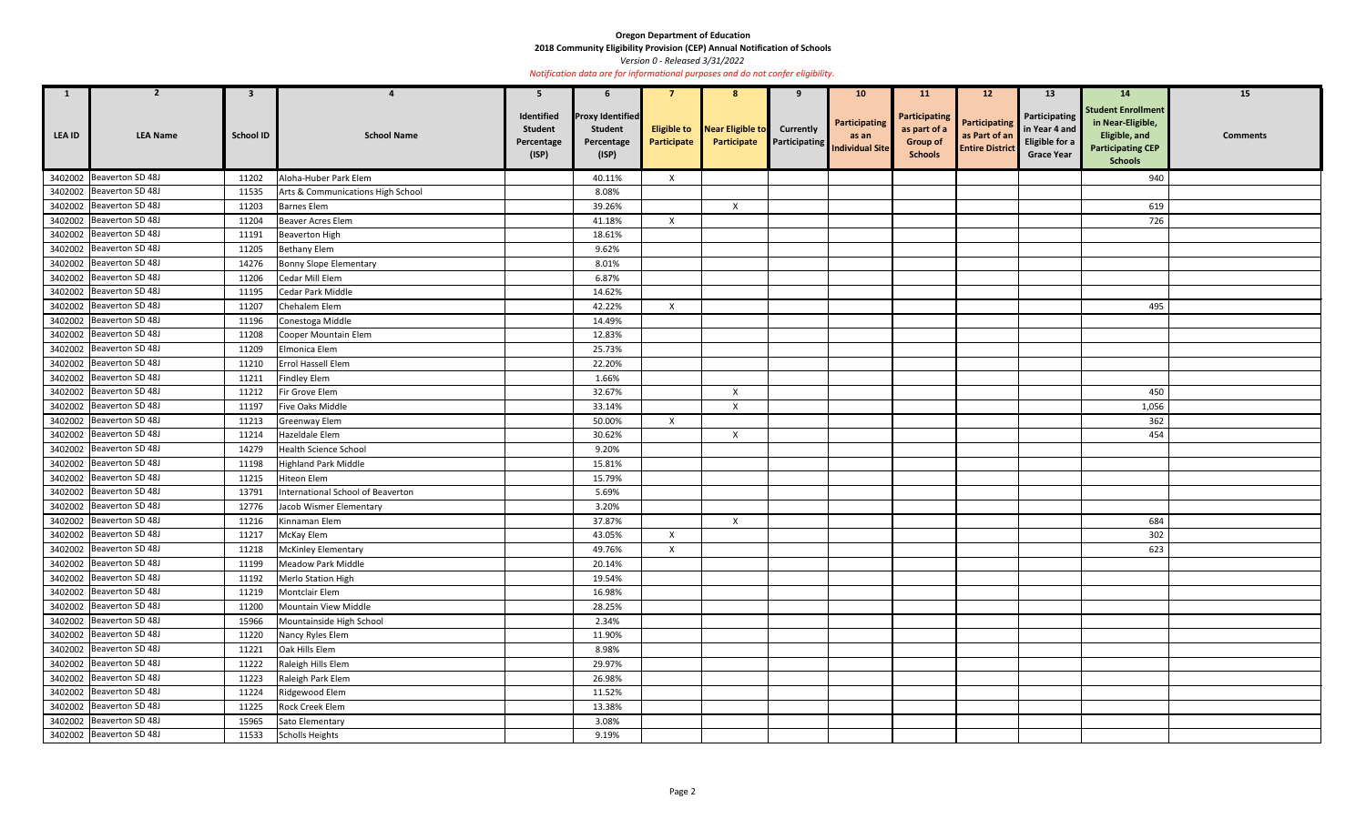**2018 Community Eligibility Provision (CEP) Annual Notification of Schools** 

*Version 0 - Released 3/31/2022* 

| $\mathbf{1}$  | $\overline{2}$           | 3                |                                   | -5                                                  | 6                                                                |                           | 8                                                  |                  | 10 <sup>°</sup>                                         | <b>11</b>                                                          | 12                                                              | 13                                                                                  | 14                                                                                                            | 15              |
|---------------|--------------------------|------------------|-----------------------------------|-----------------------------------------------------|------------------------------------------------------------------|---------------------------|----------------------------------------------------|------------------|---------------------------------------------------------|--------------------------------------------------------------------|-----------------------------------------------------------------|-------------------------------------------------------------------------------------|---------------------------------------------------------------------------------------------------------------|-----------------|
| <b>LEA ID</b> | <b>LEA Name</b>          | <b>School ID</b> | <b>School Name</b>                | Identified<br><b>Student</b><br>Percentage<br>(ISP) | <b>Proxy Identified</b><br><b>Student</b><br>Percentage<br>(ISP) | Participate               | <b>Eligible to</b> Near Eligible to<br>Participate | <b>Currently</b> | Participating<br>as an<br>Participating Individual Site | Participating<br>as part of a<br><b>Group of</b><br><b>Schools</b> | <b>Participating</b><br>as Part of an<br><b>Entire District</b> | <b>Participating</b><br>in Year 4 and<br><b>Eligible for a</b><br><b>Grace Year</b> | <b>Student Enrollment</b><br>in Near-Eligible,<br>Eligible, and<br><b>Participating CEP</b><br><b>Schools</b> | <b>Comments</b> |
|               | 3402002 Beaverton SD 48J | 11202            | Aloha-Huber Park Elem             |                                                     | 40.11%                                                           | $\mathsf{X}$              |                                                    |                  |                                                         |                                                                    |                                                                 |                                                                                     | 940                                                                                                           |                 |
| 3402002       | Beaverton SD 48J         | 11535            | Arts & Communications High School |                                                     | 8.08%                                                            |                           |                                                    |                  |                                                         |                                                                    |                                                                 |                                                                                     |                                                                                                               |                 |
|               | 3402002 Beaverton SD 48J | 11203            | <b>Barnes Elem</b>                |                                                     | 39.26%                                                           |                           | $\mathsf{X}$                                       |                  |                                                         |                                                                    |                                                                 |                                                                                     | 619                                                                                                           |                 |
|               | 3402002 Beaverton SD 48J | 11204            | <b>Beaver Acres Elem</b>          |                                                     | 41.18%                                                           | $\mathsf{X}$              |                                                    |                  |                                                         |                                                                    |                                                                 |                                                                                     | 726                                                                                                           |                 |
|               | 3402002 Beaverton SD 48J | 11191            | <b>Beaverton High</b>             |                                                     | 18.61%                                                           |                           |                                                    |                  |                                                         |                                                                    |                                                                 |                                                                                     |                                                                                                               |                 |
|               | 3402002 Beaverton SD 48J | 11205            | <b>Bethany Elem</b>               |                                                     | 9.62%                                                            |                           |                                                    |                  |                                                         |                                                                    |                                                                 |                                                                                     |                                                                                                               |                 |
| 3402002       | Beaverton SD 48J         | 14276            | Bonny Slope Elementary            |                                                     | 8.01%                                                            |                           |                                                    |                  |                                                         |                                                                    |                                                                 |                                                                                     |                                                                                                               |                 |
|               | 3402002 Beaverton SD 48J | 11206            | Cedar Mill Elem                   |                                                     | 6.87%                                                            |                           |                                                    |                  |                                                         |                                                                    |                                                                 |                                                                                     |                                                                                                               |                 |
| 3402002       | Beaverton SD 48J         | 11195            | Cedar Park Middle                 |                                                     | 14.62%                                                           |                           |                                                    |                  |                                                         |                                                                    |                                                                 |                                                                                     |                                                                                                               |                 |
|               | 3402002 Beaverton SD 48J | 11207            | Chehalem Elem                     |                                                     | 42.22%                                                           | $\mathsf{X}$              |                                                    |                  |                                                         |                                                                    |                                                                 |                                                                                     | 495                                                                                                           |                 |
| 3402002       | Beaverton SD 48J         | 11196            | Conestoga Middle                  |                                                     | 14.49%                                                           |                           |                                                    |                  |                                                         |                                                                    |                                                                 |                                                                                     |                                                                                                               |                 |
|               | 3402002 Beaverton SD 48J | 11208            | Cooper Mountain Elem              |                                                     | 12.83%                                                           |                           |                                                    |                  |                                                         |                                                                    |                                                                 |                                                                                     |                                                                                                               |                 |
|               | 3402002 Beaverton SD 48J | 11209            | Elmonica Elem                     |                                                     | 25.73%                                                           |                           |                                                    |                  |                                                         |                                                                    |                                                                 |                                                                                     |                                                                                                               |                 |
|               | 3402002 Beaverton SD 48J | 11210            | Errol Hassell Elem                |                                                     | 22.20%                                                           |                           |                                                    |                  |                                                         |                                                                    |                                                                 |                                                                                     |                                                                                                               |                 |
|               | 3402002 Beaverton SD 48J | 11211            | <b>Findley Elem</b>               |                                                     | 1.66%                                                            |                           |                                                    |                  |                                                         |                                                                    |                                                                 |                                                                                     |                                                                                                               |                 |
| 3402002       | Beaverton SD 48J         | 11212            | Fir Grove Elem                    |                                                     | 32.67%                                                           |                           | $\mathsf{X}$                                       |                  |                                                         |                                                                    |                                                                 |                                                                                     | 450                                                                                                           |                 |
|               | 3402002 Beaverton SD 48J | 11197            | Five Oaks Middle                  |                                                     | 33.14%                                                           |                           | $\boldsymbol{\mathsf{X}}$                          |                  |                                                         |                                                                    |                                                                 |                                                                                     | 1,056                                                                                                         |                 |
| 3402002       | Beaverton SD 48J         | 11213            | Greenway Elem                     |                                                     | 50.00%                                                           | $\boldsymbol{\mathsf{X}}$ |                                                    |                  |                                                         |                                                                    |                                                                 |                                                                                     | 362                                                                                                           |                 |
|               | 3402002 Beaverton SD 48J | 11214            | Hazeldale Elem                    |                                                     | 30.62%                                                           |                           | $\boldsymbol{X}$                                   |                  |                                                         |                                                                    |                                                                 |                                                                                     | 454                                                                                                           |                 |
| 3402002       | Beaverton SD 48J         | 14279            | Health Science School             |                                                     | 9.20%                                                            |                           |                                                    |                  |                                                         |                                                                    |                                                                 |                                                                                     |                                                                                                               |                 |
|               | 3402002 Beaverton SD 48J | 11198            | <b>Highland Park Middle</b>       |                                                     | 15.81%                                                           |                           |                                                    |                  |                                                         |                                                                    |                                                                 |                                                                                     |                                                                                                               |                 |
| 3402002       | Beaverton SD 48J         | 11215            | Hiteon Elem                       |                                                     | 15.79%                                                           |                           |                                                    |                  |                                                         |                                                                    |                                                                 |                                                                                     |                                                                                                               |                 |
|               | 3402002 Beaverton SD 48J | 13791            | International School of Beaverton |                                                     | 5.69%                                                            |                           |                                                    |                  |                                                         |                                                                    |                                                                 |                                                                                     |                                                                                                               |                 |
|               | 3402002 Beaverton SD 48J | 12776            | Jacob Wismer Elementary           |                                                     | 3.20%                                                            |                           |                                                    |                  |                                                         |                                                                    |                                                                 |                                                                                     |                                                                                                               |                 |
|               | 3402002 Beaverton SD 48J | 11216            | Kinnaman Elem                     |                                                     | 37.87%                                                           |                           | $\mathsf{X}$                                       |                  |                                                         |                                                                    |                                                                 |                                                                                     | 684                                                                                                           |                 |
|               | 3402002 Beaverton SD 48J | 11217            | McKay Elem                        |                                                     | 43.05%                                                           | $\mathsf{X}$              |                                                    |                  |                                                         |                                                                    |                                                                 |                                                                                     | 302                                                                                                           |                 |
|               | 3402002 Beaverton SD 48J | 11218            | McKinley Elementary               |                                                     | 49.76%                                                           | $\mathsf{X}$              |                                                    |                  |                                                         |                                                                    |                                                                 |                                                                                     | 623                                                                                                           |                 |
|               | 3402002 Beaverton SD 48J | 11199            | Meadow Park Middle                |                                                     | 20.14%                                                           |                           |                                                    |                  |                                                         |                                                                    |                                                                 |                                                                                     |                                                                                                               |                 |
|               | 3402002 Beaverton SD 48J | 11192            | Merlo Station High                |                                                     | 19.54%                                                           |                           |                                                    |                  |                                                         |                                                                    |                                                                 |                                                                                     |                                                                                                               |                 |
|               | 3402002 Beaverton SD 48J | 11219            | Montclair Elem                    |                                                     | 16.98%                                                           |                           |                                                    |                  |                                                         |                                                                    |                                                                 |                                                                                     |                                                                                                               |                 |
|               | 3402002 Beaverton SD 48J | 11200            | Mountain View Middle              |                                                     | 28.25%                                                           |                           |                                                    |                  |                                                         |                                                                    |                                                                 |                                                                                     |                                                                                                               |                 |
|               | 3402002 Beaverton SD 48J | 15966            | Mountainside High School          |                                                     | 2.34%                                                            |                           |                                                    |                  |                                                         |                                                                    |                                                                 |                                                                                     |                                                                                                               |                 |
|               | 3402002 Beaverton SD 48J | 11220            | Nancy Ryles Elem                  |                                                     | 11.90%                                                           |                           |                                                    |                  |                                                         |                                                                    |                                                                 |                                                                                     |                                                                                                               |                 |
|               | 3402002 Beaverton SD 48J | 11221            | Oak Hills Elem                    |                                                     | 8.98%                                                            |                           |                                                    |                  |                                                         |                                                                    |                                                                 |                                                                                     |                                                                                                               |                 |
|               | 3402002 Beaverton SD 48J | 11222            | Raleigh Hills Elem                |                                                     | 29.97%                                                           |                           |                                                    |                  |                                                         |                                                                    |                                                                 |                                                                                     |                                                                                                               |                 |
|               | 3402002 Beaverton SD 48J | 11223            | Raleigh Park Elem                 |                                                     | 26.98%                                                           |                           |                                                    |                  |                                                         |                                                                    |                                                                 |                                                                                     |                                                                                                               |                 |
|               | 3402002 Beaverton SD 48J | 11224            | Ridgewood Elem                    |                                                     | 11.52%                                                           |                           |                                                    |                  |                                                         |                                                                    |                                                                 |                                                                                     |                                                                                                               |                 |
|               | 3402002 Beaverton SD 48J | 11225            | Rock Creek Elem                   |                                                     | 13.38%                                                           |                           |                                                    |                  |                                                         |                                                                    |                                                                 |                                                                                     |                                                                                                               |                 |
|               | 3402002 Beaverton SD 48J | 15965            | Sato Elementary                   |                                                     | 3.08%                                                            |                           |                                                    |                  |                                                         |                                                                    |                                                                 |                                                                                     |                                                                                                               |                 |
|               | 3402002 Beaverton SD 48J | 11533            | <b>Scholls Heights</b>            |                                                     | 9.19%                                                            |                           |                                                    |                  |                                                         |                                                                    |                                                                 |                                                                                     |                                                                                                               |                 |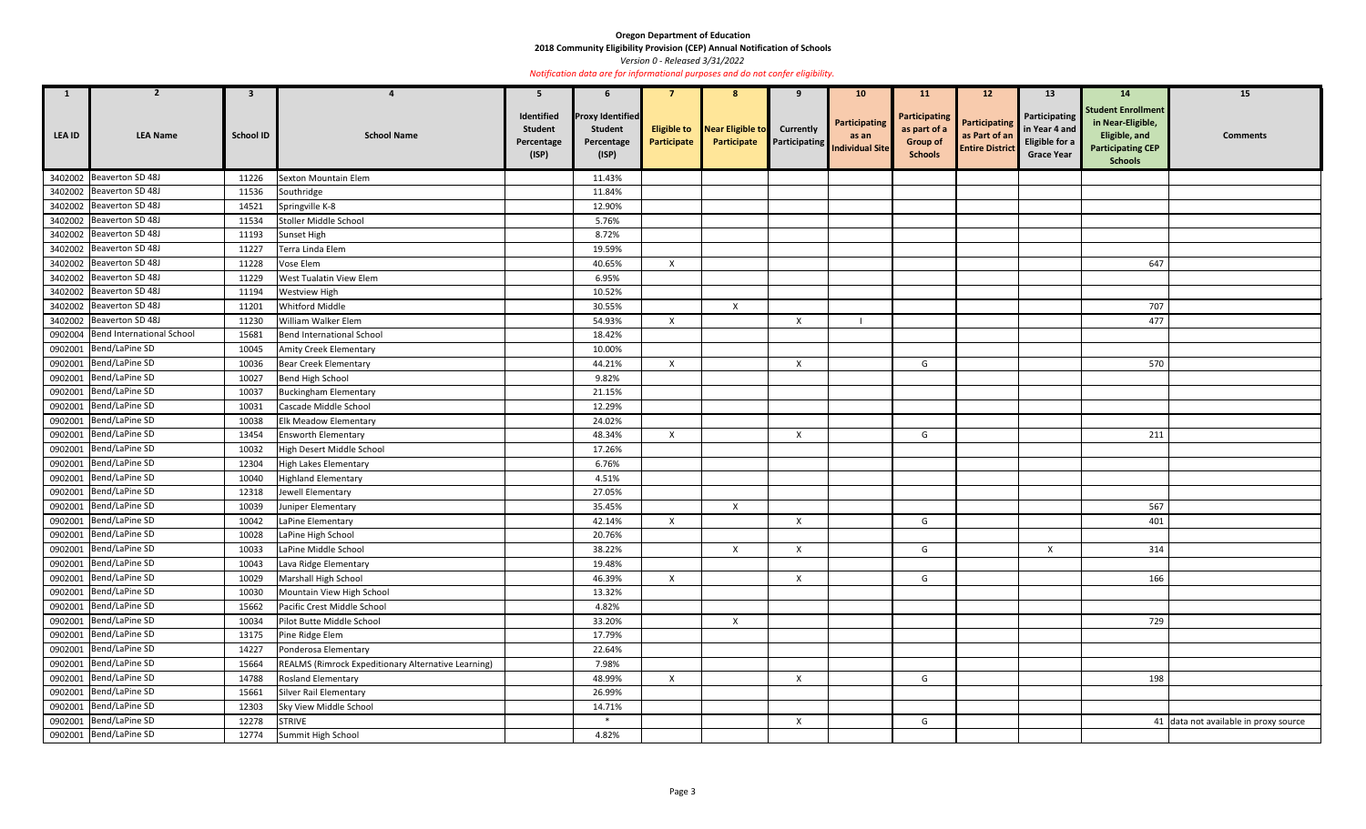**2018 Community Eligibility Provision (CEP) Annual Notification of Schools** 

*Version 0 - Released 3/31/2022* 

| $\mathbf{1}$  | $\mathbf{z}$                      | $\mathbf{3}$     |                                                     | 5                                                   | $\mathbf b$                                                      |              |                                     |                           | 10 <sub>1</sub>                                                   | <b>11</b>                                                                 | 12                                                              | 13 <sup>7</sup>                                                              | <b>14</b>                                                                                                     | 15                                    |
|---------------|-----------------------------------|------------------|-----------------------------------------------------|-----------------------------------------------------|------------------------------------------------------------------|--------------|-------------------------------------|---------------------------|-------------------------------------------------------------------|---------------------------------------------------------------------------|-----------------------------------------------------------------|------------------------------------------------------------------------------|---------------------------------------------------------------------------------------------------------------|---------------------------------------|
| <b>LEA ID</b> | <b>LEA Name</b>                   | <b>School ID</b> | <b>School Name</b>                                  | Identified<br><b>Student</b><br>Percentage<br>(ISP) | <b>Proxy Identified</b><br><b>Student</b><br>Percentage<br>(ISP) | Participate  | <b>Eligible to</b> Near Eligible to | <b>Currently</b>          | Participating<br><b>Participate</b> Participating Individual Site | <b>Participating</b><br>as part of a<br><b>Group of</b><br><b>Schools</b> | <b>Participating</b><br>as Part of an<br><b>Entire District</b> | Participating<br>in Year 4 and<br><b>Eligible for a</b><br><b>Grace Year</b> | <b>Student Enrollment</b><br>in Near-Eligible,<br>Eligible, and<br><b>Participating CEP</b><br><b>Schools</b> | <b>Comments</b>                       |
|               | 3402002 Beaverton SD 48J          | 11226            | Sexton Mountain Elem                                |                                                     | 11.43%                                                           |              |                                     |                           |                                                                   |                                                                           |                                                                 |                                                                              |                                                                                                               |                                       |
|               | 3402002 Beaverton SD 48J          | 11536            | Southridge                                          |                                                     | 11.84%                                                           |              |                                     |                           |                                                                   |                                                                           |                                                                 |                                                                              |                                                                                                               |                                       |
|               | 3402002 Beaverton SD 48J          | 14521            | Springville K-8                                     |                                                     | 12.90%                                                           |              |                                     |                           |                                                                   |                                                                           |                                                                 |                                                                              |                                                                                                               |                                       |
|               | 3402002 Beaverton SD 48J          | 11534            | Stoller Middle School                               |                                                     | 5.76%                                                            |              |                                     |                           |                                                                   |                                                                           |                                                                 |                                                                              |                                                                                                               |                                       |
|               | 3402002 Beaverton SD 48J          | 11193            | Sunset High                                         |                                                     | 8.72%                                                            |              |                                     |                           |                                                                   |                                                                           |                                                                 |                                                                              |                                                                                                               |                                       |
|               | 3402002 Beaverton SD 48J          | 11227            | Terra Linda Elem                                    |                                                     | 19.59%                                                           |              |                                     |                           |                                                                   |                                                                           |                                                                 |                                                                              |                                                                                                               |                                       |
|               | 3402002 Beaverton SD 48J          | 11228            | Vose Elem                                           |                                                     | 40.65%                                                           | $\mathsf{X}$ |                                     |                           |                                                                   |                                                                           |                                                                 |                                                                              | 647                                                                                                           |                                       |
|               | 3402002 Beaverton SD 48J          | 11229            | West Tualatin View Elem                             |                                                     | 6.95%                                                            |              |                                     |                           |                                                                   |                                                                           |                                                                 |                                                                              |                                                                                                               |                                       |
|               | 3402002 Beaverton SD 48J          | 11194            | Westview High                                       |                                                     | 10.52%                                                           |              |                                     |                           |                                                                   |                                                                           |                                                                 |                                                                              |                                                                                                               |                                       |
|               | 3402002 Beaverton SD 48J          | 11201            | Whitford Middle                                     |                                                     | 30.55%                                                           |              | $\boldsymbol{\mathsf{X}}$           |                           |                                                                   |                                                                           |                                                                 |                                                                              | 707                                                                                                           |                                       |
|               | 3402002 Beaverton SD 48J          | 11230            | William Walker Elem                                 |                                                     | 54.93%                                                           | $\mathsf{X}$ |                                     | X                         |                                                                   |                                                                           |                                                                 |                                                                              | 477                                                                                                           |                                       |
|               | 0902004 Bend International School | 15681            | Bend International School                           |                                                     | 18.42%                                                           |              |                                     |                           |                                                                   |                                                                           |                                                                 |                                                                              |                                                                                                               |                                       |
|               | 0902001 Bend/LaPine SD            | 10045            | <b>Amity Creek Elementary</b>                       |                                                     | 10.00%                                                           |              |                                     |                           |                                                                   |                                                                           |                                                                 |                                                                              |                                                                                                               |                                       |
|               | 0902001 Bend/LaPine SD            | 10036            | <b>Bear Creek Elementary</b>                        |                                                     | 44.21%                                                           | X            |                                     | $\mathsf{X}$              |                                                                   | G                                                                         |                                                                 |                                                                              | 570                                                                                                           |                                       |
|               | 0902001 Bend/LaPine SD            | 10027            | Bend High School                                    |                                                     | 9.82%                                                            |              |                                     |                           |                                                                   |                                                                           |                                                                 |                                                                              |                                                                                                               |                                       |
|               | 0902001 Bend/LaPine SD            | 10037            | <b>Buckingham Elementary</b>                        |                                                     | 21.15%                                                           |              |                                     |                           |                                                                   |                                                                           |                                                                 |                                                                              |                                                                                                               |                                       |
|               | 0902001 Bend/LaPine SD            | 10031            | Cascade Middle School                               |                                                     | 12.29%                                                           |              |                                     |                           |                                                                   |                                                                           |                                                                 |                                                                              |                                                                                                               |                                       |
| 0902001       | Bend/LaPine SD                    | 10038            | <b>Elk Meadow Elementary</b>                        |                                                     | 24.02%                                                           |              |                                     |                           |                                                                   |                                                                           |                                                                 |                                                                              |                                                                                                               |                                       |
|               | 0902001   Bend/LaPine SD          | 13454            | <b>Ensworth Elementary</b>                          |                                                     | 48.34%                                                           | X            |                                     | X                         |                                                                   | G                                                                         |                                                                 |                                                                              | 211                                                                                                           |                                       |
|               | 0902001 Bend/LaPine SD            | 10032            | High Desert Middle School                           |                                                     | 17.26%                                                           |              |                                     |                           |                                                                   |                                                                           |                                                                 |                                                                              |                                                                                                               |                                       |
|               | 0902001 Bend/LaPine SD            | 12304            | High Lakes Elementary                               |                                                     | 6.76%                                                            |              |                                     |                           |                                                                   |                                                                           |                                                                 |                                                                              |                                                                                                               |                                       |
|               | 0902001 Bend/LaPine SD            | 10040            | <b>Highland Elementary</b>                          |                                                     | 4.51%                                                            |              |                                     |                           |                                                                   |                                                                           |                                                                 |                                                                              |                                                                                                               |                                       |
|               | 0902001 Bend/LaPine SD            | 12318            | Jewell Elementary                                   |                                                     | 27.05%                                                           |              |                                     |                           |                                                                   |                                                                           |                                                                 |                                                                              |                                                                                                               |                                       |
|               | 0902001 Bend/LaPine SD            | 10039            | Juniper Elementary                                  |                                                     | 35.45%                                                           |              | $\mathsf{X}$                        |                           |                                                                   |                                                                           |                                                                 |                                                                              | 567                                                                                                           |                                       |
|               | 0902001 Bend/LaPine SD            | 10042            | LaPine Elementary                                   |                                                     | 42.14%                                                           | $\mathsf{X}$ |                                     | $\boldsymbol{\mathsf{X}}$ |                                                                   | G                                                                         |                                                                 |                                                                              | 401                                                                                                           |                                       |
|               | 0902001 Bend/LaPine SD            | 10028            | LaPine High School                                  |                                                     | 20.76%                                                           |              |                                     |                           |                                                                   |                                                                           |                                                                 |                                                                              |                                                                                                               |                                       |
|               | 0902001 Bend/LaPine SD            | 10033            | LaPine Middle School                                |                                                     | 38.22%                                                           |              | $\mathsf{X}$                        | $\boldsymbol{\mathsf{X}}$ |                                                                   | G                                                                         |                                                                 | $\mathsf{X}$                                                                 | 314                                                                                                           |                                       |
|               | 0902001 Bend/LaPine SD            | 10043            | Lava Ridge Elementary                               |                                                     | 19.48%                                                           |              |                                     |                           |                                                                   |                                                                           |                                                                 |                                                                              |                                                                                                               |                                       |
|               | 0902001 Bend/LaPine SD            | 10029            | Marshall High School                                |                                                     | 46.39%                                                           | $\mathsf{X}$ |                                     | $\boldsymbol{X}$          |                                                                   | G                                                                         |                                                                 |                                                                              | 166                                                                                                           |                                       |
|               | 0902001 Bend/LaPine SD            | 10030            | Mountain View High School                           |                                                     | 13.32%                                                           |              |                                     |                           |                                                                   |                                                                           |                                                                 |                                                                              |                                                                                                               |                                       |
|               | 0902001 Bend/LaPine SD            | 15662            | Pacific Crest Middle School                         |                                                     | 4.82%                                                            |              |                                     |                           |                                                                   |                                                                           |                                                                 |                                                                              |                                                                                                               |                                       |
|               | 0902001 Bend/LaPine SD            | 10034            | Pilot Butte Middle School                           |                                                     | 33.20%                                                           |              | $\mathsf{X}$                        |                           |                                                                   |                                                                           |                                                                 |                                                                              | 729                                                                                                           |                                       |
|               | 0902001 Bend/LaPine SD            | 13175            | Pine Ridge Elem                                     |                                                     | 17.79%                                                           |              |                                     |                           |                                                                   |                                                                           |                                                                 |                                                                              |                                                                                                               |                                       |
|               | 0902001 Bend/LaPine SD            | 14227            | Ponderosa Elementary                                |                                                     | 22.64%                                                           |              |                                     |                           |                                                                   |                                                                           |                                                                 |                                                                              |                                                                                                               |                                       |
|               | 0902001 Bend/LaPine SD            | 15664            | REALMS (Rimrock Expeditionary Alternative Learning) |                                                     | 7.98%                                                            |              |                                     |                           |                                                                   |                                                                           |                                                                 |                                                                              |                                                                                                               |                                       |
|               | 0902001 Bend/LaPine SD            | 14788            | Rosland Elementary                                  |                                                     | 48.99%                                                           | $\mathsf{X}$ |                                     | $\mathsf{X}$              |                                                                   | G                                                                         |                                                                 |                                                                              | 198                                                                                                           |                                       |
|               | 0902001 Bend/LaPine SD            | 15661            | Silver Rail Elementary                              |                                                     | 26.99%                                                           |              |                                     |                           |                                                                   |                                                                           |                                                                 |                                                                              |                                                                                                               |                                       |
|               | 0902001 Bend/LaPine SD            | 12303            | Sky View Middle School                              |                                                     | 14.71%                                                           |              |                                     |                           |                                                                   |                                                                           |                                                                 |                                                                              |                                                                                                               |                                       |
|               | 0902001 Bend/LaPine SD            | 12278            | <b>STRIVE</b>                                       |                                                     | $\ast$                                                           |              |                                     | $\boldsymbol{X}$          |                                                                   | G                                                                         |                                                                 |                                                                              |                                                                                                               | 41 data not available in proxy source |
|               | 0902001 Bend/LaPine SD            | 12774            | Summit High School                                  |                                                     | 4.82%                                                            |              |                                     |                           |                                                                   |                                                                           |                                                                 |                                                                              |                                                                                                               |                                       |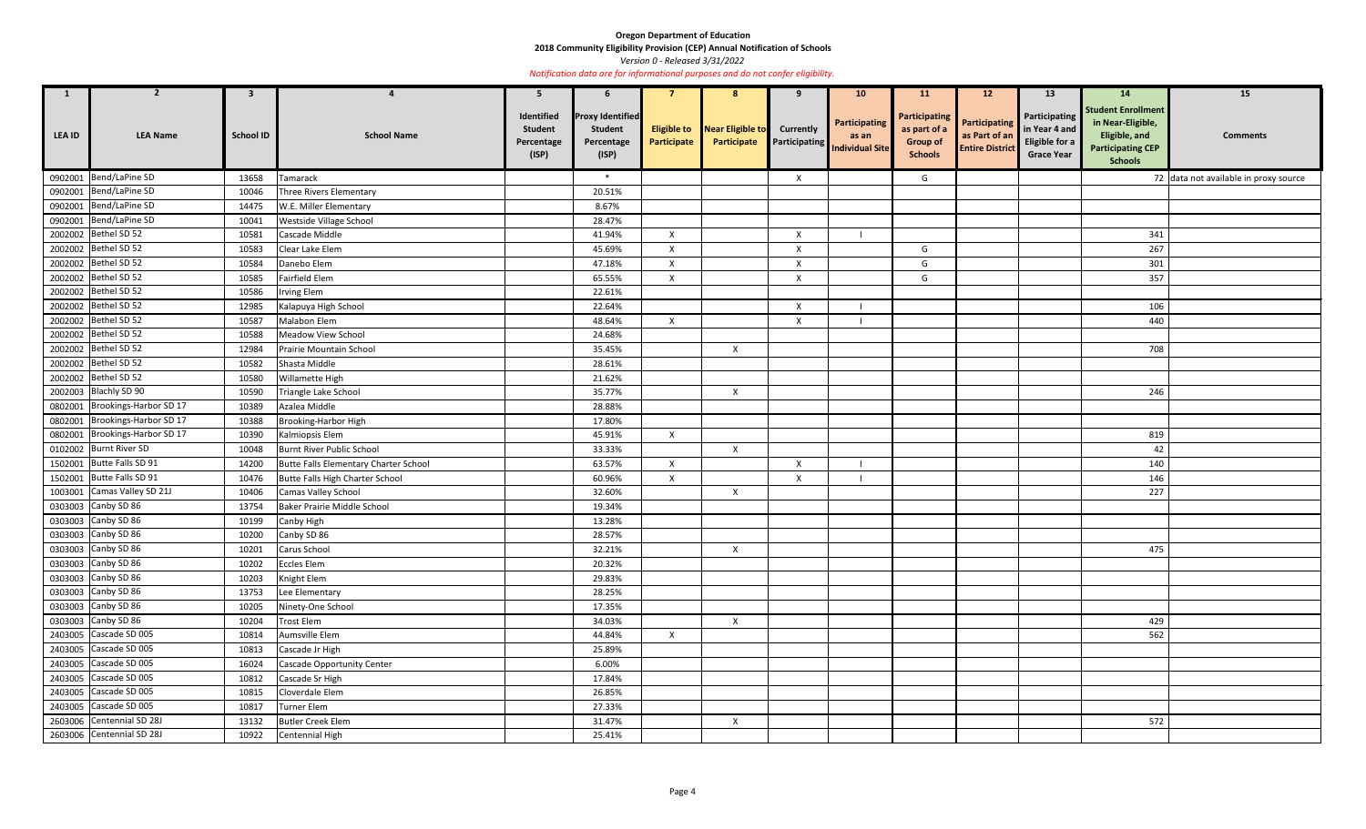**2018 Community Eligibility Provision (CEP) Annual Notification of Schools** 

*Version 0 - Released 3/31/2022* 

| $\mathbf{1}$  | $\overline{2}$                 | 3                |                                        | 5                                                   |                                                                  |                           | 8                                           | 9                         | 10 <sup>°</sup>                                         | <b>11</b>                                                          | 12 <sup>2</sup>                                                 | 13                                                                           | 14                                                                                                            | 15                                    |
|---------------|--------------------------------|------------------|----------------------------------------|-----------------------------------------------------|------------------------------------------------------------------|---------------------------|---------------------------------------------|---------------------------|---------------------------------------------------------|--------------------------------------------------------------------|-----------------------------------------------------------------|------------------------------------------------------------------------------|---------------------------------------------------------------------------------------------------------------|---------------------------------------|
| <b>LEA ID</b> | <b>LEA Name</b>                | <b>School ID</b> | <b>School Name</b>                     | Identified<br><b>Student</b><br>Percentage<br>(ISP) | <b>Proxy Identified</b><br><b>Student</b><br>Percentage<br>(ISP) | Participate               | Eligible to Near Eligible to<br>Participate | <b>Currently</b>          | Participating<br>as an<br>Participating Individual Site | Participating<br>as part of a<br><b>Group of</b><br><b>Schools</b> | <b>Participating</b><br>as Part of an<br><b>Entire District</b> | Participating<br>in Year 4 and<br><b>Eligible for a</b><br><b>Grace Year</b> | <b>Student Enrollment</b><br>in Near-Eligible,<br>Eligible, and<br><b>Participating CEP</b><br><b>Schools</b> | <b>Comments</b>                       |
|               | 0902001 Bend/LaPine SD         | 13658            | Tamarack                               |                                                     | $\ast$                                                           |                           |                                             | Χ                         |                                                         | G                                                                  |                                                                 |                                                                              |                                                                                                               | 72 data not available in proxy source |
|               | 0902001 Bend/LaPine SD         | 10046            | <b>Three Rivers Elementary</b>         |                                                     | 20.51%                                                           |                           |                                             |                           |                                                         |                                                                    |                                                                 |                                                                              |                                                                                                               |                                       |
|               | 0902001 Bend/LaPine SD         | 14475            | W.E. Miller Elementary                 |                                                     | 8.67%                                                            |                           |                                             |                           |                                                         |                                                                    |                                                                 |                                                                              |                                                                                                               |                                       |
|               | 0902001 Bend/LaPine SD         | 10041            | Westside Village School                |                                                     | 28.47%                                                           |                           |                                             |                           |                                                         |                                                                    |                                                                 |                                                                              |                                                                                                               |                                       |
|               | 2002002 Bethel SD 52           | 10581            | Cascade Middle                         |                                                     | 41.94%                                                           | $\mathsf{X}$              |                                             | $\boldsymbol{\mathsf{X}}$ |                                                         |                                                                    |                                                                 |                                                                              | 341                                                                                                           |                                       |
|               | 2002002 Bethel SD 52           | 10583            | Clear Lake Elem                        |                                                     | 45.69%                                                           | $\mathsf{X}$              |                                             | $\mathsf{X}$              |                                                         | G                                                                  |                                                                 |                                                                              | 267                                                                                                           |                                       |
|               | 2002002 Bethel SD 52           | 10584            | Danebo Elem                            |                                                     | 47.18%                                                           | $\mathsf{x}$              |                                             | $\times$                  |                                                         | G                                                                  |                                                                 |                                                                              | 301                                                                                                           |                                       |
|               | 2002002 Bethel SD 52           | 10585            | Fairfield Elem                         |                                                     | 65.55%                                                           | $\mathsf{x}$              |                                             | X                         |                                                         | G                                                                  |                                                                 |                                                                              | 357                                                                                                           |                                       |
|               | 2002002 Bethel SD 52           | 10586            | <b>Irving Elem</b>                     |                                                     | 22.61%                                                           |                           |                                             |                           |                                                         |                                                                    |                                                                 |                                                                              |                                                                                                               |                                       |
|               | 2002002 Bethel SD 52           | 12985            | Kalapuya High School                   |                                                     | 22.64%                                                           |                           |                                             | $\mathsf{X}$              |                                                         |                                                                    |                                                                 |                                                                              | 106                                                                                                           |                                       |
|               | 2002002 Bethel SD 52           | 10587            | Malabon Elem                           |                                                     | 48.64%                                                           | $\mathsf{X}$              |                                             | X                         |                                                         |                                                                    |                                                                 |                                                                              | 440                                                                                                           |                                       |
|               | 2002002 Bethel SD 52           | 10588            | Meadow View School                     |                                                     | 24.68%                                                           |                           |                                             |                           |                                                         |                                                                    |                                                                 |                                                                              |                                                                                                               |                                       |
|               | 2002002 Bethel SD 52           | 12984            | Prairie Mountain School                |                                                     | 35.45%                                                           |                           | $\boldsymbol{X}$                            |                           |                                                         |                                                                    |                                                                 |                                                                              | 708                                                                                                           |                                       |
|               | 2002002 Bethel SD 52           | 10582            | Shasta Middle                          |                                                     | 28.61%                                                           |                           |                                             |                           |                                                         |                                                                    |                                                                 |                                                                              |                                                                                                               |                                       |
|               | 2002002 Bethel SD 52           | 10580            | Willamette High                        |                                                     | 21.62%                                                           |                           |                                             |                           |                                                         |                                                                    |                                                                 |                                                                              |                                                                                                               |                                       |
|               | 2002003 Blachly SD 90          | 10590            | Triangle Lake School                   |                                                     | 35.77%                                                           |                           | $\mathsf{X}$                                |                           |                                                         |                                                                    |                                                                 |                                                                              | 246                                                                                                           |                                       |
|               | 0802001 Brookings-Harbor SD 17 | 10389            | Azalea Middle                          |                                                     | 28.88%                                                           |                           |                                             |                           |                                                         |                                                                    |                                                                 |                                                                              |                                                                                                               |                                       |
|               | 0802001 Brookings-Harbor SD 17 | 10388            | Brooking-Harbor High                   |                                                     | 17.80%                                                           |                           |                                             |                           |                                                         |                                                                    |                                                                 |                                                                              |                                                                                                               |                                       |
|               | 0802001 Brookings-Harbor SD 17 | 10390            | Kalmiopsis Elem                        |                                                     | 45.91%                                                           | $\mathsf{X}$              |                                             |                           |                                                         |                                                                    |                                                                 |                                                                              | 819                                                                                                           |                                       |
|               | 0102002 Burnt River SD         | 10048            | Burnt River Public School              |                                                     | 33.33%                                                           |                           | $\boldsymbol{X}$                            |                           |                                                         |                                                                    |                                                                 |                                                                              | 42                                                                                                            |                                       |
|               | 1502001 Butte Falls SD 91      | 14200            | Butte Falls Elementary Charter School  |                                                     | 63.57%                                                           | $\mathsf{X}$              |                                             | X                         |                                                         |                                                                    |                                                                 |                                                                              | 140                                                                                                           |                                       |
|               | 1502001 Butte Falls SD 91      | 10476            | <b>Butte Falls High Charter School</b> |                                                     | 60.96%                                                           | $\boldsymbol{\mathsf{X}}$ |                                             | $\boldsymbol{\mathsf{X}}$ |                                                         |                                                                    |                                                                 |                                                                              | 146                                                                                                           |                                       |
|               | 1003001 Camas Valley SD 21J    | 10406            | <b>Camas Valley School</b>             |                                                     | 32.60%                                                           |                           | $\boldsymbol{X}$                            |                           |                                                         |                                                                    |                                                                 |                                                                              | 227                                                                                                           |                                       |
|               | 0303003 Canby SD 86            | 13754            | Baker Prairie Middle School            |                                                     | 19.34%                                                           |                           |                                             |                           |                                                         |                                                                    |                                                                 |                                                                              |                                                                                                               |                                       |
|               | 0303003 Canby SD 86            |                  | 10199 Canby High                       |                                                     | 13.28%                                                           |                           |                                             |                           |                                                         |                                                                    |                                                                 |                                                                              |                                                                                                               |                                       |
|               | 0303003 Canby SD 86            | 10200            | Canby SD 86                            |                                                     | 28.57%                                                           |                           |                                             |                           |                                                         |                                                                    |                                                                 |                                                                              |                                                                                                               |                                       |
|               | 0303003 Canby SD 86            | 10201            | Carus School                           |                                                     | 32.21%                                                           |                           | $\boldsymbol{X}$                            |                           |                                                         |                                                                    |                                                                 |                                                                              | 475                                                                                                           |                                       |
|               | 0303003 Canby SD 86            | 10202            | <b>Eccles Elem</b>                     |                                                     | 20.32%                                                           |                           |                                             |                           |                                                         |                                                                    |                                                                 |                                                                              |                                                                                                               |                                       |
|               | 0303003 Canby SD 86            | 10203            | Knight Elem                            |                                                     | 29.83%                                                           |                           |                                             |                           |                                                         |                                                                    |                                                                 |                                                                              |                                                                                                               |                                       |
|               | 0303003 Canby SD 86            | 13753            | Lee Elementary                         |                                                     | 28.25%                                                           |                           |                                             |                           |                                                         |                                                                    |                                                                 |                                                                              |                                                                                                               |                                       |
|               | 0303003 Canby SD 86            | 10205            | Ninety-One School                      |                                                     | 17.35%                                                           |                           |                                             |                           |                                                         |                                                                    |                                                                 |                                                                              |                                                                                                               |                                       |
|               | 0303003 Canby SD 86            | 10204            | <b>Trost Elem</b>                      |                                                     | 34.03%                                                           |                           | $\mathsf{X}$                                |                           |                                                         |                                                                    |                                                                 |                                                                              | 429                                                                                                           |                                       |
|               | 2403005 Cascade SD 005         | 10814            | Aumsville Elem                         |                                                     | 44.84%                                                           | $\mathsf{X}$              |                                             |                           |                                                         |                                                                    |                                                                 |                                                                              | 562                                                                                                           |                                       |
|               | 2403005 Cascade SD 005         | 10813            | Cascade Jr High                        |                                                     | 25.89%                                                           |                           |                                             |                           |                                                         |                                                                    |                                                                 |                                                                              |                                                                                                               |                                       |
|               | 2403005 Cascade SD 005         | 16024            | Cascade Opportunity Center             |                                                     | 6.00%                                                            |                           |                                             |                           |                                                         |                                                                    |                                                                 |                                                                              |                                                                                                               |                                       |
|               | 2403005 Cascade SD 005         | 10812            | Cascade Sr High                        |                                                     | 17.84%                                                           |                           |                                             |                           |                                                         |                                                                    |                                                                 |                                                                              |                                                                                                               |                                       |
|               | 2403005 Cascade SD 005         | 10815            | Cloverdale Elem                        |                                                     | 26.85%                                                           |                           |                                             |                           |                                                         |                                                                    |                                                                 |                                                                              |                                                                                                               |                                       |
|               | 2403005 Cascade SD 005         | 10817            | <b>Turner Elem</b>                     |                                                     | 27.33%                                                           |                           |                                             |                           |                                                         |                                                                    |                                                                 |                                                                              |                                                                                                               |                                       |
|               | 2603006 Centennial SD 28J      | 13132            | <b>Butler Creek Elem</b>               |                                                     | 31.47%                                                           |                           | $\boldsymbol{\mathsf{X}}$                   |                           |                                                         |                                                                    |                                                                 |                                                                              | 572                                                                                                           |                                       |
|               | 2603006 Centennial SD 28J      | 10922            | Centennial High                        |                                                     | 25.41%                                                           |                           |                                             |                           |                                                         |                                                                    |                                                                 |                                                                              |                                                                                                               |                                       |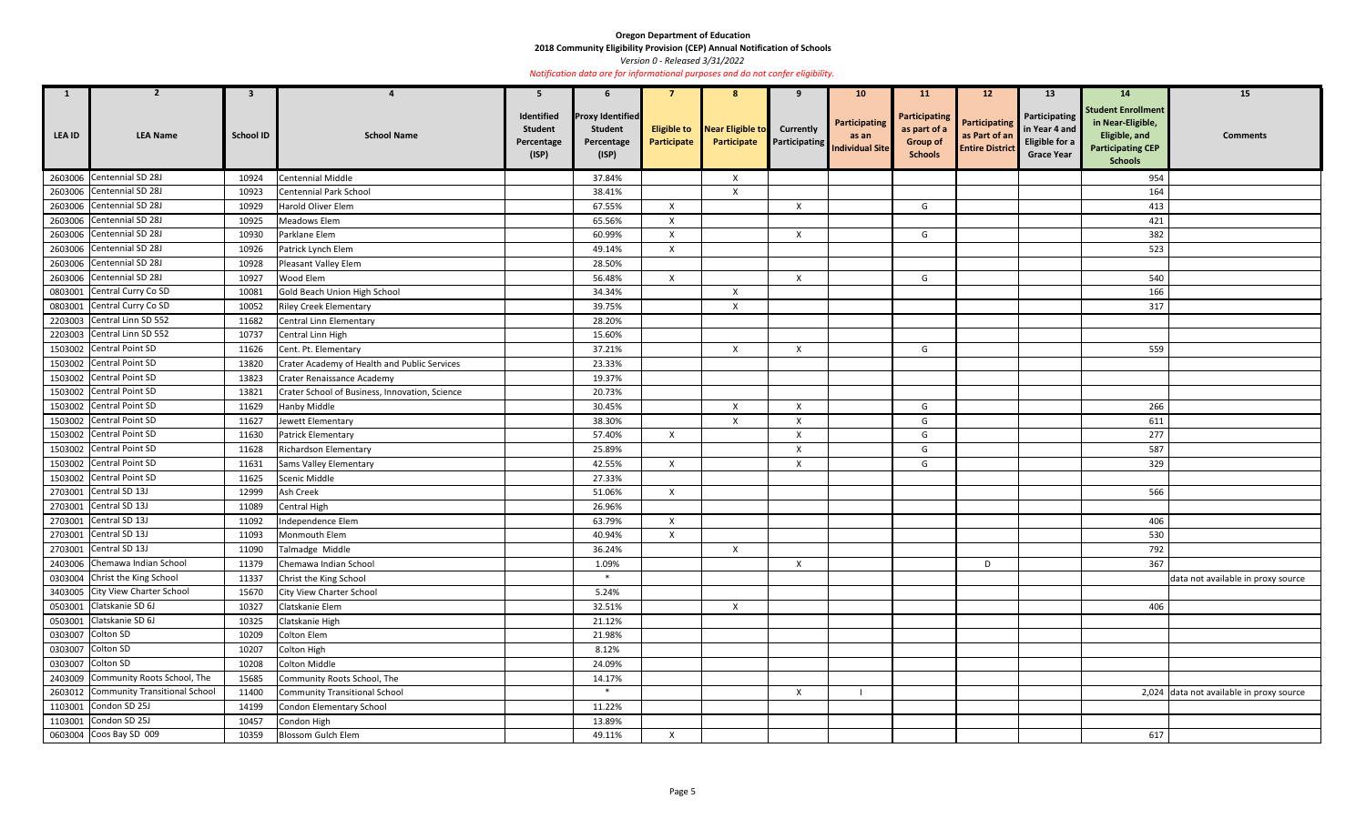**2018 Community Eligibility Provision (CEP) Annual Notification of Schools** 

*Version 0 - Released 3/31/2022* 

| $\mathbf{1}$  | 2                                     | 3                |                                                | 5                                                   | 6                                                                |                                   | 8                               |                           | 10 <sup>°</sup>                                                       | <b>11</b>                                                                 | 12 <sup>2</sup>                                                 | 13                                                                    | <b>14</b>                                                                                                     | 15                                       |
|---------------|---------------------------------------|------------------|------------------------------------------------|-----------------------------------------------------|------------------------------------------------------------------|-----------------------------------|---------------------------------|---------------------------|-----------------------------------------------------------------------|---------------------------------------------------------------------------|-----------------------------------------------------------------|-----------------------------------------------------------------------|---------------------------------------------------------------------------------------------------------------|------------------------------------------|
| <b>LEA ID</b> | <b>LEA Name</b>                       | <b>School ID</b> | <b>School Name</b>                             | Identified<br><b>Student</b><br>Percentage<br>(ISP) | <b>Proxy Identified</b><br><b>Student</b><br>Percentage<br>(ISP) | <b>Eligible to</b><br>Participate | Near Eligible to<br>Participate | <b>Currently</b>          | <b>Participating</b><br>as an<br><b>Participating</b> Individual Site | <b>Participating</b><br>as part of a<br><b>Group of</b><br><b>Schools</b> | <b>Participating</b><br>as Part of an<br><b>Entire District</b> | Participating<br>in Year 4 and<br>Eligible for a<br><b>Grace Year</b> | <b>Student Enrollment</b><br>in Near-Eligible,<br>Eligible, and<br><b>Participating CEP</b><br><b>Schools</b> | <b>Comments</b>                          |
|               | 2603006 Centennial SD 28J             | 10924            | Centennial Middle                              |                                                     | 37.84%                                                           |                                   | $\mathsf{X}$                    |                           |                                                                       |                                                                           |                                                                 |                                                                       | 954                                                                                                           |                                          |
|               | 2603006 Centennial SD 28J             | 10923            | <b>Centennial Park School</b>                  |                                                     | 38.41%                                                           |                                   | $\mathsf{X}$                    |                           |                                                                       |                                                                           |                                                                 |                                                                       | 164                                                                                                           |                                          |
|               | 2603006 Centennial SD 28J             | 10929            | Harold Oliver Elem                             |                                                     | 67.55%                                                           | $\boldsymbol{\mathsf{x}}$         |                                 | $\boldsymbol{\mathsf{X}}$ |                                                                       | G                                                                         |                                                                 |                                                                       | 413                                                                                                           |                                          |
|               | 2603006 Centennial SD 28J             | 10925            | Meadows Elem                                   |                                                     | 65.56%                                                           | $\mathsf{X}$                      |                                 |                           |                                                                       |                                                                           |                                                                 |                                                                       | 421                                                                                                           |                                          |
|               | 2603006 Centennial SD 28J             | 10930            | Parklane Elem                                  |                                                     | 60.99%                                                           | $\mathsf{X}$                      |                                 | $\mathsf{X}$              |                                                                       | G                                                                         |                                                                 |                                                                       | 382                                                                                                           |                                          |
|               | 2603006 Centennial SD 28J             | 10926            | Patrick Lynch Elem                             |                                                     | 49.14%                                                           | $\mathsf{X}$                      |                                 |                           |                                                                       |                                                                           |                                                                 |                                                                       | 523                                                                                                           |                                          |
|               | 2603006 Centennial SD 28J             | 10928            | Pleasant Valley Elem                           |                                                     | 28.50%                                                           |                                   |                                 |                           |                                                                       |                                                                           |                                                                 |                                                                       |                                                                                                               |                                          |
|               | 2603006 Centennial SD 28J             | 10927            | Wood Elem                                      |                                                     | 56.48%                                                           | X                                 |                                 | $\mathsf{X}$              |                                                                       | G                                                                         |                                                                 |                                                                       | 540                                                                                                           |                                          |
|               | 0803001 Central Curry Co SD           | 10081            | Gold Beach Union High School                   |                                                     | 34.34%                                                           |                                   | $\mathsf{X}$                    |                           |                                                                       |                                                                           |                                                                 |                                                                       | 166                                                                                                           |                                          |
|               | 0803001 Central Curry Co SD           | 10052            | <b>Riley Creek Elementary</b>                  |                                                     | 39.75%                                                           |                                   | $\boldsymbol{\mathsf{X}}$       |                           |                                                                       |                                                                           |                                                                 |                                                                       | 317                                                                                                           |                                          |
|               | 2203003 Central Linn SD 552           | 11682            | Central Linn Elementary                        |                                                     | 28.20%                                                           |                                   |                                 |                           |                                                                       |                                                                           |                                                                 |                                                                       |                                                                                                               |                                          |
|               | 2203003 Central Linn SD 552           | 10737            | Central Linn High                              |                                                     | 15.60%                                                           |                                   |                                 |                           |                                                                       |                                                                           |                                                                 |                                                                       |                                                                                                               |                                          |
|               | 1503002 Central Point SD              | 11626            | Cent. Pt. Elementary                           |                                                     | 37.21%                                                           |                                   | $\mathsf{X}$                    | X                         |                                                                       | G                                                                         |                                                                 |                                                                       | 559                                                                                                           |                                          |
|               | 1503002 Central Point SD              | 13820            | Crater Academy of Health and Public Services   |                                                     | 23.33%                                                           |                                   |                                 |                           |                                                                       |                                                                           |                                                                 |                                                                       |                                                                                                               |                                          |
|               | 1503002 Central Point SD              | 13823            | Crater Renaissance Academy                     |                                                     | 19.37%                                                           |                                   |                                 |                           |                                                                       |                                                                           |                                                                 |                                                                       |                                                                                                               |                                          |
|               | 1503002 Central Point SD              | 13821            | Crater School of Business, Innovation, Science |                                                     | 20.73%                                                           |                                   |                                 |                           |                                                                       |                                                                           |                                                                 |                                                                       |                                                                                                               |                                          |
|               | 1503002 Central Point SD              | 11629            | Hanby Middle                                   |                                                     | 30.45%                                                           |                                   | $\boldsymbol{\mathsf{X}}$       | X                         |                                                                       | G                                                                         |                                                                 |                                                                       | 266                                                                                                           |                                          |
|               | 1503002 Central Point SD              | 11627            | Jewett Elementary                              |                                                     | 38.30%                                                           |                                   | $\boldsymbol{\mathsf{X}}$       | $\boldsymbol{\mathsf{X}}$ |                                                                       | G                                                                         |                                                                 |                                                                       | 611                                                                                                           |                                          |
|               | 1503002 Central Point SD              | 11630            | <b>Patrick Elementary</b>                      |                                                     | 57.40%                                                           | $\boldsymbol{\mathsf{X}}$         |                                 | $\boldsymbol{\mathsf{X}}$ |                                                                       | G                                                                         |                                                                 |                                                                       | 277                                                                                                           |                                          |
| 1503002       | <b>Central Point SD</b>               | 11628            | Richardson Elementary                          |                                                     | 25.89%                                                           |                                   |                                 | $\boldsymbol{\mathsf{X}}$ |                                                                       | G                                                                         |                                                                 |                                                                       | 587                                                                                                           |                                          |
|               | 1503002 Central Point SD              | 11631            | Sams Valley Elementary                         |                                                     | 42.55%                                                           | $\boldsymbol{\mathsf{x}}$         |                                 | X                         |                                                                       | G                                                                         |                                                                 |                                                                       | 329                                                                                                           |                                          |
| 1503002       | Central Point SD                      | 11625            | Scenic Middle                                  |                                                     | 27.33%                                                           |                                   |                                 |                           |                                                                       |                                                                           |                                                                 |                                                                       |                                                                                                               |                                          |
|               | 2703001 Central SD 13J                | 12999            | Ash Creek                                      |                                                     | 51.06%                                                           | $\boldsymbol{\mathsf{X}}$         |                                 |                           |                                                                       |                                                                           |                                                                 |                                                                       | 566                                                                                                           |                                          |
|               | 2703001 Central SD 13J                | 11089            | <b>Central High</b>                            |                                                     | 26.96%                                                           |                                   |                                 |                           |                                                                       |                                                                           |                                                                 |                                                                       |                                                                                                               |                                          |
|               | 2703001 Central SD 13J                | 11092            | Independence Elem                              |                                                     | 63.79%                                                           | $\mathsf{X}$                      |                                 |                           |                                                                       |                                                                           |                                                                 |                                                                       | 406                                                                                                           |                                          |
|               | 2703001 Central SD 13J                | 11093            | Monmouth Elem                                  |                                                     | 40.94%                                                           | X                                 |                                 |                           |                                                                       |                                                                           |                                                                 |                                                                       | 530                                                                                                           |                                          |
|               | 2703001 Central SD 13J                | 11090            | Talmadge Middle                                |                                                     | 36.24%                                                           |                                   | $\mathsf{X}$                    |                           |                                                                       |                                                                           |                                                                 |                                                                       | 792                                                                                                           |                                          |
|               | 2403006 Chemawa Indian School         | 11379            | Chemawa Indian School                          |                                                     | 1.09%                                                            |                                   |                                 | X                         |                                                                       |                                                                           | D                                                               |                                                                       | 367                                                                                                           |                                          |
|               | 0303004 Christ the King School        | 11337            | Christ the King School                         |                                                     | $\ast$                                                           |                                   |                                 |                           |                                                                       |                                                                           |                                                                 |                                                                       |                                                                                                               | data not available in proxy source       |
|               | 3403005 City View Charter School      | 15670            | <b>City View Charter School</b>                |                                                     | 5.24%                                                            |                                   |                                 |                           |                                                                       |                                                                           |                                                                 |                                                                       |                                                                                                               |                                          |
|               | 0503001 Clatskanie SD 6J              | 10327            | Clatskanie Elem                                |                                                     | 32.51%                                                           |                                   | $\mathsf{X}$                    |                           |                                                                       |                                                                           |                                                                 |                                                                       | 406                                                                                                           |                                          |
|               | 0503001 Clatskanie SD 6J              | 10325            | Clatskanie High                                |                                                     | 21.12%                                                           |                                   |                                 |                           |                                                                       |                                                                           |                                                                 |                                                                       |                                                                                                               |                                          |
|               | 0303007 Colton SD                     | 10209            | Colton Elem                                    |                                                     | 21.98%                                                           |                                   |                                 |                           |                                                                       |                                                                           |                                                                 |                                                                       |                                                                                                               |                                          |
|               | 0303007 Colton SD                     | 10207            | Colton High                                    |                                                     | 8.12%                                                            |                                   |                                 |                           |                                                                       |                                                                           |                                                                 |                                                                       |                                                                                                               |                                          |
|               | 0303007 Colton SD                     | 10208            | Colton Middle                                  |                                                     | 24.09%                                                           |                                   |                                 |                           |                                                                       |                                                                           |                                                                 |                                                                       |                                                                                                               |                                          |
|               | 2403009 Community Roots School, The   | 15685            | Community Roots School, The                    |                                                     | 14.17%                                                           |                                   |                                 |                           |                                                                       |                                                                           |                                                                 |                                                                       |                                                                                                               |                                          |
|               | 2603012 Community Transitional School | 11400            | <b>Community Transitional School</b>           |                                                     | $\ast$                                                           |                                   |                                 | X                         |                                                                       |                                                                           |                                                                 |                                                                       |                                                                                                               | 2,024 data not available in proxy source |
|               | 1103001 Condon SD 25J                 | 14199            | Condon Elementary School                       |                                                     | 11.22%                                                           |                                   |                                 |                           |                                                                       |                                                                           |                                                                 |                                                                       |                                                                                                               |                                          |
|               | 1103001 Condon SD 25J                 | 10457            | Condon High                                    |                                                     | 13.89%                                                           |                                   |                                 |                           |                                                                       |                                                                           |                                                                 |                                                                       |                                                                                                               |                                          |
|               | 0603004 Coos Bay SD 009               | 10359            | Blossom Gulch Elem                             |                                                     | 49.11%                                                           | $\mathsf{X}$                      |                                 |                           |                                                                       |                                                                           |                                                                 |                                                                       | 617                                                                                                           |                                          |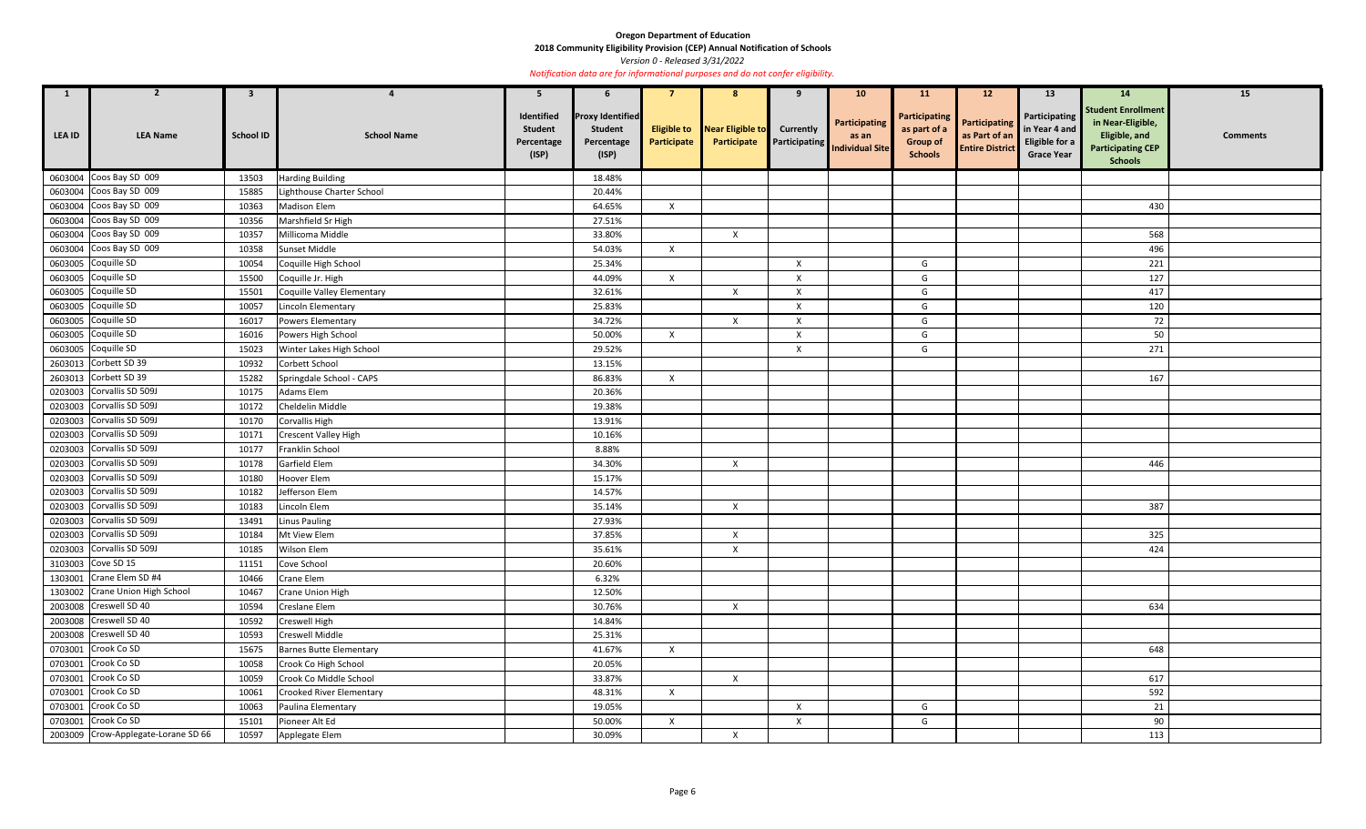**2018 Community Eligibility Provision (CEP) Annual Notification of Schools** 

*Version 0 - Released 3/31/2022* 

| $\mathbf{1}$ | $\overline{2}$                      | $\mathbf{3}$     |                                 | 5                                                   | 6                                                                |                           | 8                                                  | 9                         | 10 <sub>1</sub>                                                | <b>11</b>                                                                 | 12                                                              | 13                                                                    | 14                                                                                                            | 15              |
|--------------|-------------------------------------|------------------|---------------------------------|-----------------------------------------------------|------------------------------------------------------------------|---------------------------|----------------------------------------------------|---------------------------|----------------------------------------------------------------|---------------------------------------------------------------------------|-----------------------------------------------------------------|-----------------------------------------------------------------------|---------------------------------------------------------------------------------------------------------------|-----------------|
| LEA ID       | <b>LEA Name</b>                     | <b>School ID</b> | <b>School Name</b>              | Identified<br><b>Student</b><br>Percentage<br>(ISP) | <b>Proxy Identified</b><br><b>Student</b><br>Percentage<br>(ISP) | Participate               | <b>Eligible to Near Eligible to</b><br>Participate | <b>Currently</b>          | Participating<br>as an<br><b>Participating</b> Individual Site | <b>Participating</b><br>as part of a<br><b>Group of</b><br><b>Schools</b> | <b>Participating</b><br>as Part of an<br><b>Entire District</b> | Participating<br>in Year 4 and<br>Eligible for a<br><b>Grace Year</b> | <b>Student Enrollment</b><br>in Near-Eligible,<br>Eligible, and<br><b>Participating CEP</b><br><b>Schools</b> | <b>Comments</b> |
|              | 0603004 Coos Bay SD 009             | 13503            | <b>Harding Building</b>         |                                                     | 18.48%                                                           |                           |                                                    |                           |                                                                |                                                                           |                                                                 |                                                                       |                                                                                                               |                 |
|              | 0603004 Coos Bay SD 009             | 15885            | Lighthouse Charter School       |                                                     | 20.44%                                                           |                           |                                                    |                           |                                                                |                                                                           |                                                                 |                                                                       |                                                                                                               |                 |
|              | 0603004 Coos Bay SD 009             | 10363            | <b>Madison Elem</b>             |                                                     | 64.65%                                                           | $\mathsf{X}$              |                                                    |                           |                                                                |                                                                           |                                                                 |                                                                       | 430                                                                                                           |                 |
|              | 0603004 Coos Bay SD 009             | 10356            | Marshfield Sr High              |                                                     | 27.51%                                                           |                           |                                                    |                           |                                                                |                                                                           |                                                                 |                                                                       |                                                                                                               |                 |
|              | 0603004 Coos Bay SD 009             | 10357            | Millicoma Middle                |                                                     | 33.80%                                                           |                           | $\mathsf{X}$                                       |                           |                                                                |                                                                           |                                                                 |                                                                       | 568                                                                                                           |                 |
|              | 0603004 Coos Bay SD 009             | 10358            | Sunset Middle                   |                                                     | 54.03%                                                           | $\mathsf{X}$              |                                                    |                           |                                                                |                                                                           |                                                                 |                                                                       | 496                                                                                                           |                 |
|              | 0603005 Coquille SD                 | 10054            | Coquille High School            |                                                     | 25.34%                                                           |                           |                                                    | X                         |                                                                | G                                                                         |                                                                 |                                                                       | 221                                                                                                           |                 |
|              | 0603005 Coquille SD                 | 15500            | Coquille Jr. High               |                                                     | 44.09%                                                           | $\boldsymbol{\mathsf{X}}$ |                                                    | X                         |                                                                | G                                                                         |                                                                 |                                                                       | 127                                                                                                           |                 |
|              | 0603005 Coquille SD                 | 15501            | Coquille Valley Elementary      |                                                     | 32.61%                                                           |                           | $\boldsymbol{X}$                                   | $\pmb{\times}$            |                                                                | G                                                                         |                                                                 |                                                                       | 417                                                                                                           |                 |
|              | 0603005 Coquille SD                 | 10057            | Lincoln Elementary              |                                                     | 25.83%                                                           |                           |                                                    | X                         |                                                                | G                                                                         |                                                                 |                                                                       | 120                                                                                                           |                 |
| 0603005      | Coquille SD                         | 16017            | Powers Elementary               |                                                     | 34.72%                                                           |                           | $\mathsf{X}$                                       | $\boldsymbol{\mathsf{X}}$ |                                                                | G                                                                         |                                                                 |                                                                       | 72                                                                                                            |                 |
|              | 0603005 Coquille SD                 | 16016            | Powers High School              |                                                     | 50.00%                                                           | $\mathsf{X}$              |                                                    | $\pmb{\times}$            |                                                                | G                                                                         |                                                                 |                                                                       | 50                                                                                                            |                 |
|              | 0603005 Coquille SD                 | 15023            | Winter Lakes High School        |                                                     | 29.52%                                                           |                           |                                                    | $\boldsymbol{\mathsf{X}}$ |                                                                | G                                                                         |                                                                 |                                                                       | 271                                                                                                           |                 |
|              | 2603013 Corbett SD 39               | 10932            | Corbett School                  |                                                     | 13.15%                                                           |                           |                                                    |                           |                                                                |                                                                           |                                                                 |                                                                       |                                                                                                               |                 |
|              | 2603013 Corbett SD 39               | 15282            | Springdale School - CAPS        |                                                     | 86.83%                                                           | $\mathsf{X}$              |                                                    |                           |                                                                |                                                                           |                                                                 |                                                                       | 167                                                                                                           |                 |
|              | 0203003 Corvallis SD 509J           | 10175            | Adams Elem                      |                                                     | 20.36%                                                           |                           |                                                    |                           |                                                                |                                                                           |                                                                 |                                                                       |                                                                                                               |                 |
|              | 0203003 Corvallis SD 509J           | 10172            | Cheldelin Middle                |                                                     | 19.38%                                                           |                           |                                                    |                           |                                                                |                                                                           |                                                                 |                                                                       |                                                                                                               |                 |
| 0203003      | Corvallis SD 509J                   | 10170            | <b>Corvallis High</b>           |                                                     | 13.91%                                                           |                           |                                                    |                           |                                                                |                                                                           |                                                                 |                                                                       |                                                                                                               |                 |
|              | 0203003 Corvallis SD 509J           | 10171            | <b>Crescent Valley High</b>     |                                                     | 10.16%                                                           |                           |                                                    |                           |                                                                |                                                                           |                                                                 |                                                                       |                                                                                                               |                 |
| 0203003      | Corvallis SD 509J                   | 10177            | Franklin School                 |                                                     | 8.88%                                                            |                           |                                                    |                           |                                                                |                                                                           |                                                                 |                                                                       |                                                                                                               |                 |
|              | 0203003 Corvallis SD 509J           | 10178            | Garfield Elem                   |                                                     | 34.30%                                                           |                           | $\boldsymbol{X}$                                   |                           |                                                                |                                                                           |                                                                 |                                                                       | 446                                                                                                           |                 |
|              | 0203003 Corvallis SD 509J           | 10180            | Hoover Elem                     |                                                     | 15.17%                                                           |                           |                                                    |                           |                                                                |                                                                           |                                                                 |                                                                       |                                                                                                               |                 |
|              | 0203003 Corvallis SD 509J           | 10182            | Jefferson Elem                  |                                                     | 14.57%                                                           |                           |                                                    |                           |                                                                |                                                                           |                                                                 |                                                                       |                                                                                                               |                 |
|              | 0203003 Corvallis SD 509J           | 10183            | Lincoln Elem                    |                                                     | 35.14%                                                           |                           | $\mathsf{X}$                                       |                           |                                                                |                                                                           |                                                                 |                                                                       | 387                                                                                                           |                 |
|              | 0203003 Corvallis SD 509J           | 13491            | Linus Pauling                   |                                                     | 27.93%                                                           |                           |                                                    |                           |                                                                |                                                                           |                                                                 |                                                                       |                                                                                                               |                 |
|              | 0203003 Corvallis SD 509J           | 10184            | Mt View Elem                    |                                                     | 37.85%                                                           |                           | $\boldsymbol{X}$                                   |                           |                                                                |                                                                           |                                                                 |                                                                       | 325                                                                                                           |                 |
|              | 0203003 Corvallis SD 509J           | 10185            | Wilson Elem                     |                                                     | 35.61%                                                           |                           | $\boldsymbol{X}$                                   |                           |                                                                |                                                                           |                                                                 |                                                                       | 424                                                                                                           |                 |
|              | 3103003 Cove SD 15                  | 11151            | Cove School                     |                                                     | 20.60%                                                           |                           |                                                    |                           |                                                                |                                                                           |                                                                 |                                                                       |                                                                                                               |                 |
|              | 1303001 Crane Elem SD #4            | 10466            | Crane Elem                      |                                                     | 6.32%                                                            |                           |                                                    |                           |                                                                |                                                                           |                                                                 |                                                                       |                                                                                                               |                 |
|              | 1303002 Crane Union High School     | 10467            | Crane Union High                |                                                     | 12.50%                                                           |                           |                                                    |                           |                                                                |                                                                           |                                                                 |                                                                       |                                                                                                               |                 |
|              | 2003008 Creswell SD 40              | 10594            | Creslane Elem                   |                                                     | 30.76%                                                           |                           | $\boldsymbol{X}$                                   |                           |                                                                |                                                                           |                                                                 |                                                                       | 634                                                                                                           |                 |
|              | 2003008 Creswell SD 40              | 10592            | Creswell High                   |                                                     | 14.84%                                                           |                           |                                                    |                           |                                                                |                                                                           |                                                                 |                                                                       |                                                                                                               |                 |
|              | 2003008 Creswell SD 40              | 10593            | Creswell Middle                 |                                                     | 25.31%                                                           |                           |                                                    |                           |                                                                |                                                                           |                                                                 |                                                                       |                                                                                                               |                 |
|              | 0703001 Crook Co SD                 | 15675            | <b>Barnes Butte Elementary</b>  |                                                     | 41.67%                                                           | $\mathsf{X}$              |                                                    |                           |                                                                |                                                                           |                                                                 |                                                                       | 648                                                                                                           |                 |
|              | 0703001 Crook Co SD                 | 10058            | Crook Co High School            |                                                     | 20.05%                                                           |                           |                                                    |                           |                                                                |                                                                           |                                                                 |                                                                       |                                                                                                               |                 |
|              | 0703001 Crook Co SD                 | 10059            | Crook Co Middle School          |                                                     | 33.87%                                                           |                           | $\mathsf{X}$                                       |                           |                                                                |                                                                           |                                                                 |                                                                       | 617                                                                                                           |                 |
|              | 0703001 Crook Co SD                 | 10061            | <b>Crooked River Elementary</b> |                                                     | 48.31%                                                           | $\mathsf{X}$              |                                                    |                           |                                                                |                                                                           |                                                                 |                                                                       | 592                                                                                                           |                 |
|              | 0703001 Crook Co SD                 | 10063            | Paulina Elementary              |                                                     | 19.05%                                                           |                           |                                                    | $\mathsf{X}$              |                                                                | G                                                                         |                                                                 |                                                                       | 21                                                                                                            |                 |
|              | 0703001 Crook Co SD                 | 15101            | Pioneer Alt Ed                  |                                                     | 50.00%                                                           | $\boldsymbol{\mathsf{X}}$ |                                                    | $\mathsf{X}$              |                                                                | G                                                                         |                                                                 |                                                                       | 90                                                                                                            |                 |
|              | 2003009 Crow-Applegate-Lorane SD 66 | 10597            | Applegate Elem                  |                                                     | 30.09%                                                           |                           | $\mathsf{X}$                                       |                           |                                                                |                                                                           |                                                                 |                                                                       | 113                                                                                                           |                 |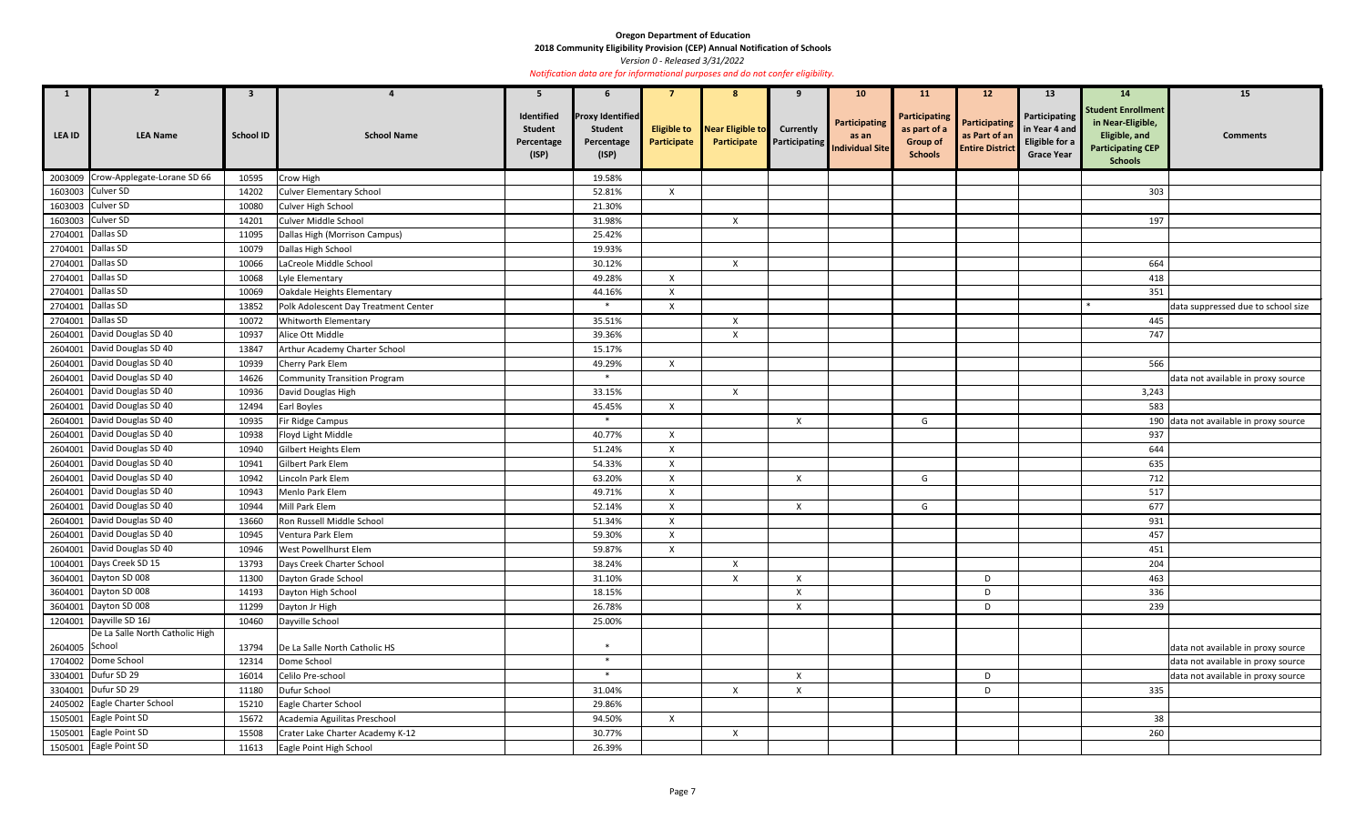**2018 Community Eligibility Provision (CEP) Annual Notification of Schools** 

*Version 0 - Released 3/31/2022* 

| 1                 | $\mathbf{z}$                        | $\mathbf{3}$     |                                      | 5                                                   | $\mathbf b$                                                      |                                   |                                 |                                          | 10 <sub>1</sub>                                  | <b>11</b>                                                          | 12                                                              | 13                                                                    | 14                                                                                                            | 15                                     |
|-------------------|-------------------------------------|------------------|--------------------------------------|-----------------------------------------------------|------------------------------------------------------------------|-----------------------------------|---------------------------------|------------------------------------------|--------------------------------------------------|--------------------------------------------------------------------|-----------------------------------------------------------------|-----------------------------------------------------------------------|---------------------------------------------------------------------------------------------------------------|----------------------------------------|
| <b>LEA ID</b>     | <b>LEA Name</b>                     | <b>School ID</b> | <b>School Name</b>                   | Identified<br><b>Student</b><br>Percentage<br>(ISP) | <b>Proxy Identified</b><br><b>Student</b><br>Percentage<br>(ISP) | <b>Eligible to</b><br>Participate | Near Eligible to<br>Participate | <b>Currently</b><br><b>Participating</b> | Participating<br>as an<br><b>Individual Site</b> | Participating<br>as part of a<br><b>Group of</b><br><b>Schools</b> | <b>Participating</b><br>as Part of an<br><b>Entire District</b> | Participating<br>in Year 4 and<br>Eligible for a<br><b>Grace Year</b> | <b>Student Enrollment</b><br>in Near-Eligible,<br>Eligible, and<br><b>Participating CEP</b><br><b>Schools</b> | <b>Comments</b>                        |
|                   | 2003009 Crow-Applegate-Lorane SD 66 | 10595            | Crow High                            |                                                     | 19.58%                                                           |                                   |                                 |                                          |                                                  |                                                                    |                                                                 |                                                                       |                                                                                                               |                                        |
|                   | 1603003 Culver SD                   | 14202            | <b>Culver Elementary School</b>      |                                                     | 52.81%                                                           | $\mathsf{X}$                      |                                 |                                          |                                                  |                                                                    |                                                                 |                                                                       | 303                                                                                                           |                                        |
|                   | 1603003 Culver SD                   | 10080            | Culver High School                   |                                                     | 21.30%                                                           |                                   |                                 |                                          |                                                  |                                                                    |                                                                 |                                                                       |                                                                                                               |                                        |
|                   | 1603003 Culver SD                   | 14201            | Culver Middle School                 |                                                     | 31.98%                                                           |                                   | $\mathsf{X}$                    |                                          |                                                  |                                                                    |                                                                 |                                                                       | 197                                                                                                           |                                        |
| 2704001 Dallas SD |                                     | 11095            | Dallas High (Morrison Campus)        |                                                     | 25.42%                                                           |                                   |                                 |                                          |                                                  |                                                                    |                                                                 |                                                                       |                                                                                                               |                                        |
| 2704001 Dallas SD |                                     | 10079            | Dallas High School                   |                                                     | 19.93%                                                           |                                   |                                 |                                          |                                                  |                                                                    |                                                                 |                                                                       |                                                                                                               |                                        |
| 2704001 Dallas SD |                                     | 10066            | LaCreole Middle School               |                                                     | 30.12%                                                           |                                   | X                               |                                          |                                                  |                                                                    |                                                                 |                                                                       | 664                                                                                                           |                                        |
| 2704001 Dallas SD |                                     | 10068            | Lyle Elementary                      |                                                     | 49.28%                                                           | X                                 |                                 |                                          |                                                  |                                                                    |                                                                 |                                                                       | 418                                                                                                           |                                        |
| 2704001 Dallas SD |                                     | 10069            | Oakdale Heights Elementary           |                                                     | 44.16%                                                           | $\times$                          |                                 |                                          |                                                  |                                                                    |                                                                 |                                                                       | 351                                                                                                           |                                        |
| 2704001 Dallas SD |                                     | 13852            | Polk Adolescent Day Treatment Center |                                                     | $\ast$                                                           | X                                 |                                 |                                          |                                                  |                                                                    |                                                                 |                                                                       |                                                                                                               | data suppressed due to school size     |
| 2704001 Dallas SD |                                     | 10072            | Whitworth Elementary                 |                                                     | 35.51%                                                           |                                   | $\boldsymbol{\mathsf{X}}$       |                                          |                                                  |                                                                    |                                                                 |                                                                       | 445                                                                                                           |                                        |
|                   | 2604001 David Douglas SD 40         | 10937            | Alice Ott Middle                     |                                                     | 39.36%                                                           |                                   | $\boldsymbol{\mathsf{x}}$       |                                          |                                                  |                                                                    |                                                                 |                                                                       | 747                                                                                                           |                                        |
|                   | 2604001 David Douglas SD 40         | 13847            | Arthur Academy Charter School        |                                                     | 15.17%                                                           |                                   |                                 |                                          |                                                  |                                                                    |                                                                 |                                                                       |                                                                                                               |                                        |
|                   | 2604001 David Douglas SD 40         | 10939            | Cherry Park Elem                     |                                                     | 49.29%                                                           | $\mathsf{X}$                      |                                 |                                          |                                                  |                                                                    |                                                                 |                                                                       | 566                                                                                                           |                                        |
|                   | 2604001 David Douglas SD 40         | 14626            | <b>Community Transition Program</b>  |                                                     | $*$                                                              |                                   |                                 |                                          |                                                  |                                                                    |                                                                 |                                                                       |                                                                                                               | data not available in proxy source     |
|                   | 2604001 David Douglas SD 40         | 10936            | David Douglas High                   |                                                     | 33.15%                                                           |                                   | $\mathsf{X}$                    |                                          |                                                  |                                                                    |                                                                 |                                                                       | 3,243                                                                                                         |                                        |
|                   | 2604001 David Douglas SD 40         | 12494            | Earl Boyles                          |                                                     | 45.45%                                                           | $\mathsf{x}$                      |                                 |                                          |                                                  |                                                                    |                                                                 |                                                                       | 583                                                                                                           |                                        |
|                   | 2604001 David Douglas SD 40         | 10935            | Fir Ridge Campus                     |                                                     | $\ast$                                                           |                                   |                                 | $\boldsymbol{\mathsf{X}}$                |                                                  | G                                                                  |                                                                 |                                                                       |                                                                                                               | 190 data not available in proxy source |
|                   | 2604001 David Douglas SD 40         | 10938            | Floyd Light Middle                   |                                                     | 40.77%                                                           | $\boldsymbol{\mathsf{x}}$         |                                 |                                          |                                                  |                                                                    |                                                                 |                                                                       | 937                                                                                                           |                                        |
|                   | 2604001 David Douglas SD 40         | 10940            | Gilbert Heights Elem                 |                                                     | 51.24%                                                           | X                                 |                                 |                                          |                                                  |                                                                    |                                                                 |                                                                       | 644                                                                                                           |                                        |
|                   | 2604001 David Douglas SD 40         | 10941            | Gilbert Park Elem                    |                                                     | 54.33%                                                           | $\mathsf{x}$                      |                                 |                                          |                                                  |                                                                    |                                                                 |                                                                       | 635                                                                                                           |                                        |
|                   | 2604001 David Douglas SD 40         | 10942            | Lincoln Park Elem                    |                                                     | 63.20%                                                           | $\mathsf{x}$                      |                                 | $\boldsymbol{\mathsf{X}}$                |                                                  | G                                                                  |                                                                 |                                                                       | 712                                                                                                           |                                        |
|                   | 2604001 David Douglas SD 40         | 10943            | Menlo Park Elem                      |                                                     | 49.71%                                                           | $\mathsf{X}$                      |                                 |                                          |                                                  |                                                                    |                                                                 |                                                                       | 517                                                                                                           |                                        |
|                   | 2604001 David Douglas SD 40         | 10944            | Mill Park Elem                       |                                                     | 52.14%                                                           | X                                 |                                 | X                                        |                                                  | G                                                                  |                                                                 |                                                                       | 677                                                                                                           |                                        |
|                   | 2604001 David Douglas SD 40         | 13660            | Ron Russell Middle School            |                                                     | 51.34%                                                           | $\boldsymbol{\mathsf{X}}$         |                                 |                                          |                                                  |                                                                    |                                                                 |                                                                       | 931                                                                                                           |                                        |
|                   | 2604001 David Douglas SD 40         | 10945            | Ventura Park Elem                    |                                                     | 59.30%                                                           | $\mathbf{x}$                      |                                 |                                          |                                                  |                                                                    |                                                                 |                                                                       | 457                                                                                                           |                                        |
|                   | 2604001 David Douglas SD 40         | 10946            | West Powellhurst Elem                |                                                     | 59.87%                                                           | $\boldsymbol{X}$                  |                                 |                                          |                                                  |                                                                    |                                                                 |                                                                       | 451                                                                                                           |                                        |
|                   | 1004001 Days Creek SD 15            | 13793            | Days Creek Charter School            |                                                     | 38.24%                                                           |                                   | $\mathsf{X}$                    |                                          |                                                  |                                                                    |                                                                 |                                                                       | 204                                                                                                           |                                        |
|                   | 3604001 Dayton SD 008               | 11300            | Dayton Grade School                  |                                                     | 31.10%                                                           |                                   | $\boldsymbol{\mathsf{X}}$       | $\boldsymbol{\mathsf{X}}$                |                                                  |                                                                    | D                                                               |                                                                       | 463                                                                                                           |                                        |
|                   | 3604001 Dayton SD 008               | 14193            | Dayton High School                   |                                                     | 18.15%                                                           |                                   |                                 | $\boldsymbol{\mathsf{X}}$                |                                                  |                                                                    | D                                                               |                                                                       | 336                                                                                                           |                                        |
|                   | 3604001 Dayton SD 008               | 11299            | Dayton Jr High                       |                                                     | 26.78%                                                           |                                   |                                 | $\boldsymbol{\mathsf{X}}$                |                                                  |                                                                    | D                                                               |                                                                       | 239                                                                                                           |                                        |
|                   | 1204001 Dayville SD 16J             | 10460            | Dayville School                      |                                                     | 25.00%                                                           |                                   |                                 |                                          |                                                  |                                                                    |                                                                 |                                                                       |                                                                                                               |                                        |
|                   | De La Salle North Catholic High     |                  |                                      |                                                     |                                                                  |                                   |                                 |                                          |                                                  |                                                                    |                                                                 |                                                                       |                                                                                                               |                                        |
| 2604005 School    |                                     | 13794            | De La Salle North Catholic HS        |                                                     | $\ast$                                                           |                                   |                                 |                                          |                                                  |                                                                    |                                                                 |                                                                       |                                                                                                               | data not available in proxy source     |
|                   | 1704002 Dome School                 | 12314            | Dome School                          |                                                     | $\ast$                                                           |                                   |                                 |                                          |                                                  |                                                                    |                                                                 |                                                                       |                                                                                                               | data not available in proxy source     |
|                   | 3304001 Dufur SD 29                 | 16014            | Celilo Pre-school                    |                                                     | $\ast$                                                           |                                   |                                 | $\boldsymbol{\mathsf{X}}$                |                                                  |                                                                    | D                                                               |                                                                       |                                                                                                               | data not available in proxy source     |
|                   | 3304001 Dufur SD 29                 | 11180            | Dufur School                         |                                                     | 31.04%                                                           |                                   | $\boldsymbol{\mathsf{X}}$       | $\boldsymbol{\mathsf{X}}$                |                                                  |                                                                    | D                                                               |                                                                       | 335                                                                                                           |                                        |
|                   | 2405002 Eagle Charter School        | 15210            | Eagle Charter School                 |                                                     | 29.86%                                                           |                                   |                                 |                                          |                                                  |                                                                    |                                                                 |                                                                       |                                                                                                               |                                        |
|                   | 1505001 Eagle Point SD              | 15672            | Academia Aguilitas Preschool         |                                                     | 94.50%                                                           | $\mathsf{X}$                      |                                 |                                          |                                                  |                                                                    |                                                                 |                                                                       | 38                                                                                                            |                                        |
|                   | 1505001 Eagle Point SD              | 15508            | Crater Lake Charter Academy K-12     |                                                     | 30.77%                                                           |                                   | $\boldsymbol{\mathsf{X}}$       |                                          |                                                  |                                                                    |                                                                 |                                                                       | 260                                                                                                           |                                        |
|                   | 1505001 Eagle Point SD              | 11613            | Eagle Point High School              |                                                     | 26.39%                                                           |                                   |                                 |                                          |                                                  |                                                                    |                                                                 |                                                                       |                                                                                                               |                                        |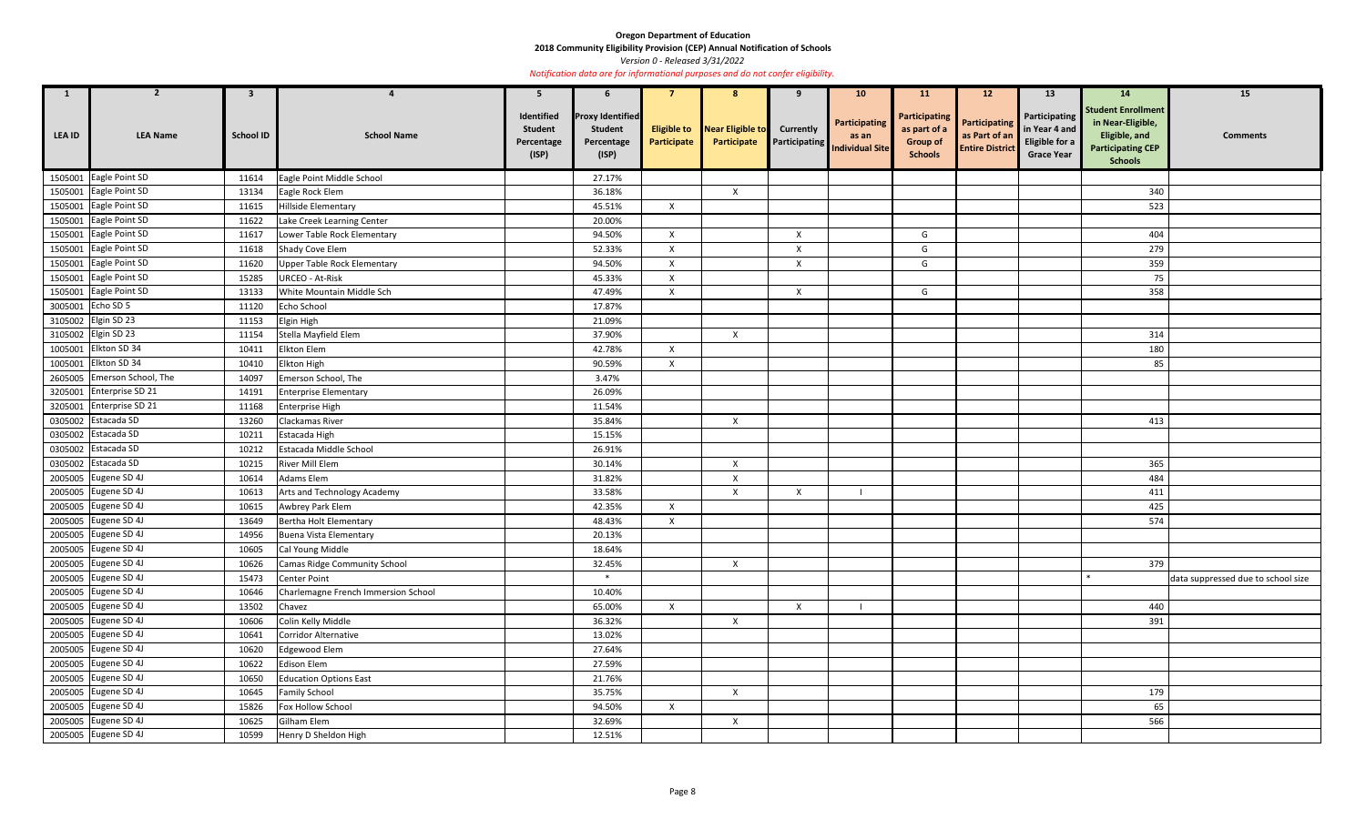**2018 Community Eligibility Provision (CEP) Annual Notification of Schools** 

*Version 0 - Released 3/31/2022* 

| $\mathbf{1}$      | $\overline{2}$              | 3                |                                     | -5                                                  | 6                                                                |                           | 8                                   | 9                | 10 <sup>°</sup>                                                   | <b>11</b>                                                                 | 12 <sup>2</sup>                                                 | 13                                                                    | 14                                                                                                            | 15                                 |
|-------------------|-----------------------------|------------------|-------------------------------------|-----------------------------------------------------|------------------------------------------------------------------|---------------------------|-------------------------------------|------------------|-------------------------------------------------------------------|---------------------------------------------------------------------------|-----------------------------------------------------------------|-----------------------------------------------------------------------|---------------------------------------------------------------------------------------------------------------|------------------------------------|
| <b>LEA ID</b>     | <b>LEA Name</b>             | <b>School ID</b> | <b>School Name</b>                  | Identified<br><b>Student</b><br>Percentage<br>(ISP) | <b>Proxy Identified</b><br><b>Student</b><br>Percentage<br>(ISP) | Participate               | <b>Eligible to</b> Near Eligible to | <b>Currently</b> | Participating<br><b>Participate</b> Participating Individual Site | <b>Participating</b><br>as part of a<br><b>Group of</b><br><b>Schools</b> | <b>Participating</b><br>as Part of an<br><b>Entire District</b> | Participating<br>in Year 4 and<br>Eligible for a<br><b>Grace Year</b> | <b>Student Enrollment</b><br>in Near-Eligible,<br>Eligible, and<br><b>Participating CEP</b><br><b>Schools</b> | <b>Comments</b>                    |
| 1505001           | Eagle Point SD              | 11614            | Eagle Point Middle School           |                                                     | 27.17%                                                           |                           |                                     |                  |                                                                   |                                                                           |                                                                 |                                                                       |                                                                                                               |                                    |
| 1505001           | Eagle Point SD              | 13134            | Eagle Rock Elem                     |                                                     | 36.18%                                                           |                           | $\boldsymbol{X}$                    |                  |                                                                   |                                                                           |                                                                 |                                                                       | 340                                                                                                           |                                    |
|                   | 1505001 Eagle Point SD      | 11615            | <b>Hillside Elementary</b>          |                                                     | 45.51%                                                           | $\boldsymbol{X}$          |                                     |                  |                                                                   |                                                                           |                                                                 |                                                                       | 523                                                                                                           |                                    |
|                   | 1505001 Eagle Point SD      | 11622            | Lake Creek Learning Center          |                                                     | 20.00%                                                           |                           |                                     |                  |                                                                   |                                                                           |                                                                 |                                                                       |                                                                                                               |                                    |
|                   | 1505001 Eagle Point SD      | 11617            | Lower Table Rock Elementary         |                                                     | 94.50%                                                           | $\mathsf{X}$              |                                     | $\mathsf{X}$     |                                                                   | G                                                                         |                                                                 |                                                                       | 404                                                                                                           |                                    |
|                   | 1505001 Eagle Point SD      | 11618            | Shady Cove Elem                     |                                                     | 52.33%                                                           | $\mathsf{X}$              |                                     | $\mathsf{X}$     |                                                                   | G                                                                         |                                                                 |                                                                       | 279                                                                                                           |                                    |
|                   | 1505001 Eagle Point SD      | 11620            | <b>Upper Table Rock Elementary</b>  |                                                     | 94.50%                                                           | $\mathsf{x}$              |                                     | X                |                                                                   | G                                                                         |                                                                 |                                                                       | 359                                                                                                           |                                    |
|                   | 1505001 Eagle Point SD      | 15285            | <b>URCEO - At-Risk</b>              |                                                     | 45.33%                                                           | X                         |                                     |                  |                                                                   |                                                                           |                                                                 |                                                                       | 75                                                                                                            |                                    |
|                   | 1505001 Eagle Point SD      | 13133            | White Mountain Middle Sch           |                                                     | 47.49%                                                           | $\mathsf{X}$              |                                     | $\mathsf{X}$     |                                                                   | G                                                                         |                                                                 |                                                                       | 358                                                                                                           |                                    |
| 3005001 Echo SD 5 |                             | 11120            | Echo School                         |                                                     | 17.87%                                                           |                           |                                     |                  |                                                                   |                                                                           |                                                                 |                                                                       |                                                                                                               |                                    |
| 3105002           | Elgin SD 23                 | 11153            | Elgin High                          |                                                     | 21.09%                                                           |                           |                                     |                  |                                                                   |                                                                           |                                                                 |                                                                       |                                                                                                               |                                    |
|                   | 3105002 Elgin SD 23         | 11154            | Stella Mayfield Elem                |                                                     | 37.90%                                                           |                           | $\boldsymbol{X}$                    |                  |                                                                   |                                                                           |                                                                 |                                                                       | 314                                                                                                           |                                    |
| 1005001           | Elkton SD 34                | 10411            | <b>Elkton Elem</b>                  |                                                     | 42.78%                                                           | $\boldsymbol{\mathsf{X}}$ |                                     |                  |                                                                   |                                                                           |                                                                 |                                                                       | 180                                                                                                           |                                    |
| 1005001           | Elkton SD 34                | 10410            | Elkton High                         |                                                     | 90.59%                                                           | $\mathsf{X}$              |                                     |                  |                                                                   |                                                                           |                                                                 |                                                                       | 85                                                                                                            |                                    |
|                   | 2605005 Emerson School, The | 14097            | Emerson School, The                 |                                                     | 3.47%                                                            |                           |                                     |                  |                                                                   |                                                                           |                                                                 |                                                                       |                                                                                                               |                                    |
|                   | 3205001 Enterprise SD 21    | 14191            | <b>Enterprise Elementary</b>        |                                                     | 26.09%                                                           |                           |                                     |                  |                                                                   |                                                                           |                                                                 |                                                                       |                                                                                                               |                                    |
|                   | 3205001 Enterprise SD 21    | 11168            | Enterprise High                     |                                                     | 11.54%                                                           |                           |                                     |                  |                                                                   |                                                                           |                                                                 |                                                                       |                                                                                                               |                                    |
| 0305002           | Estacada SD                 | 13260            | Clackamas River                     |                                                     | 35.84%                                                           |                           | $\boldsymbol{X}$                    |                  |                                                                   |                                                                           |                                                                 |                                                                       | 413                                                                                                           |                                    |
|                   | 0305002 Estacada SD         | 10211            | Estacada High                       |                                                     | 15.15%                                                           |                           |                                     |                  |                                                                   |                                                                           |                                                                 |                                                                       |                                                                                                               |                                    |
| 0305002           | Estacada SD                 | 10212            | Estacada Middle School              |                                                     | 26.91%                                                           |                           |                                     |                  |                                                                   |                                                                           |                                                                 |                                                                       |                                                                                                               |                                    |
|                   | 0305002 Estacada SD         | 10215            | <b>River Mill Elem</b>              |                                                     | 30.14%                                                           |                           | $\boldsymbol{X}$                    |                  |                                                                   |                                                                           |                                                                 |                                                                       | 365                                                                                                           |                                    |
|                   | 2005005 Eugene SD 4J        | 10614            | <b>Adams Elem</b>                   |                                                     | 31.82%                                                           |                           | $\boldsymbol{X}$                    |                  |                                                                   |                                                                           |                                                                 |                                                                       | 484                                                                                                           |                                    |
|                   | 2005005 Eugene SD 4J        | 10613            | Arts and Technology Academy         |                                                     | 33.58%                                                           |                           | $\boldsymbol{X}$                    | $\mathsf{X}$     |                                                                   |                                                                           |                                                                 |                                                                       | 411                                                                                                           |                                    |
|                   | 2005005 Eugene SD 4J        | 10615            | Awbrey Park Elem                    |                                                     | 42.35%                                                           | $\mathsf{X}$              |                                     |                  |                                                                   |                                                                           |                                                                 |                                                                       | 425                                                                                                           |                                    |
|                   | 2005005 Eugene SD 4J        | 13649            | Bertha Holt Elementary              |                                                     | 48.43%                                                           | $\mathsf{X}$              |                                     |                  |                                                                   |                                                                           |                                                                 |                                                                       | 574                                                                                                           |                                    |
|                   | 2005005 Eugene SD 4J        | 14956            | Buena Vista Elementary              |                                                     | 20.13%                                                           |                           |                                     |                  |                                                                   |                                                                           |                                                                 |                                                                       |                                                                                                               |                                    |
|                   | 2005005 Eugene SD 4J        | 10605            | Cal Young Middle                    |                                                     | 18.64%                                                           |                           |                                     |                  |                                                                   |                                                                           |                                                                 |                                                                       |                                                                                                               |                                    |
|                   | 2005005 Eugene SD 4J        | 10626            | Camas Ridge Community School        |                                                     | 32.45%                                                           |                           | $\boldsymbol{X}$                    |                  |                                                                   |                                                                           |                                                                 |                                                                       | 379                                                                                                           |                                    |
|                   | 2005005 Eugene SD 4J        | 15473            | Center Point                        |                                                     | $\ast$                                                           |                           |                                     |                  |                                                                   |                                                                           |                                                                 |                                                                       |                                                                                                               | data suppressed due to school size |
|                   | 2005005 Eugene SD 4J        | 10646            | Charlemagne French Immersion School |                                                     | 10.40%                                                           |                           |                                     |                  |                                                                   |                                                                           |                                                                 |                                                                       |                                                                                                               |                                    |
|                   | 2005005 Eugene SD 4J        | 13502            | Chavez                              |                                                     | 65.00%                                                           | $\mathsf{X}$              |                                     | $\mathsf{X}$     |                                                                   |                                                                           |                                                                 |                                                                       | 440                                                                                                           |                                    |
|                   | 2005005 Eugene SD 4J        | 10606            | Colin Kelly Middle                  |                                                     | 36.32%                                                           |                           | $\mathsf{X}$                        |                  |                                                                   |                                                                           |                                                                 |                                                                       | 391                                                                                                           |                                    |
|                   | 2005005 Eugene SD 4J        | 10641            | Corridor Alternative                |                                                     | 13.02%                                                           |                           |                                     |                  |                                                                   |                                                                           |                                                                 |                                                                       |                                                                                                               |                                    |
|                   | 2005005 Eugene SD 4J        | 10620            | Edgewood Elem                       |                                                     | 27.64%                                                           |                           |                                     |                  |                                                                   |                                                                           |                                                                 |                                                                       |                                                                                                               |                                    |
|                   | 2005005 Eugene SD 4J        | 10622            | Edison Elem                         |                                                     | 27.59%                                                           |                           |                                     |                  |                                                                   |                                                                           |                                                                 |                                                                       |                                                                                                               |                                    |
|                   | 2005005 Eugene SD 4J        | 10650            | <b>Education Options East</b>       |                                                     | 21.76%                                                           |                           |                                     |                  |                                                                   |                                                                           |                                                                 |                                                                       |                                                                                                               |                                    |
|                   | 2005005 Eugene SD 4J        | 10645            | <b>Family School</b>                |                                                     | 35.75%                                                           |                           | $\boldsymbol{\mathsf{X}}$           |                  |                                                                   |                                                                           |                                                                 |                                                                       | 179                                                                                                           |                                    |
|                   | 2005005 Eugene SD 4J        | 15826            | Fox Hollow School                   |                                                     | 94.50%                                                           | $\mathsf{X}$              |                                     |                  |                                                                   |                                                                           |                                                                 |                                                                       | 65                                                                                                            |                                    |
|                   | 2005005 Eugene SD 4J        | 10625            | Gilham Elem                         |                                                     | 32.69%                                                           |                           | $\boldsymbol{\mathsf{X}}$           |                  |                                                                   |                                                                           |                                                                 |                                                                       | 566                                                                                                           |                                    |
|                   | 2005005 Eugene SD 4J        | 10599            | Henry D Sheldon High                |                                                     | 12.51%                                                           |                           |                                     |                  |                                                                   |                                                                           |                                                                 |                                                                       |                                                                                                               |                                    |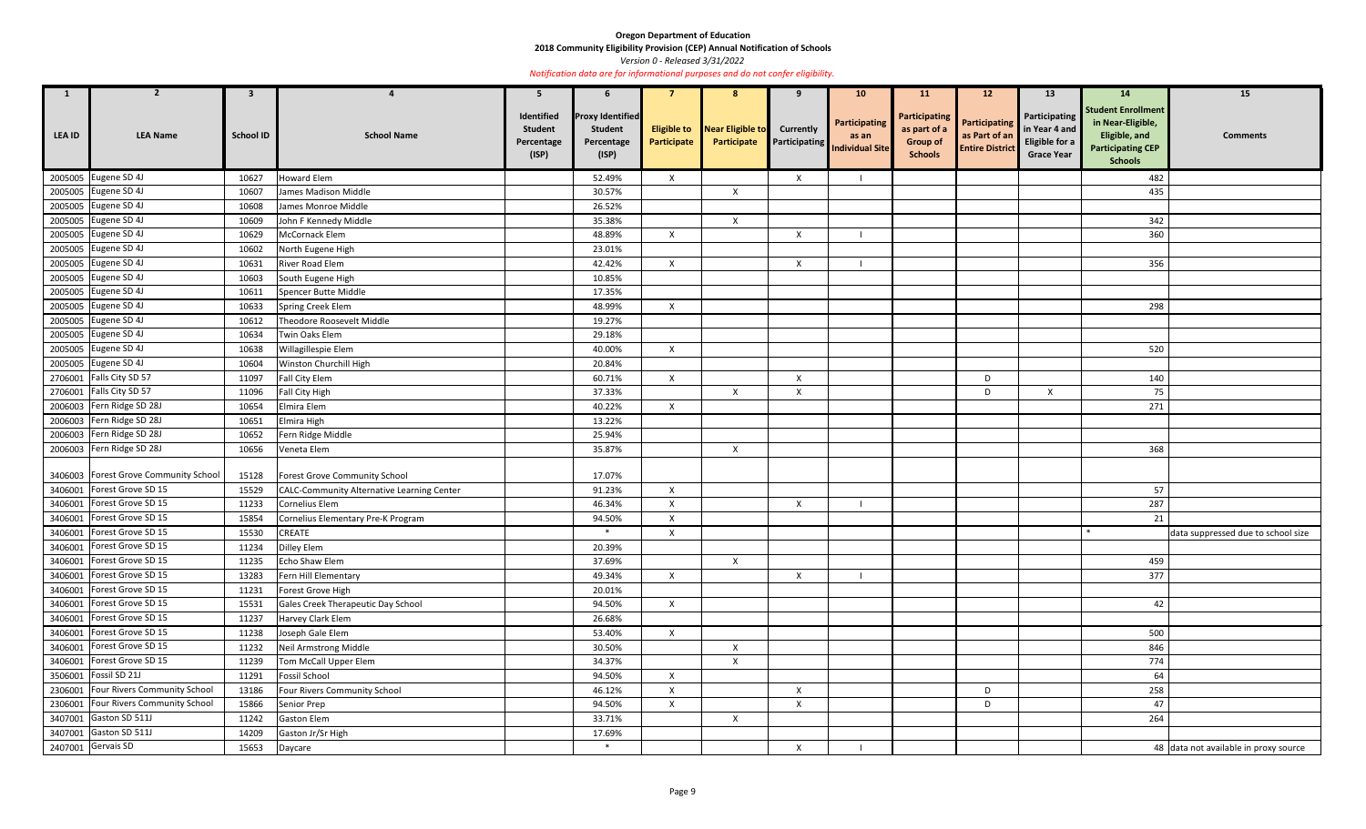**2018 Community Eligibility Provision (CEP) Annual Notification of Schools** 

*Version 0 - Released 3/31/2022* 

| $\mathbf{1}$  | $\mathbf{z}$                          | $\mathbf{3}$     |                                                   | 5                                                   | $\mathbf b$                                                      |                                   |                                 | 9                                        | 10 <sup>°</sup>                                         | <b>11</b>                                                                 | 12                                                              | 13                                                                    | <b>14</b>                                                                                                            | 15                                    |
|---------------|---------------------------------------|------------------|---------------------------------------------------|-----------------------------------------------------|------------------------------------------------------------------|-----------------------------------|---------------------------------|------------------------------------------|---------------------------------------------------------|---------------------------------------------------------------------------|-----------------------------------------------------------------|-----------------------------------------------------------------------|----------------------------------------------------------------------------------------------------------------------|---------------------------------------|
| <b>LEA ID</b> | <b>LEA Name</b>                       | <b>School ID</b> | <b>School Name</b>                                | Identified<br><b>Student</b><br>Percentage<br>(ISP) | <b>Proxy Identified</b><br><b>Student</b><br>Percentage<br>(ISP) | <b>Eligible to</b><br>Participate | Near Eligible to<br>Participate | <b>Currently</b><br><b>Participating</b> | <b>Participating</b><br>as an<br><b>Individual Site</b> | <b>Participating</b><br>as part of a<br><b>Group of</b><br><b>Schools</b> | <b>Participating</b><br>as Part of an<br><b>Entire District</b> | Participating<br>in Year 4 and<br>Eligible for a<br><b>Grace Year</b> | <b>Student Enrollment</b><br>in Near-Eligible,<br><b>Eligible, and</b><br><b>Participating CEP</b><br><b>Schools</b> | <b>Comments</b>                       |
|               | 2005005 Eugene SD 4J                  | 10627            | <b>Howard Elem</b>                                |                                                     | 52.49%                                                           | $\mathsf{X}$                      |                                 | X                                        |                                                         |                                                                           |                                                                 |                                                                       | 482                                                                                                                  |                                       |
|               | 2005005 Eugene SD 4J                  | 10607            | James Madison Middle                              |                                                     | 30.57%                                                           |                                   | $\boldsymbol{\mathsf{X}}$       |                                          |                                                         |                                                                           |                                                                 |                                                                       | 435                                                                                                                  |                                       |
|               | 2005005 Eugene SD 4J                  | 10608            | James Monroe Middle                               |                                                     | 26.52%                                                           |                                   |                                 |                                          |                                                         |                                                                           |                                                                 |                                                                       |                                                                                                                      |                                       |
|               | 2005005 Eugene SD 4J                  | 10609            | John F Kennedy Middle                             |                                                     | 35.38%                                                           |                                   | $\mathsf{X}$                    |                                          |                                                         |                                                                           |                                                                 |                                                                       | 342                                                                                                                  |                                       |
|               | 2005005 Eugene SD 4J                  | 10629            | McCornack Elem                                    |                                                     | 48.89%                                                           | $\mathsf{X}$                      |                                 | $\boldsymbol{X}$                         |                                                         |                                                                           |                                                                 |                                                                       | 360                                                                                                                  |                                       |
|               | 2005005 Eugene SD 4J                  | 10602            | North Eugene High                                 |                                                     | 23.01%                                                           |                                   |                                 |                                          |                                                         |                                                                           |                                                                 |                                                                       |                                                                                                                      |                                       |
|               | 2005005 Eugene SD 4J                  | 10631            | River Road Elem                                   |                                                     | 42.42%                                                           | $\mathsf{x}$                      |                                 | X                                        |                                                         |                                                                           |                                                                 |                                                                       | 356                                                                                                                  |                                       |
|               | 2005005 Eugene SD 4J                  | 10603            | South Eugene High                                 |                                                     | 10.85%                                                           |                                   |                                 |                                          |                                                         |                                                                           |                                                                 |                                                                       |                                                                                                                      |                                       |
|               | 2005005 Eugene SD 4J                  | 10611            | Spencer Butte Middle                              |                                                     | 17.35%                                                           |                                   |                                 |                                          |                                                         |                                                                           |                                                                 |                                                                       |                                                                                                                      |                                       |
|               | 2005005 Eugene SD 4J                  | 10633            | Spring Creek Elem                                 |                                                     | 48.99%                                                           | $\mathsf{X}$                      |                                 |                                          |                                                         |                                                                           |                                                                 |                                                                       | 298                                                                                                                  |                                       |
|               | 2005005 Eugene SD 4J                  | 10612            | Theodore Roosevelt Middle                         |                                                     | 19.27%                                                           |                                   |                                 |                                          |                                                         |                                                                           |                                                                 |                                                                       |                                                                                                                      |                                       |
|               | 2005005 Eugene SD 4J                  | 10634            | Twin Oaks Elem                                    |                                                     | 29.18%                                                           |                                   |                                 |                                          |                                                         |                                                                           |                                                                 |                                                                       |                                                                                                                      |                                       |
|               | 2005005 Eugene SD 4J                  | 10638            | Willagillespie Elem                               |                                                     | 40.00%                                                           | $\mathsf{X}$                      |                                 |                                          |                                                         |                                                                           |                                                                 |                                                                       | 520                                                                                                                  |                                       |
|               | 2005005 Eugene SD 4J                  | 10604            | Winston Churchill High                            |                                                     | 20.84%                                                           |                                   |                                 |                                          |                                                         |                                                                           |                                                                 |                                                                       |                                                                                                                      |                                       |
|               | 2706001 Falls City SD 57              | 11097            | <b>Fall City Elem</b>                             |                                                     | 60.71%                                                           | $\mathsf{X}$                      |                                 | $\mathsf{X}$                             |                                                         |                                                                           | D                                                               |                                                                       | 140                                                                                                                  |                                       |
|               | 2706001 Falls City SD 57              | 11096            | Fall City High                                    |                                                     | 37.33%                                                           |                                   | $\mathsf{X}$                    | $\boldsymbol{\mathsf{X}}$                |                                                         |                                                                           | D                                                               | X                                                                     | 75                                                                                                                   |                                       |
|               | 2006003 Fern Ridge SD 28J             | 10654            | Elmira Elem                                       |                                                     | 40.22%                                                           | $\mathsf{X}$                      |                                 |                                          |                                                         |                                                                           |                                                                 |                                                                       | 271                                                                                                                  |                                       |
|               | 2006003 Fern Ridge SD 28J             | 10651            | Elmira High                                       |                                                     | 13.22%                                                           |                                   |                                 |                                          |                                                         |                                                                           |                                                                 |                                                                       |                                                                                                                      |                                       |
|               | 2006003 Fern Ridge SD 28J             | 10652            | Fern Ridge Middle                                 |                                                     | 25.94%                                                           |                                   |                                 |                                          |                                                         |                                                                           |                                                                 |                                                                       |                                                                                                                      |                                       |
|               | 2006003 Fern Ridge SD 28J             | 10656            | Veneta Elem                                       |                                                     | 35.87%                                                           |                                   | $\boldsymbol{\mathsf{X}}$       |                                          |                                                         |                                                                           |                                                                 |                                                                       | 368                                                                                                                  |                                       |
|               | 3406003 Forest Grove Community School | 15128            | Forest Grove Community School                     |                                                     | 17.07%                                                           |                                   |                                 |                                          |                                                         |                                                                           |                                                                 |                                                                       |                                                                                                                      |                                       |
|               | 3406001 Forest Grove SD 15            | 15529            | <b>CALC-Community Alternative Learning Center</b> |                                                     | 91.23%                                                           | $\mathsf{X}$                      |                                 |                                          |                                                         |                                                                           |                                                                 |                                                                       | 57                                                                                                                   |                                       |
|               | 3406001 Forest Grove SD 15            | 11233            | Cornelius Elem                                    |                                                     | 46.34%                                                           | $\boldsymbol{\mathsf{x}}$         |                                 | $\mathsf{X}$                             |                                                         |                                                                           |                                                                 |                                                                       | 287                                                                                                                  |                                       |
|               | 3406001 Forest Grove SD 15            | 15854            | Cornelius Elementary Pre-K Program                |                                                     | 94.50%                                                           | $\mathsf{x}$                      |                                 |                                          |                                                         |                                                                           |                                                                 |                                                                       | 21                                                                                                                   |                                       |
|               | 3406001   Forest Grove SD 15          | 15530            | <b>CREATE</b>                                     |                                                     | $\ast$                                                           | $\boldsymbol{\mathsf{x}}$         |                                 |                                          |                                                         |                                                                           |                                                                 |                                                                       |                                                                                                                      | data suppressed due to school size    |
|               | 3406001 Forest Grove SD 15            | 11234            | Dilley Elem                                       |                                                     | 20.39%                                                           |                                   |                                 |                                          |                                                         |                                                                           |                                                                 |                                                                       |                                                                                                                      |                                       |
|               | 3406001 Forest Grove SD 15            | 11235            | Echo Shaw Elem                                    |                                                     | 37.69%                                                           |                                   | $\mathsf{X}$                    |                                          |                                                         |                                                                           |                                                                 |                                                                       | 459                                                                                                                  |                                       |
|               | 3406001 Forest Grove SD 15            | 13283            | Fern Hill Elementary                              |                                                     | 49.34%                                                           | $\mathsf{X}$                      |                                 | X                                        |                                                         |                                                                           |                                                                 |                                                                       | 377                                                                                                                  |                                       |
|               | 3406001 Forest Grove SD 15            | 11231            | Forest Grove High                                 |                                                     | 20.01%                                                           |                                   |                                 |                                          |                                                         |                                                                           |                                                                 |                                                                       |                                                                                                                      |                                       |
|               | 3406001 Forest Grove SD 15            | 15531            | Gales Creek Therapeutic Day School                |                                                     | 94.50%                                                           | $\mathsf{X}$                      |                                 |                                          |                                                         |                                                                           |                                                                 |                                                                       | 42                                                                                                                   |                                       |
|               | 3406001 Forest Grove SD 15            | 11237            | Harvey Clark Elem                                 |                                                     | 26.68%                                                           |                                   |                                 |                                          |                                                         |                                                                           |                                                                 |                                                                       |                                                                                                                      |                                       |
|               | 3406001 Forest Grove SD 15            | 11238            | Joseph Gale Elem                                  |                                                     | 53.40%                                                           | $\mathsf{X}$                      |                                 |                                          |                                                         |                                                                           |                                                                 |                                                                       | 500                                                                                                                  |                                       |
|               | 3406001 Forest Grove SD 15            | 11232            | Neil Armstrong Middle                             |                                                     | 30.50%                                                           |                                   | $\mathsf{X}$                    |                                          |                                                         |                                                                           |                                                                 |                                                                       | 846                                                                                                                  |                                       |
|               | 3406001 Forest Grove SD 15            | 11239            | Tom McCall Upper Elem                             |                                                     | 34.37%                                                           |                                   | $\boldsymbol{\mathsf{X}}$       |                                          |                                                         |                                                                           |                                                                 |                                                                       | 774                                                                                                                  |                                       |
|               | 3506001 Fossil SD 21J                 | 11291            | <b>Fossil School</b>                              |                                                     | 94.50%                                                           | X                                 |                                 |                                          |                                                         |                                                                           |                                                                 |                                                                       | 64                                                                                                                   |                                       |
|               | 2306001 Four Rivers Community School  | 13186            | Four Rivers Community School                      |                                                     | 46.12%                                                           | $\mathsf{x}$                      |                                 | X                                        |                                                         |                                                                           | D                                                               |                                                                       | 258                                                                                                                  |                                       |
|               | 2306001 Four Rivers Community School  | 15866            | Senior Prep                                       |                                                     | 94.50%                                                           | $\boldsymbol{\mathsf{x}}$         |                                 | X                                        |                                                         |                                                                           | D                                                               |                                                                       | 47                                                                                                                   |                                       |
|               | 3407001 Gaston SD 511J                | 11242            | <b>Gaston Elem</b>                                |                                                     | 33.71%                                                           |                                   | $\mathsf{X}$                    |                                          |                                                         |                                                                           |                                                                 |                                                                       | 264                                                                                                                  |                                       |
|               | 3407001 Gaston SD 511J                | 14209            | Gaston Jr/Sr High                                 |                                                     | 17.69%                                                           |                                   |                                 |                                          |                                                         |                                                                           |                                                                 |                                                                       |                                                                                                                      |                                       |
|               | 2407001 Gervais SD                    | 15653            | Daycare                                           |                                                     | $\ast$                                                           |                                   |                                 | X                                        |                                                         |                                                                           |                                                                 |                                                                       |                                                                                                                      | 48 data not available in proxy source |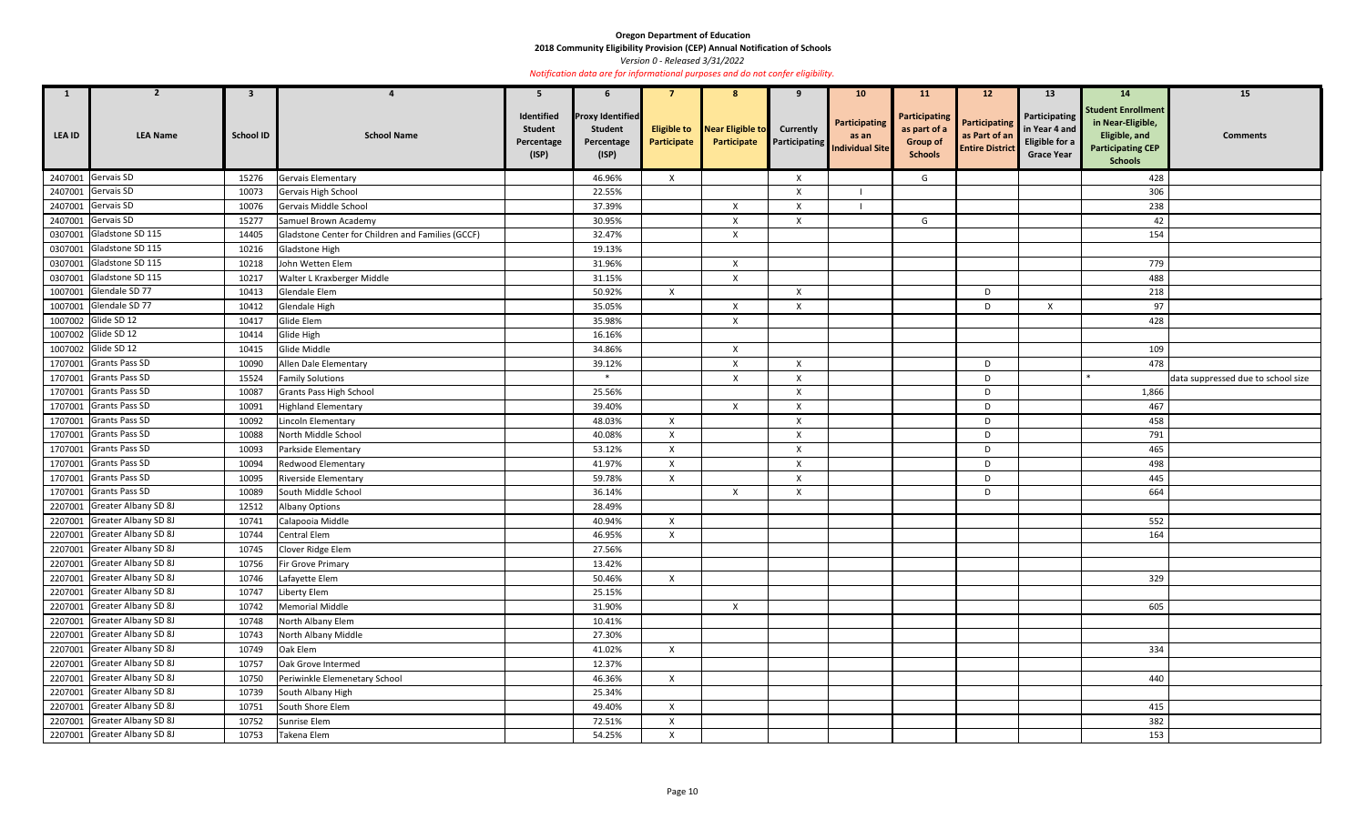**2018 Community Eligibility Provision (CEP) Annual Notification of Schools** 

*Version 0 - Released 3/31/2022* 

| $\mathbf{1}$  | 2                            | $\mathbf{3}$     |                                                   | 5                                                   | 6                                                                |                                   | 8                               | -9                                       | 10 <sup>°</sup>                                         | <b>11</b>                                                                 | 12 <sup>2</sup>                                                 | 13                                                                    | <b>14</b>                                                                                                     | 15                                 |
|---------------|------------------------------|------------------|---------------------------------------------------|-----------------------------------------------------|------------------------------------------------------------------|-----------------------------------|---------------------------------|------------------------------------------|---------------------------------------------------------|---------------------------------------------------------------------------|-----------------------------------------------------------------|-----------------------------------------------------------------------|---------------------------------------------------------------------------------------------------------------|------------------------------------|
| <b>LEA ID</b> | <b>LEA Name</b>              | <b>School ID</b> | <b>School Name</b>                                | Identified<br><b>Student</b><br>Percentage<br>(ISP) | <b>Proxy Identified</b><br><b>Student</b><br>Percentage<br>(ISP) | <b>Eligible to</b><br>Participate | Near Eligible to<br>Participate | <b>Currently</b><br><b>Participating</b> | <b>Participating</b><br>as an<br><b>Individual Site</b> | <b>Participating</b><br>as part of a<br><b>Group of</b><br><b>Schools</b> | <b>Participating</b><br>as Part of an<br><b>Entire District</b> | Participating<br>in Year 4 and<br>Eligible for a<br><b>Grace Year</b> | <b>Student Enrollment</b><br>in Near-Eligible,<br>Eligible, and<br><b>Participating CEP</b><br><b>Schools</b> | <b>Comments</b>                    |
| 2407001       | Gervais SD                   | 15276            | <b>Gervais Elementary</b>                         |                                                     | 46.96%                                                           | $\mathsf{X}$                      |                                 | $\boldsymbol{\mathsf{X}}$                |                                                         | G                                                                         |                                                                 |                                                                       | 428                                                                                                           |                                    |
| 2407001       | Gervais SD                   | 10073            | Gervais High School                               |                                                     | 22.55%                                                           |                                   |                                 | X                                        |                                                         |                                                                           |                                                                 |                                                                       | 306                                                                                                           |                                    |
|               | 2407001 Gervais SD           | 10076            | Gervais Middle School                             |                                                     | 37.39%                                                           |                                   | $\boldsymbol{\mathsf{X}}$       | X                                        |                                                         |                                                                           |                                                                 |                                                                       | 238                                                                                                           |                                    |
|               | 2407001 Gervais SD           | 15277            | Samuel Brown Academy                              |                                                     | 30.95%                                                           |                                   | $\boldsymbol{\mathsf{X}}$       | X                                        |                                                         | G                                                                         |                                                                 |                                                                       | 42                                                                                                            |                                    |
|               | 0307001 Gladstone SD 115     | 14405            | Gladstone Center for Children and Families (GCCF) |                                                     | 32.47%                                                           |                                   | $\boldsymbol{\mathsf{X}}$       |                                          |                                                         |                                                                           |                                                                 |                                                                       | 154                                                                                                           |                                    |
|               | 0307001 Gladstone SD 115     | 10216            | Gladstone High                                    |                                                     | 19.13%                                                           |                                   |                                 |                                          |                                                         |                                                                           |                                                                 |                                                                       |                                                                                                               |                                    |
|               | 0307001 Gladstone SD 115     | 10218            | John Wetten Elem                                  |                                                     | 31.96%                                                           |                                   | $\mathsf{X}$                    |                                          |                                                         |                                                                           |                                                                 |                                                                       | 779                                                                                                           |                                    |
|               | 0307001 Gladstone SD 115     | 10217            | Walter L Kraxberger Middle                        |                                                     | 31.15%                                                           |                                   | $\boldsymbol{\mathsf{X}}$       |                                          |                                                         |                                                                           |                                                                 |                                                                       | 488                                                                                                           |                                    |
|               | 1007001 Glendale SD 77       | 10413            | Glendale Elem                                     |                                                     | 50.92%                                                           | $\boldsymbol{\mathsf{x}}$         |                                 | X                                        |                                                         |                                                                           | D                                                               |                                                                       | 218                                                                                                           |                                    |
|               | 1007001 Glendale SD 77       | 10412            | Glendale High                                     |                                                     | 35.05%                                                           |                                   | $\boldsymbol{\mathsf{X}}$       | X                                        |                                                         |                                                                           | D                                                               | X                                                                     | 97                                                                                                            |                                    |
| 1007002       | Glide SD 12                  | 10417            | Glide Elem                                        |                                                     | 35.98%                                                           |                                   | $\boldsymbol{\mathsf{X}}$       |                                          |                                                         |                                                                           |                                                                 |                                                                       | 428                                                                                                           |                                    |
|               | 1007002 Glide SD 12          | 10414            | Glide High                                        |                                                     | 16.16%                                                           |                                   |                                 |                                          |                                                         |                                                                           |                                                                 |                                                                       |                                                                                                               |                                    |
|               | 1007002 Glide SD 12          | 10415            | Glide Middle                                      |                                                     | 34.86%                                                           |                                   | $\mathsf{X}$                    |                                          |                                                         |                                                                           |                                                                 |                                                                       | 109                                                                                                           |                                    |
|               | 1707001 Grants Pass SD       | 10090            | Allen Dale Elementary                             |                                                     | 39.12%                                                           |                                   | $\boldsymbol{\mathsf{X}}$       | X                                        |                                                         |                                                                           | D                                                               |                                                                       | 478                                                                                                           |                                    |
|               | 1707001 Grants Pass SD       | 15524            | <b>Family Solutions</b>                           |                                                     | $*$                                                              |                                   | $\mathsf{X}$                    | X                                        |                                                         |                                                                           | D                                                               |                                                                       |                                                                                                               | data suppressed due to school size |
|               | 1707001 Grants Pass SD       | 10087            | <b>Grants Pass High School</b>                    |                                                     | 25.56%                                                           |                                   |                                 | $\boldsymbol{\mathsf{X}}$                |                                                         |                                                                           | D                                                               |                                                                       | 1,866                                                                                                         |                                    |
|               | 1707001 Grants Pass SD       | 10091            | <b>Highland Elementary</b>                        |                                                     | 39.40%                                                           |                                   | X                               | X                                        |                                                         |                                                                           | D                                                               |                                                                       | 467                                                                                                           |                                    |
|               | 1707001 Grants Pass SD       | 10092            | Lincoln Elementary                                |                                                     | 48.03%                                                           | $\boldsymbol{\mathsf{x}}$         |                                 | $\boldsymbol{\mathsf{X}}$                |                                                         |                                                                           | D                                                               |                                                                       | 458                                                                                                           |                                    |
| 1707001       | <b>Grants Pass SD</b>        | 10088            | North Middle School                               |                                                     | 40.08%                                                           | X                                 |                                 | $\boldsymbol{\mathsf{X}}$                |                                                         |                                                                           | D                                                               |                                                                       | 791                                                                                                           |                                    |
| 1707001       | <b>Grants Pass SD</b>        | 10093            | Parkside Elementary                               |                                                     | 53.12%                                                           | $\boldsymbol{\mathsf{x}}$         |                                 | X                                        |                                                         |                                                                           | D                                                               |                                                                       | 465                                                                                                           |                                    |
| 1707001       | <b>Grants Pass SD</b>        | 10094            | Redwood Elementary                                |                                                     | 41.97%                                                           | X                                 |                                 | X                                        |                                                         |                                                                           | D                                                               |                                                                       | 498                                                                                                           |                                    |
| 1707001       | <b>Grants Pass SD</b>        | 10095            | Riverside Elementary                              |                                                     | 59.78%                                                           | $\mathsf{X}$                      |                                 | X                                        |                                                         |                                                                           | D                                                               |                                                                       | 445                                                                                                           |                                    |
|               | 1707001 Grants Pass SD       | 10089            | South Middle School                               |                                                     | 36.14%                                                           |                                   | $\mathsf{X}$                    | X                                        |                                                         |                                                                           | D                                                               |                                                                       | 664                                                                                                           |                                    |
|               | 2207001 Greater Albany SD 8J | 12512            | <b>Albany Options</b>                             |                                                     | 28.49%                                                           |                                   |                                 |                                          |                                                         |                                                                           |                                                                 |                                                                       |                                                                                                               |                                    |
|               | 2207001 Greater Albany SD 8J | 10741            | Calapooia Middle                                  |                                                     | 40.94%                                                           | $\mathsf{X}$                      |                                 |                                          |                                                         |                                                                           |                                                                 |                                                                       | 552                                                                                                           |                                    |
|               | 2207001 Greater Albany SD 8J | 10744            | Central Elem                                      |                                                     | 46.95%                                                           | X                                 |                                 |                                          |                                                         |                                                                           |                                                                 |                                                                       | 164                                                                                                           |                                    |
|               | 2207001 Greater Albany SD 8J | 10745            | Clover Ridge Elem                                 |                                                     | 27.56%                                                           |                                   |                                 |                                          |                                                         |                                                                           |                                                                 |                                                                       |                                                                                                               |                                    |
|               | 2207001 Greater Albany SD 8J | 10756            | Fir Grove Primary                                 |                                                     | 13.42%                                                           |                                   |                                 |                                          |                                                         |                                                                           |                                                                 |                                                                       |                                                                                                               |                                    |
|               | 2207001 Greater Albany SD 8J | 10746            | Lafayette Elem                                    |                                                     | 50.46%                                                           | $\mathsf{X}$                      |                                 |                                          |                                                         |                                                                           |                                                                 |                                                                       | 329                                                                                                           |                                    |
|               | 2207001 Greater Albany SD 8J | 10747            | Liberty Elem                                      |                                                     | 25.15%                                                           |                                   |                                 |                                          |                                                         |                                                                           |                                                                 |                                                                       |                                                                                                               |                                    |
|               | 2207001 Greater Albany SD 8J | 10742            | <b>Memorial Middle</b>                            |                                                     | 31.90%                                                           |                                   | $\mathsf{X}$                    |                                          |                                                         |                                                                           |                                                                 |                                                                       | 605                                                                                                           |                                    |
|               | 2207001 Greater Albany SD 8J | 10748            | North Albany Elem                                 |                                                     | 10.41%                                                           |                                   |                                 |                                          |                                                         |                                                                           |                                                                 |                                                                       |                                                                                                               |                                    |
|               | 2207001 Greater Albany SD 8J | 10743            | North Albany Middle                               |                                                     | 27.30%                                                           |                                   |                                 |                                          |                                                         |                                                                           |                                                                 |                                                                       |                                                                                                               |                                    |
|               | 2207001 Greater Albany SD 8J | 10749            | Oak Elem                                          |                                                     | 41.02%                                                           | $\mathsf{X}$                      |                                 |                                          |                                                         |                                                                           |                                                                 |                                                                       | 334                                                                                                           |                                    |
|               | 2207001 Greater Albany SD 8J | 10757            | Oak Grove Intermed                                |                                                     | 12.37%                                                           |                                   |                                 |                                          |                                                         |                                                                           |                                                                 |                                                                       |                                                                                                               |                                    |
|               | 2207001 Greater Albany SD 8J | 10750            | Periwinkle Elemenetary School                     |                                                     | 46.36%                                                           | $\mathsf{X}$                      |                                 |                                          |                                                         |                                                                           |                                                                 |                                                                       | 440                                                                                                           |                                    |
|               | 2207001 Greater Albany SD 8J | 10739            | South Albany High                                 |                                                     | 25.34%                                                           |                                   |                                 |                                          |                                                         |                                                                           |                                                                 |                                                                       |                                                                                                               |                                    |
|               | 2207001 Greater Albany SD 8J | 10751            | South Shore Elem                                  |                                                     | 49.40%                                                           | $\mathsf{X}$                      |                                 |                                          |                                                         |                                                                           |                                                                 |                                                                       | 415                                                                                                           |                                    |
|               | 2207001 Greater Albany SD 8J | 10752            | Sunrise Elem                                      |                                                     | 72.51%                                                           | X                                 |                                 |                                          |                                                         |                                                                           |                                                                 |                                                                       | 382                                                                                                           |                                    |
|               | 2207001 Greater Albany SD 8J | 10753            | Takena Elem                                       |                                                     | 54.25%                                                           | $\mathsf{X}$                      |                                 |                                          |                                                         |                                                                           |                                                                 |                                                                       | 153                                                                                                           |                                    |
|               |                              |                  |                                                   |                                                     |                                                                  |                                   |                                 |                                          |                                                         |                                                                           |                                                                 |                                                                       |                                                                                                               |                                    |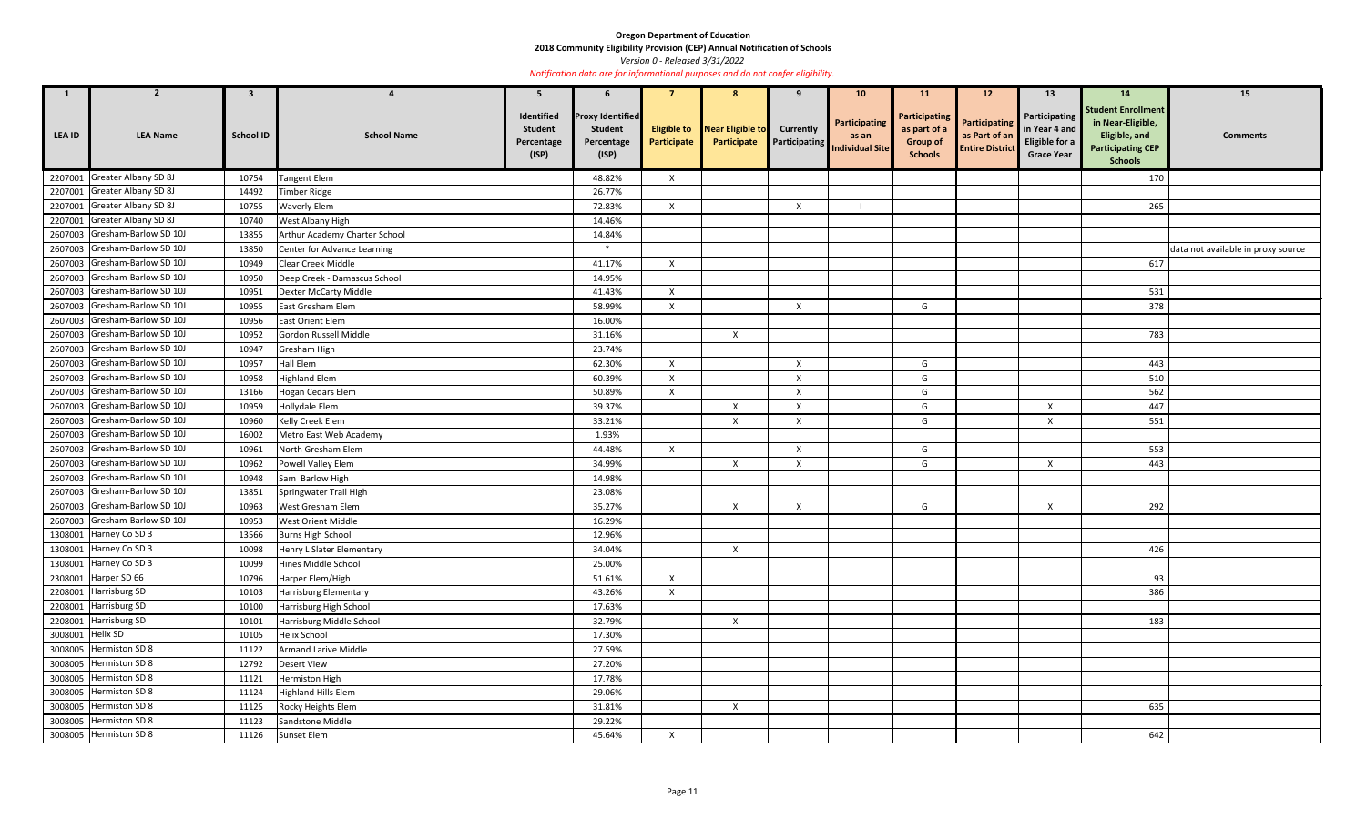**2018 Community Eligibility Provision (CEP) Annual Notification of Schools** 

*Version 0 - Released 3/31/2022* 

| $\mathbf{1}$     |                               | 3                |                               | -5                                                  |                                                                  |                                   |                                 |                           | <b>10</b>                                               | <b>11</b>                                                                 | 12                                                       | 13                                                                    | 14                                                                                                            | 15                                 |
|------------------|-------------------------------|------------------|-------------------------------|-----------------------------------------------------|------------------------------------------------------------------|-----------------------------------|---------------------------------|---------------------------|---------------------------------------------------------|---------------------------------------------------------------------------|----------------------------------------------------------|-----------------------------------------------------------------------|---------------------------------------------------------------------------------------------------------------|------------------------------------|
| LEA ID           | <b>LEA Name</b>               | <b>School ID</b> | <b>School Name</b>            | Identified<br><b>Student</b><br>Percentage<br>(ISP) | <b>Proxy Identified</b><br><b>Student</b><br>Percentage<br>(ISP) | <b>Eligible to</b><br>Participate | Near Eligible to<br>Participate | <b>Currently</b>          | Participating<br>as an<br>Participating Individual Site | <b>Participating</b><br>as part of a<br><b>Group of</b><br><b>Schools</b> | Participating<br>as Part of an<br><b>Entire District</b> | Participating<br>in Year 4 and<br>Eligible for a<br><b>Grace Year</b> | <b>Student Enrollment</b><br>in Near-Eligible,<br>Eligible, and<br><b>Participating CEP</b><br><b>Schools</b> | <b>Comments</b>                    |
| 2207001          | Greater Albany SD 8J          | 10754            | <b>Tangent Elem</b>           |                                                     | 48.82%                                                           | X                                 |                                 |                           |                                                         |                                                                           |                                                          |                                                                       | 170                                                                                                           |                                    |
| 2207001          | Greater Albany SD 8J          | 14492            | <b>Timber Ridge</b>           |                                                     | 26.77%                                                           |                                   |                                 |                           |                                                         |                                                                           |                                                          |                                                                       |                                                                                                               |                                    |
|                  | 2207001 Greater Albany SD 8J  | 10755            | <b>Waverly Elem</b>           |                                                     | 72.83%                                                           | $\mathsf{X}$                      |                                 | X                         |                                                         |                                                                           |                                                          |                                                                       | 265                                                                                                           |                                    |
| 2207001          | Greater Albany SD 8J          | 10740            | West Albany High              |                                                     | 14.46%                                                           |                                   |                                 |                           |                                                         |                                                                           |                                                          |                                                                       |                                                                                                               |                                    |
|                  | 2607003 Gresham-Barlow SD 10J | 13855            | Arthur Academy Charter School |                                                     | 14.84%                                                           |                                   |                                 |                           |                                                         |                                                                           |                                                          |                                                                       |                                                                                                               |                                    |
| 2607003          | Gresham-Barlow SD 10J         | 13850            | Center for Advance Learning   |                                                     | $\ast$                                                           |                                   |                                 |                           |                                                         |                                                                           |                                                          |                                                                       |                                                                                                               | data not available in proxy source |
|                  | 2607003 Gresham-Barlow SD 10J | 10949            | Clear Creek Middle            |                                                     | 41.17%                                                           | $\mathsf{X}$                      |                                 |                           |                                                         |                                                                           |                                                          |                                                                       | 617                                                                                                           |                                    |
| 2607003          | Gresham-Barlow SD 10J         | 10950            | Deep Creek - Damascus School  |                                                     | 14.95%                                                           |                                   |                                 |                           |                                                         |                                                                           |                                                          |                                                                       |                                                                                                               |                                    |
|                  | 2607003 Gresham-Barlow SD 10J | 10951            | <b>Dexter McCarty Middle</b>  |                                                     | 41.43%                                                           | X                                 |                                 |                           |                                                         |                                                                           |                                                          |                                                                       | 531                                                                                                           |                                    |
|                  | 2607003 Gresham-Barlow SD 10J | 10955            | East Gresham Elem             |                                                     | 58.99%                                                           | X                                 |                                 | X                         |                                                         | G                                                                         |                                                          |                                                                       | 378                                                                                                           |                                    |
| 2607003          | Gresham-Barlow SD 10J         | 10956            | East Orient Elem              |                                                     | 16.00%                                                           |                                   |                                 |                           |                                                         |                                                                           |                                                          |                                                                       |                                                                                                               |                                    |
|                  | 2607003 Gresham-Barlow SD 10J | 10952            | Gordon Russell Middle         |                                                     | 31.16%                                                           |                                   | $\boldsymbol{X}$                |                           |                                                         |                                                                           |                                                          |                                                                       | 783                                                                                                           |                                    |
| 2607003          | Gresham-Barlow SD 10J         | 10947            | Gresham High                  |                                                     | 23.74%                                                           |                                   |                                 |                           |                                                         |                                                                           |                                                          |                                                                       |                                                                                                               |                                    |
|                  | 2607003 Gresham-Barlow SD 10J | 10957            | Hall Elem                     |                                                     | 62.30%                                                           | $\mathsf{X}$                      |                                 | $\mathsf{X}$              |                                                         | G                                                                         |                                                          |                                                                       | 443                                                                                                           |                                    |
| 2607003          | Gresham-Barlow SD 10J         | 10958            | <b>Highland Elem</b>          |                                                     | 60.39%                                                           | $\mathsf{X}$                      |                                 | $\mathsf{X}$              |                                                         | G                                                                         |                                                          |                                                                       | 510                                                                                                           |                                    |
|                  | 2607003 Gresham-Barlow SD 10J | 13166            | Hogan Cedars Elem             |                                                     | 50.89%                                                           | $\mathsf{X}$                      |                                 | $\boldsymbol{\mathsf{X}}$ |                                                         | G                                                                         |                                                          |                                                                       | 562                                                                                                           |                                    |
| 2607003          | Gresham-Barlow SD 10J         | 10959            | Hollydale Elem                |                                                     | 39.37%                                                           |                                   | $\boldsymbol{X}$                | $\mathsf{X}$              |                                                         | G                                                                         |                                                          | $\mathsf{x}$                                                          | 447                                                                                                           |                                    |
| 2607003          | Gresham-Barlow SD 10J         | 10960            | Kelly Creek Elem              |                                                     | 33.21%                                                           |                                   | $\mathsf{X}$                    | X                         |                                                         | G                                                                         |                                                          |                                                                       | 551                                                                                                           |                                    |
| 2607003          | Gresham-Barlow SD 10J         | 16002            | Metro East Web Academy        |                                                     | 1.93%                                                            |                                   |                                 |                           |                                                         |                                                                           |                                                          |                                                                       |                                                                                                               |                                    |
| 2607003          | Gresham-Barlow SD 10J         | 10961            | North Gresham Elem            |                                                     | 44.48%                                                           | $\mathsf{X}$                      |                                 | X                         |                                                         | G                                                                         |                                                          |                                                                       | 553                                                                                                           |                                    |
|                  | 2607003 Gresham-Barlow SD 10J | 10962            | Powell Valley Elem            |                                                     | 34.99%                                                           |                                   | $\boldsymbol{X}$                | X                         |                                                         | G                                                                         |                                                          | $\mathsf{x}$                                                          | 443                                                                                                           |                                    |
| 2607003          | Gresham-Barlow SD 10J         | 10948            | Sam Barlow High               |                                                     | 14.98%                                                           |                                   |                                 |                           |                                                         |                                                                           |                                                          |                                                                       |                                                                                                               |                                    |
|                  | 2607003 Gresham-Barlow SD 10J | 13851            | Springwater Trail High        |                                                     | 23.08%                                                           |                                   |                                 |                           |                                                         |                                                                           |                                                          |                                                                       |                                                                                                               |                                    |
| 2607003          | Gresham-Barlow SD 10J         | 10963            | West Gresham Elem             |                                                     | 35.27%                                                           |                                   | $\boldsymbol{X}$                | X                         |                                                         | G                                                                         |                                                          | X                                                                     | 292                                                                                                           |                                    |
|                  | 2607003 Gresham-Barlow SD 10J | 10953            | West Orient Middle            |                                                     | 16.29%                                                           |                                   |                                 |                           |                                                         |                                                                           |                                                          |                                                                       |                                                                                                               |                                    |
|                  | 1308001 Harney Co SD 3        | 13566            | <b>Burns High School</b>      |                                                     | 12.96%                                                           |                                   |                                 |                           |                                                         |                                                                           |                                                          |                                                                       |                                                                                                               |                                    |
|                  | 1308001 Harney Co SD 3        | 10098            | Henry L Slater Elementary     |                                                     | 34.04%                                                           |                                   | $\boldsymbol{X}$                |                           |                                                         |                                                                           |                                                          |                                                                       | 426                                                                                                           |                                    |
|                  | 1308001 Harney Co SD 3        | 10099            | Hines Middle School           |                                                     | 25.00%                                                           |                                   |                                 |                           |                                                         |                                                                           |                                                          |                                                                       |                                                                                                               |                                    |
|                  | 2308001 Harper SD 66          | 10796            | Harper Elem/High              |                                                     | 51.61%                                                           | $\mathsf{X}$                      |                                 |                           |                                                         |                                                                           |                                                          |                                                                       | 93                                                                                                            |                                    |
|                  | 2208001 Harrisburg SD         | 10103            | Harrisburg Elementary         |                                                     | 43.26%                                                           | $\mathsf{X}$                      |                                 |                           |                                                         |                                                                           |                                                          |                                                                       | 386                                                                                                           |                                    |
|                  | 2208001 Harrisburg SD         | 10100            | Harrisburg High School        |                                                     | 17.63%                                                           |                                   |                                 |                           |                                                         |                                                                           |                                                          |                                                                       |                                                                                                               |                                    |
|                  | 2208001 Harrisburg SD         | 10101            | Harrisburg Middle School      |                                                     | 32.79%                                                           |                                   | $\boldsymbol{X}$                |                           |                                                         |                                                                           |                                                          |                                                                       | 183                                                                                                           |                                    |
| 3008001 Helix SD |                               | 10105            | <b>Helix School</b>           |                                                     | 17.30%                                                           |                                   |                                 |                           |                                                         |                                                                           |                                                          |                                                                       |                                                                                                               |                                    |
|                  | 3008005 Hermiston SD 8        | 11122            | Armand Larive Middle          |                                                     | 27.59%                                                           |                                   |                                 |                           |                                                         |                                                                           |                                                          |                                                                       |                                                                                                               |                                    |
|                  | 3008005 Hermiston SD 8        | 12792            | <b>Desert View</b>            |                                                     | 27.20%                                                           |                                   |                                 |                           |                                                         |                                                                           |                                                          |                                                                       |                                                                                                               |                                    |
|                  | 3008005   Hermiston SD 8      | 11121            | Hermiston High                |                                                     | 17.78%                                                           |                                   |                                 |                           |                                                         |                                                                           |                                                          |                                                                       |                                                                                                               |                                    |
|                  | 3008005 Hermiston SD 8        | 11124            | <b>Highland Hills Elem</b>    |                                                     | 29.06%                                                           |                                   |                                 |                           |                                                         |                                                                           |                                                          |                                                                       |                                                                                                               |                                    |
|                  | 3008005 Hermiston SD 8        | 11125            | Rocky Heights Elem            |                                                     | 31.81%                                                           |                                   | $\boldsymbol{X}$                |                           |                                                         |                                                                           |                                                          |                                                                       | 635                                                                                                           |                                    |
|                  | 3008005 Hermiston SD 8        | 11123            | Sandstone Middle              |                                                     | 29.22%                                                           |                                   |                                 |                           |                                                         |                                                                           |                                                          |                                                                       |                                                                                                               |                                    |
|                  | 3008005 Hermiston SD 8        | 11126            | Sunset Elem                   |                                                     | 45.64%                                                           | $\mathsf{X}$                      |                                 |                           |                                                         |                                                                           |                                                          |                                                                       | 642                                                                                                           |                                    |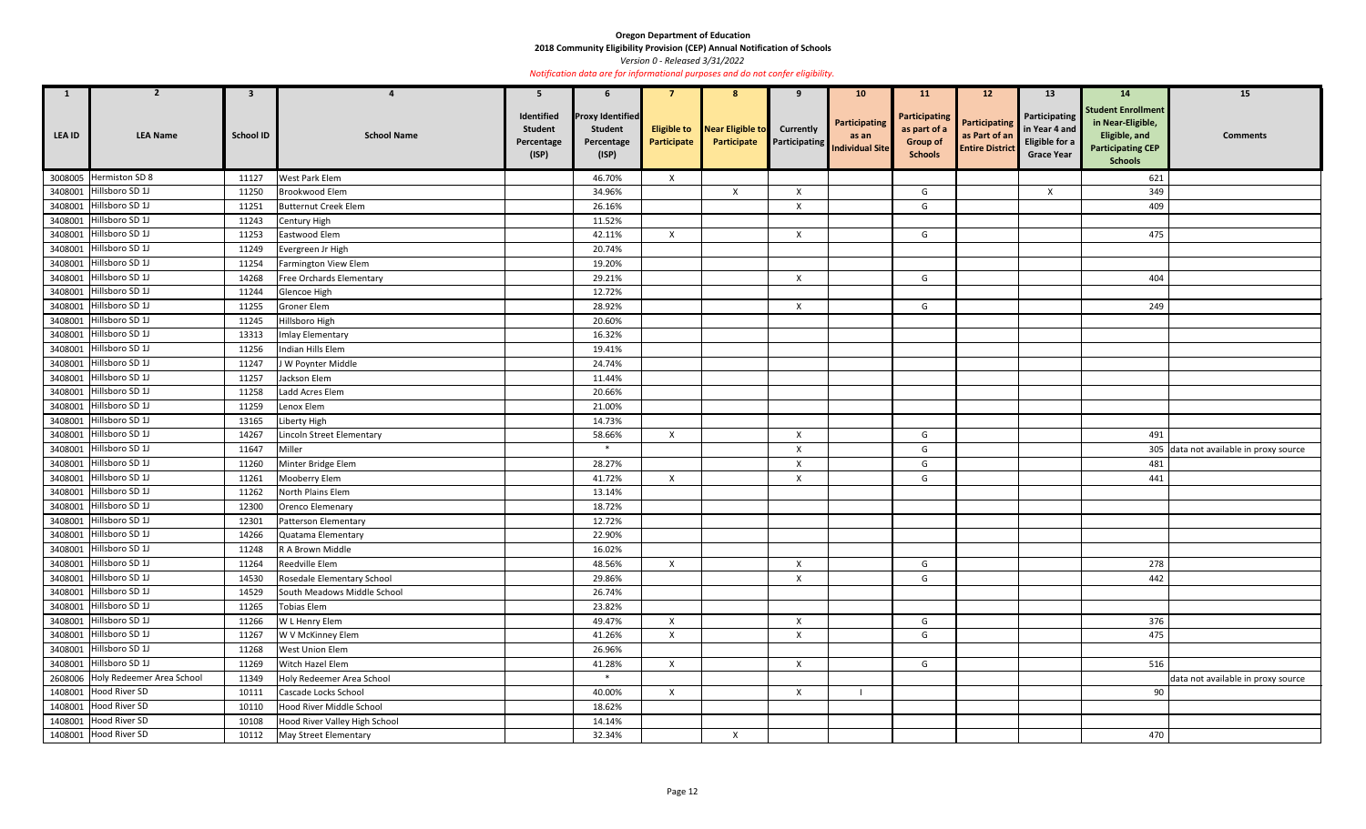**2018 Community Eligibility Provision (CEP) Annual Notification of Schools** 

*Version 0 - Released 3/31/2022* 

| $\mathbf{1}$  | $\mathbf{z}$                      | $\mathbf{3}$     |                               | 5                                                   | 6                                                                |                                   | 8                               | 9                                        | 10 <sup>°</sup>                                  | <b>11</b>                                                                 | 12 <sup>2</sup>                                                 | 13                                                                    | <b>14</b>                                                                                                     | 15                                     |
|---------------|-----------------------------------|------------------|-------------------------------|-----------------------------------------------------|------------------------------------------------------------------|-----------------------------------|---------------------------------|------------------------------------------|--------------------------------------------------|---------------------------------------------------------------------------|-----------------------------------------------------------------|-----------------------------------------------------------------------|---------------------------------------------------------------------------------------------------------------|----------------------------------------|
| <b>LEA ID</b> | <b>LEA Name</b>                   | <b>School ID</b> | <b>School Name</b>            | Identified<br><b>Student</b><br>Percentage<br>(ISP) | <b>Proxy Identified</b><br><b>Student</b><br>Percentage<br>(ISP) | <b>Eligible to</b><br>Participate | Near Eligible to<br>Participate | <b>Currently</b><br><b>Participating</b> | Participating<br>as an<br><b>Individual Site</b> | <b>Participating</b><br>as part of a<br><b>Group of</b><br><b>Schools</b> | <b>Participating</b><br>as Part of an<br><b>Entire District</b> | Participating<br>in Year 4 and<br>Eligible for a<br><b>Grace Year</b> | <b>Student Enrollment</b><br>in Near-Eligible,<br>Eligible, and<br><b>Participating CEP</b><br><b>Schools</b> | <b>Comments</b>                        |
|               | 3008005 Hermiston SD 8            | 11127            | <b>West Park Elem</b>         |                                                     | 46.70%                                                           | $\mathsf{X}$                      |                                 |                                          |                                                  |                                                                           |                                                                 |                                                                       | 621                                                                                                           |                                        |
| 3408001       | Hillsboro SD 1J                   | 11250            | Brookwood Elem                |                                                     | 34.96%                                                           |                                   | $\boldsymbol{\mathsf{X}}$       | X                                        |                                                  | G                                                                         |                                                                 | X                                                                     | 349                                                                                                           |                                        |
|               | 3408001 Hillsboro SD 1J           | 11251            | <b>Butternut Creek Elem</b>   |                                                     | 26.16%                                                           |                                   |                                 | $\boldsymbol{\mathsf{X}}$                |                                                  | G                                                                         |                                                                 |                                                                       | 409                                                                                                           |                                        |
|               | 3408001 Hillsboro SD 1J           | 11243            | Century High                  |                                                     | 11.52%                                                           |                                   |                                 |                                          |                                                  |                                                                           |                                                                 |                                                                       |                                                                                                               |                                        |
|               | 3408001 Hillsboro SD 1J           | 11253            | Eastwood Elem                 |                                                     | 42.11%                                                           | $\mathsf{X}$                      |                                 | $\boldsymbol{X}$                         |                                                  | G                                                                         |                                                                 |                                                                       | 475                                                                                                           |                                        |
|               | 3408001 Hillsboro SD 1J           | 11249            | Evergreen Jr High             |                                                     | 20.74%                                                           |                                   |                                 |                                          |                                                  |                                                                           |                                                                 |                                                                       |                                                                                                               |                                        |
|               | 3408001 Hillsboro SD 1J           | 11254            | Farmington View Elem          |                                                     | 19.20%                                                           |                                   |                                 |                                          |                                                  |                                                                           |                                                                 |                                                                       |                                                                                                               |                                        |
|               | 3408001 Hillsboro SD 1J           | 14268            | Free Orchards Elementary      |                                                     | 29.21%                                                           |                                   |                                 | X                                        |                                                  | G                                                                         |                                                                 |                                                                       | 404                                                                                                           |                                        |
| 3408001       | Hillsboro SD 1J                   | 11244            | Glencoe High                  |                                                     | 12.72%                                                           |                                   |                                 |                                          |                                                  |                                                                           |                                                                 |                                                                       |                                                                                                               |                                        |
|               | 3408001 Hillsboro SD 1J           | 11255            | Groner Elem                   |                                                     | 28.92%                                                           |                                   |                                 | $\boldsymbol{X}$                         |                                                  | G                                                                         |                                                                 |                                                                       | 249                                                                                                           |                                        |
| 3408001       | Hillsboro SD 1J                   | 11245            | Hillsboro High                |                                                     | 20.60%                                                           |                                   |                                 |                                          |                                                  |                                                                           |                                                                 |                                                                       |                                                                                                               |                                        |
|               | 3408001 Hillsboro SD 1J           | 13313            | Imlay Elementary              |                                                     | 16.32%                                                           |                                   |                                 |                                          |                                                  |                                                                           |                                                                 |                                                                       |                                                                                                               |                                        |
|               | 3408001 Hillsboro SD 1J           | 11256            | Indian Hills Elem             |                                                     | 19.41%                                                           |                                   |                                 |                                          |                                                  |                                                                           |                                                                 |                                                                       |                                                                                                               |                                        |
|               | 3408001 Hillsboro SD 1J           | 11247            | J W Poynter Middle            |                                                     | 24.74%                                                           |                                   |                                 |                                          |                                                  |                                                                           |                                                                 |                                                                       |                                                                                                               |                                        |
|               | 3408001 Hillsboro SD 1J           | 11257            | Jackson Elem                  |                                                     | 11.44%                                                           |                                   |                                 |                                          |                                                  |                                                                           |                                                                 |                                                                       |                                                                                                               |                                        |
|               | 3408001 Hillsboro SD 1J           | 11258            | Ladd Acres Elem               |                                                     | 20.66%                                                           |                                   |                                 |                                          |                                                  |                                                                           |                                                                 |                                                                       |                                                                                                               |                                        |
|               | 3408001 Hillsboro SD 1J           | 11259            | Lenox Elem                    |                                                     | 21.00%                                                           |                                   |                                 |                                          |                                                  |                                                                           |                                                                 |                                                                       |                                                                                                               |                                        |
| 3408001       | Hillsboro SD 1J                   | 13165            | Liberty High                  |                                                     | 14.73%                                                           |                                   |                                 |                                          |                                                  |                                                                           |                                                                 |                                                                       |                                                                                                               |                                        |
|               | 3408001 Hillsboro SD 1J           | 14267            | Lincoln Street Elementary     |                                                     | 58.66%                                                           | $\boldsymbol{\mathsf{X}}$         |                                 | $\boldsymbol{\mathsf{X}}$                |                                                  | G                                                                         |                                                                 |                                                                       | 491                                                                                                           |                                        |
| 3408001       | Hillsboro SD 1J                   | 11647            | Miller                        |                                                     | $*$                                                              |                                   |                                 | X                                        |                                                  | G                                                                         |                                                                 |                                                                       |                                                                                                               | 305 data not available in proxy source |
|               | 3408001 Hillsboro SD 1J           | 11260            | Minter Bridge Elem            |                                                     | 28.27%                                                           |                                   |                                 | $\boldsymbol{\mathsf{X}}$                |                                                  | G                                                                         |                                                                 |                                                                       | 481                                                                                                           |                                        |
|               | 3408001 Hillsboro SD 1J           | 11261            | Mooberry Elem                 |                                                     | 41.72%                                                           | $\mathsf{X}$                      |                                 | X                                        |                                                  | G                                                                         |                                                                 |                                                                       | 441                                                                                                           |                                        |
|               | 3408001 Hillsboro SD 1J           | 11262            | North Plains Elem             |                                                     | 13.14%                                                           |                                   |                                 |                                          |                                                  |                                                                           |                                                                 |                                                                       |                                                                                                               |                                        |
|               | 3408001 Hillsboro SD 1J           | 12300            | Orenco Elemenary              |                                                     | 18.72%                                                           |                                   |                                 |                                          |                                                  |                                                                           |                                                                 |                                                                       |                                                                                                               |                                        |
|               | 3408001 Hillsboro SD 1J           | 12301            | Patterson Elementary          |                                                     | 12.72%                                                           |                                   |                                 |                                          |                                                  |                                                                           |                                                                 |                                                                       |                                                                                                               |                                        |
|               | 3408001 Hillsboro SD 1J           | 14266            | Quatama Elementary            |                                                     | 22.90%                                                           |                                   |                                 |                                          |                                                  |                                                                           |                                                                 |                                                                       |                                                                                                               |                                        |
|               | 3408001 Hillsboro SD 1J           | 11248            | R A Brown Middle              |                                                     | 16.02%                                                           |                                   |                                 |                                          |                                                  |                                                                           |                                                                 |                                                                       |                                                                                                               |                                        |
|               | 3408001 Hillsboro SD 1J           | 11264            | Reedville Elem                |                                                     | 48.56%                                                           | $\mathsf{X}$                      |                                 | $\boldsymbol{\mathsf{X}}$                |                                                  | G                                                                         |                                                                 |                                                                       | 278                                                                                                           |                                        |
|               | 3408001 Hillsboro SD 1J           | 14530            | Rosedale Elementary School    |                                                     | 29.86%                                                           |                                   |                                 | $\boldsymbol{\mathsf{X}}$                |                                                  | G                                                                         |                                                                 |                                                                       | 442                                                                                                           |                                        |
|               | 3408001 Hillsboro SD 1J           | 14529            | South Meadows Middle School   |                                                     | 26.74%                                                           |                                   |                                 |                                          |                                                  |                                                                           |                                                                 |                                                                       |                                                                                                               |                                        |
|               | 3408001 Hillsboro SD 1J           | 11265            | <b>Tobias Elem</b>            |                                                     | 23.82%                                                           |                                   |                                 |                                          |                                                  |                                                                           |                                                                 |                                                                       |                                                                                                               |                                        |
|               | 3408001 Hillsboro SD 1J           | 11266            | W L Henry Elem                |                                                     | 49.47%                                                           | $\mathsf{X}$                      |                                 | $\mathsf{X}$                             |                                                  | G                                                                         |                                                                 |                                                                       | 376                                                                                                           |                                        |
|               | 3408001 Hillsboro SD 1J           | 11267            | W V McKinney Elem             |                                                     | 41.26%                                                           | $\mathsf{X}$                      |                                 | $\boldsymbol{\mathsf{X}}$                |                                                  | G                                                                         |                                                                 |                                                                       | 475                                                                                                           |                                        |
|               | 3408001 Hillsboro SD 1J           | 11268            | West Union Elem               |                                                     | 26.96%                                                           |                                   |                                 |                                          |                                                  |                                                                           |                                                                 |                                                                       |                                                                                                               |                                        |
|               | 3408001 Hillsboro SD 1J           | 11269            | Witch Hazel Elem              |                                                     | 41.28%                                                           | $\mathsf{X}$                      |                                 | $\mathsf{X}$                             |                                                  | G                                                                         |                                                                 |                                                                       | 516                                                                                                           |                                        |
|               | 2608006 Holy Redeemer Area School | 11349            | Holy Redeemer Area School     |                                                     | $\ast$                                                           |                                   |                                 |                                          |                                                  |                                                                           |                                                                 |                                                                       |                                                                                                               | data not available in proxy source     |
|               | 1408001 Hood River SD             | 10111            | Cascade Locks School          |                                                     | 40.00%                                                           | $\mathsf{X}$                      |                                 | $\pmb{\times}$                           |                                                  |                                                                           |                                                                 |                                                                       | 90                                                                                                            |                                        |
|               | 1408001 Hood River SD             | 10110            | Hood River Middle School      |                                                     | 18.62%                                                           |                                   |                                 |                                          |                                                  |                                                                           |                                                                 |                                                                       |                                                                                                               |                                        |
|               | 1408001 Hood River SD             | 10108            | Hood River Valley High School |                                                     | 14.14%                                                           |                                   |                                 |                                          |                                                  |                                                                           |                                                                 |                                                                       |                                                                                                               |                                        |
|               | 1408001 Hood River SD             | 10112            | May Street Elementary         |                                                     | 32.34%                                                           |                                   | $\mathsf{X}$                    |                                          |                                                  |                                                                           |                                                                 |                                                                       | 470                                                                                                           |                                        |
|               |                                   |                  |                               |                                                     |                                                                  |                                   |                                 |                                          |                                                  |                                                                           |                                                                 |                                                                       |                                                                                                               |                                        |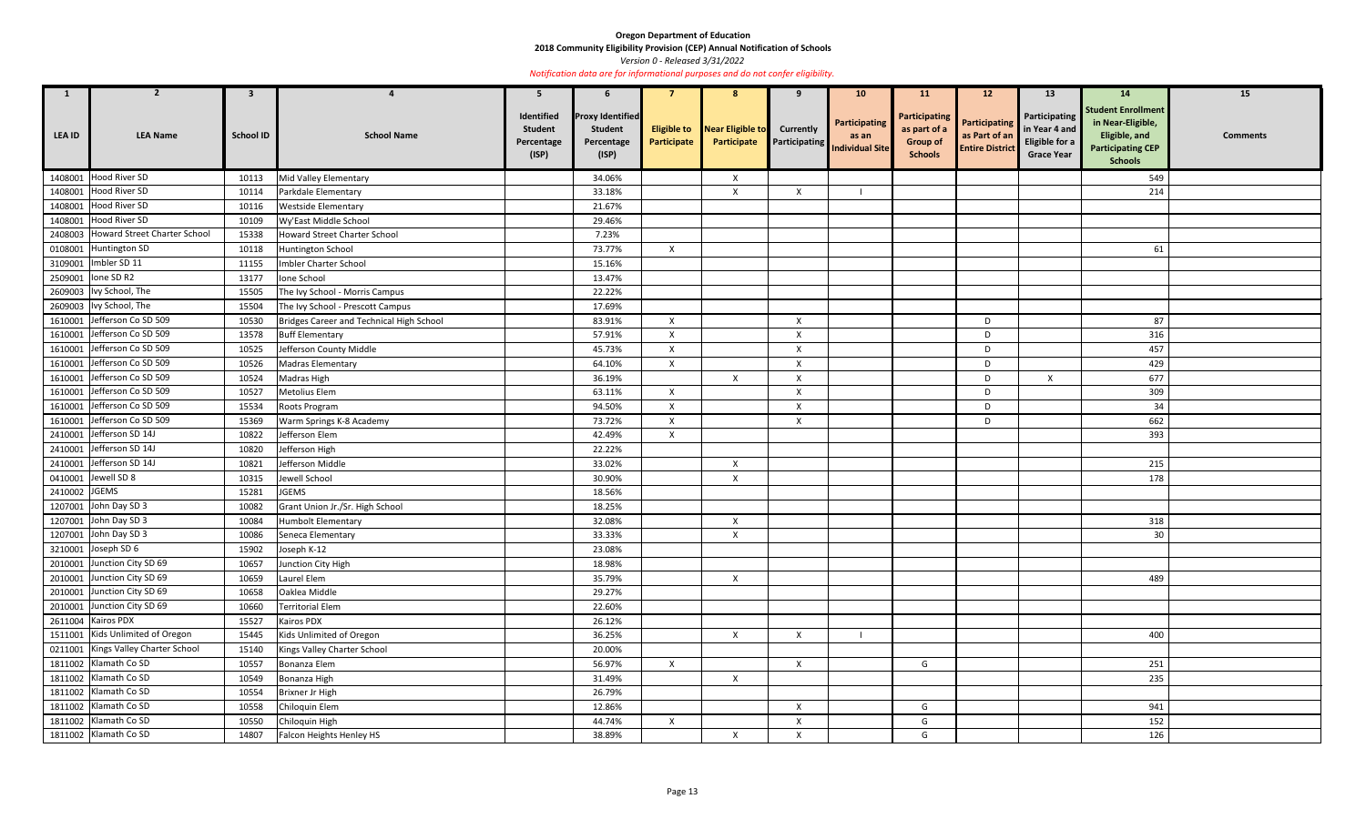**2018 Community Eligibility Provision (CEP) Annual Notification of Schools** 

*Version 0 - Released 3/31/2022* 

| $\mathbf{1}$  | $\overline{2}$                       | $\mathbf{3}$     |                                          | 5                                                   | 6                                                                |                           | 8                                                  | 9                         | 10 <sup>°</sup>                                                         | <b>11</b>                                                          | 12 <sup>2</sup>                                                 | 13                                                                    | 14                                                                                                            | 15              |
|---------------|--------------------------------------|------------------|------------------------------------------|-----------------------------------------------------|------------------------------------------------------------------|---------------------------|----------------------------------------------------|---------------------------|-------------------------------------------------------------------------|--------------------------------------------------------------------|-----------------------------------------------------------------|-----------------------------------------------------------------------|---------------------------------------------------------------------------------------------------------------|-----------------|
| <b>LEA ID</b> | <b>LEA Name</b>                      | <b>School ID</b> | <b>School Name</b>                       | Identified<br><b>Student</b><br>Percentage<br>(ISP) | <b>Proxy Identified</b><br><b>Student</b><br>Percentage<br>(ISP) | Participate               | <b>Eligible to</b> Near Eligible to<br>Participate | <b>Currently</b>          | Participating<br>as an<br><b>Exercise Participating Individual Site</b> | Participating<br>as part of a<br><b>Group of</b><br><b>Schools</b> | <b>Participating</b><br>as Part of an<br><b>Entire District</b> | Participating<br>in Year 4 and<br>Eligible for a<br><b>Grace Year</b> | <b>Student Enrollment</b><br>in Near-Eligible,<br>Eligible, and<br><b>Participating CEP</b><br><b>Schools</b> | <b>Comments</b> |
| 1408001       | Hood River SD                        | 10113            | Mid Valley Elementary                    |                                                     | 34.06%                                                           |                           | X                                                  |                           |                                                                         |                                                                    |                                                                 |                                                                       | 549                                                                                                           |                 |
| 1408001       | Hood River SD                        | 10114            | Parkdale Elementary                      |                                                     | 33.18%                                                           |                           | $\mathsf{X}$                                       | $\boldsymbol{\mathsf{X}}$ |                                                                         |                                                                    |                                                                 |                                                                       | 214                                                                                                           |                 |
| 1408001       | Hood River SD                        | 10116            | <b>Westside Elementary</b>               |                                                     | 21.67%                                                           |                           |                                                    |                           |                                                                         |                                                                    |                                                                 |                                                                       |                                                                                                               |                 |
| 1408001       | Hood River SD                        | 10109            | Wy'East Middle School                    |                                                     | 29.46%                                                           |                           |                                                    |                           |                                                                         |                                                                    |                                                                 |                                                                       |                                                                                                               |                 |
|               | 2408003 Howard Street Charter School | 15338            | <b>Howard Street Charter School</b>      |                                                     | 7.23%                                                            |                           |                                                    |                           |                                                                         |                                                                    |                                                                 |                                                                       |                                                                                                               |                 |
| 0108001       | Huntington SD                        | 10118            | Huntington School                        |                                                     | 73.77%                                                           | $\mathsf{X}$              |                                                    |                           |                                                                         |                                                                    |                                                                 |                                                                       | 61                                                                                                            |                 |
| 3109001       | Imbler SD 11                         | 11155            | Imbler Charter School                    |                                                     | 15.16%                                                           |                           |                                                    |                           |                                                                         |                                                                    |                                                                 |                                                                       |                                                                                                               |                 |
|               | 2509001   lone SD R2                 | 13177            | Ione School                              |                                                     | 13.47%                                                           |                           |                                                    |                           |                                                                         |                                                                    |                                                                 |                                                                       |                                                                                                               |                 |
|               | 2609003   Ivy School, The            | 15505            | The Ivy School - Morris Campus           |                                                     | 22.22%                                                           |                           |                                                    |                           |                                                                         |                                                                    |                                                                 |                                                                       |                                                                                                               |                 |
|               | 2609003   Ivy School, The            | 15504            | The Ivy School - Prescott Campus         |                                                     | 17.69%                                                           |                           |                                                    |                           |                                                                         |                                                                    |                                                                 |                                                                       |                                                                                                               |                 |
| 1610001       | Jefferson Co SD 509                  | 10530            | Bridges Career and Technical High School |                                                     | 83.91%                                                           | $\mathsf{X}$              |                                                    | $\mathsf{X}$              |                                                                         |                                                                    | D                                                               |                                                                       | 87                                                                                                            |                 |
| 1610001       | Jefferson Co SD 509                  | 13578            | <b>Buff Elementary</b>                   |                                                     | 57.91%                                                           | $\mathsf{X}$              |                                                    | Χ                         |                                                                         |                                                                    | D                                                               |                                                                       | 316                                                                                                           |                 |
| 1610001       | Jefferson Co SD 509                  | 10525            | Jefferson County Middle                  |                                                     | 45.73%                                                           | $\mathsf{X}$              |                                                    | $\pmb{\times}$            |                                                                         |                                                                    | D                                                               |                                                                       | 457                                                                                                           |                 |
| 1610001       | Jefferson Co SD 509                  | 10526            | <b>Madras Elementary</b>                 |                                                     | 64.10%                                                           | $\boldsymbol{\mathsf{X}}$ |                                                    | X                         |                                                                         |                                                                    | D                                                               |                                                                       | 429                                                                                                           |                 |
| 1610001       | Jefferson Co SD 509                  | 10524            | Madras High                              |                                                     | 36.19%                                                           |                           | $\mathsf{X}$                                       | $\boldsymbol{\mathsf{X}}$ |                                                                         |                                                                    | D                                                               | $\mathsf{x}$                                                          | 677                                                                                                           |                 |
| 1610001       | Jefferson Co SD 509                  | 10527            | Metolius Elem                            |                                                     | 63.11%                                                           | $\mathsf{X}$              |                                                    | $\boldsymbol{\mathsf{X}}$ |                                                                         |                                                                    | D                                                               |                                                                       | 309                                                                                                           |                 |
|               | 1610001 Jefferson Co SD 509          | 15534            | Roots Program                            |                                                     | 94.50%                                                           | $\mathsf{X}$              |                                                    | X                         |                                                                         |                                                                    | D                                                               |                                                                       | 34                                                                                                            |                 |
|               | 1610001 Jefferson Co SD 509          | 15369            | Warm Springs K-8 Academy                 |                                                     | 73.72%                                                           | X                         |                                                    | X                         |                                                                         |                                                                    | D                                                               |                                                                       | 662                                                                                                           |                 |
|               | 2410001 Jefferson SD 14J             | 10822            | Jefferson Elem                           |                                                     | 42.49%                                                           | $\mathsf{X}$              |                                                    |                           |                                                                         |                                                                    |                                                                 |                                                                       | 393                                                                                                           |                 |
| 2410001       | Jefferson SD 14J                     | 10820            | Jefferson High                           |                                                     | 22.22%                                                           |                           |                                                    |                           |                                                                         |                                                                    |                                                                 |                                                                       |                                                                                                               |                 |
| 2410001       | Jefferson SD 14J                     | 10821            | Jefferson Middle                         |                                                     | 33.02%                                                           |                           | $\boldsymbol{X}$                                   |                           |                                                                         |                                                                    |                                                                 |                                                                       | 215                                                                                                           |                 |
| 0410001       | Jewell SD 8                          | 10315            | Jewell School                            |                                                     | 30.90%                                                           |                           | $\boldsymbol{X}$                                   |                           |                                                                         |                                                                    |                                                                 |                                                                       | 178                                                                                                           |                 |
| 2410002 JGEMS |                                      | 15281            | <b>JGEMS</b>                             |                                                     | 18.56%                                                           |                           |                                                    |                           |                                                                         |                                                                    |                                                                 |                                                                       |                                                                                                               |                 |
|               | 1207001 John Day SD 3                | 10082            | Grant Union Jr./Sr. High School          |                                                     | 18.25%                                                           |                           |                                                    |                           |                                                                         |                                                                    |                                                                 |                                                                       |                                                                                                               |                 |
|               | 1207001 John Day SD 3                | 10084            | Humbolt Elementary                       |                                                     | 32.08%                                                           |                           | $\mathsf{X}$                                       |                           |                                                                         |                                                                    |                                                                 |                                                                       | 318                                                                                                           |                 |
|               | 1207001 John Day SD 3                | 10086            | Seneca Elementary                        |                                                     | 33.33%                                                           |                           | $\boldsymbol{X}$                                   |                           |                                                                         |                                                                    |                                                                 |                                                                       | 30 <sup>°</sup>                                                                                               |                 |
|               | 3210001 Joseph SD 6                  | 15902            | Joseph K-12                              |                                                     | 23.08%                                                           |                           |                                                    |                           |                                                                         |                                                                    |                                                                 |                                                                       |                                                                                                               |                 |
|               | 2010001 Junction City SD 69          | 10657            | Junction City High                       |                                                     | 18.98%                                                           |                           |                                                    |                           |                                                                         |                                                                    |                                                                 |                                                                       |                                                                                                               |                 |
|               | 2010001 Junction City SD 69          | 10659            | Laurel Elem                              |                                                     | 35.79%                                                           |                           | $\boldsymbol{\mathsf{X}}$                          |                           |                                                                         |                                                                    |                                                                 |                                                                       | 489                                                                                                           |                 |
|               | 2010001 Junction City SD 69          | 10658            | Oaklea Middle                            |                                                     | 29.27%                                                           |                           |                                                    |                           |                                                                         |                                                                    |                                                                 |                                                                       |                                                                                                               |                 |
|               | 2010001 Junction City SD 69          | 10660            | Territorial Elem                         |                                                     | 22.60%                                                           |                           |                                                    |                           |                                                                         |                                                                    |                                                                 |                                                                       |                                                                                                               |                 |
|               | 2611004 Kairos PDX                   | 15527            | Kairos PDX                               |                                                     | 26.12%                                                           |                           |                                                    |                           |                                                                         |                                                                    |                                                                 |                                                                       |                                                                                                               |                 |
|               | 1511001 Kids Unlimited of Oregon     | 15445            | Kids Unlimited of Oregon                 |                                                     | 36.25%                                                           |                           | $\mathsf{X}$                                       | $\mathsf{X}$              |                                                                         |                                                                    |                                                                 |                                                                       | 400                                                                                                           |                 |
|               | 0211001 Kings Valley Charter School  | 15140            | Kings Valley Charter School              |                                                     | 20.00%                                                           |                           |                                                    |                           |                                                                         |                                                                    |                                                                 |                                                                       |                                                                                                               |                 |
|               | 1811002 Klamath Co SD                | 10557            | Bonanza Elem                             |                                                     | 56.97%                                                           | $\mathsf{X}$              |                                                    | $\mathsf{X}$              |                                                                         | G                                                                  |                                                                 |                                                                       | 251                                                                                                           |                 |
|               | 1811002 Klamath Co SD                | 10549            | Bonanza High                             |                                                     | 31.49%                                                           |                           | $\boldsymbol{X}$                                   |                           |                                                                         |                                                                    |                                                                 |                                                                       | 235                                                                                                           |                 |
|               | 1811002 Klamath Co SD                | 10554            | Brixner Jr High                          |                                                     | 26.79%                                                           |                           |                                                    |                           |                                                                         |                                                                    |                                                                 |                                                                       |                                                                                                               |                 |
|               | 1811002 Klamath Co SD                | 10558            | Chiloquin Elem                           |                                                     | 12.86%                                                           |                           |                                                    | $\pmb{\times}$            |                                                                         | G                                                                  |                                                                 |                                                                       | 941                                                                                                           |                 |
|               | 1811002 Klamath Co SD                | 10550            | Chiloquin High                           |                                                     | 44.74%                                                           | $\mathsf{X}$              |                                                    | $\mathsf{X}$              |                                                                         | G                                                                  |                                                                 |                                                                       | 152                                                                                                           |                 |
|               | 1811002 Klamath Co SD                | 14807            | Falcon Heights Henley HS                 |                                                     | 38.89%                                                           |                           | $\boldsymbol{X}$                                   | $\mathsf{X}$              |                                                                         | G                                                                  |                                                                 |                                                                       | 126                                                                                                           |                 |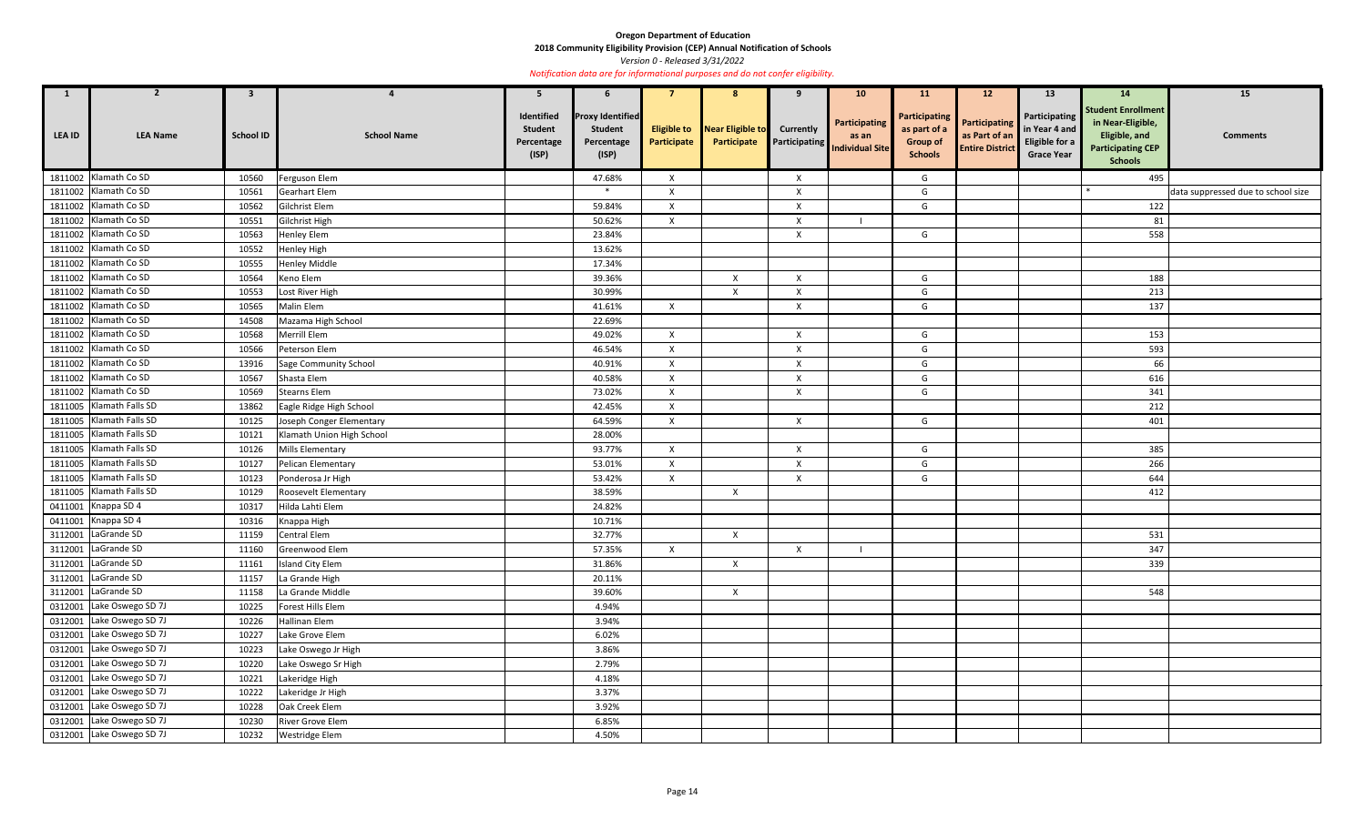**2018 Community Eligibility Provision (CEP) Annual Notification of Schools** 

*Version 0 - Released 3/31/2022* 

| $\mathbf{1}$ | $\overline{2}$             | $\mathbf{3}$     |                              | 5                                                   | b                                                                |                           | 8                                                  | 9                         | 10 <sub>1</sub>                                                | <b>11</b>                                                                 | 12 <sup>2</sup>                                                 | 13                                                                    | <b>14</b>                                                                                                     | 15                                 |
|--------------|----------------------------|------------------|------------------------------|-----------------------------------------------------|------------------------------------------------------------------|---------------------------|----------------------------------------------------|---------------------------|----------------------------------------------------------------|---------------------------------------------------------------------------|-----------------------------------------------------------------|-----------------------------------------------------------------------|---------------------------------------------------------------------------------------------------------------|------------------------------------|
| LEA ID       | <b>LEA Name</b>            | <b>School ID</b> | <b>School Name</b>           | Identified<br><b>Student</b><br>Percentage<br>(ISP) | <b>Proxy Identified</b><br><b>Student</b><br>Percentage<br>(ISP) | Participate               | <b>Eligible to</b> Near Eligible to<br>Participate | <b>Currently</b>          | Participating<br>as an<br><b>Participating</b> Individual Site | <b>Participating</b><br>as part of a<br><b>Group of</b><br><b>Schools</b> | <b>Participating</b><br>as Part of an<br><b>Entire District</b> | Participating<br>in Year 4 and<br>Eligible for a<br><b>Grace Year</b> | <b>Student Enrollment</b><br>in Near-Eligible,<br>Eligible, and<br><b>Participating CEP</b><br><b>Schools</b> | <b>Comments</b>                    |
|              | 1811002 Klamath Co SD      | 10560            | Ferguson Elem                |                                                     | 47.68%                                                           | $\boldsymbol{\mathsf{X}}$ |                                                    | X                         |                                                                | G                                                                         |                                                                 |                                                                       | 495                                                                                                           |                                    |
|              | 1811002 Klamath Co SD      | 10561            | <b>Gearhart Elem</b>         |                                                     | $\ast$                                                           | $\boldsymbol{\mathsf{X}}$ |                                                    | $\mathsf{X}$              |                                                                | G                                                                         |                                                                 |                                                                       |                                                                                                               | data suppressed due to school size |
|              | 1811002 Klamath Co SD      | 10562            | Gilchrist Elem               |                                                     | 59.84%                                                           | $\mathsf{X}$              |                                                    | X                         |                                                                | G                                                                         |                                                                 |                                                                       | 122                                                                                                           |                                    |
|              | 1811002 Klamath Co SD      | 10551            | Gilchrist High               |                                                     | 50.62%                                                           | $\mathsf{X}$              |                                                    | $\mathsf{X}$              |                                                                |                                                                           |                                                                 |                                                                       | 81                                                                                                            |                                    |
|              | 1811002 Klamath Co SD      | 10563            | <b>Henley Elem</b>           |                                                     | 23.84%                                                           |                           |                                                    | X                         |                                                                | G                                                                         |                                                                 |                                                                       | 558                                                                                                           |                                    |
|              | 1811002 Klamath Co SD      | 10552            | Henley High                  |                                                     | 13.62%                                                           |                           |                                                    |                           |                                                                |                                                                           |                                                                 |                                                                       |                                                                                                               |                                    |
|              | 1811002 Klamath Co SD      | 10555            | <b>Henley Middle</b>         |                                                     | 17.34%                                                           |                           |                                                    |                           |                                                                |                                                                           |                                                                 |                                                                       |                                                                                                               |                                    |
|              | 1811002 Klamath Co SD      | 10564            | Keno Elem                    |                                                     | 39.36%                                                           |                           | $\mathsf{X}$                                       | X                         |                                                                | G                                                                         |                                                                 |                                                                       | 188                                                                                                           |                                    |
|              | 1811002 Klamath Co SD      | 10553            | Lost River High              |                                                     | 30.99%                                                           |                           | $\boldsymbol{X}$                                   | X                         |                                                                | G                                                                         |                                                                 |                                                                       | 213                                                                                                           |                                    |
|              | 1811002 Klamath Co SD      | 10565            | Malin Elem                   |                                                     | 41.61%                                                           | $\mathsf{X}$              |                                                    | X                         |                                                                | G                                                                         |                                                                 |                                                                       | 137                                                                                                           |                                    |
|              | 1811002 Klamath Co SD      | 14508            | Mazama High School           |                                                     | 22.69%                                                           |                           |                                                    |                           |                                                                |                                                                           |                                                                 |                                                                       |                                                                                                               |                                    |
|              | 1811002 Klamath Co SD      | 10568            | Merrill Elem                 |                                                     | 49.02%                                                           | $\mathsf{X}$              |                                                    | $\pmb{\times}$            |                                                                | G                                                                         |                                                                 |                                                                       | 153                                                                                                           |                                    |
|              | 1811002 Klamath Co SD      | 10566            | Peterson Elem                |                                                     | 46.54%                                                           | $\boldsymbol{\mathsf{X}}$ |                                                    | $\mathsf{X}$              |                                                                | G                                                                         |                                                                 |                                                                       | 593                                                                                                           |                                    |
|              | 1811002 Klamath Co SD      | 13916            | <b>Sage Community School</b> |                                                     | 40.91%                                                           | $\mathsf{X}$              |                                                    | $\mathsf{X}$              |                                                                | G                                                                         |                                                                 |                                                                       | 66                                                                                                            |                                    |
|              | 1811002 Klamath Co SD      | 10567            | Shasta Elem                  |                                                     | 40.58%                                                           | X                         |                                                    | $\mathsf{X}$              |                                                                | G                                                                         |                                                                 |                                                                       | 616                                                                                                           |                                    |
|              | 1811002 Klamath Co SD      | 10569            | <b>Stearns Elem</b>          |                                                     | 73.02%                                                           | $\mathsf{x}$              |                                                    | X                         |                                                                | G                                                                         |                                                                 |                                                                       | 341                                                                                                           |                                    |
|              | 1811005   Klamath Falls SD | 13862            | Eagle Ridge High School      |                                                     | 42.45%                                                           | $\mathsf{x}$              |                                                    |                           |                                                                |                                                                           |                                                                 |                                                                       | 212                                                                                                           |                                    |
|              | 1811005 Klamath Falls SD   | 10125            | Joseph Conger Elementary     |                                                     | 64.59%                                                           | $\mathsf{X}$              |                                                    | $\mathsf{X}$              |                                                                | G                                                                         |                                                                 |                                                                       | 401                                                                                                           |                                    |
|              | 1811005 Klamath Falls SD   | 10121            | Klamath Union High School    |                                                     | 28.00%                                                           |                           |                                                    |                           |                                                                |                                                                           |                                                                 |                                                                       |                                                                                                               |                                    |
| 1811005      | Klamath Falls SD           | 10126            | Mills Elementary             |                                                     | 93.77%                                                           | $\mathsf{X}$              |                                                    | $\mathsf{X}$              |                                                                | G                                                                         |                                                                 |                                                                       | 385                                                                                                           |                                    |
|              | 1811005 Klamath Falls SD   | 10127            | Pelican Elementary           |                                                     | 53.01%                                                           | $\mathsf{X}$              |                                                    | $\boldsymbol{\mathsf{X}}$ |                                                                | G                                                                         |                                                                 |                                                                       | 266                                                                                                           |                                    |
|              | 1811005 Klamath Falls SD   | 10123            | Ponderosa Jr High            |                                                     | 53.42%                                                           | $\mathsf{X}$              |                                                    | $\mathsf{X}$              |                                                                | G                                                                         |                                                                 |                                                                       | 644                                                                                                           |                                    |
|              | 1811005 Klamath Falls SD   | 10129            | <b>Roosevelt Elementary</b>  |                                                     | 38.59%                                                           |                           | $\mathsf{X}$                                       |                           |                                                                |                                                                           |                                                                 |                                                                       | 412                                                                                                           |                                    |
|              | 0411001 Knappa SD 4        | 10317            | Hilda Lahti Elem             |                                                     | 24.82%                                                           |                           |                                                    |                           |                                                                |                                                                           |                                                                 |                                                                       |                                                                                                               |                                    |
|              | 0411001 Knappa SD 4        | 10316            | Knappa High                  |                                                     | 10.71%                                                           |                           |                                                    |                           |                                                                |                                                                           |                                                                 |                                                                       |                                                                                                               |                                    |
|              | 3112001 LaGrande SD        | 11159            | Central Elem                 |                                                     | 32.77%                                                           |                           | $\boldsymbol{X}$                                   |                           |                                                                |                                                                           |                                                                 |                                                                       | 531                                                                                                           |                                    |
|              | 3112001 LaGrande SD        | 11160            | Greenwood Elem               |                                                     | 57.35%                                                           | $\mathsf{X}$              |                                                    | $\mathsf{X}$              |                                                                |                                                                           |                                                                 |                                                                       | 347                                                                                                           |                                    |
|              | 3112001 LaGrande SD        | 11161            | Island City Elem             |                                                     | 31.86%                                                           |                           | $\boldsymbol{X}$                                   |                           |                                                                |                                                                           |                                                                 |                                                                       | 339                                                                                                           |                                    |
|              | 3112001 LaGrande SD        | 11157            | La Grande High               |                                                     | 20.11%                                                           |                           |                                                    |                           |                                                                |                                                                           |                                                                 |                                                                       |                                                                                                               |                                    |
|              | 3112001 LaGrande SD        | 11158            | La Grande Middle             |                                                     | 39.60%                                                           |                           | $\boldsymbol{X}$                                   |                           |                                                                |                                                                           |                                                                 |                                                                       | 548                                                                                                           |                                    |
|              | 0312001 Lake Oswego SD 7J  | 10225            | Forest Hills Elem            |                                                     | 4.94%                                                            |                           |                                                    |                           |                                                                |                                                                           |                                                                 |                                                                       |                                                                                                               |                                    |
|              | 0312001 Lake Oswego SD 7J  | 10226            | Hallinan Elem                |                                                     | 3.94%                                                            |                           |                                                    |                           |                                                                |                                                                           |                                                                 |                                                                       |                                                                                                               |                                    |
|              | 0312001 Lake Oswego SD 7J  | 10227            | Lake Grove Elem              |                                                     | 6.02%                                                            |                           |                                                    |                           |                                                                |                                                                           |                                                                 |                                                                       |                                                                                                               |                                    |
|              | 0312001 Lake Oswego SD 7J  | 10223            | Lake Oswego Jr High          |                                                     | 3.86%                                                            |                           |                                                    |                           |                                                                |                                                                           |                                                                 |                                                                       |                                                                                                               |                                    |
|              | 0312001 Lake Oswego SD 7J  | 10220            | Lake Oswego Sr High          |                                                     | 2.79%                                                            |                           |                                                    |                           |                                                                |                                                                           |                                                                 |                                                                       |                                                                                                               |                                    |
|              | 0312001 Lake Oswego SD 7J  | 10221            | Lakeridge High               |                                                     | 4.18%                                                            |                           |                                                    |                           |                                                                |                                                                           |                                                                 |                                                                       |                                                                                                               |                                    |
|              | 0312001 Lake Oswego SD 7J  | 10222            | Lakeridge Jr High            |                                                     | 3.37%                                                            |                           |                                                    |                           |                                                                |                                                                           |                                                                 |                                                                       |                                                                                                               |                                    |
|              | 0312001 Lake Oswego SD 7J  | 10228            | Oak Creek Elem               |                                                     | 3.92%                                                            |                           |                                                    |                           |                                                                |                                                                           |                                                                 |                                                                       |                                                                                                               |                                    |
|              | 0312001 Lake Oswego SD 7J  | 10230            | River Grove Elem             |                                                     | 6.85%                                                            |                           |                                                    |                           |                                                                |                                                                           |                                                                 |                                                                       |                                                                                                               |                                    |
|              | 0312001 Lake Oswego SD 7J  | 10232            | Westridge Elem               |                                                     | 4.50%                                                            |                           |                                                    |                           |                                                                |                                                                           |                                                                 |                                                                       |                                                                                                               |                                    |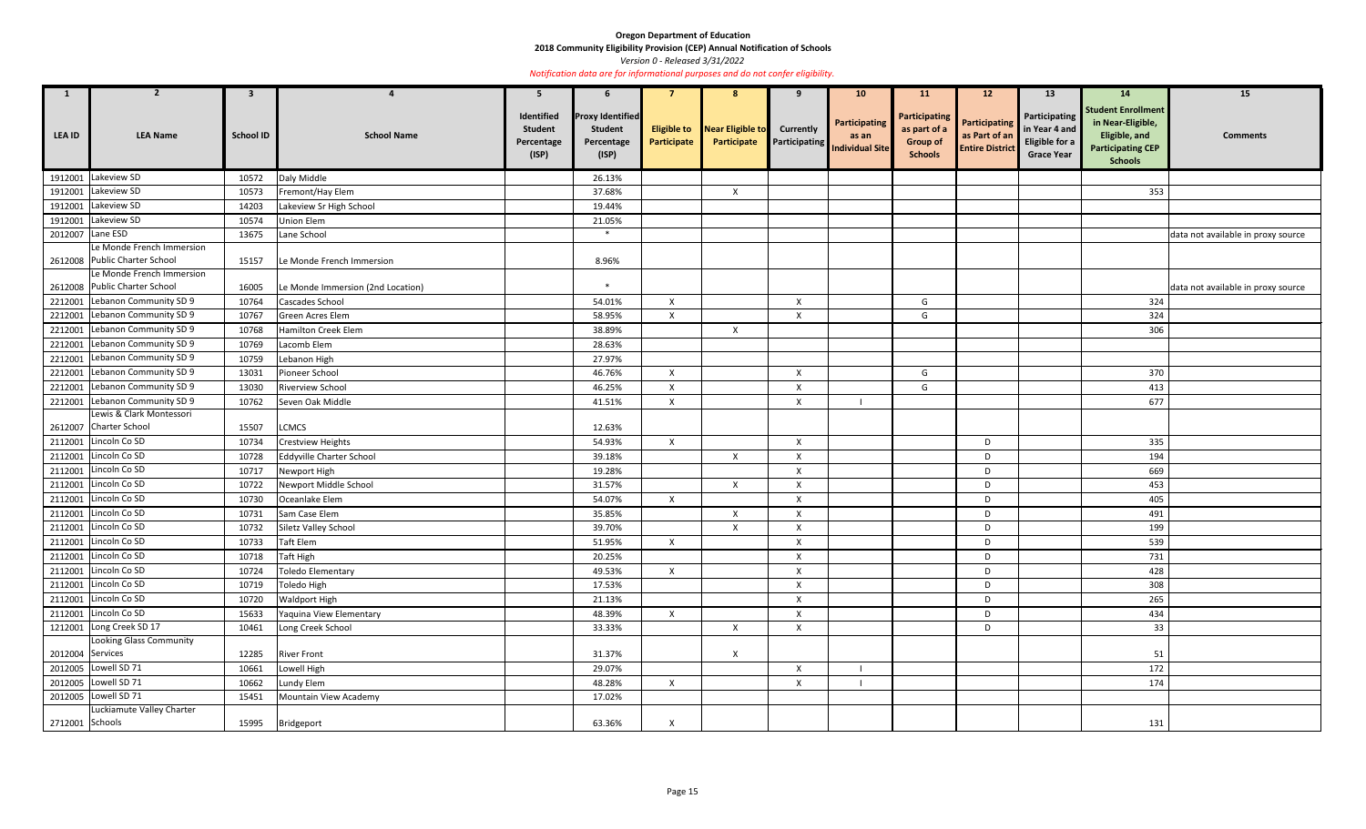**2018 Community Eligibility Provision (CEP) Annual Notification of Schools** 

*Version 0 - Released 3/31/2022* 

| $\mathbf{1}$     | $\overline{2}$                 | 3                |                                   | 5                                                   | 6                                                                |                                   | -8                              | 9                         | 10 <sup>°</sup>                                                | <b>11</b>                                                          | 12 <sup>2</sup>                                          | 13                                                                    | 14                                                                                                            | 15                                 |
|------------------|--------------------------------|------------------|-----------------------------------|-----------------------------------------------------|------------------------------------------------------------------|-----------------------------------|---------------------------------|---------------------------|----------------------------------------------------------------|--------------------------------------------------------------------|----------------------------------------------------------|-----------------------------------------------------------------------|---------------------------------------------------------------------------------------------------------------|------------------------------------|
| <b>LEA ID</b>    | <b>LEA Name</b>                | <b>School ID</b> | <b>School Name</b>                | Identified<br><b>Student</b><br>Percentage<br>(ISP) | <b>Proxy Identified</b><br><b>Student</b><br>Percentage<br>(ISP) | <b>Eligible to</b><br>Participate | Near Eligible to<br>Participate | <b>Currently</b>          | <b>Participating</b><br>as an<br>Participating Individual Site | Participating<br>as part of a<br><b>Group of</b><br><b>Schools</b> | Participating<br>as Part of an<br><b>Entire District</b> | Participating<br>in Year 4 and<br>Eligible for a<br><b>Grace Year</b> | <b>Student Enrollment</b><br>in Near-Eligible,<br>Eligible, and<br><b>Participating CEP</b><br><b>Schools</b> | <b>Comments</b>                    |
| 1912001          | Lakeview SD                    | 10572            | Daly Middle                       |                                                     | 26.13%                                                           |                                   |                                 |                           |                                                                |                                                                    |                                                          |                                                                       |                                                                                                               |                                    |
| 1912001          | Lakeview SD                    | 10573            | Fremont/Hay Elem                  |                                                     | 37.68%                                                           |                                   | $\mathsf{X}$                    |                           |                                                                |                                                                    |                                                          |                                                                       | 353                                                                                                           |                                    |
| 1912001          | Lakeview SD                    | 14203            | Lakeview Sr High School           |                                                     | 19.44%                                                           |                                   |                                 |                           |                                                                |                                                                    |                                                          |                                                                       |                                                                                                               |                                    |
| 1912001          | Lakeview SD                    | 10574            | Union Elem                        |                                                     | 21.05%                                                           |                                   |                                 |                           |                                                                |                                                                    |                                                          |                                                                       |                                                                                                               |                                    |
| 2012007          | Lane ESD                       | 13675            | Lane School                       |                                                     | $*$                                                              |                                   |                                 |                           |                                                                |                                                                    |                                                          |                                                                       |                                                                                                               | data not available in proxy source |
|                  | Le Monde French Immersion      |                  |                                   |                                                     |                                                                  |                                   |                                 |                           |                                                                |                                                                    |                                                          |                                                                       |                                                                                                               |                                    |
|                  | 2612008 Public Charter School  | 15157            | Le Monde French Immersion         |                                                     | 8.96%                                                            |                                   |                                 |                           |                                                                |                                                                    |                                                          |                                                                       |                                                                                                               |                                    |
|                  | Le Monde French Immersion      |                  |                                   |                                                     |                                                                  |                                   |                                 |                           |                                                                |                                                                    |                                                          |                                                                       |                                                                                                               |                                    |
|                  | 2612008 Public Charter School  | 16005            | Le Monde Immersion (2nd Location) |                                                     | $\ast$                                                           |                                   |                                 |                           |                                                                |                                                                    |                                                          |                                                                       |                                                                                                               | data not available in proxy source |
| 2212001          | Lebanon Community SD 9         | 10764            | Cascades School                   |                                                     | 54.01%                                                           | $\mathsf{X}$                      |                                 | $\boldsymbol{\mathsf{X}}$ |                                                                | G                                                                  |                                                          |                                                                       | 324                                                                                                           |                                    |
| 2212001          | Lebanon Community SD 9         | 10767            | Green Acres Elem                  |                                                     | 58.95%                                                           | $\mathsf{X}$                      |                                 | X                         |                                                                | G                                                                  |                                                          |                                                                       | 324                                                                                                           |                                    |
| 2212001          | Lebanon Community SD 9         | 10768            | Hamilton Creek Elem               |                                                     | 38.89%                                                           |                                   | $\mathsf{X}$                    |                           |                                                                |                                                                    |                                                          |                                                                       | 306                                                                                                           |                                    |
| 2212001          | Lebanon Community SD 9         | 10769            | Lacomb Elem                       |                                                     | 28.63%                                                           |                                   |                                 |                           |                                                                |                                                                    |                                                          |                                                                       |                                                                                                               |                                    |
| 2212001          | Lebanon Community SD 9         | 10759            | Lebanon High                      |                                                     | 27.97%                                                           |                                   |                                 |                           |                                                                |                                                                    |                                                          |                                                                       |                                                                                                               |                                    |
| 2212001          | Lebanon Community SD 9         | 13031            | Pioneer School                    |                                                     | 46.76%                                                           | $\mathsf{X}$                      |                                 | $\mathsf{X}$              |                                                                | G                                                                  |                                                          |                                                                       | 370                                                                                                           |                                    |
| 2212001          | Lebanon Community SD 9         | 13030            | Riverview School                  |                                                     | 46.25%                                                           | $\mathsf{X}$                      |                                 | Χ                         |                                                                | G                                                                  |                                                          |                                                                       | 413                                                                                                           |                                    |
| 2212001          | Lebanon Community SD 9         | 10762            | Seven Oak Middle                  |                                                     | 41.51%                                                           | $\mathsf{X}$                      |                                 | $\boldsymbol{\mathsf{X}}$ |                                                                |                                                                    |                                                          |                                                                       | 677                                                                                                           |                                    |
|                  | Lewis & Clark Montessori       |                  |                                   |                                                     |                                                                  |                                   |                                 |                           |                                                                |                                                                    |                                                          |                                                                       |                                                                                                               |                                    |
|                  | 2612007 Charter School         | 15507            | <b>LCMCS</b>                      |                                                     | 12.63%                                                           |                                   |                                 |                           |                                                                |                                                                    |                                                          |                                                                       |                                                                                                               |                                    |
| 2112001          | Lincoln Co SD                  | 10734            | <b>Crestview Heights</b>          |                                                     | 54.93%                                                           | $\mathsf{X}$                      |                                 | $\boldsymbol{\mathsf{X}}$ |                                                                |                                                                    | D                                                        |                                                                       | 335                                                                                                           |                                    |
| 2112001          | Lincoln Co SD                  | 10728            | <b>Eddyville Charter School</b>   |                                                     | 39.18%                                                           |                                   | $\mathsf{X}$                    | X                         |                                                                |                                                                    | D                                                        |                                                                       | 194                                                                                                           |                                    |
| 2112001          | Lincoln Co SD                  | 10717            | Newport High                      |                                                     | 19.28%                                                           |                                   |                                 | X                         |                                                                |                                                                    | D                                                        |                                                                       | 669                                                                                                           |                                    |
| 2112001          | Lincoln Co SD                  | 10722            | Newport Middle School             |                                                     | 31.57%                                                           |                                   | $\mathsf{X}$                    | $\times$                  |                                                                |                                                                    | D                                                        |                                                                       | 453                                                                                                           |                                    |
| 2112001          | Lincoln Co SD                  | 10730            | Oceanlake Elem                    |                                                     | 54.07%                                                           | $\mathsf{X}$                      |                                 | X                         |                                                                |                                                                    | D                                                        |                                                                       | 405                                                                                                           |                                    |
|                  | 2112001 Lincoln Co SD          | 10731            | Sam Case Elem                     |                                                     | 35.85%                                                           |                                   | $\boldsymbol{\mathsf{X}}$       | X                         |                                                                |                                                                    | D                                                        |                                                                       | 491                                                                                                           |                                    |
|                  | 2112001 Lincoln Co SD          | 10732            | Siletz Valley School              |                                                     | 39.70%                                                           |                                   | $\boldsymbol{X}$                | Χ                         |                                                                |                                                                    | D                                                        |                                                                       | 199                                                                                                           |                                    |
|                  | 2112001 Lincoln Co SD          | 10733            | <b>Taft Elem</b>                  |                                                     | 51.95%                                                           | $\mathsf{X}$                      |                                 | $\mathsf{X}$              |                                                                |                                                                    | D                                                        |                                                                       | 539                                                                                                           |                                    |
|                  | 2112001 Lincoln Co SD          | 10718            | Taft High                         |                                                     | 20.25%                                                           |                                   |                                 | $\pmb{\mathsf{X}}$        |                                                                |                                                                    | D                                                        |                                                                       | 731                                                                                                           |                                    |
|                  | 2112001 Lincoln Co SD          | 10724            | <b>Toledo Elementary</b>          |                                                     | 49.53%                                                           | $\mathsf{X}$                      |                                 | $\mathsf{X}$              |                                                                |                                                                    | D                                                        |                                                                       | 428                                                                                                           |                                    |
|                  | 2112001 Lincoln Co SD          | 10719            | Toledo High                       |                                                     | 17.53%                                                           |                                   |                                 | $\pmb{\times}$            |                                                                |                                                                    | D                                                        |                                                                       | 308                                                                                                           |                                    |
|                  | 2112001 Lincoln Co SD          | 10720            | <b>Waldport High</b>              |                                                     | 21.13%                                                           |                                   |                                 | $\mathsf{X}$              |                                                                |                                                                    | D                                                        |                                                                       | 265                                                                                                           |                                    |
|                  | 2112001 Lincoln Co SD          | 15633            | Yaquina View Elementary           |                                                     | 48.39%                                                           | $\mathsf{X}$                      |                                 | $\mathsf{X}$              |                                                                |                                                                    | D                                                        |                                                                       | 434                                                                                                           |                                    |
|                  | 1212001 Long Creek SD 17       | 10461            | Long Creek School                 |                                                     | 33.33%                                                           |                                   | $\mathsf{X}$                    | $\mathsf{X}$              |                                                                |                                                                    | D                                                        |                                                                       | 33                                                                                                            |                                    |
|                  | <b>Looking Glass Community</b> |                  |                                   |                                                     |                                                                  |                                   |                                 |                           |                                                                |                                                                    |                                                          |                                                                       |                                                                                                               |                                    |
| 2012004 Services |                                | 12285            | <b>River Front</b>                |                                                     | 31.37%                                                           |                                   | $\boldsymbol{\mathsf{X}}$       |                           |                                                                |                                                                    |                                                          |                                                                       | 51                                                                                                            |                                    |
|                  | 2012005 Lowell SD 71           | 10661            | Lowell High                       |                                                     | 29.07%                                                           |                                   |                                 | $\mathsf{X}$              |                                                                |                                                                    |                                                          |                                                                       | 172                                                                                                           |                                    |
|                  | 2012005 Lowell SD 71           | 10662            | Lundy Elem                        |                                                     | 48.28%                                                           | $\mathsf{X}$                      |                                 | $\mathsf{X}$              |                                                                |                                                                    |                                                          |                                                                       | 174                                                                                                           |                                    |
|                  | 2012005 Lowell SD 71           | 15451            | Mountain View Academy             |                                                     | 17.02%                                                           |                                   |                                 |                           |                                                                |                                                                    |                                                          |                                                                       |                                                                                                               |                                    |
|                  | Luckiamute Valley Charter      |                  |                                   |                                                     |                                                                  |                                   |                                 |                           |                                                                |                                                                    |                                                          |                                                                       |                                                                                                               |                                    |
| 2712001 Schools  |                                | 15995            | Bridgeport                        |                                                     | 63.36%                                                           | $\boldsymbol{\mathsf{X}}$         |                                 |                           |                                                                |                                                                    |                                                          |                                                                       | 131                                                                                                           |                                    |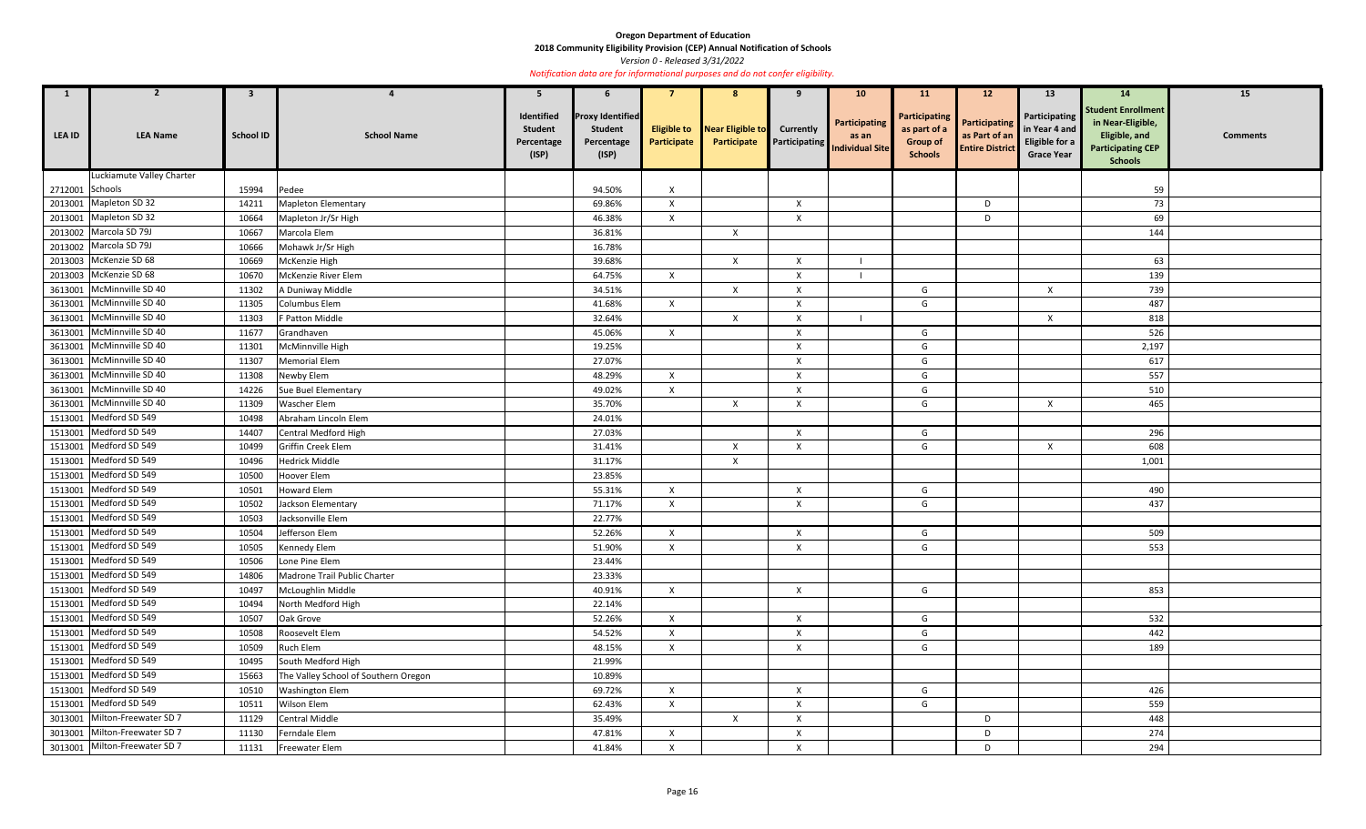**2018 Community Eligibility Provision (CEP) Annual Notification of Schools** 

*Version 0 - Released 3/31/2022* 

| 1               | $\overline{2}$                | $\mathbf{3}$     |                                      | 5                                                   | 6                                                                |                                   | 8                               | 9                                        | 10 <sub>1</sub>                                  | <b>11</b>                                                          | 12                                                       | 13                                                                    | <b>14</b>                                                                                                     | 15              |
|-----------------|-------------------------------|------------------|--------------------------------------|-----------------------------------------------------|------------------------------------------------------------------|-----------------------------------|---------------------------------|------------------------------------------|--------------------------------------------------|--------------------------------------------------------------------|----------------------------------------------------------|-----------------------------------------------------------------------|---------------------------------------------------------------------------------------------------------------|-----------------|
| <b>LEA ID</b>   | <b>LEA Name</b>               | <b>School ID</b> | <b>School Name</b>                   | Identified<br><b>Student</b><br>Percentage<br>(ISP) | <b>Proxy Identified</b><br><b>Student</b><br>Percentage<br>(ISP) | <b>Eligible to</b><br>Participate | Near Eligible to<br>Participate | <b>Currently</b><br><b>Participating</b> | Participating<br>as an<br><b>Individual Site</b> | Participating<br>as part of a<br><b>Group of</b><br><b>Schools</b> | Participating<br>as Part of an<br><b>Entire District</b> | Participating<br>in Year 4 and<br>Eligible for a<br><b>Grace Year</b> | <b>Student Enrollment</b><br>in Near-Eligible,<br>Eligible, and<br><b>Participating CEP</b><br><b>Schools</b> | <b>Comments</b> |
|                 | Luckiamute Valley Charter     |                  |                                      |                                                     |                                                                  |                                   |                                 |                                          |                                                  |                                                                    |                                                          |                                                                       |                                                                                                               |                 |
| 2712001 Schools |                               | 15994            | Pedee                                |                                                     | 94.50%                                                           | $\mathsf{x}$                      |                                 |                                          |                                                  |                                                                    |                                                          |                                                                       | 59                                                                                                            |                 |
|                 | 2013001 Mapleton SD 32        | 14211            | <b>Mapleton Elementary</b>           |                                                     | 69.86%                                                           | $\mathsf{X}$                      |                                 | $\mathsf{X}$                             |                                                  |                                                                    | D                                                        |                                                                       | 73                                                                                                            |                 |
|                 | 2013001 Mapleton SD 32        | 10664            | Mapleton Jr/Sr High                  |                                                     | 46.38%                                                           | X                                 |                                 | $\boldsymbol{\mathsf{X}}$                |                                                  |                                                                    | D                                                        |                                                                       | 69                                                                                                            |                 |
|                 | 2013002 Marcola SD 79J        | 10667            | Marcola Elem                         |                                                     | 36.81%                                                           |                                   | $\mathsf{X}$                    |                                          |                                                  |                                                                    |                                                          |                                                                       | 144                                                                                                           |                 |
|                 | 2013002 Marcola SD 79J        | 10666            | Mohawk Jr/Sr High                    |                                                     | 16.78%                                                           |                                   |                                 |                                          |                                                  |                                                                    |                                                          |                                                                       |                                                                                                               |                 |
|                 | 2013003 McKenzie SD 68        | 10669            | McKenzie High                        |                                                     | 39.68%                                                           |                                   | $\mathsf{X}$                    | $\mathsf{X}$                             |                                                  |                                                                    |                                                          |                                                                       | 63                                                                                                            |                 |
|                 | 2013003 McKenzie SD 68        | 10670            | McKenzie River Elem                  |                                                     | 64.75%                                                           | $\mathsf{X}$                      |                                 | $\mathsf{X}$                             |                                                  |                                                                    |                                                          |                                                                       | 139                                                                                                           |                 |
|                 | 3613001 McMinnville SD 40     | 11302            | A Duniway Middle                     |                                                     | 34.51%                                                           |                                   | $\boldsymbol{\mathsf{X}}$       | X                                        |                                                  | G                                                                  |                                                          | $\times$                                                              | 739                                                                                                           |                 |
|                 | 3613001 McMinnville SD 40     | 11305            | Columbus Elem                        |                                                     | 41.68%                                                           | X                                 |                                 | X                                        |                                                  | G                                                                  |                                                          |                                                                       | 487                                                                                                           |                 |
|                 | 3613001 McMinnville SD 40     | 11303            | F Patton Middle                      |                                                     | 32.64%                                                           |                                   | $\mathsf{X}$                    | X                                        |                                                  |                                                                    |                                                          | X                                                                     | 818                                                                                                           |                 |
|                 | 3613001 McMinnville SD 40     | 11677            | Grandhaven                           |                                                     | 45.06%                                                           | $\mathsf{X}$                      |                                 | $\boldsymbol{\mathsf{X}}$                |                                                  | G                                                                  |                                                          |                                                                       | 526                                                                                                           |                 |
|                 | 3613001 McMinnville SD 40     | 11301            | McMinnville High                     |                                                     | 19.25%                                                           |                                   |                                 | X                                        |                                                  | G                                                                  |                                                          |                                                                       | 2,197                                                                                                         |                 |
|                 | 3613001 McMinnville SD 40     | 11307            | Memorial Elem                        |                                                     | 27.07%                                                           |                                   |                                 | $\boldsymbol{X}$                         |                                                  | G                                                                  |                                                          |                                                                       | 617                                                                                                           |                 |
|                 | 3613001 McMinnville SD 40     | 11308            | Newby Elem                           |                                                     | 48.29%                                                           | $\mathsf{X}$                      |                                 | X                                        |                                                  | G                                                                  |                                                          |                                                                       | 557                                                                                                           |                 |
|                 | 3613001 McMinnville SD 40     | 14226            | Sue Buel Elementary                  |                                                     | 49.02%                                                           | $\mathsf{X}$                      |                                 | $\boldsymbol{X}$                         |                                                  | G                                                                  |                                                          |                                                                       | 510                                                                                                           |                 |
|                 | 3613001 McMinnville SD 40     | 11309            | Wascher Elem                         |                                                     | 35.70%                                                           |                                   | $\mathsf{X}$                    | X                                        |                                                  | G                                                                  |                                                          | $\times$                                                              | 465                                                                                                           |                 |
|                 | 1513001 Medford SD 549        | 10498            | Abraham Lincoln Elem                 |                                                     | 24.01%                                                           |                                   |                                 |                                          |                                                  |                                                                    |                                                          |                                                                       |                                                                                                               |                 |
|                 | 1513001 Medford SD 549        | 14407            | Central Medford High                 |                                                     | 27.03%                                                           |                                   |                                 | $\boldsymbol{\mathsf{X}}$                |                                                  | G                                                                  |                                                          |                                                                       | 296                                                                                                           |                 |
|                 | 1513001 Medford SD 549        | 10499            | Griffin Creek Elem                   |                                                     | 31.41%                                                           |                                   | X                               | Χ                                        |                                                  | G                                                                  |                                                          | X                                                                     | 608                                                                                                           |                 |
| 1513001         | Medford SD 549                | 10496            | <b>Hedrick Middle</b>                |                                                     | 31.17%                                                           |                                   | $\mathsf{X}$                    |                                          |                                                  |                                                                    |                                                          |                                                                       | 1,001                                                                                                         |                 |
|                 | 1513001 Medford SD 549        | 10500            | Hoover Elem                          |                                                     | 23.85%                                                           |                                   |                                 |                                          |                                                  |                                                                    |                                                          |                                                                       |                                                                                                               |                 |
| 1513001         | Medford SD 549                | 10501            | <b>Howard Elem</b>                   |                                                     | 55.31%                                                           | $\mathsf{X}$                      |                                 | X                                        |                                                  | G                                                                  |                                                          |                                                                       | 490                                                                                                           |                 |
|                 | 1513001 Medford SD 549        | 10502            | Jackson Elementary                   |                                                     | 71.17%                                                           | $\times$                          |                                 | X                                        |                                                  | G                                                                  |                                                          |                                                                       | 437                                                                                                           |                 |
|                 | 1513001 Medford SD 549        | 10503            | Jacksonville Elem                    |                                                     | 22.77%                                                           |                                   |                                 |                                          |                                                  |                                                                    |                                                          |                                                                       |                                                                                                               |                 |
|                 | 1513001 Medford SD 549        | 10504            | Jefferson Elem                       |                                                     | 52.26%                                                           | $\mathsf{X}$                      |                                 | $\mathsf{X}$                             |                                                  | G                                                                  |                                                          |                                                                       | 509                                                                                                           |                 |
|                 | 1513001 Medford SD 549        | 10505            | Kennedy Elem                         |                                                     | 51.90%                                                           | X                                 |                                 | X                                        |                                                  | G                                                                  |                                                          |                                                                       | 553                                                                                                           |                 |
|                 | 1513001 Medford SD 549        | 10506            | Lone Pine Elem                       |                                                     | 23.44%                                                           |                                   |                                 |                                          |                                                  |                                                                    |                                                          |                                                                       |                                                                                                               |                 |
|                 | 1513001 Medford SD 549        | 14806            | Madrone Trail Public Charter         |                                                     | 23.33%                                                           |                                   |                                 |                                          |                                                  |                                                                    |                                                          |                                                                       |                                                                                                               |                 |
|                 | 1513001 Medford SD 549        | 10497            | McLoughlin Middle                    |                                                     | 40.91%                                                           | $\mathsf{X}$                      |                                 | $\mathsf{X}$                             |                                                  | G                                                                  |                                                          |                                                                       | 853                                                                                                           |                 |
|                 | 1513001 Medford SD 549        | 10494            | North Medford High                   |                                                     | 22.14%                                                           |                                   |                                 |                                          |                                                  |                                                                    |                                                          |                                                                       |                                                                                                               |                 |
|                 | 1513001 Medford SD 549        | 10507            | Oak Grove                            |                                                     | 52.26%                                                           | $\mathsf{X}$                      |                                 | $\boldsymbol{X}$                         |                                                  | G                                                                  |                                                          |                                                                       | 532                                                                                                           |                 |
|                 | 1513001 Medford SD 549        | 10508            | Roosevelt Elem                       |                                                     | 54.52%                                                           | $\mathsf{X}$                      |                                 | $\boldsymbol{\mathsf{X}}$                |                                                  | G                                                                  |                                                          |                                                                       | 442                                                                                                           |                 |
|                 | 1513001 Medford SD 549        | 10509            | Ruch Elem                            |                                                     | 48.15%                                                           | $\mathsf{X}$                      |                                 | $\mathsf X$                              |                                                  | G                                                                  |                                                          |                                                                       | 189                                                                                                           |                 |
|                 | 1513001 Medford SD 549        | 10495            | South Medford High                   |                                                     | 21.99%                                                           |                                   |                                 |                                          |                                                  |                                                                    |                                                          |                                                                       |                                                                                                               |                 |
|                 | 1513001 Medford SD 549        | 15663            | The Valley School of Southern Oregon |                                                     | 10.89%                                                           |                                   |                                 |                                          |                                                  |                                                                    |                                                          |                                                                       |                                                                                                               |                 |
|                 | 1513001 Medford SD 549        | 10510            | Washington Elem                      |                                                     | 69.72%                                                           | $\mathsf{X}$                      |                                 | $\boldsymbol{\mathsf{X}}$                |                                                  | G                                                                  |                                                          |                                                                       | 426                                                                                                           |                 |
|                 | 1513001 Medford SD 549        | 10511            | Wilson Elem                          |                                                     | 62.43%                                                           | $\mathsf{X}$                      |                                 | $\boldsymbol{\mathsf{X}}$                |                                                  | G                                                                  |                                                          |                                                                       | 559                                                                                                           |                 |
|                 | 3013001 Milton-Freewater SD 7 | 11129            | Central Middle                       |                                                     | 35.49%                                                           |                                   | $\mathsf{X}$                    | $\boldsymbol{\mathsf{X}}$                |                                                  |                                                                    | D                                                        |                                                                       | 448                                                                                                           |                 |
|                 | 3013001 Milton-Freewater SD 7 | 11130            | Ferndale Elem                        |                                                     | 47.81%                                                           | $\mathsf{X}$                      |                                 | $\boldsymbol{\mathsf{X}}$                |                                                  |                                                                    | D                                                        |                                                                       | 274                                                                                                           |                 |
|                 | 3013001 Milton-Freewater SD 7 | 11131            | Freewater Elem                       |                                                     | 41.84%                                                           | $\mathsf{X}$                      |                                 | $\mathsf{X}$                             |                                                  |                                                                    | D                                                        |                                                                       | 294                                                                                                           |                 |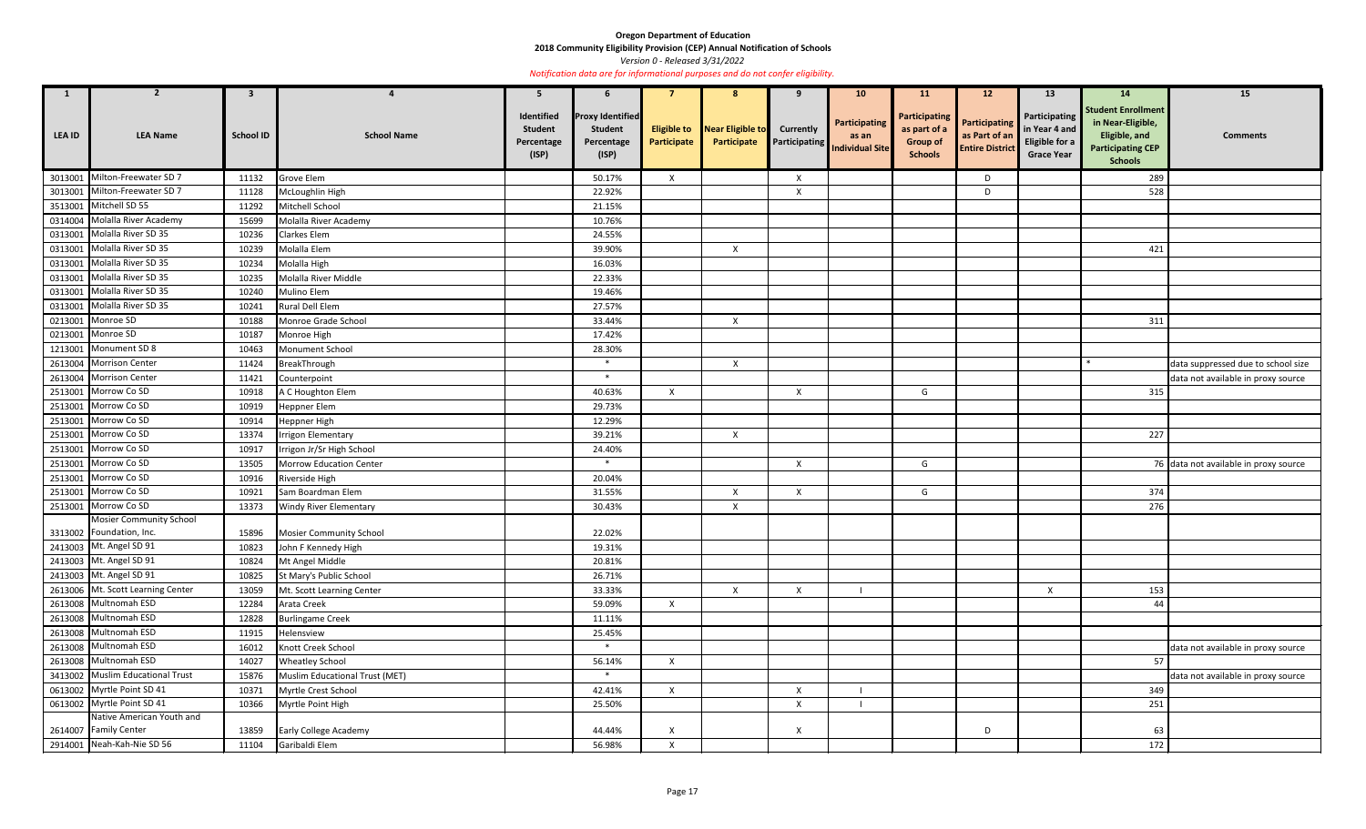**2018 Community Eligibility Provision (CEP) Annual Notification of Schools** 

|               | $\overline{2}$                                 | $\overline{\mathbf{3}}$ | 4                              | 5                                                   | 6                                                                |              | 8                                                  | 9                         | 10 <sub>1</sub>                                         | <b>11</b>                                                          | 12                                                              | 13                                                                           | 14                                                                                                            | 15                                    |
|---------------|------------------------------------------------|-------------------------|--------------------------------|-----------------------------------------------------|------------------------------------------------------------------|--------------|----------------------------------------------------|---------------------------|---------------------------------------------------------|--------------------------------------------------------------------|-----------------------------------------------------------------|------------------------------------------------------------------------------|---------------------------------------------------------------------------------------------------------------|---------------------------------------|
| <b>LEA ID</b> | <b>LEA Name</b>                                | <b>School ID</b>        | <b>School Name</b>             | Identified<br><b>Student</b><br>Percentage<br>(ISP) | <b>Proxy Identified</b><br><b>Student</b><br>Percentage<br>(ISP) | Participate  | <b>Eligible to</b> Near Eligible to<br>Participate | <b>Currently</b>          | Participating<br>as an<br>Participating Individual Site | Participating<br>as part of a<br><b>Group of</b><br><b>Schools</b> | <b>Participating</b><br>as Part of an<br><b>Entire District</b> | Participating<br>in Year 4 and<br><b>Eligible for a</b><br><b>Grace Year</b> | <b>Student Enrollment</b><br>in Near-Eligible,<br>Eligible, and<br><b>Participating CEP</b><br><b>Schools</b> | <b>Comments</b>                       |
| 3013001       | Milton-Freewater SD 7                          | 11132                   | Grove Elem                     |                                                     | 50.17%                                                           | X            |                                                    | $\mathsf{X}$              |                                                         |                                                                    | D                                                               |                                                                              | 289                                                                                                           |                                       |
| 3013001       | Milton-Freewater SD 7                          | 11128                   | McLoughlin High                |                                                     | 22.92%                                                           |              |                                                    | $\boldsymbol{\mathsf{X}}$ |                                                         |                                                                    | D                                                               |                                                                              | 528                                                                                                           |                                       |
| 3513001       | Mitchell SD 55                                 | 11292                   | Mitchell School                |                                                     | 21.15%                                                           |              |                                                    |                           |                                                         |                                                                    |                                                                 |                                                                              |                                                                                                               |                                       |
| 0314004       | Molalla River Academy                          | 15699                   | Molalla River Academy          |                                                     | 10.76%                                                           |              |                                                    |                           |                                                         |                                                                    |                                                                 |                                                                              |                                                                                                               |                                       |
| 0313001       | Molalla River SD 35                            | 10236                   | Clarkes Elem                   |                                                     | 24.55%                                                           |              |                                                    |                           |                                                         |                                                                    |                                                                 |                                                                              |                                                                                                               |                                       |
| 0313001       | Molalla River SD 35                            | 10239                   | Molalla Elem                   |                                                     | 39.90%                                                           |              | $\mathsf{X}$                                       |                           |                                                         |                                                                    |                                                                 |                                                                              | 421                                                                                                           |                                       |
| 0313001       | Molalla River SD 35                            | 10234                   | Molalla High                   |                                                     | 16.03%                                                           |              |                                                    |                           |                                                         |                                                                    |                                                                 |                                                                              |                                                                                                               |                                       |
| 0313001       | Molalla River SD 35                            | 10235                   | Molalla River Middle           |                                                     | 22.33%                                                           |              |                                                    |                           |                                                         |                                                                    |                                                                 |                                                                              |                                                                                                               |                                       |
| 0313001       | Molalla River SD 35                            | 10240                   | Mulino Elem                    |                                                     | 19.46%                                                           |              |                                                    |                           |                                                         |                                                                    |                                                                 |                                                                              |                                                                                                               |                                       |
| 0313001       | Molalla River SD 35                            | 10241                   | Rural Dell Elem                |                                                     | 27.57%                                                           |              |                                                    |                           |                                                         |                                                                    |                                                                 |                                                                              |                                                                                                               |                                       |
| 0213001       | Monroe SD                                      | 10188                   | Monroe Grade School            |                                                     | 33.44%                                                           |              | $\boldsymbol{\mathsf{X}}$                          |                           |                                                         |                                                                    |                                                                 |                                                                              | 311                                                                                                           |                                       |
| 0213001       | Monroe SD                                      | 10187                   | Monroe High                    |                                                     | 17.42%                                                           |              |                                                    |                           |                                                         |                                                                    |                                                                 |                                                                              |                                                                                                               |                                       |
| 1213001       | Monument SD 8                                  | 10463                   | Monument School                |                                                     | 28.30%                                                           |              |                                                    |                           |                                                         |                                                                    |                                                                 |                                                                              |                                                                                                               |                                       |
| 2613004       | Morrison Center                                | 11424                   | BreakThrough                   |                                                     | $\ast$                                                           |              | $\boldsymbol{\mathsf{X}}$                          |                           |                                                         |                                                                    |                                                                 |                                                                              |                                                                                                               | data suppressed due to school size    |
| 2613004       | Morrison Center                                | 11421                   | Counterpoint                   |                                                     | $\ast$                                                           |              |                                                    |                           |                                                         |                                                                    |                                                                 |                                                                              |                                                                                                               | data not available in proxy source    |
|               | 2513001 Morrow Co SD                           | 10918                   | A C Houghton Elem              |                                                     | 40.63%                                                           | $\mathsf{X}$ |                                                    | $\mathsf{X}$              |                                                         | G                                                                  |                                                                 |                                                                              | 315                                                                                                           |                                       |
| 2513001       | Morrow Co SD                                   | 10919                   | Heppner Elem                   |                                                     | 29.73%                                                           |              |                                                    |                           |                                                         |                                                                    |                                                                 |                                                                              |                                                                                                               |                                       |
| 2513001       | Morrow Co SD                                   | 10914                   | Heppner High                   |                                                     | 12.29%                                                           |              |                                                    |                           |                                                         |                                                                    |                                                                 |                                                                              |                                                                                                               |                                       |
| 2513001       | Morrow Co SD                                   | 13374                   | Irrigon Elementary             |                                                     | 39.21%                                                           |              | $\boldsymbol{\mathsf{X}}$                          |                           |                                                         |                                                                    |                                                                 |                                                                              | 227                                                                                                           |                                       |
| 2513001       | Morrow Co SD                                   | 10917                   | Irrigon Jr/Sr High School      |                                                     | 24.40%<br>$\ast$                                                 |              |                                                    |                           |                                                         |                                                                    |                                                                 |                                                                              |                                                                                                               |                                       |
| 2513001       | Morrow Co SD<br>Morrow Co SD                   | 13505                   | Morrow Education Center        |                                                     |                                                                  |              |                                                    | $\boldsymbol{X}$          |                                                         | G                                                                  |                                                                 |                                                                              |                                                                                                               | 76 data not available in proxy source |
| 2513001       |                                                | 10916                   | Riverside High                 |                                                     | 20.04%                                                           |              |                                                    |                           |                                                         |                                                                    |                                                                 |                                                                              |                                                                                                               |                                       |
| 2513001       | Morrow Co SD                                   | 10921                   | Sam Boardman Elem              |                                                     | 31.55%                                                           |              | $\boldsymbol{\mathsf{X}}$                          | $\boldsymbol{X}$          |                                                         | G                                                                  |                                                                 |                                                                              | 374                                                                                                           |                                       |
| 2513001       | Morrow Co SD<br><b>Mosier Community School</b> | 13373                   | <b>Windy River Elementary</b>  |                                                     | 30.43%                                                           |              | X                                                  |                           |                                                         |                                                                    |                                                                 |                                                                              | 276                                                                                                           |                                       |
|               | 3313002 Foundation, Inc.                       | 15896                   | <b>Mosier Community School</b> |                                                     | 22.02%                                                           |              |                                                    |                           |                                                         |                                                                    |                                                                 |                                                                              |                                                                                                               |                                       |
|               | 2413003 Mt. Angel SD 91                        | 10823                   | John F Kennedy High            |                                                     | 19.31%                                                           |              |                                                    |                           |                                                         |                                                                    |                                                                 |                                                                              |                                                                                                               |                                       |
|               | 2413003 Mt. Angel SD 91                        | 10824                   | Mt Angel Middle                |                                                     | 20.81%                                                           |              |                                                    |                           |                                                         |                                                                    |                                                                 |                                                                              |                                                                                                               |                                       |
|               | 2413003 Mt. Angel SD 91                        | 10825                   | St Mary's Public School        |                                                     | 26.71%                                                           |              |                                                    |                           |                                                         |                                                                    |                                                                 |                                                                              |                                                                                                               |                                       |
|               | 2613006 Mt. Scott Learning Center              | 13059                   | Mt. Scott Learning Center      |                                                     | 33.33%                                                           |              | $\mathsf{X}$                                       | $\mathsf{X}$              |                                                         |                                                                    |                                                                 | $\mathsf{X}$                                                                 | 153                                                                                                           |                                       |
|               | 2613008 Multnomah ESD                          | 12284                   | Arata Creek                    |                                                     | 59.09%                                                           | $\mathsf{X}$ |                                                    |                           |                                                         |                                                                    |                                                                 |                                                                              | 44                                                                                                            |                                       |
|               | 2613008 Multnomah ESD                          | 12828                   | <b>Burlingame Creek</b>        |                                                     | 11.11%                                                           |              |                                                    |                           |                                                         |                                                                    |                                                                 |                                                                              |                                                                                                               |                                       |
|               | 2613008 Multnomah ESD                          | 11915                   | Helensview                     |                                                     | 25.45%                                                           |              |                                                    |                           |                                                         |                                                                    |                                                                 |                                                                              |                                                                                                               |                                       |
|               | 2613008 Multnomah ESD                          | 16012                   | Knott Creek School             |                                                     | $\ast$                                                           |              |                                                    |                           |                                                         |                                                                    |                                                                 |                                                                              |                                                                                                               | data not available in proxy source    |
|               | 2613008 Multnomah ESD                          | 14027                   | <b>Wheatley School</b>         |                                                     | 56.14%                                                           | $\mathsf{X}$ |                                                    |                           |                                                         |                                                                    |                                                                 |                                                                              | 57                                                                                                            |                                       |
|               | 3413002 Muslim Educational Trust               | 15876                   | Muslim Educational Trust (MET) |                                                     | $*$                                                              |              |                                                    |                           |                                                         |                                                                    |                                                                 |                                                                              |                                                                                                               | data not available in proxy source    |
|               | 0613002 Myrtle Point SD 41                     | 10371                   | Myrtle Crest School            |                                                     | 42.41%                                                           | X            |                                                    | $\boldsymbol{X}$          |                                                         |                                                                    |                                                                 |                                                                              | 349                                                                                                           |                                       |
|               | 0613002 Myrtle Point SD 41                     | 10366                   | Myrtle Point High              |                                                     | 25.50%                                                           |              |                                                    | $\boldsymbol{\mathsf{X}}$ |                                                         |                                                                    |                                                                 |                                                                              | 251                                                                                                           |                                       |
|               | Native American Youth and                      |                         |                                |                                                     |                                                                  |              |                                                    |                           |                                                         |                                                                    |                                                                 |                                                                              |                                                                                                               |                                       |
|               | 2614007 Family Center                          | 13859                   | <b>Early College Academy</b>   |                                                     | 44.44%                                                           |              |                                                    | $\boldsymbol{X}$          |                                                         |                                                                    | D                                                               |                                                                              | 63                                                                                                            |                                       |
|               | 2914001 Neah-Kah-Nie SD 56                     | 11104                   | Garibaldi Elem                 |                                                     | 56.98%                                                           | $\mathsf{X}$ |                                                    |                           |                                                         |                                                                    |                                                                 |                                                                              | 172                                                                                                           |                                       |

*Version 0 - Released 3/31/2022*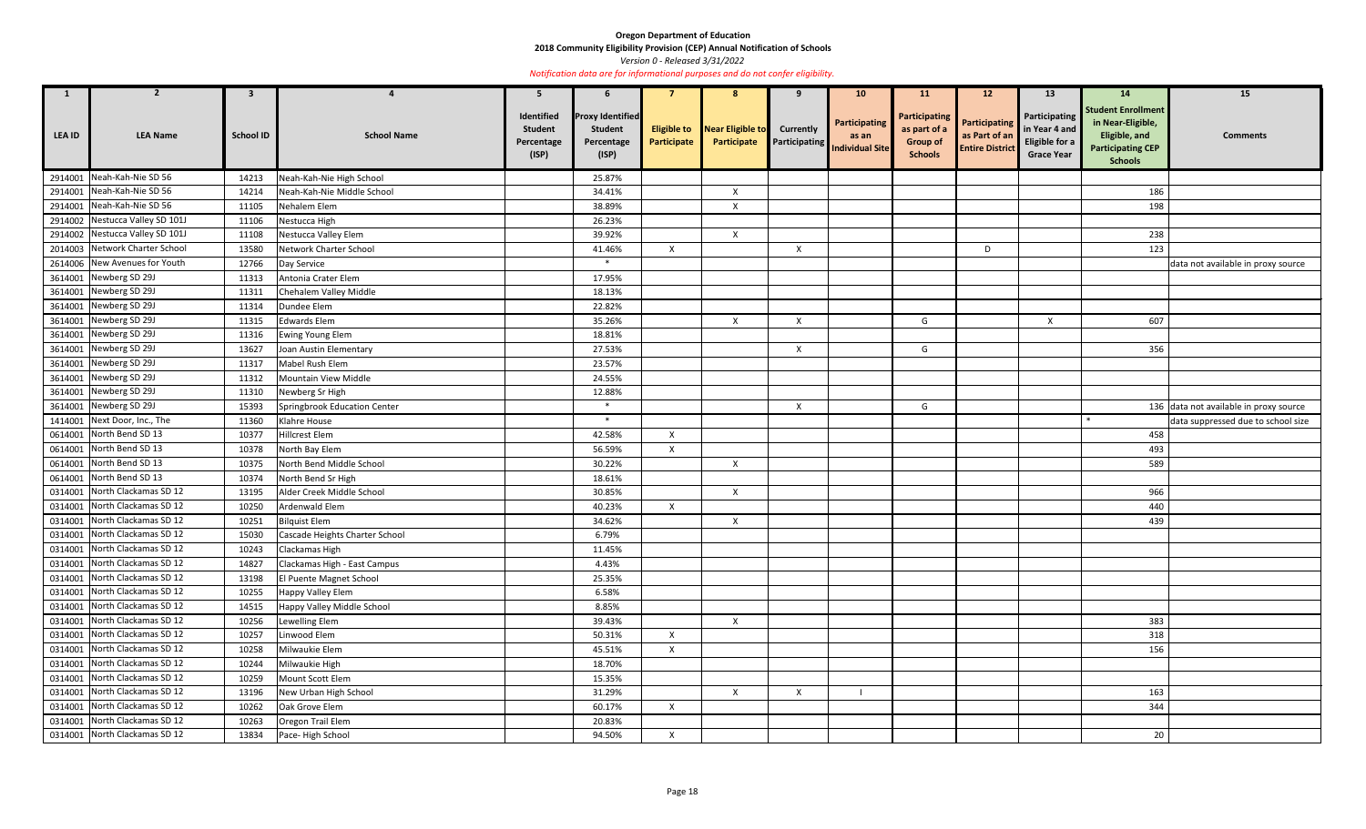**2018 Community Eligibility Provision (CEP) Annual Notification of Schools** 

*Version 0 - Released 3/31/2022* 

| $\mathbf{1}$  |                                 | $\mathbf{3}$     |                                | -5                                                  |                                                                  |              | 8                                                  | 9                         | <b>10</b>                                                      | <b>11</b>                                                          | 12 <sup>2</sup>                                                 | 13                                                                           | 14                                                                                                            | 15                                     |
|---------------|---------------------------------|------------------|--------------------------------|-----------------------------------------------------|------------------------------------------------------------------|--------------|----------------------------------------------------|---------------------------|----------------------------------------------------------------|--------------------------------------------------------------------|-----------------------------------------------------------------|------------------------------------------------------------------------------|---------------------------------------------------------------------------------------------------------------|----------------------------------------|
| <b>LEA ID</b> | <b>LEA Name</b>                 | <b>School ID</b> | <b>School Name</b>             | Identified<br><b>Student</b><br>Percentage<br>(ISP) | <b>Proxy Identified</b><br><b>Student</b><br>Percentage<br>(ISP) | Participate  | <b>Eligible to</b> Near Eligible to<br>Participate | <b>Currently</b>          | <b>Participating</b><br>as an<br>Participating Individual Site | Participating<br>as part of a<br><b>Group of</b><br><b>Schools</b> | <b>Participating</b><br>as Part of an<br><b>Entire District</b> | <b>Participating</b><br>in Year 4 and<br>Eligible for a<br><b>Grace Year</b> | <b>Student Enrollment</b><br>in Near-Eligible,<br>Eligible, and<br><b>Participating CEP</b><br><b>Schools</b> | <b>Comments</b>                        |
| 2914001       | Neah-Kah-Nie SD 56              | 14213            | Neah-Kah-Nie High School       |                                                     | 25.87%                                                           |              |                                                    |                           |                                                                |                                                                    |                                                                 |                                                                              |                                                                                                               |                                        |
| 2914001       | Neah-Kah-Nie SD 56              | 14214            | Neah-Kah-Nie Middle School     |                                                     | 34.41%                                                           |              | $\boldsymbol{X}$                                   |                           |                                                                |                                                                    |                                                                 |                                                                              | 186                                                                                                           |                                        |
| 2914001       | Neah-Kah-Nie SD 56              | 11105            | Nehalem Elem                   |                                                     | 38.89%                                                           |              | $\boldsymbol{\mathsf{X}}$                          |                           |                                                                |                                                                    |                                                                 |                                                                              | 198                                                                                                           |                                        |
| 2914002       | Nestucca Valley SD 101J         | 11106            | Nestucca High                  |                                                     | 26.23%                                                           |              |                                                    |                           |                                                                |                                                                    |                                                                 |                                                                              |                                                                                                               |                                        |
|               | 2914002 Nestucca Valley SD 101J | 11108            | Nestucca Valley Elem           |                                                     | 39.92%                                                           |              | $\mathsf{X}$                                       |                           |                                                                |                                                                    |                                                                 |                                                                              | 238                                                                                                           |                                        |
| 2014003       | Network Charter School          | 13580            | Network Charter School         |                                                     | 41.46%                                                           | $\mathsf{X}$ |                                                    | $\mathsf{X}$              |                                                                |                                                                    | D                                                               |                                                                              | 123                                                                                                           |                                        |
| 2614006       | New Avenues for Youth           | 12766            | Day Service                    |                                                     | $\ast$                                                           |              |                                                    |                           |                                                                |                                                                    |                                                                 |                                                                              |                                                                                                               | data not available in proxy source     |
|               | 3614001 Newberg SD 29J          | 11313            | Antonia Crater Elem            |                                                     | 17.95%                                                           |              |                                                    |                           |                                                                |                                                                    |                                                                 |                                                                              |                                                                                                               |                                        |
| 3614001       | Newberg SD 29J                  | 11311            | Chehalem Valley Middle         |                                                     | 18.13%                                                           |              |                                                    |                           |                                                                |                                                                    |                                                                 |                                                                              |                                                                                                               |                                        |
| 3614001       | Newberg SD 29J                  | 11314            | Dundee Elem                    |                                                     | 22.82%                                                           |              |                                                    |                           |                                                                |                                                                    |                                                                 |                                                                              |                                                                                                               |                                        |
| 3614001       | Newberg SD 29J                  | 11315            | <b>Edwards Elem</b>            |                                                     | 35.26%                                                           |              | $\boldsymbol{X}$                                   | $\mathsf{X}$              |                                                                | G                                                                  |                                                                 | $\times$                                                                     | 607                                                                                                           |                                        |
|               | 3614001 Newberg SD 29J          | 11316            | <b>Ewing Young Elem</b>        |                                                     | 18.81%                                                           |              |                                                    |                           |                                                                |                                                                    |                                                                 |                                                                              |                                                                                                               |                                        |
| 3614001       | Newberg SD 29J                  | 13627            | Joan Austin Elementary         |                                                     | 27.53%                                                           |              |                                                    | $\boldsymbol{\mathsf{X}}$ |                                                                | G                                                                  |                                                                 |                                                                              | 356                                                                                                           |                                        |
|               | 3614001 Newberg SD 29J          | 11317            | Mabel Rush Elem                |                                                     | 23.57%                                                           |              |                                                    |                           |                                                                |                                                                    |                                                                 |                                                                              |                                                                                                               |                                        |
| 3614001       | Newberg SD 29J                  | 11312            | Mountain View Middle           |                                                     | 24.55%                                                           |              |                                                    |                           |                                                                |                                                                    |                                                                 |                                                                              |                                                                                                               |                                        |
| 3614001       | Newberg SD 29J                  | 11310            | Newberg Sr High                |                                                     | 12.88%                                                           |              |                                                    |                           |                                                                |                                                                    |                                                                 |                                                                              |                                                                                                               |                                        |
|               | 3614001 Newberg SD 29J          | 15393            | Springbrook Education Center   |                                                     | $\ast$                                                           |              |                                                    | X                         |                                                                | G                                                                  |                                                                 |                                                                              |                                                                                                               | 136 data not available in proxy source |
| 1414001       | Next Door, Inc., The            | 11360            | Klahre House                   |                                                     | $\ast$                                                           |              |                                                    |                           |                                                                |                                                                    |                                                                 |                                                                              |                                                                                                               | data suppressed due to school size     |
| 0614001       | North Bend SD 13                | 10377            | Hillcrest Elem                 |                                                     | 42.58%                                                           | $\mathsf{X}$ |                                                    |                           |                                                                |                                                                    |                                                                 |                                                                              | 458                                                                                                           |                                        |
| 0614001       | North Bend SD 13                | 10378            | North Bay Elem                 |                                                     | 56.59%                                                           | $\mathsf{X}$ |                                                    |                           |                                                                |                                                                    |                                                                 |                                                                              | 493                                                                                                           |                                        |
| 0614001       | North Bend SD 13                | 10375            | North Bend Middle School       |                                                     | 30.22%                                                           |              | $\boldsymbol{\mathsf{X}}$                          |                           |                                                                |                                                                    |                                                                 |                                                                              | 589                                                                                                           |                                        |
| 0614001       | North Bend SD 13                | 10374            | North Bend Sr High             |                                                     | 18.61%                                                           |              |                                                    |                           |                                                                |                                                                    |                                                                 |                                                                              |                                                                                                               |                                        |
| 0314001       | North Clackamas SD 12           | 13195            | Alder Creek Middle School      |                                                     | 30.85%                                                           |              | $\boldsymbol{\mathsf{X}}$                          |                           |                                                                |                                                                    |                                                                 |                                                                              | 966                                                                                                           |                                        |
| 0314001       | North Clackamas SD 12           | 10250            | Ardenwald Elem                 |                                                     | 40.23%                                                           | $\mathsf{X}$ |                                                    |                           |                                                                |                                                                    |                                                                 |                                                                              | 440                                                                                                           |                                        |
|               | 0314001 North Clackamas SD 12   | 10251            | <b>Bilquist Elem</b>           |                                                     | 34.62%                                                           |              | $\mathsf{X}$                                       |                           |                                                                |                                                                    |                                                                 |                                                                              | 439                                                                                                           |                                        |
|               | 0314001 North Clackamas SD 12   | 15030            | Cascade Heights Charter School |                                                     | 6.79%                                                            |              |                                                    |                           |                                                                |                                                                    |                                                                 |                                                                              |                                                                                                               |                                        |
|               | 0314001 North Clackamas SD 12   | 10243            | Clackamas High                 |                                                     | 11.45%                                                           |              |                                                    |                           |                                                                |                                                                    |                                                                 |                                                                              |                                                                                                               |                                        |
|               | 0314001 North Clackamas SD 12   | 14827            | Clackamas High - East Campus   |                                                     | 4.43%                                                            |              |                                                    |                           |                                                                |                                                                    |                                                                 |                                                                              |                                                                                                               |                                        |
|               | 0314001 North Clackamas SD 12   | 13198            | El Puente Magnet School        |                                                     | 25.35%                                                           |              |                                                    |                           |                                                                |                                                                    |                                                                 |                                                                              |                                                                                                               |                                        |
|               | 0314001 North Clackamas SD 12   | 10255            | Happy Valley Elem              |                                                     | 6.58%                                                            |              |                                                    |                           |                                                                |                                                                    |                                                                 |                                                                              |                                                                                                               |                                        |
|               | 0314001 North Clackamas SD 12   | 14515            | Happy Valley Middle School     |                                                     | 8.85%                                                            |              |                                                    |                           |                                                                |                                                                    |                                                                 |                                                                              |                                                                                                               |                                        |
|               | 0314001 North Clackamas SD 12   | 10256            | Lewelling Elem                 |                                                     | 39.43%                                                           |              | $\mathsf{X}$                                       |                           |                                                                |                                                                    |                                                                 |                                                                              | 383                                                                                                           |                                        |
|               | 0314001 North Clackamas SD 12   | 10257            | Linwood Elem                   |                                                     | 50.31%                                                           | $\mathsf{X}$ |                                                    |                           |                                                                |                                                                    |                                                                 |                                                                              | 318                                                                                                           |                                        |
|               | 0314001 North Clackamas SD 12   | 10258            | Milwaukie Elem                 |                                                     | 45.51%                                                           | $\mathsf{X}$ |                                                    |                           |                                                                |                                                                    |                                                                 |                                                                              | 156                                                                                                           |                                        |
|               | 0314001 North Clackamas SD 12   | 10244            | Milwaukie High                 |                                                     | 18.70%                                                           |              |                                                    |                           |                                                                |                                                                    |                                                                 |                                                                              |                                                                                                               |                                        |
|               | 0314001 North Clackamas SD 12   | 10259            | Mount Scott Elem               |                                                     | 15.35%                                                           |              |                                                    |                           |                                                                |                                                                    |                                                                 |                                                                              |                                                                                                               |                                        |
|               | 0314001 North Clackamas SD 12   | 13196            | New Urban High School          |                                                     | 31.29%                                                           |              | $\boldsymbol{X}$                                   | $\mathsf{X}$              |                                                                |                                                                    |                                                                 |                                                                              | 163                                                                                                           |                                        |
|               | 0314001 North Clackamas SD 12   | 10262            | Oak Grove Elem                 |                                                     | 60.17%                                                           | $\mathsf{X}$ |                                                    |                           |                                                                |                                                                    |                                                                 |                                                                              | 344                                                                                                           |                                        |
|               | 0314001 North Clackamas SD 12   | 10263            | Oregon Trail Elem              |                                                     | 20.83%                                                           |              |                                                    |                           |                                                                |                                                                    |                                                                 |                                                                              |                                                                                                               |                                        |
|               | 0314001 North Clackamas SD 12   | 13834            | Pace-High School               |                                                     | 94.50%                                                           | $\mathsf{X}$ |                                                    |                           |                                                                |                                                                    |                                                                 |                                                                              | 20                                                                                                            |                                        |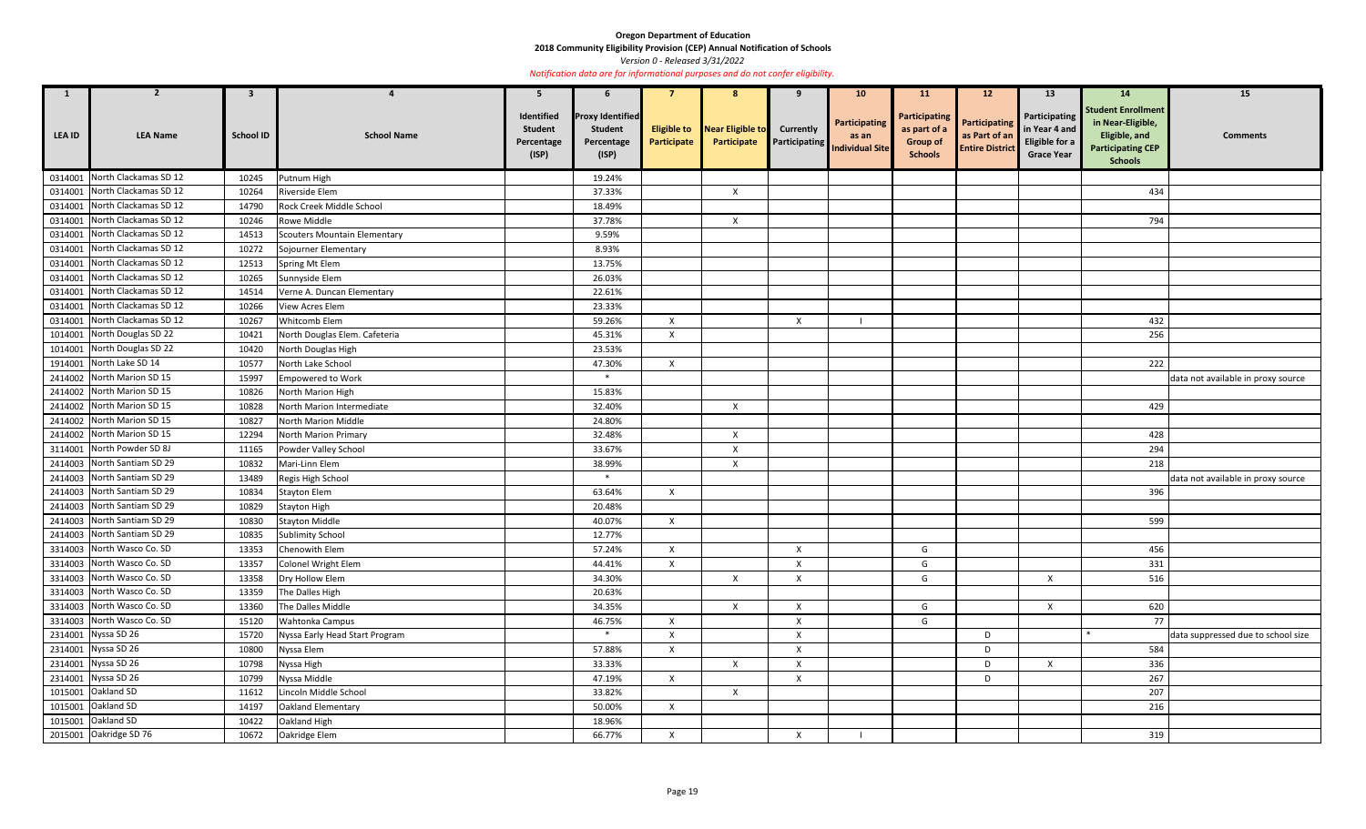**2018 Community Eligibility Provision (CEP) Annual Notification of Schools** 

*Version 0 - Released 3/31/2022* 

| $\mathbf{1}$  |                               | 3                |                                | 5                                                   |                                                                  |                           | 8                                                  | 9                         | 10 <sup>°</sup>                                                | <b>11</b>                                                          | $12 \overline{ }$                                               | 13                                                                    | 14                                                                                                            | 15                                 |
|---------------|-------------------------------|------------------|--------------------------------|-----------------------------------------------------|------------------------------------------------------------------|---------------------------|----------------------------------------------------|---------------------------|----------------------------------------------------------------|--------------------------------------------------------------------|-----------------------------------------------------------------|-----------------------------------------------------------------------|---------------------------------------------------------------------------------------------------------------|------------------------------------|
| <b>LEA ID</b> | <b>LEA Name</b>               | <b>School ID</b> | <b>School Name</b>             | Identified<br><b>Student</b><br>Percentage<br>(ISP) | <b>Proxy Identified</b><br><b>Student</b><br>Percentage<br>(ISP) | Participate               | <b>Eligible to</b> Near Eligible to<br>Participate | <b>Currently</b>          | Participating<br>as an<br><b>Participating</b> Individual Site | Participating<br>as part of a<br><b>Group of</b><br><b>Schools</b> | <b>Participating</b><br>as Part of an<br><b>Entire District</b> | Participating<br>in Year 4 and<br>Eligible for a<br><b>Grace Year</b> | <b>Student Enrollment</b><br>in Near-Eligible,<br>Eligible, and<br><b>Participating CEP</b><br><b>Schools</b> | <b>Comments</b>                    |
|               | 0314001 North Clackamas SD 12 | 10245            | Putnum High                    |                                                     | 19.24%                                                           |                           |                                                    |                           |                                                                |                                                                    |                                                                 |                                                                       |                                                                                                               |                                    |
| 0314001       | North Clackamas SD 12         | 10264            | Riverside Elem                 |                                                     | 37.33%                                                           |                           | $\boldsymbol{X}$                                   |                           |                                                                |                                                                    |                                                                 |                                                                       | 434                                                                                                           |                                    |
|               | 0314001 North Clackamas SD 12 | 14790            | Rock Creek Middle School       |                                                     | 18.49%                                                           |                           |                                                    |                           |                                                                |                                                                    |                                                                 |                                                                       |                                                                                                               |                                    |
| 0314001       | North Clackamas SD 12         | 10246            | Rowe Middle                    |                                                     | 37.78%                                                           |                           | $\boldsymbol{X}$                                   |                           |                                                                |                                                                    |                                                                 |                                                                       | 794                                                                                                           |                                    |
| 0314001       | North Clackamas SD 12         | 14513            | Scouters Mountain Elementary   |                                                     | 9.59%                                                            |                           |                                                    |                           |                                                                |                                                                    |                                                                 |                                                                       |                                                                                                               |                                    |
| 0314001       | North Clackamas SD 12         | 10272            | Sojourner Elementary           |                                                     | 8.93%                                                            |                           |                                                    |                           |                                                                |                                                                    |                                                                 |                                                                       |                                                                                                               |                                    |
|               | 0314001 North Clackamas SD 12 | 12513            | Spring Mt Elem                 |                                                     | 13.75%                                                           |                           |                                                    |                           |                                                                |                                                                    |                                                                 |                                                                       |                                                                                                               |                                    |
|               | 0314001 North Clackamas SD 12 | 10265            | Sunnyside Elem                 |                                                     | 26.03%                                                           |                           |                                                    |                           |                                                                |                                                                    |                                                                 |                                                                       |                                                                                                               |                                    |
| 0314001       | North Clackamas SD 12         | 14514            | Verne A. Duncan Elementary     |                                                     | 22.61%                                                           |                           |                                                    |                           |                                                                |                                                                    |                                                                 |                                                                       |                                                                                                               |                                    |
|               | 0314001 North Clackamas SD 12 | 10266            | View Acres Elem                |                                                     | 23.33%                                                           |                           |                                                    |                           |                                                                |                                                                    |                                                                 |                                                                       |                                                                                                               |                                    |
| 0314001       | North Clackamas SD 12         | 10267            | Whitcomb Elem                  |                                                     | 59.26%                                                           | $\mathsf{X}$              |                                                    | $\boldsymbol{\mathsf{X}}$ |                                                                |                                                                    |                                                                 |                                                                       | 432                                                                                                           |                                    |
|               | 1014001 North Douglas SD 22   | 10421            | North Douglas Elem. Cafeteria  |                                                     | 45.31%                                                           | $\boldsymbol{\mathsf{X}}$ |                                                    |                           |                                                                |                                                                    |                                                                 |                                                                       | 256                                                                                                           |                                    |
| 1014001       | North Douglas SD 22           | 10420            | North Douglas High             |                                                     | 23.53%                                                           |                           |                                                    |                           |                                                                |                                                                    |                                                                 |                                                                       |                                                                                                               |                                    |
|               | 1914001 North Lake SD 14      | 10577            | North Lake School              |                                                     | 47.30%                                                           | $\mathsf{X}$              |                                                    |                           |                                                                |                                                                    |                                                                 |                                                                       | 222                                                                                                           |                                    |
|               | 2414002 North Marion SD 15    | 15997            | <b>Empowered to Work</b>       |                                                     | $*$                                                              |                           |                                                    |                           |                                                                |                                                                    |                                                                 |                                                                       |                                                                                                               | data not available in proxy source |
|               | 2414002 North Marion SD 15    | 10826            | North Marion High              |                                                     | 15.83%                                                           |                           |                                                    |                           |                                                                |                                                                    |                                                                 |                                                                       |                                                                                                               |                                    |
|               | 2414002 North Marion SD 15    | 10828            | North Marion Intermediate      |                                                     | 32.40%                                                           |                           | $\boldsymbol{X}$                                   |                           |                                                                |                                                                    |                                                                 |                                                                       | 429                                                                                                           |                                    |
|               | 2414002 North Marion SD 15    | 10827            | North Marion Middle            |                                                     | 24.80%                                                           |                           |                                                    |                           |                                                                |                                                                    |                                                                 |                                                                       |                                                                                                               |                                    |
|               | 2414002 North Marion SD 15    | 12294            | North Marion Primary           |                                                     | 32.48%                                                           |                           | $\boldsymbol{X}$                                   |                           |                                                                |                                                                    |                                                                 |                                                                       | 428                                                                                                           |                                    |
| 3114001       | North Powder SD 8J            | 11165            | Powder Valley School           |                                                     | 33.67%                                                           |                           | $\boldsymbol{X}$                                   |                           |                                                                |                                                                    |                                                                 |                                                                       | 294                                                                                                           |                                    |
|               | 2414003 North Santiam SD 29   | 10832            | Mari-Linn Elem                 |                                                     | 38.99%                                                           |                           | $\boldsymbol{X}$                                   |                           |                                                                |                                                                    |                                                                 |                                                                       | 218                                                                                                           |                                    |
| 2414003       | North Santiam SD 29           | 13489            | Regis High School              |                                                     | $\ast$                                                           |                           |                                                    |                           |                                                                |                                                                    |                                                                 |                                                                       |                                                                                                               | data not available in proxy source |
|               | 2414003 North Santiam SD 29   | 10834            | Stayton Elem                   |                                                     | 63.64%                                                           | $\mathsf{X}$              |                                                    |                           |                                                                |                                                                    |                                                                 |                                                                       | 396                                                                                                           |                                    |
| 2414003       | North Santiam SD 29           | 10829            | <b>Stayton High</b>            |                                                     | 20.48%                                                           |                           |                                                    |                           |                                                                |                                                                    |                                                                 |                                                                       |                                                                                                               |                                    |
|               | 2414003 North Santiam SD 29   | 10830            | <b>Stayton Middle</b>          |                                                     | 40.07%                                                           | $\mathsf{X}$              |                                                    |                           |                                                                |                                                                    |                                                                 |                                                                       | 599                                                                                                           |                                    |
|               | 2414003 North Santiam SD 29   | 10835            | <b>Sublimity School</b>        |                                                     | 12.77%                                                           |                           |                                                    |                           |                                                                |                                                                    |                                                                 |                                                                       |                                                                                                               |                                    |
|               | 3314003 North Wasco Co. SD    | 13353            | Chenowith Elem                 |                                                     | 57.24%                                                           | $\mathsf{X}$              |                                                    | $\mathsf{X}$              |                                                                | G                                                                  |                                                                 |                                                                       | 456                                                                                                           |                                    |
|               | 3314003 North Wasco Co. SD    | 13357            | Colonel Wright Elem            |                                                     | 44.41%                                                           | $\mathsf{X}$              |                                                    | X                         |                                                                | G                                                                  |                                                                 |                                                                       | 331                                                                                                           |                                    |
|               | 3314003 North Wasco Co. SD    | 13358            | Dry Hollow Elem                |                                                     | 34.30%                                                           |                           | $\boldsymbol{X}$                                   | $\mathsf{X}$              |                                                                | G                                                                  |                                                                 | $\times$                                                              | 516                                                                                                           |                                    |
|               | 3314003 North Wasco Co. SD    | 13359            | The Dalles High                |                                                     | 20.63%                                                           |                           |                                                    |                           |                                                                |                                                                    |                                                                 |                                                                       |                                                                                                               |                                    |
|               | 3314003 North Wasco Co. SD    | 13360            | The Dalles Middle              |                                                     | 34.35%                                                           |                           | $\boldsymbol{X}$                                   | $\mathsf{X}$              |                                                                | G                                                                  |                                                                 | X                                                                     | 620                                                                                                           |                                    |
|               | 3314003 North Wasco Co. SD    | 15120            | Wahtonka Campus                |                                                     | 46.75%                                                           | $\mathsf{X}$              |                                                    | $\mathsf{X}$              |                                                                | G                                                                  |                                                                 |                                                                       | 77                                                                                                            |                                    |
|               | 2314001 Nyssa SD 26           | 15720            | Nyssa Early Head Start Program |                                                     | $\ast$                                                           | X                         |                                                    | $\mathsf{X}$              |                                                                |                                                                    | D                                                               |                                                                       |                                                                                                               | data suppressed due to school size |
|               | 2314001 Nyssa SD 26           | 10800            | Nyssa Elem                     |                                                     | 57.88%                                                           | $\mathsf{X}$              |                                                    | $\mathsf{X}$              |                                                                |                                                                    | D                                                               |                                                                       | 584                                                                                                           |                                    |
|               | 2314001 Nyssa SD 26           | 10798            | Nyssa High                     |                                                     | 33.33%                                                           |                           | $\boldsymbol{X}$                                   | X                         |                                                                |                                                                    | D                                                               | X                                                                     | 336                                                                                                           |                                    |
|               | 2314001 Nyssa SD 26           | 10799            | Nyssa Middle                   |                                                     | 47.19%                                                           | $\mathsf{X}$              |                                                    | $\mathsf{X}$              |                                                                |                                                                    | D                                                               |                                                                       | 267                                                                                                           |                                    |
|               | 1015001 Oakland SD            | 11612            | Lincoln Middle School          |                                                     | 33.82%                                                           |                           | $\boldsymbol{\mathsf{X}}$                          |                           |                                                                |                                                                    |                                                                 |                                                                       | 207                                                                                                           |                                    |
|               | 1015001 Oakland SD            | 14197            | Oakland Elementary             |                                                     | 50.00%                                                           | $\mathsf{X}$              |                                                    |                           |                                                                |                                                                    |                                                                 |                                                                       | 216                                                                                                           |                                    |
|               | 1015001 Oakland SD            | 10422            | Oakland High                   |                                                     | 18.96%                                                           |                           |                                                    |                           |                                                                |                                                                    |                                                                 |                                                                       |                                                                                                               |                                    |
|               | 2015001 Oakridge SD 76        | 10672            | Oakridge Elem                  |                                                     | 66.77%                                                           | $\mathsf{X}$              |                                                    | $\mathsf{X}$              |                                                                |                                                                    |                                                                 |                                                                       | 319                                                                                                           |                                    |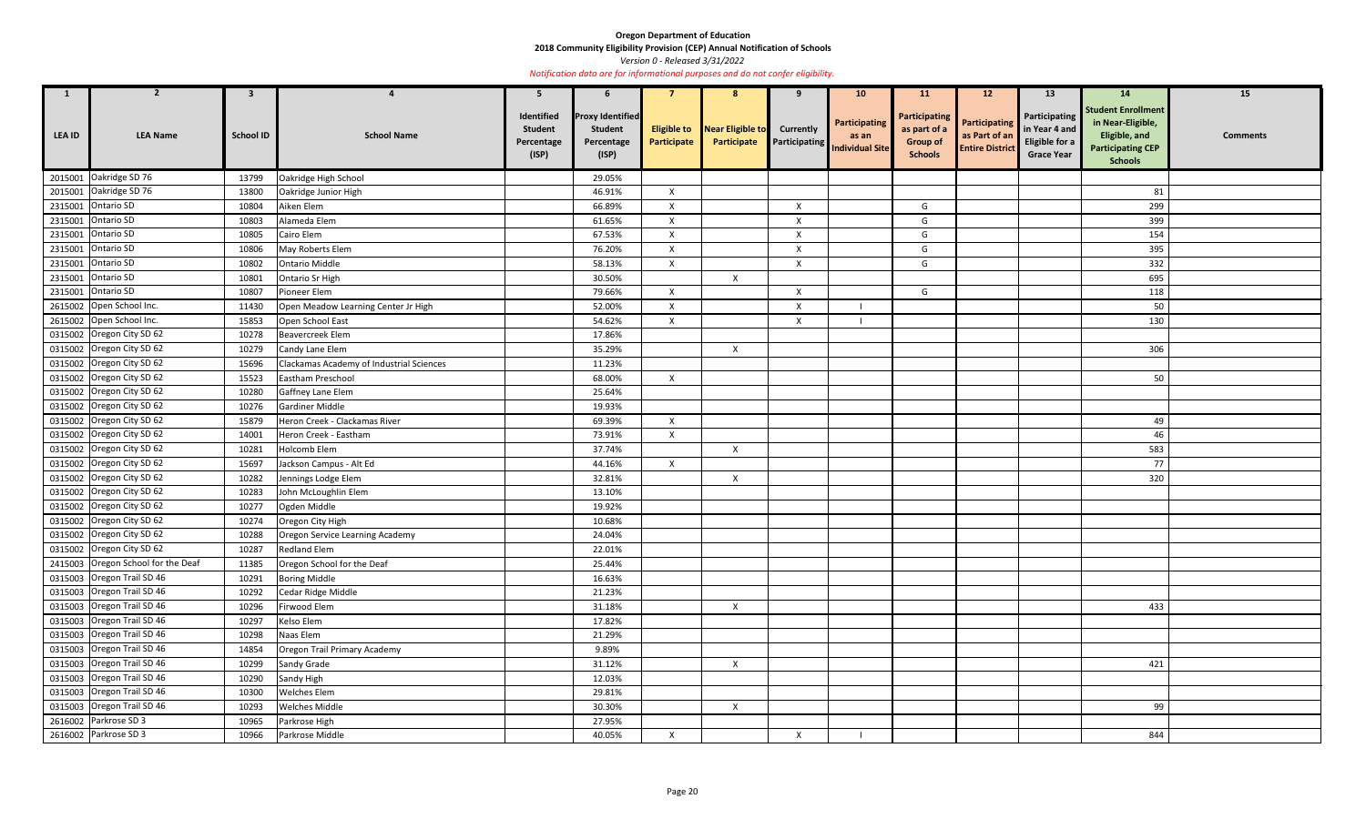**2018 Community Eligibility Provision (CEP) Annual Notification of Schools** 

*Version 0 - Released 3/31/2022* 

| $\mathbf{1}$  | $\overline{2}$                     | $\mathbf{3}$     | $\overline{a}$                           | 5                                                   | 6                                                                |                                   | 8                               | 9                         | 10 <sub>1</sub>                                                | <b>11</b>                                                                 | 12 <sup>2</sup>                                                 | 13                                                                    | <b>14</b>                                                                                                     | 15              |
|---------------|------------------------------------|------------------|------------------------------------------|-----------------------------------------------------|------------------------------------------------------------------|-----------------------------------|---------------------------------|---------------------------|----------------------------------------------------------------|---------------------------------------------------------------------------|-----------------------------------------------------------------|-----------------------------------------------------------------------|---------------------------------------------------------------------------------------------------------------|-----------------|
| <b>LEA ID</b> | <b>LEA Name</b>                    | <b>School ID</b> | <b>School Name</b>                       | Identified<br><b>Student</b><br>Percentage<br>(ISP) | <b>Proxy Identified</b><br><b>Student</b><br>Percentage<br>(ISP) | <b>Eligible to</b><br>Participate | Near Eligible to<br>Participate | <b>Currently</b>          | Participating<br>as an<br><b>Participating</b> Individual Site | <b>Participating</b><br>as part of a<br><b>Group of</b><br><b>Schools</b> | <b>Participating</b><br>as Part of an<br><b>Entire District</b> | Participating<br>in Year 4 and<br>Eligible for a<br><b>Grace Year</b> | <b>Student Enrollment</b><br>in Near-Eligible,<br>Eligible, and<br><b>Participating CEP</b><br><b>Schools</b> | <b>Comments</b> |
|               | 2015001 Oakridge SD 76             | 13799            | Oakridge High School                     |                                                     | 29.05%                                                           |                                   |                                 |                           |                                                                |                                                                           |                                                                 |                                                                       |                                                                                                               |                 |
|               | 2015001 Oakridge SD 76             | 13800            | Oakridge Junior High                     |                                                     | 46.91%                                                           | $\mathsf{X}$                      |                                 |                           |                                                                |                                                                           |                                                                 |                                                                       | 81                                                                                                            |                 |
|               | 2315001 Ontario SD                 | 10804            | Aiken Elem                               |                                                     | 66.89%                                                           | $\mathsf{x}$                      |                                 | $\boldsymbol{\mathsf{X}}$ |                                                                | G                                                                         |                                                                 |                                                                       | 299                                                                                                           |                 |
|               | 2315001 Ontario SD                 | 10803            | Alameda Elem                             |                                                     | 61.65%                                                           | $\mathsf{X}$                      |                                 | X                         |                                                                | G                                                                         |                                                                 |                                                                       | 399                                                                                                           |                 |
|               | 2315001 Ontario SD                 | 10805            | Cairo Elem                               |                                                     | 67.53%                                                           | $\mathsf{X}$                      |                                 | $\pmb{\times}$            |                                                                | G                                                                         |                                                                 |                                                                       | 154                                                                                                           |                 |
|               | 2315001 Ontario SD                 | 10806            | May Roberts Elem                         |                                                     | 76.20%                                                           | $\mathsf{X}$                      |                                 | $\mathsf{X}$              |                                                                | G                                                                         |                                                                 |                                                                       | 395                                                                                                           |                 |
|               | 2315001 Ontario SD                 | 10802            | <b>Ontario Middle</b>                    |                                                     | 58.13%                                                           | $\boldsymbol{\mathsf{x}}$         |                                 | $\boldsymbol{\mathsf{X}}$ |                                                                | G                                                                         |                                                                 |                                                                       | 332                                                                                                           |                 |
|               | 2315001 Ontario SD                 | 10801            | Ontario Sr High                          |                                                     | 30.50%                                                           |                                   | $\mathsf{X}$                    |                           |                                                                |                                                                           |                                                                 |                                                                       | 695                                                                                                           |                 |
|               | 2315001 Ontario SD                 | 10807            | Pioneer Elem                             |                                                     | 79.66%                                                           | $\boldsymbol{\mathsf{x}}$         |                                 | X                         |                                                                | G                                                                         |                                                                 |                                                                       | 118                                                                                                           |                 |
|               | 2615002 Open School Inc.           | 11430            | Open Meadow Learning Center Jr High      |                                                     | 52.00%                                                           | $\mathsf{x}$                      |                                 | X                         |                                                                |                                                                           |                                                                 |                                                                       | 50                                                                                                            |                 |
|               | 2615002 Open School Inc.           | 15853            | Open School East                         |                                                     | 54.62%                                                           | $\mathsf{X}$                      |                                 | X                         |                                                                |                                                                           |                                                                 |                                                                       | 130                                                                                                           |                 |
|               | 0315002 Oregon City SD 62          | 10278            | <b>Beavercreek Elem</b>                  |                                                     | 17.86%                                                           |                                   |                                 |                           |                                                                |                                                                           |                                                                 |                                                                       |                                                                                                               |                 |
|               | 0315002 Oregon City SD 62          | 10279            | Candy Lane Elem                          |                                                     | 35.29%                                                           |                                   | $\boldsymbol{X}$                |                           |                                                                |                                                                           |                                                                 |                                                                       | 306                                                                                                           |                 |
|               | 0315002 Oregon City SD 62          | 15696            | Clackamas Academy of Industrial Sciences |                                                     | 11.23%                                                           |                                   |                                 |                           |                                                                |                                                                           |                                                                 |                                                                       |                                                                                                               |                 |
|               | 0315002 Oregon City SD 62          | 15523            | Eastham Preschool                        |                                                     | 68.00%                                                           | $\mathsf{X}$                      |                                 |                           |                                                                |                                                                           |                                                                 |                                                                       | 50                                                                                                            |                 |
|               | 0315002 Oregon City SD 62          | 10280            | Gaffney Lane Elem                        |                                                     | 25.64%                                                           |                                   |                                 |                           |                                                                |                                                                           |                                                                 |                                                                       |                                                                                                               |                 |
|               | 0315002 Oregon City SD 62          | 10276            | Gardiner Middle                          |                                                     | 19.93%                                                           |                                   |                                 |                           |                                                                |                                                                           |                                                                 |                                                                       |                                                                                                               |                 |
|               | 0315002 Oregon City SD 62          | 15879            | Heron Creek - Clackamas River            |                                                     | 69.39%                                                           | $\boldsymbol{\mathsf{x}}$         |                                 |                           |                                                                |                                                                           |                                                                 |                                                                       | 49                                                                                                            |                 |
|               | 0315002 Oregon City SD 62          | 14001            | Heron Creek - Eastham                    |                                                     | 73.91%                                                           | X                                 |                                 |                           |                                                                |                                                                           |                                                                 |                                                                       | 46                                                                                                            |                 |
|               | 0315002 Oregon City SD 62          | 10281            | Holcomb Elem                             |                                                     | 37.74%                                                           |                                   | $\mathsf{X}$                    |                           |                                                                |                                                                           |                                                                 |                                                                       | 583                                                                                                           |                 |
|               | 0315002 Oregon City SD 62          | 15697            | Jackson Campus - Alt Ed                  |                                                     | 44.16%                                                           | $\mathsf{X}$                      |                                 |                           |                                                                |                                                                           |                                                                 |                                                                       | 77                                                                                                            |                 |
|               | 0315002 Oregon City SD 62          | 10282            | Jennings Lodge Elem                      |                                                     | 32.81%                                                           |                                   | $\boldsymbol{\mathsf{X}}$       |                           |                                                                |                                                                           |                                                                 |                                                                       | 320                                                                                                           |                 |
|               | 0315002 Oregon City SD 62          | 10283            | John McLoughlin Elem                     |                                                     | 13.10%                                                           |                                   |                                 |                           |                                                                |                                                                           |                                                                 |                                                                       |                                                                                                               |                 |
|               | 0315002 Oregon City SD 62          | 10277            | Ogden Middle                             |                                                     | 19.92%                                                           |                                   |                                 |                           |                                                                |                                                                           |                                                                 |                                                                       |                                                                                                               |                 |
|               | 0315002 Oregon City SD 62          | 10274            | Oregon City High                         |                                                     | 10.68%                                                           |                                   |                                 |                           |                                                                |                                                                           |                                                                 |                                                                       |                                                                                                               |                 |
|               | 0315002 Oregon City SD 62          | 10288            | Oregon Service Learning Academy          |                                                     | 24.04%                                                           |                                   |                                 |                           |                                                                |                                                                           |                                                                 |                                                                       |                                                                                                               |                 |
|               | 0315002 Oregon City SD 62          | 10287            | <b>Redland Elem</b>                      |                                                     | 22.01%                                                           |                                   |                                 |                           |                                                                |                                                                           |                                                                 |                                                                       |                                                                                                               |                 |
|               | 2415003 Oregon School for the Deaf | 11385            | Oregon School for the Deaf               |                                                     | 25.44%                                                           |                                   |                                 |                           |                                                                |                                                                           |                                                                 |                                                                       |                                                                                                               |                 |
|               | 0315003 Oregon Trail SD 46         | 10291            | <b>Boring Middle</b>                     |                                                     | 16.63%                                                           |                                   |                                 |                           |                                                                |                                                                           |                                                                 |                                                                       |                                                                                                               |                 |
|               | 0315003 Oregon Trail SD 46         | 10292            | Cedar Ridge Middle                       |                                                     | 21.23%                                                           |                                   |                                 |                           |                                                                |                                                                           |                                                                 |                                                                       |                                                                                                               |                 |
|               | 0315003 Oregon Trail SD 46         | 10296            | Firwood Elem                             |                                                     | 31.18%                                                           |                                   | $\mathsf{X}$                    |                           |                                                                |                                                                           |                                                                 |                                                                       | 433                                                                                                           |                 |
|               | 0315003 Oregon Trail SD 46         | 10297            | Kelso Elem                               |                                                     | 17.82%                                                           |                                   |                                 |                           |                                                                |                                                                           |                                                                 |                                                                       |                                                                                                               |                 |
|               | 0315003 Oregon Trail SD 46         | 10298            | Naas Elem                                |                                                     | 21.29%                                                           |                                   |                                 |                           |                                                                |                                                                           |                                                                 |                                                                       |                                                                                                               |                 |
|               | 0315003 Oregon Trail SD 46         | 14854            | Oregon Trail Primary Academy             |                                                     | 9.89%                                                            |                                   |                                 |                           |                                                                |                                                                           |                                                                 |                                                                       |                                                                                                               |                 |
|               | 0315003 Oregon Trail SD 46         | 10299            | Sandy Grade                              |                                                     | 31.12%                                                           |                                   | $\mathsf{X}$                    |                           |                                                                |                                                                           |                                                                 |                                                                       | 421                                                                                                           |                 |
|               | 0315003 Oregon Trail SD 46         | 10290            | Sandy High                               |                                                     | 12.03%                                                           |                                   |                                 |                           |                                                                |                                                                           |                                                                 |                                                                       |                                                                                                               |                 |
|               | 0315003 Oregon Trail SD 46         | 10300            | Welches Elem                             |                                                     | 29.81%                                                           |                                   |                                 |                           |                                                                |                                                                           |                                                                 |                                                                       |                                                                                                               |                 |
|               | 0315003 Oregon Trail SD 46         | 10293            | Welches Middle                           |                                                     | 30.30%                                                           |                                   | $\mathsf{X}$                    |                           |                                                                |                                                                           |                                                                 |                                                                       | 99                                                                                                            |                 |
|               | 2616002 Parkrose SD 3              | 10965            | Parkrose High                            |                                                     | 27.95%                                                           |                                   |                                 |                           |                                                                |                                                                           |                                                                 |                                                                       |                                                                                                               |                 |
|               | 2616002 Parkrose SD 3              | 10966            | Parkrose Middle                          |                                                     | 40.05%                                                           | $\boldsymbol{\mathsf{x}}$         |                                 | X                         |                                                                |                                                                           |                                                                 |                                                                       | 844                                                                                                           |                 |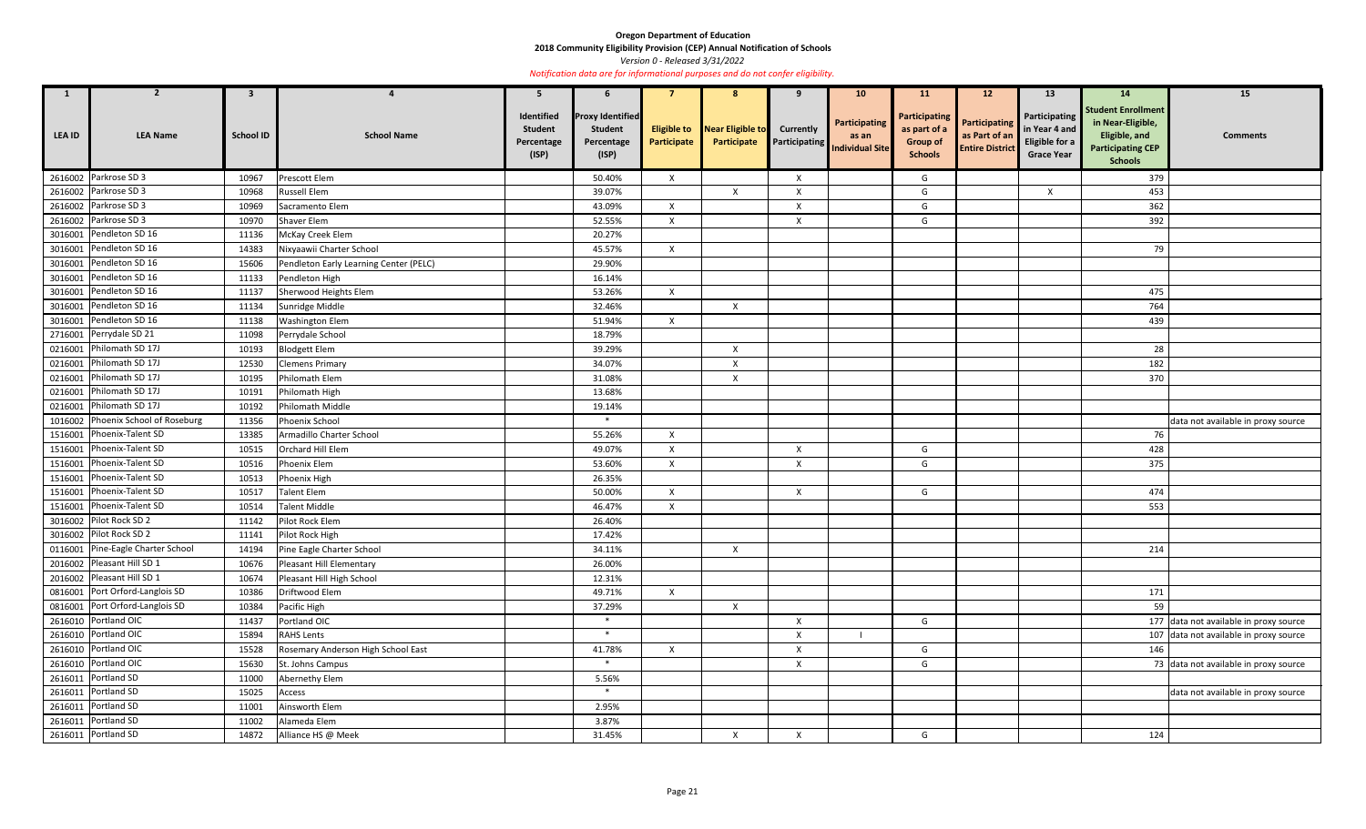**2018 Community Eligibility Provision (CEP) Annual Notification of Schools** 

*Version 0 - Released 3/31/2022* 

| $\mathbf{1}$  | $\overline{2}$                     | $\mathbf{3}$     |                                        | 5                                                   | 6                                                                |                           | -8                                                 | -9               | 10 <sup>°</sup>                                                | <b>11</b>                                                                 | 12 <sup>2</sup>                                                 | 13                                                                    | <b>14</b>                                                                                                     | 15                                     |
|---------------|------------------------------------|------------------|----------------------------------------|-----------------------------------------------------|------------------------------------------------------------------|---------------------------|----------------------------------------------------|------------------|----------------------------------------------------------------|---------------------------------------------------------------------------|-----------------------------------------------------------------|-----------------------------------------------------------------------|---------------------------------------------------------------------------------------------------------------|----------------------------------------|
| <b>LEA ID</b> | <b>LEA Name</b>                    | <b>School ID</b> | <b>School Name</b>                     | Identified<br><b>Student</b><br>Percentage<br>(ISP) | <b>Proxy Identified</b><br><b>Student</b><br>Percentage<br>(ISP) | Participate               | <b>Eligible to</b> Near Eligible to<br>Participate | <b>Currently</b> | Participating<br>as an<br><b>Participating Individual Site</b> | <b>Participating</b><br>as part of a<br><b>Group of</b><br><b>Schools</b> | <b>Participating</b><br>as Part of an<br><b>Entire District</b> | Participating<br>in Year 4 and<br>Eligible for a<br><b>Grace Year</b> | <b>Student Enrollment</b><br>in Near-Eligible,<br>Eligible, and<br><b>Participating CEP</b><br><b>Schools</b> | <b>Comments</b>                        |
|               | 2616002 Parkrose SD 3              | 10967            | Prescott Elem                          |                                                     | 50.40%                                                           | $\mathsf{X}$              |                                                    | X                |                                                                | G                                                                         |                                                                 |                                                                       | 379                                                                                                           |                                        |
|               | 2616002 Parkrose SD 3              | 10968            | <b>Russell Elem</b>                    |                                                     | 39.07%                                                           |                           | $\mathsf{X}$                                       | X                |                                                                | G                                                                         |                                                                 | $\mathsf{x}$                                                          | 453                                                                                                           |                                        |
|               | 2616002 Parkrose SD 3              | 10969            | Sacramento Elem                        |                                                     | 43.09%                                                           | $\mathsf{x}$              |                                                    | X                |                                                                | G                                                                         |                                                                 |                                                                       | 362                                                                                                           |                                        |
|               | 2616002 Parkrose SD 3              | 10970            | <b>Shaver Elem</b>                     |                                                     | 52.55%                                                           | $\mathsf{X}$              |                                                    | X                |                                                                | G                                                                         |                                                                 |                                                                       | 392                                                                                                           |                                        |
|               | 3016001 Pendleton SD 16            | 11136            | McKay Creek Elem                       |                                                     | 20.27%                                                           |                           |                                                    |                  |                                                                |                                                                           |                                                                 |                                                                       |                                                                                                               |                                        |
|               | 3016001 Pendleton SD 16            | 14383            | Nixyaawii Charter School               |                                                     | 45.57%                                                           | $\mathsf{X}$              |                                                    |                  |                                                                |                                                                           |                                                                 |                                                                       | 79                                                                                                            |                                        |
|               | 3016001 Pendleton SD 16            | 15606            | Pendleton Early Learning Center (PELC) |                                                     | 29.90%                                                           |                           |                                                    |                  |                                                                |                                                                           |                                                                 |                                                                       |                                                                                                               |                                        |
|               | 3016001 Pendleton SD 16            | 11133            | Pendleton High                         |                                                     | 16.14%                                                           |                           |                                                    |                  |                                                                |                                                                           |                                                                 |                                                                       |                                                                                                               |                                        |
| 3016001       | Pendleton SD 16                    | 11137            | Sherwood Heights Elem                  |                                                     | 53.26%                                                           | $\mathsf{X}$              |                                                    |                  |                                                                |                                                                           |                                                                 |                                                                       | 475                                                                                                           |                                        |
|               | 3016001 Pendleton SD 16            | 11134            | Sunridge Middle                        |                                                     | 32.46%                                                           |                           | $\mathsf{X}$                                       |                  |                                                                |                                                                           |                                                                 |                                                                       | 764                                                                                                           |                                        |
| 3016001       | Pendleton SD 16                    | 11138            | <b>Washington Elem</b>                 |                                                     | 51.94%                                                           | $\mathsf{X}$              |                                                    |                  |                                                                |                                                                           |                                                                 |                                                                       | 439                                                                                                           |                                        |
|               | 2716001 Perrydale SD 21            | 11098            | Perrydale School                       |                                                     | 18.79%                                                           |                           |                                                    |                  |                                                                |                                                                           |                                                                 |                                                                       |                                                                                                               |                                        |
|               | 0216001 Philomath SD 17J           | 10193            | <b>Blodgett Elem</b>                   |                                                     | 39.29%                                                           |                           | $\mathsf{X}$                                       |                  |                                                                |                                                                           |                                                                 |                                                                       | 28                                                                                                            |                                        |
|               | 0216001 Philomath SD 17J           | 12530            | <b>Clemens Primary</b>                 |                                                     | 34.07%                                                           |                           | $\mathsf{X}$                                       |                  |                                                                |                                                                           |                                                                 |                                                                       | 182                                                                                                           |                                        |
|               | 0216001 Philomath SD 17J           | 10195            | Philomath Elem                         |                                                     | 31.08%                                                           |                           | $\mathsf{X}$                                       |                  |                                                                |                                                                           |                                                                 |                                                                       | 370                                                                                                           |                                        |
|               | 0216001 Philomath SD 17J           | 10191            | Philomath High                         |                                                     | 13.68%                                                           |                           |                                                    |                  |                                                                |                                                                           |                                                                 |                                                                       |                                                                                                               |                                        |
|               | 0216001 Philomath SD 17J           | 10192            | Philomath Middle                       |                                                     | 19.14%                                                           |                           |                                                    |                  |                                                                |                                                                           |                                                                 |                                                                       |                                                                                                               |                                        |
|               | 1016002 Phoenix School of Roseburg | 11356            | Phoenix School                         |                                                     | $\ast$                                                           |                           |                                                    |                  |                                                                |                                                                           |                                                                 |                                                                       |                                                                                                               | data not available in proxy source     |
|               | 1516001 Phoenix-Talent SD          | 13385            | Armadillo Charter School               |                                                     | 55.26%                                                           | $\mathsf{X}$              |                                                    |                  |                                                                |                                                                           |                                                                 |                                                                       | 76                                                                                                            |                                        |
|               | 1516001 Phoenix-Talent SD          | 10515            | Orchard Hill Elem                      |                                                     | 49.07%                                                           | $\mathsf{X}$              |                                                    | $\mathsf{X}$     |                                                                | G                                                                         |                                                                 |                                                                       | 428                                                                                                           |                                        |
|               | 1516001 Phoenix-Talent SD          | 10516            | <b>Phoenix Elem</b>                    |                                                     | 53.60%                                                           | $\mathsf{X}$              |                                                    | X                |                                                                | G                                                                         |                                                                 |                                                                       | 375                                                                                                           |                                        |
|               | 1516001 Phoenix-Talent SD          | 10513            | Phoenix High                           |                                                     | 26.35%                                                           |                           |                                                    |                  |                                                                |                                                                           |                                                                 |                                                                       |                                                                                                               |                                        |
|               | 1516001 Phoenix-Talent SD          | 10517            | <b>Talent Elem</b>                     |                                                     | 50.00%                                                           | $\mathsf{X}$              |                                                    | $\mathsf{X}$     |                                                                | G                                                                         |                                                                 |                                                                       | 474                                                                                                           |                                        |
|               | 1516001 Phoenix-Talent SD          | 10514            | <b>Talent Middle</b>                   |                                                     | 46.47%                                                           | $\mathsf{X}$              |                                                    |                  |                                                                |                                                                           |                                                                 |                                                                       | 553                                                                                                           |                                        |
|               | 3016002 Pilot Rock SD 2            | 11142            | Pilot Rock Elem                        |                                                     | 26.40%                                                           |                           |                                                    |                  |                                                                |                                                                           |                                                                 |                                                                       |                                                                                                               |                                        |
|               | 3016002 Pilot Rock SD 2            | 11141            | Pilot Rock High                        |                                                     | 17.42%                                                           |                           |                                                    |                  |                                                                |                                                                           |                                                                 |                                                                       |                                                                                                               |                                        |
|               | 0116001 Pine-Eagle Charter School  | 14194            | Pine Eagle Charter School              |                                                     | 34.11%                                                           |                           | $\mathsf{X}$                                       |                  |                                                                |                                                                           |                                                                 |                                                                       | 214                                                                                                           |                                        |
|               | 2016002 Pleasant Hill SD 1         | 10676            | Pleasant Hill Elementary               |                                                     | 26.00%                                                           |                           |                                                    |                  |                                                                |                                                                           |                                                                 |                                                                       |                                                                                                               |                                        |
|               | 2016002 Pleasant Hill SD 1         | 10674            | Pleasant Hill High School              |                                                     | 12.31%                                                           |                           |                                                    |                  |                                                                |                                                                           |                                                                 |                                                                       |                                                                                                               |                                        |
|               | 0816001 Port Orford-Langlois SD    | 10386            | Driftwood Elem                         |                                                     | 49.71%                                                           | $\boldsymbol{\mathsf{X}}$ |                                                    |                  |                                                                |                                                                           |                                                                 |                                                                       | 171                                                                                                           |                                        |
|               | 0816001 Port Orford-Langlois SD    | 10384            | Pacific High                           |                                                     | 37.29%                                                           |                           | $\mathsf{X}$                                       |                  |                                                                |                                                                           |                                                                 |                                                                       | 59                                                                                                            |                                        |
|               | 2616010 Portland OIC               | 11437            | Portland OIC                           |                                                     | $\ast$                                                           |                           |                                                    | $\pmb{\times}$   |                                                                | G                                                                         |                                                                 |                                                                       |                                                                                                               | 177 data not available in proxy source |
|               | 2616010 Portland OIC               | 15894            | <b>RAHS Lents</b>                      |                                                     | $\ast$                                                           |                           |                                                    | $\mathsf{X}$     |                                                                |                                                                           |                                                                 |                                                                       |                                                                                                               | 107 data not available in proxy source |
|               | 2616010 Portland OIC               | 15528            | Rosemary Anderson High School East     |                                                     | 41.78%                                                           | $\mathsf{X}$              |                                                    | $\pmb{\times}$   |                                                                | G                                                                         |                                                                 |                                                                       | 146                                                                                                           |                                        |
|               | 2616010 Portland OIC               | 15630            | St. Johns Campus                       |                                                     | $\ast$                                                           |                           |                                                    | X                |                                                                | G                                                                         |                                                                 |                                                                       |                                                                                                               | 73 data not available in proxy source  |
|               | 2616011 Portland SD                | 11000            | Abernethy Elem                         |                                                     | 5.56%                                                            |                           |                                                    |                  |                                                                |                                                                           |                                                                 |                                                                       |                                                                                                               |                                        |
|               | 2616011 Portland SD                | 15025            | Access                                 |                                                     | $\ast$                                                           |                           |                                                    |                  |                                                                |                                                                           |                                                                 |                                                                       |                                                                                                               | data not available in proxy source     |
|               | 2616011 Portland SD                | 11001            | Ainsworth Elem                         |                                                     | 2.95%                                                            |                           |                                                    |                  |                                                                |                                                                           |                                                                 |                                                                       |                                                                                                               |                                        |
|               | 2616011 Portland SD                | 11002            | Alameda Elem                           |                                                     | 3.87%                                                            |                           |                                                    |                  |                                                                |                                                                           |                                                                 |                                                                       |                                                                                                               |                                        |
|               | 2616011 Portland SD                | 14872            | Alliance HS @ Meek                     |                                                     | 31.45%                                                           |                           | $\mathsf{X}$                                       | X                |                                                                | G                                                                         |                                                                 |                                                                       | 124                                                                                                           |                                        |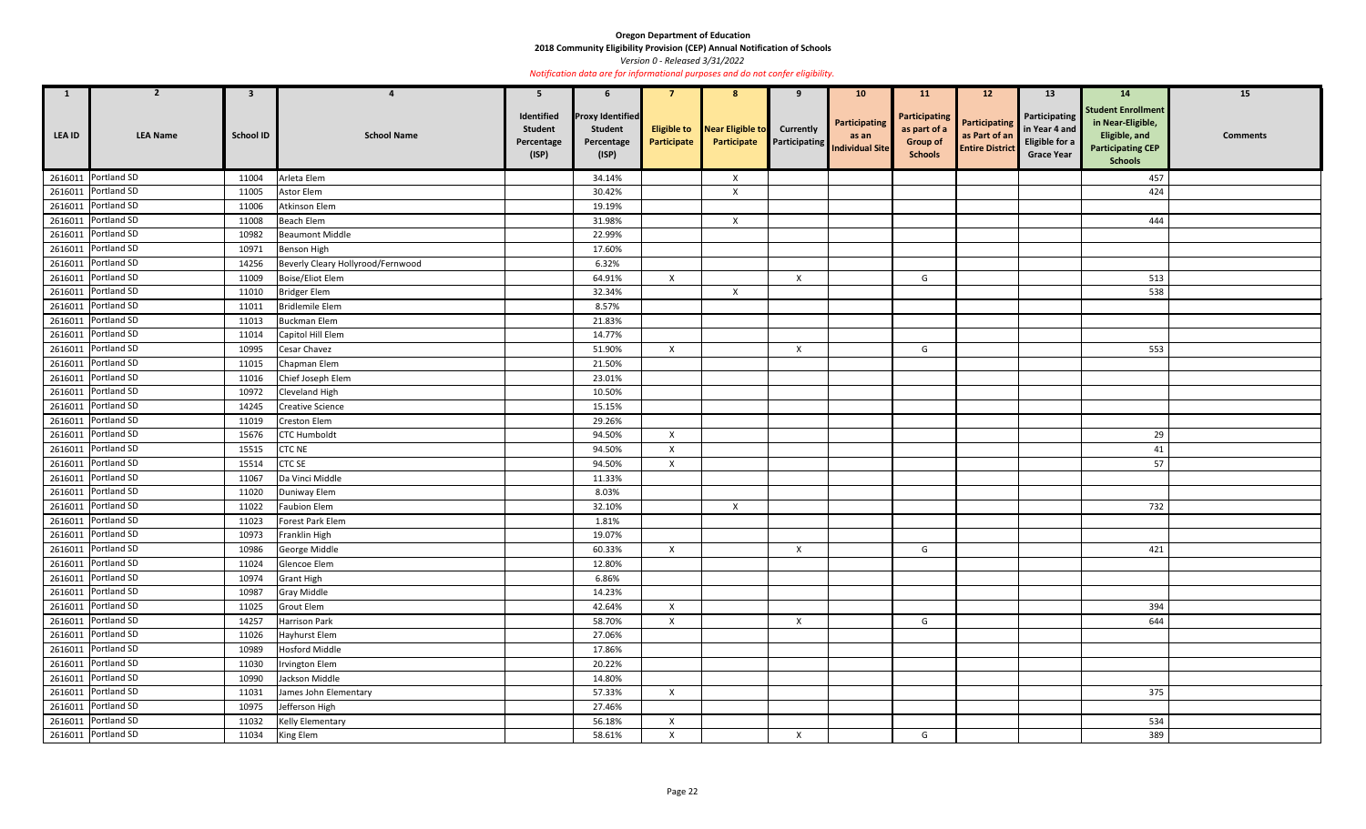**2018 Community Eligibility Provision (CEP) Annual Notification of Schools** 

*Version 0 - Released 3/31/2022* 

| $\overline{\mathbf{1}}$ | $\overline{2}$      | $\mathbf{3}$     | $\boldsymbol{4}$                  | 5                                                   | 6                                                                |                                   | 8                               | 9                                        | 10 <sub>1</sub>                                  | <b>11</b>                                                                 | 12 <sup>2</sup>                                                 | 13                                                                    | 14                                                                                                            | 15              |
|-------------------------|---------------------|------------------|-----------------------------------|-----------------------------------------------------|------------------------------------------------------------------|-----------------------------------|---------------------------------|------------------------------------------|--------------------------------------------------|---------------------------------------------------------------------------|-----------------------------------------------------------------|-----------------------------------------------------------------------|---------------------------------------------------------------------------------------------------------------|-----------------|
| LEA ID                  | <b>LEA Name</b>     | <b>School ID</b> | <b>School Name</b>                | Identified<br><b>Student</b><br>Percentage<br>(ISP) | <b>Proxy Identified</b><br><b>Student</b><br>Percentage<br>(ISP) | <b>Eligible to</b><br>Participate | Near Eligible to<br>Participate | <b>Currently</b><br><b>Participating</b> | Participating<br>as an<br><b>Individual Site</b> | <b>Participating</b><br>as part of a<br><b>Group of</b><br><b>Schools</b> | <b>Participating</b><br>as Part of an<br><b>Entire District</b> | Participating<br>in Year 4 and<br>Eligible for a<br><b>Grace Year</b> | <b>Student Enrollment</b><br>in Near-Eligible,<br>Eligible, and<br><b>Participating CEP</b><br><b>Schools</b> | <b>Comments</b> |
|                         | 2616011 Portland SD | 11004            | Arleta Elem                       |                                                     | 34.14%                                                           |                                   | $\boldsymbol{\mathsf{X}}$       |                                          |                                                  |                                                                           |                                                                 |                                                                       | 457                                                                                                           |                 |
|                         | 2616011 Portland SD | 11005            | Astor Elem                        |                                                     | 30.42%                                                           |                                   | $\boldsymbol{\mathsf{X}}$       |                                          |                                                  |                                                                           |                                                                 |                                                                       | 424                                                                                                           |                 |
|                         | 2616011 Portland SD | 11006            | Atkinson Elem                     |                                                     | 19.19%                                                           |                                   |                                 |                                          |                                                  |                                                                           |                                                                 |                                                                       |                                                                                                               |                 |
|                         | 2616011 Portland SD | 11008            | <b>Beach Elem</b>                 |                                                     | 31.98%                                                           |                                   | $\mathsf{X}$                    |                                          |                                                  |                                                                           |                                                                 |                                                                       | 444                                                                                                           |                 |
|                         | 2616011 Portland SD | 10982            | <b>Beaumont Middle</b>            |                                                     | 22.99%                                                           |                                   |                                 |                                          |                                                  |                                                                           |                                                                 |                                                                       |                                                                                                               |                 |
|                         | 2616011 Portland SD | 10971            | <b>Benson High</b>                |                                                     | 17.60%                                                           |                                   |                                 |                                          |                                                  |                                                                           |                                                                 |                                                                       |                                                                                                               |                 |
|                         | 2616011 Portland SD | 14256            | Beverly Cleary Hollyrood/Fernwood |                                                     | 6.32%                                                            |                                   |                                 |                                          |                                                  |                                                                           |                                                                 |                                                                       |                                                                                                               |                 |
|                         | 2616011 Portland SD | 11009            | Boise/Eliot Elem                  |                                                     | 64.91%                                                           | X                                 |                                 | X                                        |                                                  | G                                                                         |                                                                 |                                                                       | 513                                                                                                           |                 |
|                         | 2616011 Portland SD | 11010            | <b>Bridger Elem</b>               |                                                     | 32.34%                                                           |                                   | $\mathsf{X}$                    |                                          |                                                  |                                                                           |                                                                 |                                                                       | 538                                                                                                           |                 |
|                         | 2616011 Portland SD | 11011            | <b>Bridlemile Elem</b>            |                                                     | 8.57%                                                            |                                   |                                 |                                          |                                                  |                                                                           |                                                                 |                                                                       |                                                                                                               |                 |
|                         | 2616011 Portland SD | 11013            | <b>Buckman Elem</b>               |                                                     | 21.83%                                                           |                                   |                                 |                                          |                                                  |                                                                           |                                                                 |                                                                       |                                                                                                               |                 |
|                         | 2616011 Portland SD | 11014            | Capitol Hill Elem                 |                                                     | 14.77%                                                           |                                   |                                 |                                          |                                                  |                                                                           |                                                                 |                                                                       |                                                                                                               |                 |
|                         | 2616011 Portland SD | 10995            | Cesar Chavez                      |                                                     | 51.90%                                                           | $\mathsf{X}$                      |                                 | $\boldsymbol{\mathsf{X}}$                |                                                  | G                                                                         |                                                                 |                                                                       | 553                                                                                                           |                 |
|                         | 2616011 Portland SD | 11015            | Chapman Elem                      |                                                     | 21.50%                                                           |                                   |                                 |                                          |                                                  |                                                                           |                                                                 |                                                                       |                                                                                                               |                 |
|                         | 2616011 Portland SD | 11016            | Chief Joseph Elem                 |                                                     | 23.01%                                                           |                                   |                                 |                                          |                                                  |                                                                           |                                                                 |                                                                       |                                                                                                               |                 |
|                         | 2616011 Portland SD | 10972            | Cleveland High                    |                                                     | 10.50%                                                           |                                   |                                 |                                          |                                                  |                                                                           |                                                                 |                                                                       |                                                                                                               |                 |
|                         | 2616011 Portland SD | 14245            | <b>Creative Science</b>           |                                                     | 15.15%                                                           |                                   |                                 |                                          |                                                  |                                                                           |                                                                 |                                                                       |                                                                                                               |                 |
|                         | 2616011 Portland SD | 11019            | Creston Elem                      |                                                     | 29.26%                                                           |                                   |                                 |                                          |                                                  |                                                                           |                                                                 |                                                                       |                                                                                                               |                 |
|                         | 2616011 Portland SD | 15676            | <b>CTC Humboldt</b>               |                                                     | 94.50%                                                           | $\mathsf{X}$                      |                                 |                                          |                                                  |                                                                           |                                                                 |                                                                       | 29                                                                                                            |                 |
|                         | 2616011 Portland SD | 15515            | <b>CTC NE</b>                     |                                                     | 94.50%                                                           | $\mathsf{X}$                      |                                 |                                          |                                                  |                                                                           |                                                                 |                                                                       | 41                                                                                                            |                 |
|                         | 2616011 Portland SD | 15514            | <b>CTC SE</b>                     |                                                     | 94.50%                                                           | $\mathsf{X}$                      |                                 |                                          |                                                  |                                                                           |                                                                 |                                                                       | 57                                                                                                            |                 |
|                         | 2616011 Portland SD | 11067            | Da Vinci Middle                   |                                                     | 11.33%                                                           |                                   |                                 |                                          |                                                  |                                                                           |                                                                 |                                                                       |                                                                                                               |                 |
|                         | 2616011 Portland SD | 11020            | Duniway Elem                      |                                                     | 8.03%                                                            |                                   |                                 |                                          |                                                  |                                                                           |                                                                 |                                                                       |                                                                                                               |                 |
|                         | 2616011 Portland SD | 11022            | <b>Faubion Elem</b>               |                                                     | 32.10%                                                           |                                   | $\mathsf{X}$                    |                                          |                                                  |                                                                           |                                                                 |                                                                       | 732                                                                                                           |                 |
|                         | 2616011 Portland SD |                  | 11023 Forest Park Elem            |                                                     | 1.81%                                                            |                                   |                                 |                                          |                                                  |                                                                           |                                                                 |                                                                       |                                                                                                               |                 |
|                         | 2616011 Portland SD | 10973            | Franklin High                     |                                                     | 19.07%                                                           |                                   |                                 |                                          |                                                  |                                                                           |                                                                 |                                                                       |                                                                                                               |                 |
|                         | 2616011 Portland SD | 10986            | George Middle                     |                                                     | 60.33%                                                           | $\mathsf{X}$                      |                                 | $\boldsymbol{X}$                         |                                                  | G                                                                         |                                                                 |                                                                       | 421                                                                                                           |                 |
|                         | 2616011 Portland SD | 11024            | Glencoe Elem                      |                                                     | 12.80%                                                           |                                   |                                 |                                          |                                                  |                                                                           |                                                                 |                                                                       |                                                                                                               |                 |
|                         | 2616011 Portland SD | 10974            | <b>Grant High</b>                 |                                                     | 6.86%                                                            |                                   |                                 |                                          |                                                  |                                                                           |                                                                 |                                                                       |                                                                                                               |                 |
|                         | 2616011 Portland SD | 10987            | <b>Gray Middle</b>                |                                                     | 14.23%                                                           |                                   |                                 |                                          |                                                  |                                                                           |                                                                 |                                                                       |                                                                                                               |                 |
|                         | 2616011 Portland SD | 11025            | <b>Grout Elem</b>                 |                                                     | 42.64%                                                           | $\mathsf{X}$                      |                                 |                                          |                                                  |                                                                           |                                                                 |                                                                       | 394                                                                                                           |                 |
|                         | 2616011 Portland SD | 14257            | <b>Harrison Park</b>              |                                                     | 58.70%                                                           | $\mathsf{X}$                      |                                 | $\mathsf{X}$                             |                                                  | G                                                                         |                                                                 |                                                                       | 644                                                                                                           |                 |
|                         | 2616011 Portland SD | 11026            | Hayhurst Elem                     |                                                     | 27.06%                                                           |                                   |                                 |                                          |                                                  |                                                                           |                                                                 |                                                                       |                                                                                                               |                 |
|                         | 2616011 Portland SD | 10989            | <b>Hosford Middle</b>             |                                                     | 17.86%                                                           |                                   |                                 |                                          |                                                  |                                                                           |                                                                 |                                                                       |                                                                                                               |                 |
|                         | 2616011 Portland SD | 11030            | <b>Irvington Elem</b>             |                                                     | 20.22%                                                           |                                   |                                 |                                          |                                                  |                                                                           |                                                                 |                                                                       |                                                                                                               |                 |
|                         | 2616011 Portland SD | 10990            | Jackson Middle                    |                                                     | 14.80%                                                           |                                   |                                 |                                          |                                                  |                                                                           |                                                                 |                                                                       |                                                                                                               |                 |
|                         | 2616011 Portland SD | 11031            | James John Elementary             |                                                     | 57.33%                                                           | $\mathsf{X}$                      |                                 |                                          |                                                  |                                                                           |                                                                 |                                                                       | 375                                                                                                           |                 |
|                         | 2616011 Portland SD | 10975            | Jefferson High                    |                                                     | 27.46%                                                           |                                   |                                 |                                          |                                                  |                                                                           |                                                                 |                                                                       |                                                                                                               |                 |
|                         | 2616011 Portland SD | 11032            | <b>Kelly Elementary</b>           |                                                     | 56.18%                                                           | $\mathsf{X}$                      |                                 |                                          |                                                  |                                                                           |                                                                 |                                                                       | 534                                                                                                           |                 |
|                         | 2616011 Portland SD | 11034            | King Elem                         |                                                     | 58.61%                                                           | $\mathsf{X}$                      |                                 | X                                        |                                                  | G                                                                         |                                                                 |                                                                       | 389                                                                                                           |                 |
|                         |                     |                  |                                   |                                                     |                                                                  |                                   |                                 |                                          |                                                  |                                                                           |                                                                 |                                                                       |                                                                                                               |                 |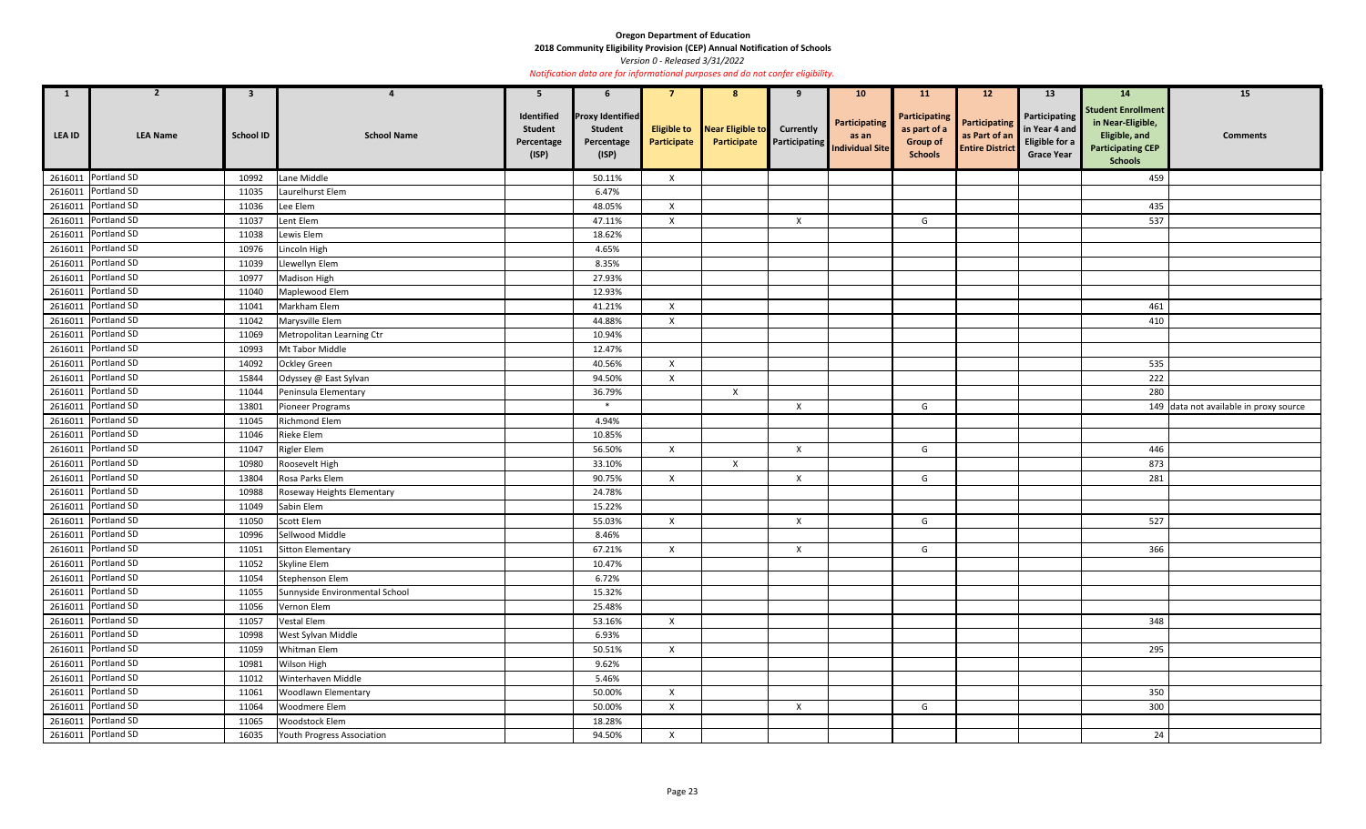**2018 Community Eligibility Provision (CEP) Annual Notification of Schools** 

*Version 0 - Released 3/31/2022* 

| $\mathbf{1}$  | $\overline{2}$      | $\mathbf{3}$     |                                | 5                                                   | 6                                                                |                                   | 8                               | 9                                        | 10 <sub>1</sub>                                  | <b>11</b>                                                                 | 12                                                              | 13                                                                    | <b>14</b>                                                                                                     | 15                                     |
|---------------|---------------------|------------------|--------------------------------|-----------------------------------------------------|------------------------------------------------------------------|-----------------------------------|---------------------------------|------------------------------------------|--------------------------------------------------|---------------------------------------------------------------------------|-----------------------------------------------------------------|-----------------------------------------------------------------------|---------------------------------------------------------------------------------------------------------------|----------------------------------------|
| <b>LEA ID</b> | <b>LEA Name</b>     | <b>School ID</b> | <b>School Name</b>             | Identified<br><b>Student</b><br>Percentage<br>(ISP) | <b>Proxy Identified</b><br><b>Student</b><br>Percentage<br>(ISP) | <b>Eligible to</b><br>Participate | Near Eligible to<br>Participate | <b>Currently</b><br><b>Participating</b> | Participating<br>as an<br><b>Individual Site</b> | <b>Participating</b><br>as part of a<br><b>Group of</b><br><b>Schools</b> | <b>Participating</b><br>as Part of an<br><b>Entire District</b> | Participating<br>in Year 4 and<br>Eligible for a<br><b>Grace Year</b> | <b>Student Enrollment</b><br>in Near-Eligible,<br>Eligible, and<br><b>Participating CEP</b><br><b>Schools</b> | <b>Comments</b>                        |
|               | 2616011 Portland SD | 10992            | Lane Middle                    |                                                     | 50.11%                                                           | $\mathsf{X}$                      |                                 |                                          |                                                  |                                                                           |                                                                 |                                                                       | 459                                                                                                           |                                        |
|               | 2616011 Portland SD | 11035            | Laurelhurst Elem               |                                                     | 6.47%                                                            |                                   |                                 |                                          |                                                  |                                                                           |                                                                 |                                                                       |                                                                                                               |                                        |
|               | 2616011 Portland SD | 11036            | Lee Elem                       |                                                     | 48.05%                                                           | $\mathsf{X}$                      |                                 |                                          |                                                  |                                                                           |                                                                 |                                                                       | 435                                                                                                           |                                        |
|               | 2616011 Portland SD | 11037            | Lent Elem                      |                                                     | 47.11%                                                           | $\mathsf{X}$                      |                                 | $\mathsf{X}$                             |                                                  | G                                                                         |                                                                 |                                                                       | 537                                                                                                           |                                        |
|               | 2616011 Portland SD | 11038            | Lewis Elem                     |                                                     | 18.62%                                                           |                                   |                                 |                                          |                                                  |                                                                           |                                                                 |                                                                       |                                                                                                               |                                        |
|               | 2616011 Portland SD | 10976            | Lincoln High                   |                                                     | 4.65%                                                            |                                   |                                 |                                          |                                                  |                                                                           |                                                                 |                                                                       |                                                                                                               |                                        |
|               | 2616011 Portland SD | 11039            | Llewellyn Elem                 |                                                     | 8.35%                                                            |                                   |                                 |                                          |                                                  |                                                                           |                                                                 |                                                                       |                                                                                                               |                                        |
|               | 2616011 Portland SD | 10977            | Madison High                   |                                                     | 27.93%                                                           |                                   |                                 |                                          |                                                  |                                                                           |                                                                 |                                                                       |                                                                                                               |                                        |
|               | 2616011 Portland SD | 11040            | Maplewood Elem                 |                                                     | 12.93%                                                           |                                   |                                 |                                          |                                                  |                                                                           |                                                                 |                                                                       |                                                                                                               |                                        |
|               | 2616011 Portland SD | 11041            | Markham Elem                   |                                                     | 41.21%                                                           | $\mathsf{X}$                      |                                 |                                          |                                                  |                                                                           |                                                                 |                                                                       | 461                                                                                                           |                                        |
| 2616011       | Portland SD         | 11042            | Marysville Elem                |                                                     | 44.88%                                                           | $\mathsf{X}$                      |                                 |                                          |                                                  |                                                                           |                                                                 |                                                                       | 410                                                                                                           |                                        |
|               | 2616011 Portland SD | 11069            | Metropolitan Learning Ctr      |                                                     | 10.94%                                                           |                                   |                                 |                                          |                                                  |                                                                           |                                                                 |                                                                       |                                                                                                               |                                        |
|               | 2616011 Portland SD | 10993            | Mt Tabor Middle                |                                                     | 12.47%                                                           |                                   |                                 |                                          |                                                  |                                                                           |                                                                 |                                                                       |                                                                                                               |                                        |
|               | 2616011 Portland SD | 14092            | <b>Ockley Green</b>            |                                                     | 40.56%                                                           | $\mathsf{X}$                      |                                 |                                          |                                                  |                                                                           |                                                                 |                                                                       | 535                                                                                                           |                                        |
|               | 2616011 Portland SD | 15844            | Odyssey @ East Sylvan          |                                                     | 94.50%                                                           | $\mathsf{X}$                      |                                 |                                          |                                                  |                                                                           |                                                                 |                                                                       | 222                                                                                                           |                                        |
|               | 2616011 Portland SD | 11044            | Peninsula Elementary           |                                                     | 36.79%                                                           |                                   | $\mathsf{X}$                    |                                          |                                                  |                                                                           |                                                                 |                                                                       | 280                                                                                                           |                                        |
|               | 2616011 Portland SD | 13801            | Pioneer Programs               |                                                     | $\ast$                                                           |                                   |                                 | X                                        |                                                  | G                                                                         |                                                                 |                                                                       |                                                                                                               | 149 data not available in proxy source |
|               | 2616011 Portland SD | 11045            | Richmond Elem                  |                                                     | 4.94%                                                            |                                   |                                 |                                          |                                                  |                                                                           |                                                                 |                                                                       |                                                                                                               |                                        |
|               | 2616011 Portland SD | 11046            | Rieke Elem                     |                                                     | 10.85%                                                           |                                   |                                 |                                          |                                                  |                                                                           |                                                                 |                                                                       |                                                                                                               |                                        |
| 2616011       | Portland SD         | 11047            | Rigler Elem                    |                                                     | 56.50%                                                           | $\mathsf{X}$                      |                                 | $\mathsf{X}$                             |                                                  | G                                                                         |                                                                 |                                                                       | 446                                                                                                           |                                        |
|               | 2616011 Portland SD | 10980            | Roosevelt High                 |                                                     | 33.10%                                                           |                                   | $\boldsymbol{X}$                |                                          |                                                  |                                                                           |                                                                 |                                                                       | 873                                                                                                           |                                        |
|               | 2616011 Portland SD | 13804            | Rosa Parks Elem                |                                                     | 90.75%                                                           | $\mathsf{X}$                      |                                 | $\boldsymbol{\mathsf{X}}$                |                                                  | G                                                                         |                                                                 |                                                                       | 281                                                                                                           |                                        |
|               | 2616011 Portland SD | 10988            | Roseway Heights Elementary     |                                                     | 24.78%                                                           |                                   |                                 |                                          |                                                  |                                                                           |                                                                 |                                                                       |                                                                                                               |                                        |
|               | 2616011 Portland SD | 11049            | Sabin Elem                     |                                                     | 15.22%                                                           |                                   |                                 |                                          |                                                  |                                                                           |                                                                 |                                                                       |                                                                                                               |                                        |
|               | 2616011 Portland SD | 11050            | <b>Scott Elem</b>              |                                                     | 55.03%                                                           | $\mathsf{X}$                      |                                 | $\mathsf{X}$                             |                                                  | G                                                                         |                                                                 |                                                                       | 527                                                                                                           |                                        |
|               | 2616011 Portland SD | 10996            | Sellwood Middle                |                                                     | 8.46%                                                            |                                   |                                 |                                          |                                                  |                                                                           |                                                                 |                                                                       |                                                                                                               |                                        |
|               | 2616011 Portland SD | 11051            | <b>Sitton Elementary</b>       |                                                     | 67.21%                                                           | $\mathsf{X}$                      |                                 | $\boldsymbol{X}$                         |                                                  | G                                                                         |                                                                 |                                                                       | 366                                                                                                           |                                        |
|               | 2616011 Portland SD | 11052            | Skyline Elem                   |                                                     | 10.47%                                                           |                                   |                                 |                                          |                                                  |                                                                           |                                                                 |                                                                       |                                                                                                               |                                        |
|               | 2616011 Portland SD | 11054            | Stephenson Elem                |                                                     | 6.72%                                                            |                                   |                                 |                                          |                                                  |                                                                           |                                                                 |                                                                       |                                                                                                               |                                        |
|               | 2616011 Portland SD | 11055            | Sunnyside Environmental School |                                                     | 15.32%                                                           |                                   |                                 |                                          |                                                  |                                                                           |                                                                 |                                                                       |                                                                                                               |                                        |
|               | 2616011 Portland SD | 11056            | Vernon Elem                    |                                                     | 25.48%                                                           |                                   |                                 |                                          |                                                  |                                                                           |                                                                 |                                                                       |                                                                                                               |                                        |
|               | 2616011 Portland SD | 11057            | <b>Vestal Elem</b>             |                                                     | 53.16%                                                           | $\mathsf{X}$                      |                                 |                                          |                                                  |                                                                           |                                                                 |                                                                       | 348                                                                                                           |                                        |
|               | 2616011 Portland SD | 10998            | West Sylvan Middle             |                                                     | 6.93%                                                            |                                   |                                 |                                          |                                                  |                                                                           |                                                                 |                                                                       |                                                                                                               |                                        |
|               | 2616011 Portland SD | 11059            | Whitman Elem                   |                                                     | 50.51%                                                           | $\boldsymbol{\mathsf{X}}$         |                                 |                                          |                                                  |                                                                           |                                                                 |                                                                       | 295                                                                                                           |                                        |
|               | 2616011 Portland SD | 10981            | Wilson High                    |                                                     | 9.62%                                                            |                                   |                                 |                                          |                                                  |                                                                           |                                                                 |                                                                       |                                                                                                               |                                        |
|               | 2616011 Portland SD | 11012            | Winterhaven Middle             |                                                     | 5.46%                                                            |                                   |                                 |                                          |                                                  |                                                                           |                                                                 |                                                                       |                                                                                                               |                                        |
|               | 2616011 Portland SD | 11061            | Woodlawn Elementary            |                                                     | 50.00%                                                           | $\boldsymbol{\mathsf{X}}$         |                                 |                                          |                                                  |                                                                           |                                                                 |                                                                       | 350                                                                                                           |                                        |
|               | 2616011 Portland SD | 11064            | Woodmere Elem                  |                                                     | 50.00%                                                           | $\boldsymbol{\mathsf{X}}$         |                                 | $\mathsf{X}$                             |                                                  | G                                                                         |                                                                 |                                                                       | 300                                                                                                           |                                        |
|               | 2616011 Portland SD | 11065            | Woodstock Elem                 |                                                     | 18.28%                                                           |                                   |                                 |                                          |                                                  |                                                                           |                                                                 |                                                                       |                                                                                                               |                                        |
|               | 2616011 Portland SD | 16035            | Youth Progress Association     |                                                     | 94.50%                                                           | $\mathsf{X}$                      |                                 |                                          |                                                  |                                                                           |                                                                 |                                                                       | 24                                                                                                            |                                        |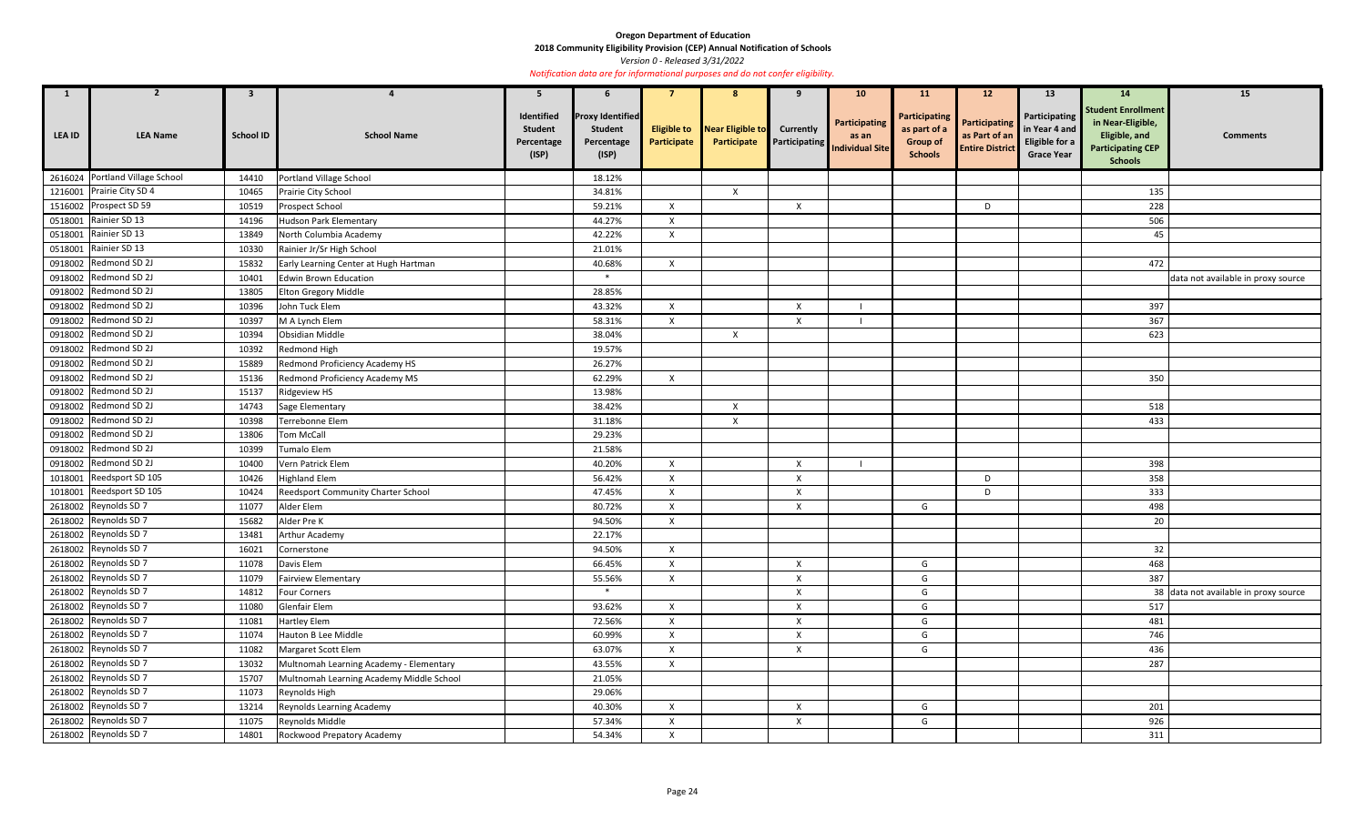**2018 Community Eligibility Provision (CEP) Annual Notification of Schools** 

*Version 0 - Released 3/31/2022* 

| $\mathbf{1}$  | <b>2</b>                                                                                                                                                                                                                      | $\mathbf{3}$                              |                                                                                                                                                                                                                          | 5                                                   | 6                                                                |                                   | 8                               | 9                                        | 10 <sub>1</sub>                                         | <b>11</b>                                                                 | 12 <sup>2</sup>                                                 | 13                                                                    | <b>14</b>                                                                                                            | 15                                    |
|---------------|-------------------------------------------------------------------------------------------------------------------------------------------------------------------------------------------------------------------------------|-------------------------------------------|--------------------------------------------------------------------------------------------------------------------------------------------------------------------------------------------------------------------------|-----------------------------------------------------|------------------------------------------------------------------|-----------------------------------|---------------------------------|------------------------------------------|---------------------------------------------------------|---------------------------------------------------------------------------|-----------------------------------------------------------------|-----------------------------------------------------------------------|----------------------------------------------------------------------------------------------------------------------|---------------------------------------|
| <b>LEA ID</b> | <b>LEA Name</b>                                                                                                                                                                                                               | <b>School ID</b>                          | <b>School Name</b>                                                                                                                                                                                                       | Identified<br><b>Student</b><br>Percentage<br>(ISP) | <b>Proxy Identified</b><br><b>Student</b><br>Percentage<br>(ISP) | <b>Eligible to</b><br>Participate | Near Eligible to<br>Participate | <b>Currently</b><br><b>Participating</b> | <b>Participating</b><br>as an<br><b>Individual Site</b> | <b>Participating</b><br>as part of a<br><b>Group of</b><br><b>Schools</b> | <b>Participating</b><br>as Part of an<br><b>Entire District</b> | Participating<br>in Year 4 and<br>Eligible for a<br><b>Grace Year</b> | <b>Student Enrollment</b><br>in Near-Eligible,<br><b>Eligible, and</b><br><b>Participating CEP</b><br><b>Schools</b> | <b>Comments</b>                       |
|               | 2616024 Portland Village School                                                                                                                                                                                               | 14410                                     | Portland Village School                                                                                                                                                                                                  |                                                     | 18.12%                                                           |                                   |                                 |                                          |                                                         |                                                                           |                                                                 |                                                                       |                                                                                                                      |                                       |
|               | 1216001 Prairie City SD 4                                                                                                                                                                                                     | 10465                                     | Prairie City School                                                                                                                                                                                                      |                                                     | 34.81%                                                           |                                   | $\mathsf{X}$                    |                                          |                                                         |                                                                           |                                                                 |                                                                       | 135                                                                                                                  |                                       |
|               | 1516002 Prospect SD 59                                                                                                                                                                                                        | 10519                                     | Prospect School                                                                                                                                                                                                          |                                                     | 59.21%                                                           | $\boldsymbol{\mathsf{x}}$         |                                 | $\boldsymbol{\mathsf{X}}$                |                                                         |                                                                           | D                                                               |                                                                       | 228                                                                                                                  |                                       |
|               | 0518001 Rainier SD 13                                                                                                                                                                                                         | 14196                                     | <b>Hudson Park Elementary</b>                                                                                                                                                                                            |                                                     | 44.27%                                                           | $\boldsymbol{\mathsf{x}}$         |                                 |                                          |                                                         |                                                                           |                                                                 |                                                                       | 506                                                                                                                  |                                       |
|               | 0518001 Rainier SD 13                                                                                                                                                                                                         | 13849                                     | North Columbia Academy                                                                                                                                                                                                   |                                                     | 42.22%                                                           | $\mathsf{X}$                      |                                 |                                          |                                                         |                                                                           |                                                                 |                                                                       | 45                                                                                                                   |                                       |
|               | 0518001 Rainier SD 13                                                                                                                                                                                                         | 10330                                     | Rainier Jr/Sr High School                                                                                                                                                                                                |                                                     | 21.01%                                                           |                                   |                                 |                                          |                                                         |                                                                           |                                                                 |                                                                       |                                                                                                                      |                                       |
|               | 0918002 Redmond SD 2J                                                                                                                                                                                                         | 15832                                     | Early Learning Center at Hugh Hartman                                                                                                                                                                                    |                                                     | 40.68%                                                           | $\mathsf{x}$                      |                                 |                                          |                                                         |                                                                           |                                                                 |                                                                       | 472                                                                                                                  |                                       |
|               | 0918002 Redmond SD 2J                                                                                                                                                                                                         | 10401                                     | <b>Edwin Brown Education</b>                                                                                                                                                                                             |                                                     | $\ast$                                                           |                                   |                                 |                                          |                                                         |                                                                           |                                                                 |                                                                       |                                                                                                                      | data not available in proxy source    |
|               | 0918002 Redmond SD 2J                                                                                                                                                                                                         | 13805                                     | Elton Gregory Middle                                                                                                                                                                                                     |                                                     | 28.85%                                                           |                                   |                                 |                                          |                                                         |                                                                           |                                                                 |                                                                       |                                                                                                                      |                                       |
|               | 0918002 Redmond SD 2J                                                                                                                                                                                                         | 10396                                     | John Tuck Elem                                                                                                                                                                                                           |                                                     | 43.32%                                                           | X                                 |                                 | X                                        |                                                         |                                                                           |                                                                 |                                                                       | 397                                                                                                                  |                                       |
|               | 0918002 Redmond SD 2J                                                                                                                                                                                                         | 10397                                     | M A Lynch Elem                                                                                                                                                                                                           |                                                     | 58.31%                                                           | $\boldsymbol{\mathsf{X}}$         |                                 | X                                        |                                                         |                                                                           |                                                                 |                                                                       | 367                                                                                                                  |                                       |
|               | 0918002 Redmond SD 2J                                                                                                                                                                                                         | 10394                                     | Obsidian Middle                                                                                                                                                                                                          |                                                     | 38.04%                                                           |                                   | $\boldsymbol{\mathsf{X}}$       |                                          |                                                         |                                                                           |                                                                 |                                                                       | 623                                                                                                                  |                                       |
|               | 0918002 Redmond SD 2J                                                                                                                                                                                                         | 10392                                     | Redmond High                                                                                                                                                                                                             |                                                     | 19.57%                                                           |                                   |                                 |                                          |                                                         |                                                                           |                                                                 |                                                                       |                                                                                                                      |                                       |
|               | 0918002 Redmond SD 2J                                                                                                                                                                                                         | 15889                                     | Redmond Proficiency Academy HS                                                                                                                                                                                           |                                                     | 26.27%                                                           |                                   |                                 |                                          |                                                         |                                                                           |                                                                 |                                                                       |                                                                                                                      |                                       |
|               | 0918002 Redmond SD 2J                                                                                                                                                                                                         | 15136                                     | Redmond Proficiency Academy MS                                                                                                                                                                                           |                                                     | 62.29%                                                           | $\mathsf{X}$                      |                                 |                                          |                                                         |                                                                           |                                                                 |                                                                       | 350                                                                                                                  |                                       |
|               | 0918002 Redmond SD 2J                                                                                                                                                                                                         | 15137                                     | Ridgeview HS                                                                                                                                                                                                             |                                                     | 13.98%                                                           |                                   |                                 |                                          |                                                         |                                                                           |                                                                 |                                                                       |                                                                                                                      |                                       |
|               | 0918002 Redmond SD 2J                                                                                                                                                                                                         | 14743                                     | Sage Elementary                                                                                                                                                                                                          |                                                     | 38.42%                                                           |                                   | X                               |                                          |                                                         |                                                                           |                                                                 |                                                                       | 518                                                                                                                  |                                       |
|               | 0918002 Redmond SD 2J                                                                                                                                                                                                         | 10398                                     | Terrebonne Elem                                                                                                                                                                                                          |                                                     | 31.18%                                                           |                                   | $\boldsymbol{\mathsf{X}}$       |                                          |                                                         |                                                                           |                                                                 |                                                                       | 433                                                                                                                  |                                       |
|               | 0918002 Redmond SD 2J                                                                                                                                                                                                         | 13806                                     | Tom McCall                                                                                                                                                                                                               |                                                     | 29.23%                                                           |                                   |                                 |                                          |                                                         |                                                                           |                                                                 |                                                                       |                                                                                                                      |                                       |
|               | 0918002 Redmond SD 2J                                                                                                                                                                                                         | 10399                                     | Tumalo Elem                                                                                                                                                                                                              |                                                     | 21.58%                                                           |                                   |                                 |                                          |                                                         |                                                                           |                                                                 |                                                                       |                                                                                                                      |                                       |
|               | 0918002 Redmond SD 2J                                                                                                                                                                                                         | 10400                                     | Vern Patrick Elem                                                                                                                                                                                                        |                                                     | 40.20%                                                           | $\mathsf{x}$                      |                                 | X                                        |                                                         |                                                                           |                                                                 |                                                                       | 398                                                                                                                  |                                       |
| 1018001       | Reedsport SD 105                                                                                                                                                                                                              | 10426                                     | <b>Highland Elem</b>                                                                                                                                                                                                     |                                                     | 56.42%                                                           | $\boldsymbol{\mathsf{x}}$         |                                 | X                                        |                                                         |                                                                           | D                                                               |                                                                       | 358                                                                                                                  |                                       |
|               | 1018001 Reedsport SD 105                                                                                                                                                                                                      | 10424                                     | <b>Reedsport Community Charter School</b>                                                                                                                                                                                |                                                     | 47.45%                                                           | $\times$                          |                                 | X                                        |                                                         |                                                                           | D                                                               |                                                                       | 333                                                                                                                  |                                       |
|               | 2618002 Reynolds SD 7                                                                                                                                                                                                         | 11077                                     | Alder Elem                                                                                                                                                                                                               |                                                     | 80.72%                                                           | X                                 |                                 | X                                        |                                                         | G                                                                         |                                                                 |                                                                       | 498                                                                                                                  |                                       |
|               |                                                                                                                                                                                                                               | 15682                                     |                                                                                                                                                                                                                          |                                                     | 94.50%                                                           | $\mathsf{X}$                      |                                 |                                          |                                                         |                                                                           |                                                                 |                                                                       |                                                                                                                      |                                       |
|               | 2618002 Reynolds SD 7                                                                                                                                                                                                         | 13481                                     | <b>Arthur Academy</b>                                                                                                                                                                                                    |                                                     | 22.17%                                                           |                                   |                                 |                                          |                                                         |                                                                           |                                                                 |                                                                       |                                                                                                                      |                                       |
|               | 2618002 Reynolds SD 7                                                                                                                                                                                                         | 16021                                     | Cornerstone                                                                                                                                                                                                              |                                                     | 94.50%                                                           | $\mathsf{X}$                      |                                 |                                          |                                                         |                                                                           |                                                                 |                                                                       | 32                                                                                                                   |                                       |
|               | 2618002 Reynolds SD 7                                                                                                                                                                                                         | 11078                                     | Davis Elem                                                                                                                                                                                                               |                                                     | 66.45%                                                           | $\boldsymbol{\mathsf{x}}$         |                                 | $\pmb{\times}$                           |                                                         | G                                                                         |                                                                 |                                                                       | 468                                                                                                                  |                                       |
|               | 2618002 Reynolds SD 7                                                                                                                                                                                                         | 11079                                     | <b>Fairview Elementary</b>                                                                                                                                                                                               |                                                     | 55.56%                                                           | $\mathsf{X}$                      |                                 | $\boldsymbol{\mathsf{X}}$                |                                                         | G                                                                         |                                                                 |                                                                       | 387                                                                                                                  |                                       |
|               | 2618002 Reynolds SD 7                                                                                                                                                                                                         | 14812                                     | <b>Four Corners</b>                                                                                                                                                                                                      |                                                     | $\ast$                                                           |                                   |                                 | $\boldsymbol{X}$                         |                                                         | G                                                                         |                                                                 |                                                                       |                                                                                                                      | 38 data not available in proxy source |
|               |                                                                                                                                                                                                                               | 11080                                     | Glenfair Elem                                                                                                                                                                                                            |                                                     | 93.62%                                                           | $\mathsf{X}$                      |                                 | $\boldsymbol{\mathsf{X}}$                |                                                         | G                                                                         |                                                                 |                                                                       | 517                                                                                                                  |                                       |
|               |                                                                                                                                                                                                                               | 11081                                     |                                                                                                                                                                                                                          |                                                     | 72.56%                                                           | $\boldsymbol{\mathsf{x}}$         |                                 | $\pmb{\times}$                           |                                                         | G                                                                         |                                                                 |                                                                       | 481                                                                                                                  |                                       |
|               | 2618002 Reynolds SD 7                                                                                                                                                                                                         | 11074                                     | Hauton B Lee Middle                                                                                                                                                                                                      |                                                     | 60.99%                                                           | $\mathsf{X}$                      |                                 | $\mathsf{X}$                             |                                                         | G                                                                         |                                                                 |                                                                       | 746                                                                                                                  |                                       |
|               | 2618002 Reynolds SD 7                                                                                                                                                                                                         | 11082                                     | Margaret Scott Elem                                                                                                                                                                                                      |                                                     | 63.07%                                                           | X                                 |                                 | $\pmb{\times}$                           |                                                         | G                                                                         |                                                                 |                                                                       | 436                                                                                                                  |                                       |
|               |                                                                                                                                                                                                                               | 13032                                     |                                                                                                                                                                                                                          |                                                     | 43.55%                                                           | X                                 |                                 |                                          |                                                         |                                                                           |                                                                 |                                                                       | 287                                                                                                                  |                                       |
|               |                                                                                                                                                                                                                               |                                           |                                                                                                                                                                                                                          |                                                     |                                                                  |                                   |                                 |                                          |                                                         |                                                                           |                                                                 |                                                                       |                                                                                                                      |                                       |
|               |                                                                                                                                                                                                                               |                                           |                                                                                                                                                                                                                          |                                                     |                                                                  |                                   |                                 |                                          |                                                         |                                                                           |                                                                 |                                                                       |                                                                                                                      |                                       |
|               |                                                                                                                                                                                                                               |                                           |                                                                                                                                                                                                                          |                                                     |                                                                  | $\mathsf{X}$                      |                                 |                                          |                                                         |                                                                           |                                                                 |                                                                       |                                                                                                                      |                                       |
|               |                                                                                                                                                                                                                               |                                           |                                                                                                                                                                                                                          |                                                     |                                                                  | X                                 |                                 |                                          |                                                         |                                                                           |                                                                 |                                                                       |                                                                                                                      |                                       |
|               |                                                                                                                                                                                                                               |                                           |                                                                                                                                                                                                                          |                                                     |                                                                  | $\boldsymbol{\mathsf{x}}$         |                                 |                                          |                                                         |                                                                           |                                                                 |                                                                       |                                                                                                                      |                                       |
|               | 2618002 Reynolds SD 7<br>2618002 Reynolds SD 7<br>2618002 Reynolds SD 7<br>2618002 Reynolds SD 7<br>2618002 Reynolds SD 7<br>2618002 Reynolds SD 7<br>2618002 Reynolds SD 7<br>2618002 Reynolds SD 7<br>2618002 Reynolds SD 7 | 15707<br>11073<br>13214<br>11075<br>14801 | Alder Pre K<br><b>Hartley Elem</b><br>Multnomah Learning Academy - Elementary<br>Multnomah Learning Academy Middle School<br>Reynolds High<br>Reynolds Learning Academy<br>Reynolds Middle<br>Rockwood Prepatory Academy |                                                     | 21.05%<br>29.06%<br>40.30%<br>57.34%<br>54.34%                   |                                   |                                 | $\boldsymbol{X}$<br>$\mathsf{X}$         |                                                         | G<br>G                                                                    |                                                                 |                                                                       | $20\,$<br>201<br>926<br>311                                                                                          |                                       |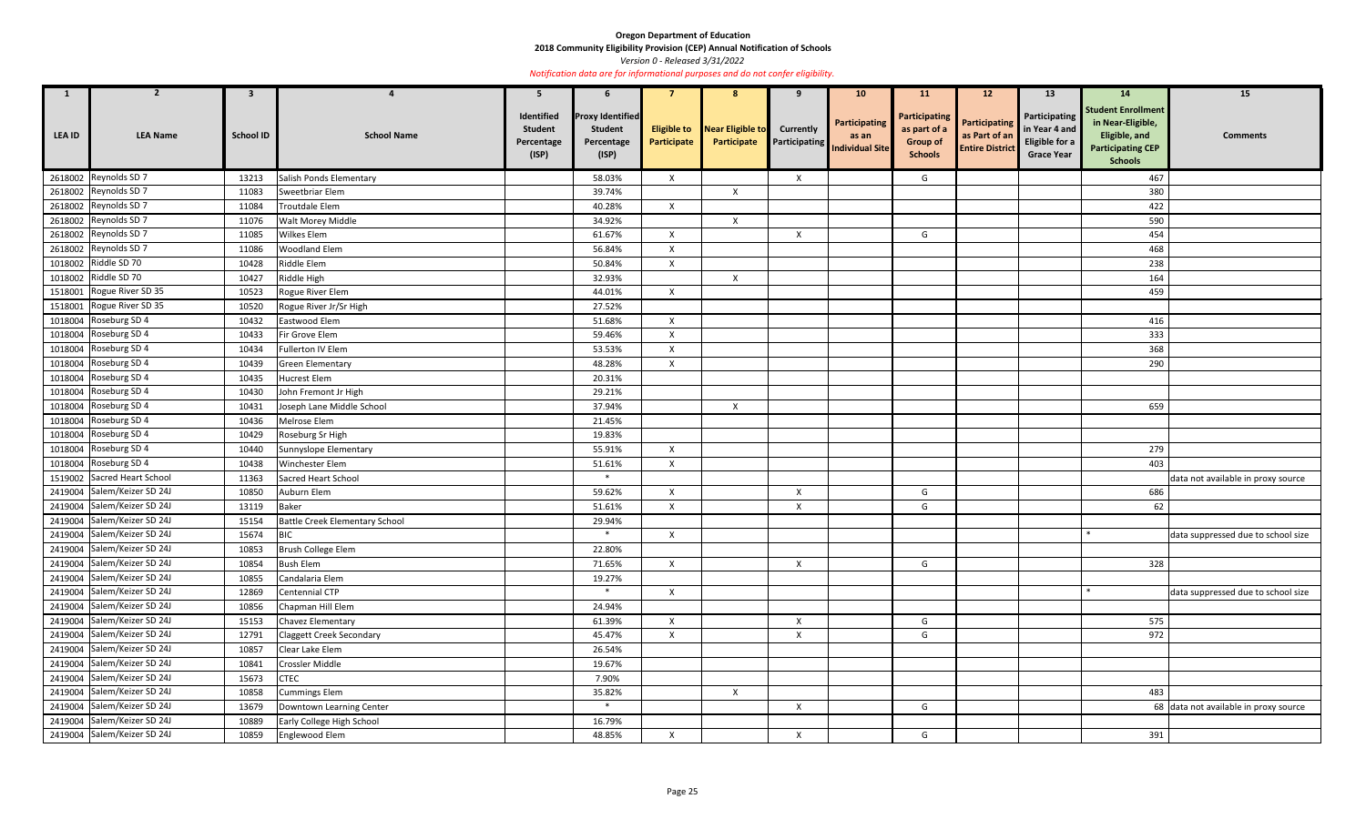**2018 Community Eligibility Provision (CEP) Annual Notification of Schools** 

*Version 0 - Released 3/31/2022* 

| $\mathbf{1}$  | $\overline{2}$              | $\mathbf{3}$     |                                 | 5                                                   | 6                                                                |              | 8                                                  | 9                                        | 10 <sub>1</sub>                                  | <b>11</b>                                                                 | 12 <sup>2</sup>                                                 | <b>13</b>                                                                    | 14                                                                                                            | 15                                    |
|---------------|-----------------------------|------------------|---------------------------------|-----------------------------------------------------|------------------------------------------------------------------|--------------|----------------------------------------------------|------------------------------------------|--------------------------------------------------|---------------------------------------------------------------------------|-----------------------------------------------------------------|------------------------------------------------------------------------------|---------------------------------------------------------------------------------------------------------------|---------------------------------------|
| <b>LEA ID</b> | <b>LEA Name</b>             | <b>School ID</b> | <b>School Name</b>              | Identified<br><b>Student</b><br>Percentage<br>(ISP) | <b>Proxy Identified</b><br><b>Student</b><br>Percentage<br>(ISP) | Participate  | <b>Eligible to</b> Near Eligible to<br>Participate | <b>Currently</b><br><b>Participating</b> | Participating<br>as an<br><b>Individual Site</b> | <b>Participating</b><br>as part of a<br><b>Group of</b><br><b>Schools</b> | <b>Participating</b><br>as Part of an<br><b>Entire District</b> | Participating<br>in Year 4 and<br><b>Eligible for a</b><br><b>Grace Year</b> | <b>Student Enrollment</b><br>in Near-Eligible,<br>Eligible, and<br><b>Participating CEP</b><br><b>Schools</b> | <b>Comments</b>                       |
|               | 2618002 Reynolds SD 7       | 13213            | Salish Ponds Elementary         |                                                     | 58.03%                                                           | $\mathsf{X}$ |                                                    | $\boldsymbol{\mathsf{X}}$                |                                                  | G                                                                         |                                                                 |                                                                              | 467                                                                                                           |                                       |
| 2618002       | Reynolds SD 7               | 11083            | Sweetbriar Elem                 |                                                     | 39.74%                                                           |              | $\mathsf{X}$                                       |                                          |                                                  |                                                                           |                                                                 |                                                                              | 380                                                                                                           |                                       |
|               | 2618002 Reynolds SD 7       | 11084            | Troutdale Elem                  |                                                     | 40.28%                                                           | $\mathsf{X}$ |                                                    |                                          |                                                  |                                                                           |                                                                 |                                                                              | 422                                                                                                           |                                       |
| 2618002       | Reynolds SD 7               | 11076            | Walt Morey Middle               |                                                     | 34.92%                                                           |              | $\mathsf{X}$                                       |                                          |                                                  |                                                                           |                                                                 |                                                                              | 590                                                                                                           |                                       |
|               | 2618002 Reynolds SD 7       | 11085            | <b>Wilkes Elem</b>              |                                                     | 61.67%                                                           | $\mathsf{X}$ |                                                    | $\boldsymbol{X}$                         |                                                  | G                                                                         |                                                                 |                                                                              | 454                                                                                                           |                                       |
| 2618002       | Reynolds SD 7               | 11086            | <b>Woodland Elem</b>            |                                                     | 56.84%                                                           | $\mathsf{X}$ |                                                    |                                          |                                                  |                                                                           |                                                                 |                                                                              | 468                                                                                                           |                                       |
|               | 1018002 Riddle SD 70        | 10428            | Riddle Elem                     |                                                     | 50.84%                                                           | X            |                                                    |                                          |                                                  |                                                                           |                                                                 |                                                                              | 238                                                                                                           |                                       |
|               | 1018002 Riddle SD 70        | 10427            | Riddle High                     |                                                     | 32.93%                                                           |              | $\mathsf{X}$                                       |                                          |                                                  |                                                                           |                                                                 |                                                                              | 164                                                                                                           |                                       |
| 1518001       | Rogue River SD 35           | 10523            | Rogue River Elem                |                                                     | 44.01%                                                           | $\mathsf{X}$ |                                                    |                                          |                                                  |                                                                           |                                                                 |                                                                              | 459                                                                                                           |                                       |
| 1518001       | Rogue River SD 35           | 10520            | Rogue River Jr/Sr High          |                                                     | 27.52%                                                           |              |                                                    |                                          |                                                  |                                                                           |                                                                 |                                                                              |                                                                                                               |                                       |
| 1018004       | Roseburg SD 4               | 10432            | Eastwood Elem                   |                                                     | 51.68%                                                           | $\mathsf{X}$ |                                                    |                                          |                                                  |                                                                           |                                                                 |                                                                              | 416                                                                                                           |                                       |
|               | 1018004 Roseburg SD 4       | 10433            | Fir Grove Elem                  |                                                     | 59.46%                                                           | $\mathsf{X}$ |                                                    |                                          |                                                  |                                                                           |                                                                 |                                                                              | 333                                                                                                           |                                       |
| 1018004       | Roseburg SD 4               | 10434            | Fullerton IV Elem               |                                                     | 53.53%                                                           | $\mathsf{x}$ |                                                    |                                          |                                                  |                                                                           |                                                                 |                                                                              | 368                                                                                                           |                                       |
|               | 1018004 Roseburg SD 4       | 10439            | <b>Green Elementary</b>         |                                                     | 48.28%                                                           | $\mathsf{X}$ |                                                    |                                          |                                                  |                                                                           |                                                                 |                                                                              | 290                                                                                                           |                                       |
| 1018004       | Roseburg SD 4               | 10435            | Hucrest Elem                    |                                                     | 20.31%                                                           |              |                                                    |                                          |                                                  |                                                                           |                                                                 |                                                                              |                                                                                                               |                                       |
| 1018004       | Roseburg SD 4               | 10430            | John Fremont Jr High            |                                                     | 29.21%                                                           |              |                                                    |                                          |                                                  |                                                                           |                                                                 |                                                                              |                                                                                                               |                                       |
|               | 1018004 Roseburg SD 4       | 10431            | Joseph Lane Middle School       |                                                     | 37.94%                                                           |              | $\boldsymbol{\mathsf{X}}$                          |                                          |                                                  |                                                                           |                                                                 |                                                                              | 659                                                                                                           |                                       |
| 1018004       | Roseburg SD 4               | 10436            | Melrose Elem                    |                                                     | 21.45%                                                           |              |                                                    |                                          |                                                  |                                                                           |                                                                 |                                                                              |                                                                                                               |                                       |
| 1018004       | Roseburg SD 4               | 10429            | Roseburg Sr High                |                                                     | 19.83%                                                           |              |                                                    |                                          |                                                  |                                                                           |                                                                 |                                                                              |                                                                                                               |                                       |
| 1018004       | Roseburg SD 4               | 10440            | Sunnyslope Elementary           |                                                     | 55.91%                                                           | X            |                                                    |                                          |                                                  |                                                                           |                                                                 |                                                                              | 279                                                                                                           |                                       |
|               | 1018004 Roseburg SD 4       | 10438            | Winchester Elem                 |                                                     | 51.61%                                                           | $\mathsf{X}$ |                                                    |                                          |                                                  |                                                                           |                                                                 |                                                                              | 403                                                                                                           |                                       |
|               | 1519002 Sacred Heart School | 11363            | Sacred Heart School             |                                                     | $\ast$                                                           |              |                                                    |                                          |                                                  |                                                                           |                                                                 |                                                                              |                                                                                                               | data not available in proxy source    |
|               | 2419004 Salem/Keizer SD 24J | 10850            | Auburn Elem                     |                                                     | 59.62%                                                           | $\mathsf{X}$ |                                                    | $\mathsf{X}$                             |                                                  | G                                                                         |                                                                 |                                                                              | 686                                                                                                           |                                       |
|               | 2419004 Salem/Keizer SD 24J | 13119            | <b>Baker</b>                    |                                                     | 51.61%                                                           | $\mathsf{X}$ |                                                    | $\mathsf{X}$                             |                                                  | G                                                                         |                                                                 |                                                                              | 62                                                                                                            |                                       |
|               | 2419004 Salem/Keizer SD 24J | 15154            | Battle Creek Elementary School  |                                                     | 29.94%                                                           |              |                                                    |                                          |                                                  |                                                                           |                                                                 |                                                                              |                                                                                                               |                                       |
|               | 2419004 Salem/Keizer SD 24J | 15674            | <b>BIC</b>                      |                                                     |                                                                  | $\mathsf{X}$ |                                                    |                                          |                                                  |                                                                           |                                                                 |                                                                              |                                                                                                               | data suppressed due to school size    |
|               | 2419004 Salem/Keizer SD 24J | 10853            | Brush College Elem              |                                                     | 22.80%                                                           |              |                                                    |                                          |                                                  |                                                                           |                                                                 |                                                                              |                                                                                                               |                                       |
|               | 2419004 Salem/Keizer SD 24J | 10854            | <b>Bush Elem</b>                |                                                     | 71.65%                                                           | $\mathsf{X}$ |                                                    | $\boldsymbol{\mathsf{X}}$                |                                                  | G                                                                         |                                                                 |                                                                              | 328                                                                                                           |                                       |
|               | 2419004 Salem/Keizer SD 24J | 10855            | Candalaria Elem                 |                                                     | 19.27%                                                           |              |                                                    |                                          |                                                  |                                                                           |                                                                 |                                                                              |                                                                                                               |                                       |
|               | 2419004 Salem/Keizer SD 24J | 12869            | Centennial CTP                  |                                                     | $\ast$                                                           | $\mathsf{X}$ |                                                    |                                          |                                                  |                                                                           |                                                                 |                                                                              |                                                                                                               | data suppressed due to school size    |
|               | 2419004 Salem/Keizer SD 24J | 10856            | Chapman Hill Elem               |                                                     | 24.94%                                                           |              |                                                    |                                          |                                                  |                                                                           |                                                                 |                                                                              |                                                                                                               |                                       |
|               | 2419004 Salem/Keizer SD 24J | 15153            | Chavez Elementary               |                                                     | 61.39%                                                           | $\mathsf{X}$ |                                                    | $\boldsymbol{X}$                         |                                                  | G                                                                         |                                                                 |                                                                              | 575                                                                                                           |                                       |
|               | 2419004 Salem/Keizer SD 24J | 12791            | <b>Claggett Creek Secondary</b> |                                                     | 45.47%                                                           | X            |                                                    | $\pmb{\times}$                           |                                                  | G                                                                         |                                                                 |                                                                              | 972                                                                                                           |                                       |
|               | 2419004 Salem/Keizer SD 24J | 10857            | Clear Lake Elem                 |                                                     | 26.54%                                                           |              |                                                    |                                          |                                                  |                                                                           |                                                                 |                                                                              |                                                                                                               |                                       |
|               | 2419004 Salem/Keizer SD 24J | 10841            | Crossler Middle                 |                                                     | 19.67%                                                           |              |                                                    |                                          |                                                  |                                                                           |                                                                 |                                                                              |                                                                                                               |                                       |
|               | 2419004 Salem/Keizer SD 24J | 15673            | <b>CTEC</b>                     |                                                     | 7.90%                                                            |              |                                                    |                                          |                                                  |                                                                           |                                                                 |                                                                              |                                                                                                               |                                       |
|               | 2419004 Salem/Keizer SD 24J | 10858            | <b>Cummings Elem</b>            |                                                     | 35.82%                                                           |              | $\boldsymbol{\mathsf{X}}$                          |                                          |                                                  |                                                                           |                                                                 |                                                                              | 483                                                                                                           |                                       |
|               | 2419004 Salem/Keizer SD 24J | 13679            | Downtown Learning Center        |                                                     | $\ast$                                                           |              |                                                    | $\boldsymbol{X}$                         |                                                  | G                                                                         |                                                                 |                                                                              |                                                                                                               | 68 data not available in proxy source |
|               | 2419004 Salem/Keizer SD 24J | 10889            | Early College High School       |                                                     | 16.79%                                                           |              |                                                    |                                          |                                                  |                                                                           |                                                                 |                                                                              |                                                                                                               |                                       |
|               | 2419004 Salem/Keizer SD 24J | 10859            | Englewood Elem                  |                                                     | 48.85%                                                           | $\mathsf{X}$ |                                                    | $\boldsymbol{\mathsf{X}}$                |                                                  | G                                                                         |                                                                 |                                                                              | 391                                                                                                           |                                       |
|               |                             |                  |                                 |                                                     |                                                                  |              |                                                    |                                          |                                                  |                                                                           |                                                                 |                                                                              |                                                                                                               |                                       |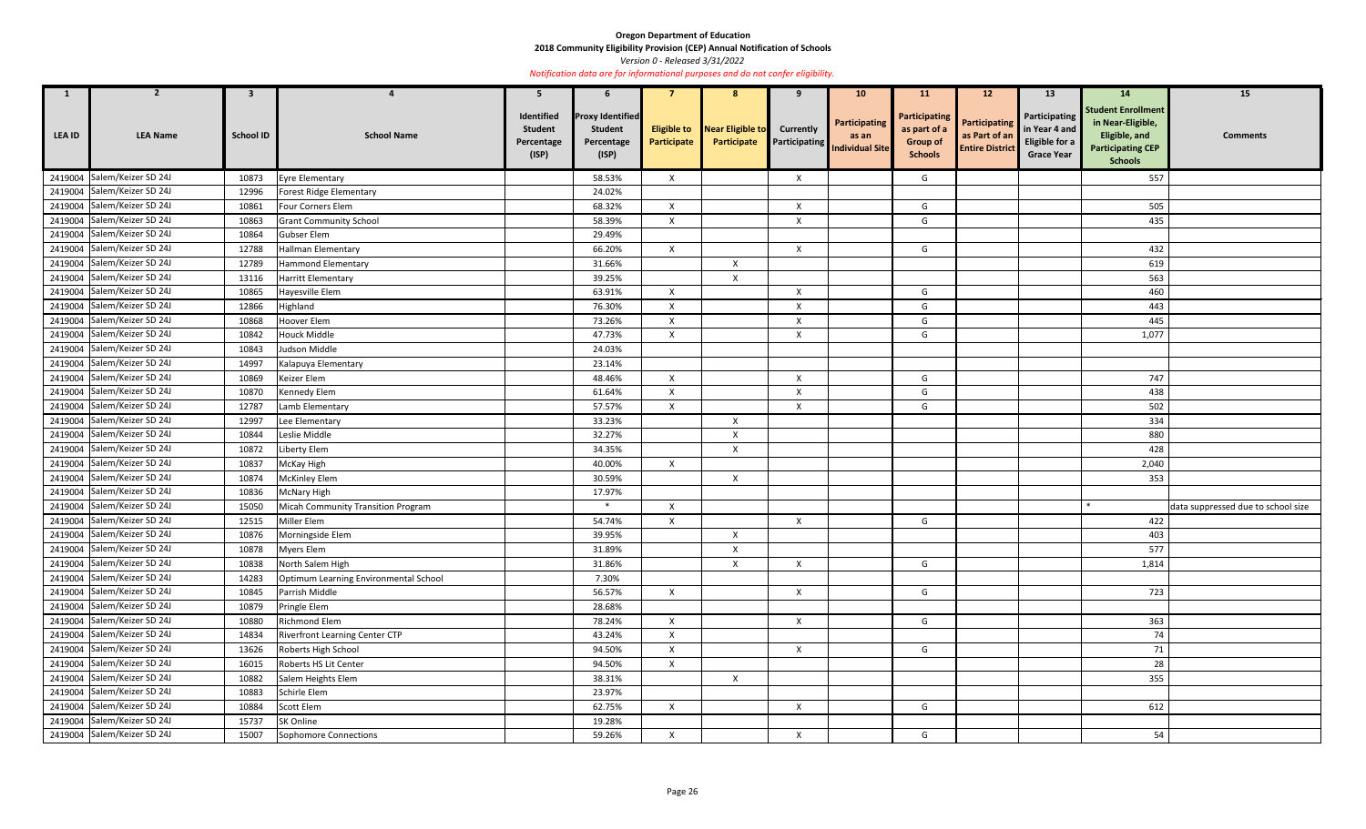**2018 Community Eligibility Provision (CEP) Annual Notification of Schools** 

*Version 0 - Released 3/31/2022* 

| $\mathbf{1}$  | 2                           | 3                |                                       | 5                                                   |                                                                  |                           | 8                                           | 9                | 10 <sup>°</sup>                                                | <b>11</b>                                                                 | 12                                                              | 13                                                                    | 14                                                                                                            | 15                                 |
|---------------|-----------------------------|------------------|---------------------------------------|-----------------------------------------------------|------------------------------------------------------------------|---------------------------|---------------------------------------------|------------------|----------------------------------------------------------------|---------------------------------------------------------------------------|-----------------------------------------------------------------|-----------------------------------------------------------------------|---------------------------------------------------------------------------------------------------------------|------------------------------------|
| <b>LEA ID</b> | <b>LEA Name</b>             | <b>School ID</b> | <b>School Name</b>                    | Identified<br><b>Student</b><br>Percentage<br>(ISP) | <b>Proxy Identified</b><br><b>Student</b><br>Percentage<br>(ISP) | Participate               | Eligible to Near Eligible to<br>Participate | <b>Currently</b> | Participating<br>as an<br><b>Participating</b> Individual Site | <b>Participating</b><br>as part of a<br><b>Group of</b><br><b>Schools</b> | <b>Participating</b><br>as Part of an<br><b>Entire District</b> | Participating<br>in Year 4 and<br>Eligible for a<br><b>Grace Year</b> | <b>Student Enrollment</b><br>in Near-Eligible,<br>Eligible, and<br><b>Participating CEP</b><br><b>Schools</b> | <b>Comments</b>                    |
|               | 2419004 Salem/Keizer SD 24J | 10873            | <b>Eyre Elementary</b>                |                                                     | 58.53%                                                           | $\mathsf{X}$              |                                             | Χ                |                                                                | G                                                                         |                                                                 |                                                                       | 557                                                                                                           |                                    |
| 2419004       | Salem/Keizer SD 24J         | 12996            | Forest Ridge Elementary               |                                                     | 24.02%                                                           |                           |                                             |                  |                                                                |                                                                           |                                                                 |                                                                       |                                                                                                               |                                    |
|               | 2419004 Salem/Keizer SD 24J | 10861            | Four Corners Elem                     |                                                     | 68.32%                                                           | $\mathsf{X}$              |                                             | $\mathsf{X}$     |                                                                | G                                                                         |                                                                 |                                                                       | 505                                                                                                           |                                    |
| 2419004       | Salem/Keizer SD 24J         | 10863            | <b>Grant Community School</b>         |                                                     | 58.39%                                                           | $\mathsf{X}$              |                                             | $\mathsf{X}$     |                                                                | G                                                                         |                                                                 |                                                                       | 435                                                                                                           |                                    |
| 2419004       | Salem/Keizer SD 24J         | 10864            | Gubser Elem                           |                                                     | 29.49%                                                           |                           |                                             |                  |                                                                |                                                                           |                                                                 |                                                                       |                                                                                                               |                                    |
| 2419004       | Salem/Keizer SD 24J         | 12788            | Hallman Elementary                    |                                                     | 66.20%                                                           | $\mathsf{X}$              |                                             | $\mathsf{X}$     |                                                                | G                                                                         |                                                                 |                                                                       | 432                                                                                                           |                                    |
| 2419004       | Salem/Keizer SD 24J         | 12789            | <b>Hammond Elementary</b>             |                                                     | 31.66%                                                           |                           | $\mathsf{X}$                                |                  |                                                                |                                                                           |                                                                 |                                                                       | 619                                                                                                           |                                    |
|               | 2419004 Salem/Keizer SD 24J | 13116            | Harritt Elementary                    |                                                     | 39.25%                                                           |                           | $\boldsymbol{\mathsf{X}}$                   |                  |                                                                |                                                                           |                                                                 |                                                                       | 563                                                                                                           |                                    |
| 2419004       | Salem/Keizer SD 24J         | 10865            | Hayesville Elem                       |                                                     | 63.91%                                                           | $\mathsf{X}$              |                                             | X                |                                                                | G                                                                         |                                                                 |                                                                       | 460                                                                                                           |                                    |
|               | 2419004 Salem/Keizer SD 24J | 12866            | Highland                              |                                                     | 76.30%                                                           | $\mathsf{X}$              |                                             | X                |                                                                | G                                                                         |                                                                 |                                                                       | 443                                                                                                           |                                    |
| 2419004       | Salem/Keizer SD 24J         | 10868            | Hoover Elem                           |                                                     | 73.26%                                                           | $\mathsf{X}$              |                                             | X                |                                                                | G                                                                         |                                                                 |                                                                       | 445                                                                                                           |                                    |
|               | 2419004 Salem/Keizer SD 24J | 10842            | Houck Middle                          |                                                     | 47.73%                                                           | $\boldsymbol{\mathsf{X}}$ |                                             | X                |                                                                | G                                                                         |                                                                 |                                                                       | 1,077                                                                                                         |                                    |
| 2419004       | Salem/Keizer SD 24J         | 10843            | Judson Middle                         |                                                     | 24.03%                                                           |                           |                                             |                  |                                                                |                                                                           |                                                                 |                                                                       |                                                                                                               |                                    |
| 2419004       | Salem/Keizer SD 24J         | 14997            | Kalapuya Elementary                   |                                                     | 23.14%                                                           |                           |                                             |                  |                                                                |                                                                           |                                                                 |                                                                       |                                                                                                               |                                    |
| 2419004       | Salem/Keizer SD 24J         | 10869            | Keizer Elem                           |                                                     | 48.46%                                                           | X                         |                                             | X                |                                                                | G                                                                         |                                                                 |                                                                       | 747                                                                                                           |                                    |
| 2419004       | Salem/Keizer SD 24J         | 10870            | Kennedy Elem                          |                                                     | 61.64%                                                           | $\mathsf{X}$              |                                             | X                |                                                                | G                                                                         |                                                                 |                                                                       | 438                                                                                                           |                                    |
|               | 2419004 Salem/Keizer SD 24J | 12787            | Lamb Elementary                       |                                                     | 57.57%                                                           | $\mathsf{X}$              |                                             | Χ                |                                                                | G                                                                         |                                                                 |                                                                       | 502                                                                                                           |                                    |
| 2419004       | Salem/Keizer SD 24J         | 12997            | Lee Elementary                        |                                                     | 33.23%                                                           |                           | $\boldsymbol{X}$                            |                  |                                                                |                                                                           |                                                                 |                                                                       | 334                                                                                                           |                                    |
|               | 2419004 Salem/Keizer SD 24J | 10844            | Leslie Middle                         |                                                     | 32.27%                                                           |                           | Χ                                           |                  |                                                                |                                                                           |                                                                 |                                                                       | 880                                                                                                           |                                    |
| 2419004       | Salem/Keizer SD 24J         | 10872            | Liberty Elem                          |                                                     | 34.35%                                                           |                           | $\boldsymbol{X}$                            |                  |                                                                |                                                                           |                                                                 |                                                                       | 428                                                                                                           |                                    |
|               | 2419004 Salem/Keizer SD 24J | 10837            | McKay High                            |                                                     | 40.00%                                                           | $\mathsf{X}$              |                                             |                  |                                                                |                                                                           |                                                                 |                                                                       | 2,040                                                                                                         |                                    |
| 2419004       | Salem/Keizer SD 24J         | 10874            | <b>McKinley Elem</b>                  |                                                     | 30.59%                                                           |                           | $\boldsymbol{X}$                            |                  |                                                                |                                                                           |                                                                 |                                                                       | 353                                                                                                           |                                    |
|               | 2419004 Salem/Keizer SD 24J | 10836            | <b>McNary High</b>                    |                                                     | 17.97%                                                           |                           |                                             |                  |                                                                |                                                                           |                                                                 |                                                                       |                                                                                                               |                                    |
| 2419004       | Salem/Keizer SD 24J         | 15050            | Micah Community Transition Program    |                                                     | $\ast$                                                           | $\mathsf{X}$              |                                             |                  |                                                                |                                                                           |                                                                 |                                                                       |                                                                                                               | data suppressed due to school size |
|               | 2419004 Salem/Keizer SD 24J | 12515            | Miller Elem                           |                                                     | 54.74%                                                           | $\mathsf{X}$              |                                             | $\mathsf{X}$     |                                                                | G                                                                         |                                                                 |                                                                       | 422                                                                                                           |                                    |
|               | 2419004 Salem/Keizer SD 24J | 10876            | Morningside Elem                      |                                                     | 39.95%                                                           |                           | $\boldsymbol{\mathsf{X}}$                   |                  |                                                                |                                                                           |                                                                 |                                                                       | 403                                                                                                           |                                    |
|               | 2419004 Salem/Keizer SD 24J | 10878            | <b>Myers Elem</b>                     |                                                     | 31.89%                                                           |                           | $\boldsymbol{X}$                            |                  |                                                                |                                                                           |                                                                 |                                                                       | 577                                                                                                           |                                    |
|               | 2419004 Salem/Keizer SD 24J | 10838            | North Salem High                      |                                                     | 31.86%                                                           |                           | $\boldsymbol{X}$                            | $\mathsf{X}$     |                                                                | G                                                                         |                                                                 |                                                                       | 1,814                                                                                                         |                                    |
|               | 2419004 Salem/Keizer SD 24J | 14283            | Optimum Learning Environmental School |                                                     | 7.30%                                                            |                           |                                             |                  |                                                                |                                                                           |                                                                 |                                                                       |                                                                                                               |                                    |
|               | 2419004 Salem/Keizer SD 24J | 10845            | Parrish Middle                        |                                                     | 56.57%                                                           | $\boldsymbol{\mathsf{X}}$ |                                             | $\mathsf{X}$     |                                                                | G                                                                         |                                                                 |                                                                       | 723                                                                                                           |                                    |
|               | 2419004 Salem/Keizer SD 24J | 10879            | Pringle Elem                          |                                                     | 28.68%                                                           |                           |                                             |                  |                                                                |                                                                           |                                                                 |                                                                       |                                                                                                               |                                    |
|               | 2419004 Salem/Keizer SD 24J | 10880            | Richmond Elem                         |                                                     | 78.24%                                                           | $\mathsf{X}$              |                                             | $\mathsf{X}$     |                                                                | G                                                                         |                                                                 |                                                                       | 363                                                                                                           |                                    |
|               | 2419004 Salem/Keizer SD 24J | 14834            | <b>Riverfront Learning Center CTP</b> |                                                     | 43.24%                                                           | X                         |                                             |                  |                                                                |                                                                           |                                                                 |                                                                       | 74                                                                                                            |                                    |
|               | 2419004 Salem/Keizer SD 24J | 13626            | Roberts High School                   |                                                     | 94.50%                                                           | $\mathsf{X}$              |                                             | $\mathsf{X}$     |                                                                | G                                                                         |                                                                 |                                                                       | 71                                                                                                            |                                    |
|               | 2419004 Salem/Keizer SD 24J | 16015            | Roberts HS Lit Center                 |                                                     | 94.50%                                                           | $\mathsf{X}$              |                                             |                  |                                                                |                                                                           |                                                                 |                                                                       | 28                                                                                                            |                                    |
|               | 2419004 Salem/Keizer SD 24J | 10882            | Salem Heights Elem                    |                                                     | 38.31%                                                           |                           | $\mathsf{X}$                                |                  |                                                                |                                                                           |                                                                 |                                                                       | 355                                                                                                           |                                    |
|               | 2419004 Salem/Keizer SD 24J | 10883            | Schirle Elem                          |                                                     | 23.97%                                                           |                           |                                             |                  |                                                                |                                                                           |                                                                 |                                                                       |                                                                                                               |                                    |
|               | 2419004 Salem/Keizer SD 24J | 10884            | Scott Elem                            |                                                     | 62.75%                                                           | $\mathsf{X}$              |                                             | $\mathsf{X}$     |                                                                | G                                                                         |                                                                 |                                                                       | 612                                                                                                           |                                    |
|               | 2419004 Salem/Keizer SD 24J | 15737            | SK Online                             |                                                     | 19.28%                                                           |                           |                                             |                  |                                                                |                                                                           |                                                                 |                                                                       |                                                                                                               |                                    |
|               | 2419004 Salem/Keizer SD 24J | 15007            | Sophomore Connections                 |                                                     | 59.26%                                                           | $\mathsf{X}$              |                                             | $\mathsf{X}$     |                                                                | G                                                                         |                                                                 |                                                                       | 54                                                                                                            |                                    |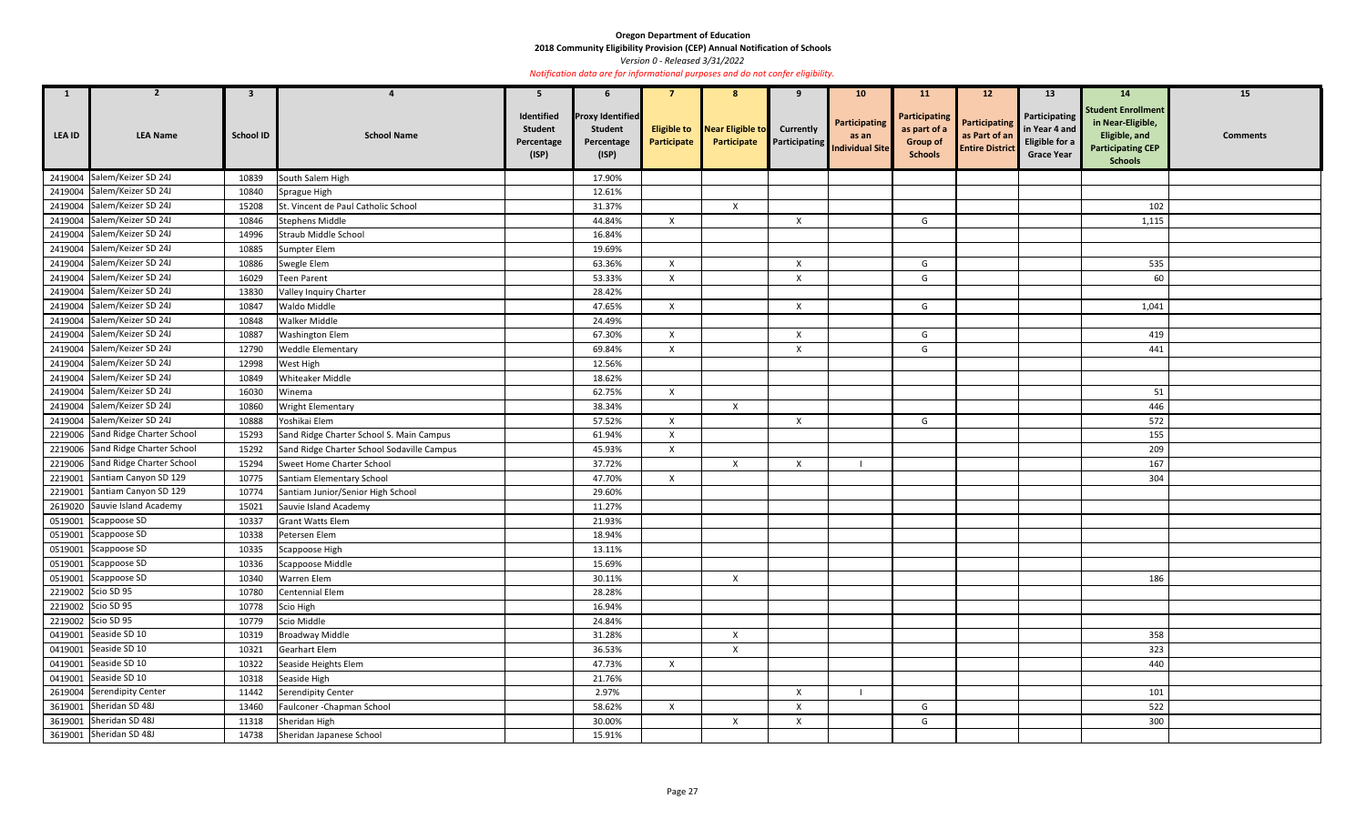**2018 Community Eligibility Provision (CEP) Annual Notification of Schools** 

*Version 0 - Released 3/31/2022* 

| $\mathbf{1}$  |                                   | $\mathbf{3}$     |                                            | 5                                                   | 6                                                                |                                   |                                 |                           | 10 <sub>1</sub>                                                       | <b>11</b>                                                                 | 12                                                              | 13                                                                           | <b>14</b>                                                                                                     | 15              |
|---------------|-----------------------------------|------------------|--------------------------------------------|-----------------------------------------------------|------------------------------------------------------------------|-----------------------------------|---------------------------------|---------------------------|-----------------------------------------------------------------------|---------------------------------------------------------------------------|-----------------------------------------------------------------|------------------------------------------------------------------------------|---------------------------------------------------------------------------------------------------------------|-----------------|
| <b>LEA ID</b> | <b>LEA Name</b>                   | <b>School ID</b> | <b>School Name</b>                         | Identified<br><b>Student</b><br>Percentage<br>(ISP) | <b>Proxy Identified</b><br><b>Student</b><br>Percentage<br>(ISP) | <b>Eligible to</b><br>Participate | Near Eligible to<br>Participate | <b>Currently</b>          | <b>Participating</b><br>as an<br><b>Participating</b> Individual Site | <b>Participating</b><br>as part of a<br><b>Group of</b><br><b>Schools</b> | <b>Participating</b><br>as Part of an<br><b>Entire District</b> | Participating<br>in Year 4 and<br><b>Eligible for a</b><br><b>Grace Year</b> | <b>Student Enrollment</b><br>in Near-Eligible,<br>Eligible, and<br><b>Participating CEP</b><br><b>Schools</b> | <b>Comments</b> |
|               | 2419004 Salem/Keizer SD 24J       | 10839            | South Salem High                           |                                                     | 17.90%                                                           |                                   |                                 |                           |                                                                       |                                                                           |                                                                 |                                                                              |                                                                                                               |                 |
|               | 2419004 Salem/Keizer SD 24J       | 10840            | Sprague High                               |                                                     | 12.61%                                                           |                                   |                                 |                           |                                                                       |                                                                           |                                                                 |                                                                              |                                                                                                               |                 |
|               | 2419004 Salem/Keizer SD 24J       | 15208            | St. Vincent de Paul Catholic School        |                                                     | 31.37%                                                           |                                   | $\boldsymbol{\mathsf{X}}$       |                           |                                                                       |                                                                           |                                                                 |                                                                              | 102                                                                                                           |                 |
|               | 2419004 Salem/Keizer SD 24J       | 10846            | <b>Stephens Middle</b>                     |                                                     | 44.84%                                                           | $\mathsf{X}$                      |                                 | X                         |                                                                       | G                                                                         |                                                                 |                                                                              | 1,115                                                                                                         |                 |
|               | 2419004 Salem/Keizer SD 24J       | 14996            | Straub Middle School                       |                                                     | 16.84%                                                           |                                   |                                 |                           |                                                                       |                                                                           |                                                                 |                                                                              |                                                                                                               |                 |
|               | 2419004 Salem/Keizer SD 24J       | 10885            | Sumpter Elem                               |                                                     | 19.69%                                                           |                                   |                                 |                           |                                                                       |                                                                           |                                                                 |                                                                              |                                                                                                               |                 |
|               | 2419004 Salem/Keizer SD 24J       | 10886            | Swegle Elem                                |                                                     | 63.36%                                                           | $\mathsf{X}$                      |                                 | $\mathsf{X}$              |                                                                       | G                                                                         |                                                                 |                                                                              | 535                                                                                                           |                 |
|               | 2419004 Salem/Keizer SD 24J       | 16029            | <b>Teen Parent</b>                         |                                                     | 53.33%                                                           | X                                 |                                 | X                         |                                                                       | G                                                                         |                                                                 |                                                                              | 60                                                                                                            |                 |
|               | 2419004 Salem/Keizer SD 24J       | 13830            | Valley Inquiry Charter                     |                                                     | 28.42%                                                           |                                   |                                 |                           |                                                                       |                                                                           |                                                                 |                                                                              |                                                                                                               |                 |
|               | 2419004 Salem/Keizer SD 24J       | 10847            | Waldo Middle                               |                                                     | 47.65%                                                           | X                                 |                                 | $\boldsymbol{X}$          |                                                                       | G                                                                         |                                                                 |                                                                              | 1,041                                                                                                         |                 |
|               | 2419004 Salem/Keizer SD 24J       | 10848            | Walker Middle                              |                                                     | 24.49%                                                           |                                   |                                 |                           |                                                                       |                                                                           |                                                                 |                                                                              |                                                                                                               |                 |
|               | 2419004 Salem/Keizer SD 24J       | 10887            | <b>Washington Elem</b>                     |                                                     | 67.30%                                                           | $\mathsf{x}$                      |                                 | X                         |                                                                       | G                                                                         |                                                                 |                                                                              | 419                                                                                                           |                 |
|               | 2419004 Salem/Keizer SD 24J       | 12790            | <b>Weddle Elementary</b>                   |                                                     | 69.84%                                                           | X                                 |                                 | X                         |                                                                       | G                                                                         |                                                                 |                                                                              | 441                                                                                                           |                 |
|               | 2419004 Salem/Keizer SD 24J       | 12998            | West High                                  |                                                     | 12.56%                                                           |                                   |                                 |                           |                                                                       |                                                                           |                                                                 |                                                                              |                                                                                                               |                 |
|               | 2419004 Salem/Keizer SD 24J       | 10849            | Whiteaker Middle                           |                                                     | 18.62%                                                           |                                   |                                 |                           |                                                                       |                                                                           |                                                                 |                                                                              |                                                                                                               |                 |
|               | 2419004 Salem/Keizer SD 24J       | 16030            | Winema                                     |                                                     | 62.75%                                                           | $\mathsf{X}$                      |                                 |                           |                                                                       |                                                                           |                                                                 |                                                                              | 51                                                                                                            |                 |
|               | 2419004 Salem/Keizer SD 24J       | 10860            | Wright Elementary                          |                                                     | 38.34%                                                           |                                   | $\mathsf{X}$                    |                           |                                                                       |                                                                           |                                                                 |                                                                              | 446                                                                                                           |                 |
|               | 2419004 Salem/Keizer SD 24J       | 10888            | Yoshikai Elem                              |                                                     | 57.52%                                                           | X                                 |                                 | X                         |                                                                       | G                                                                         |                                                                 |                                                                              | 572                                                                                                           |                 |
|               | 2219006 Sand Ridge Charter School | 15293            | Sand Ridge Charter School S. Main Campus   |                                                     | 61.94%                                                           | $\boldsymbol{\mathsf{x}}$         |                                 |                           |                                                                       |                                                                           |                                                                 |                                                                              | 155                                                                                                           |                 |
|               | 2219006 Sand Ridge Charter School | 15292            | Sand Ridge Charter School Sodaville Campus |                                                     | 45.93%                                                           | $\mathsf{X}$                      |                                 |                           |                                                                       |                                                                           |                                                                 |                                                                              | 209                                                                                                           |                 |
|               | 2219006 Sand Ridge Charter School | 15294            | Sweet Home Charter School                  |                                                     | 37.72%                                                           |                                   | $\mathsf{X}$                    | X                         |                                                                       |                                                                           |                                                                 |                                                                              | 167                                                                                                           |                 |
|               | 2219001 Santiam Canyon SD 129     | 10775            | Santiam Elementary School                  |                                                     | 47.70%                                                           | $\mathsf{X}$                      |                                 |                           |                                                                       |                                                                           |                                                                 |                                                                              | 304                                                                                                           |                 |
|               | 2219001 Santiam Canyon SD 129     | 10774            | Santiam Junior/Senior High School          |                                                     | 29.60%                                                           |                                   |                                 |                           |                                                                       |                                                                           |                                                                 |                                                                              |                                                                                                               |                 |
|               | 2619020 Sauvie Island Academy     | 15021            | Sauvie Island Academy                      |                                                     | 11.27%                                                           |                                   |                                 |                           |                                                                       |                                                                           |                                                                 |                                                                              |                                                                                                               |                 |
|               | 0519001 Scappoose SD              |                  | 10337 Grant Watts Elem                     |                                                     | 21.93%                                                           |                                   |                                 |                           |                                                                       |                                                                           |                                                                 |                                                                              |                                                                                                               |                 |
|               | 0519001 Scappoose SD              | 10338            | Petersen Elem                              |                                                     | 18.94%                                                           |                                   |                                 |                           |                                                                       |                                                                           |                                                                 |                                                                              |                                                                                                               |                 |
|               | 0519001 Scappoose SD              | 10335            | Scappoose High                             |                                                     | 13.11%                                                           |                                   |                                 |                           |                                                                       |                                                                           |                                                                 |                                                                              |                                                                                                               |                 |
|               | 0519001 Scappoose SD              | 10336            | Scappoose Middle                           |                                                     | 15.69%                                                           |                                   |                                 |                           |                                                                       |                                                                           |                                                                 |                                                                              |                                                                                                               |                 |
|               | 0519001 Scappoose SD              | 10340            | Warren Elem                                |                                                     | 30.11%                                                           |                                   | $\mathsf{X}$                    |                           |                                                                       |                                                                           |                                                                 |                                                                              | 186                                                                                                           |                 |
|               | 2219002 Scio SD 95                | 10780            | Centennial Elem                            |                                                     | 28.28%                                                           |                                   |                                 |                           |                                                                       |                                                                           |                                                                 |                                                                              |                                                                                                               |                 |
|               | 2219002 Scio SD 95                | 10778            | Scio High                                  |                                                     | 16.94%                                                           |                                   |                                 |                           |                                                                       |                                                                           |                                                                 |                                                                              |                                                                                                               |                 |
|               | 2219002 Scio SD 95                | 10779            | Scio Middle                                |                                                     | 24.84%                                                           |                                   |                                 |                           |                                                                       |                                                                           |                                                                 |                                                                              |                                                                                                               |                 |
|               | 0419001 Seaside SD 10             | 10319            | <b>Broadway Middle</b>                     |                                                     | 31.28%                                                           |                                   | $\mathsf{X}$                    |                           |                                                                       |                                                                           |                                                                 |                                                                              | 358                                                                                                           |                 |
|               | 0419001 Seaside SD 10             | 10321            | <b>Gearhart Elem</b>                       |                                                     | 36.53%                                                           |                                   | $\mathsf{X}$                    |                           |                                                                       |                                                                           |                                                                 |                                                                              | 323                                                                                                           |                 |
|               | 0419001 Seaside SD 10             | 10322            | Seaside Heights Elem                       |                                                     | 47.73%                                                           | $\mathsf{X}$                      |                                 |                           |                                                                       |                                                                           |                                                                 |                                                                              | 440                                                                                                           |                 |
|               | 0419001 Seaside SD 10             | 10318            | Seaside High                               |                                                     | 21.76%                                                           |                                   |                                 |                           |                                                                       |                                                                           |                                                                 |                                                                              |                                                                                                               |                 |
|               | 2619004 Serendipity Center        | 11442            | Serendipity Center                         |                                                     | 2.97%                                                            |                                   |                                 | X                         |                                                                       |                                                                           |                                                                 |                                                                              | 101                                                                                                           |                 |
|               | 3619001 Sheridan SD 48J           | 13460            | Faulconer - Chapman School                 |                                                     | 58.62%                                                           | $\mathsf{X}$                      |                                 | $\boldsymbol{\mathsf{X}}$ |                                                                       | G                                                                         |                                                                 |                                                                              | 522                                                                                                           |                 |
|               | 3619001 Sheridan SD 48J           | 11318            | Sheridan High                              |                                                     | 30.00%                                                           |                                   | $\mathsf{X}$                    | $\mathsf{X}$              |                                                                       | G                                                                         |                                                                 |                                                                              | 300                                                                                                           |                 |
|               | 3619001 Sheridan SD 48J           | 14738            | Sheridan Japanese School                   |                                                     | 15.91%                                                           |                                   |                                 |                           |                                                                       |                                                                           |                                                                 |                                                                              |                                                                                                               |                 |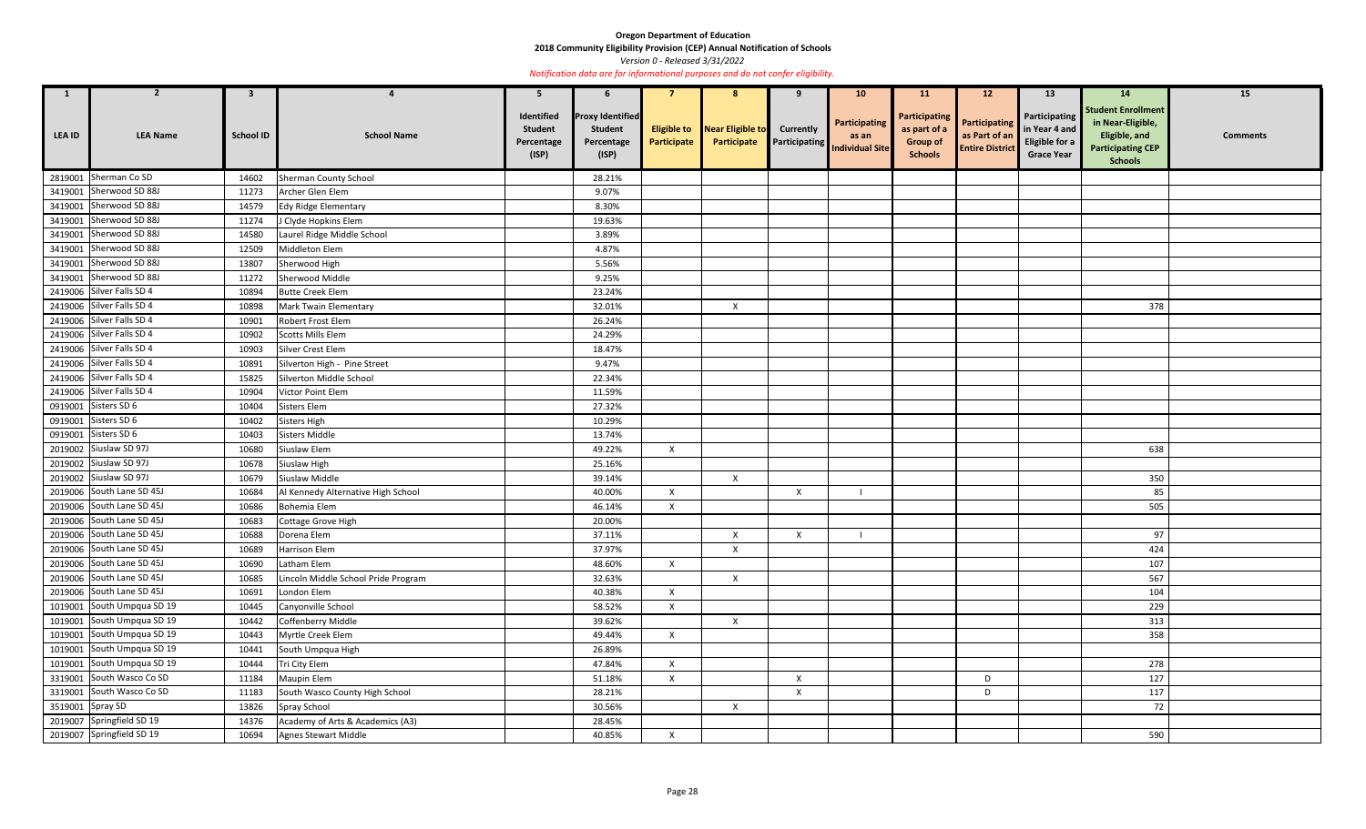**2018 Community Eligibility Provision (CEP) Annual Notification of Schools** 

*Version 0 - Released 3/31/2022* 

| $\mathbf{1}$     | $\overline{2}$                         | $\mathbf{3}$     |                                     | -5                                                  | 6                                                                |                           | 8                                   | 9                | 10 <sup>°</sup>                                                   | <b>11</b>                                                          | 12                                                              | 13 <sup>7</sup>                                                              | 14                                                                                                            | 15              |
|------------------|----------------------------------------|------------------|-------------------------------------|-----------------------------------------------------|------------------------------------------------------------------|---------------------------|-------------------------------------|------------------|-------------------------------------------------------------------|--------------------------------------------------------------------|-----------------------------------------------------------------|------------------------------------------------------------------------------|---------------------------------------------------------------------------------------------------------------|-----------------|
| LEA ID           | <b>LEA Name</b>                        | <b>School ID</b> | <b>School Name</b>                  | Identified<br><b>Student</b><br>Percentage<br>(ISP) | <b>Proxy Identified</b><br><b>Student</b><br>Percentage<br>(ISP) | Participate               | <b>Eligible to</b> Near Eligible to | <b>Currently</b> | Participating<br><b>Participate</b> Participating Individual Site | Participating<br>as part of a<br><b>Group of</b><br><b>Schools</b> | <b>Participating</b><br>as Part of an<br><b>Entire District</b> | <b>Participating</b><br>in Year 4 and<br>Eligible for a<br><b>Grace Year</b> | <b>Student Enrollment</b><br>in Near-Eligible,<br>Eligible, and<br><b>Participating CEP</b><br><b>Schools</b> | <b>Comments</b> |
|                  | 2819001 Sherman Co SD                  | 14602            | <b>Sherman County School</b>        |                                                     | 28.21%                                                           |                           |                                     |                  |                                                                   |                                                                    |                                                                 |                                                                              |                                                                                                               |                 |
|                  | 3419001 Sherwood SD 88J                | 11273            | Archer Glen Elem                    |                                                     | 9.07%                                                            |                           |                                     |                  |                                                                   |                                                                    |                                                                 |                                                                              |                                                                                                               |                 |
|                  | 3419001 Sherwood SD 88J                | 14579            | Edy Ridge Elementary                |                                                     | 8.30%                                                            |                           |                                     |                  |                                                                   |                                                                    |                                                                 |                                                                              |                                                                                                               |                 |
|                  | 3419001 Sherwood SD 88J                | 11274            | J Clyde Hopkins Elem                |                                                     | 19.63%                                                           |                           |                                     |                  |                                                                   |                                                                    |                                                                 |                                                                              |                                                                                                               |                 |
|                  | 3419001 Sherwood SD 88J                | 14580            | Laurel Ridge Middle School          |                                                     | 3.89%                                                            |                           |                                     |                  |                                                                   |                                                                    |                                                                 |                                                                              |                                                                                                               |                 |
|                  | 3419001 Sherwood SD 88J                | 12509            | Middleton Elem                      |                                                     | 4.87%                                                            |                           |                                     |                  |                                                                   |                                                                    |                                                                 |                                                                              |                                                                                                               |                 |
|                  | 3419001 Sherwood SD 88J                | 13807            | Sherwood High                       |                                                     | 5.56%                                                            |                           |                                     |                  |                                                                   |                                                                    |                                                                 |                                                                              |                                                                                                               |                 |
|                  | 3419001 Sherwood SD 88J                | 11272            | Sherwood Middle                     |                                                     | 9.25%                                                            |                           |                                     |                  |                                                                   |                                                                    |                                                                 |                                                                              |                                                                                                               |                 |
|                  | 2419006 Silver Falls SD 4              | 10894            | <b>Butte Creek Elem</b>             |                                                     | 23.24%                                                           |                           |                                     |                  |                                                                   |                                                                    |                                                                 |                                                                              |                                                                                                               |                 |
|                  | 2419006 Silver Falls SD 4              | 10898            | Mark Twain Elementary               |                                                     | 32.01%                                                           |                           | $\boldsymbol{X}$                    |                  |                                                                   |                                                                    |                                                                 |                                                                              | 378                                                                                                           |                 |
| 2419006          | Silver Falls SD 4                      | 10901            | <b>Robert Frost Elem</b>            |                                                     | 26.24%                                                           |                           |                                     |                  |                                                                   |                                                                    |                                                                 |                                                                              |                                                                                                               |                 |
|                  | 2419006 Silver Falls SD 4              | 10902            | Scotts Mills Elem                   |                                                     | 24.29%                                                           |                           |                                     |                  |                                                                   |                                                                    |                                                                 |                                                                              |                                                                                                               |                 |
|                  | 2419006 Silver Falls SD 4              | 10903            | Silver Crest Elem                   |                                                     | 18.47%                                                           |                           |                                     |                  |                                                                   |                                                                    |                                                                 |                                                                              |                                                                                                               |                 |
|                  | 2419006 Silver Falls SD 4              | 10891            | Silverton High - Pine Street        |                                                     | 9.47%                                                            |                           |                                     |                  |                                                                   |                                                                    |                                                                 |                                                                              |                                                                                                               |                 |
|                  | 2419006 Silver Falls SD 4              | 15825            | Silverton Middle School             |                                                     | 22.34%                                                           |                           |                                     |                  |                                                                   |                                                                    |                                                                 |                                                                              |                                                                                                               |                 |
|                  | 2419006 Silver Falls SD $\overline{4}$ | 10904            | Victor Point Elem                   |                                                     | 11.59%                                                           |                           |                                     |                  |                                                                   |                                                                    |                                                                 |                                                                              |                                                                                                               |                 |
|                  | 0919001 Sisters SD 6                   | 10404            | Sisters Elem                        |                                                     | 27.32%                                                           |                           |                                     |                  |                                                                   |                                                                    |                                                                 |                                                                              |                                                                                                               |                 |
| 0919001          | Sisters SD 6                           | 10402            | <b>Sisters High</b>                 |                                                     | 10.29%                                                           |                           |                                     |                  |                                                                   |                                                                    |                                                                 |                                                                              |                                                                                                               |                 |
|                  | 0919001 Sisters SD 6                   | 10403            | Sisters Middle                      |                                                     | 13.74%                                                           |                           |                                     |                  |                                                                   |                                                                    |                                                                 |                                                                              |                                                                                                               |                 |
|                  | 2019002 Siuslaw SD 97J                 | 10680            | Siuslaw Elem                        |                                                     | 49.22%                                                           | $\mathsf{X}$              |                                     |                  |                                                                   |                                                                    |                                                                 |                                                                              | 638                                                                                                           |                 |
|                  | 2019002 Siuslaw SD 97J                 | 10678            | Siuslaw High                        |                                                     | 25.16%                                                           |                           |                                     |                  |                                                                   |                                                                    |                                                                 |                                                                              |                                                                                                               |                 |
|                  | 2019002 Siuslaw SD 97J                 | 10679            | Siuslaw Middle                      |                                                     | 39.14%                                                           |                           | $\mathsf{X}$                        |                  |                                                                   |                                                                    |                                                                 |                                                                              | 350                                                                                                           |                 |
|                  | 2019006 South Lane SD 45J              | 10684            | Al Kennedy Alternative High School  |                                                     | 40.00%                                                           | $\mathsf{X}$              |                                     | $\mathsf{X}$     |                                                                   |                                                                    |                                                                 |                                                                              | 85                                                                                                            |                 |
|                  | 2019006 South Lane SD 45J              | 10686            | Bohemia Elem                        |                                                     | 46.14%                                                           | X                         |                                     |                  |                                                                   |                                                                    |                                                                 |                                                                              | 505                                                                                                           |                 |
|                  | 2019006 South Lane SD 45J              | 10683            | Cottage Grove High                  |                                                     | 20.00%                                                           |                           |                                     |                  |                                                                   |                                                                    |                                                                 |                                                                              |                                                                                                               |                 |
|                  | 2019006 South Lane SD 45J              | 10688            | Dorena Elem                         |                                                     | 37.11%                                                           |                           | $\boldsymbol{X}$                    | $\mathsf{X}$     |                                                                   |                                                                    |                                                                 |                                                                              | 97                                                                                                            |                 |
|                  | 2019006 South Lane SD 45J              | 10689            | Harrison Elem                       |                                                     | 37.97%                                                           |                           | $\mathsf{X}$                        |                  |                                                                   |                                                                    |                                                                 |                                                                              | 424                                                                                                           |                 |
|                  | 2019006 South Lane SD 45J              | 10690            | Latham Elem                         |                                                     | 48.60%                                                           | $\mathsf{X}$              |                                     |                  |                                                                   |                                                                    |                                                                 |                                                                              | 107                                                                                                           |                 |
|                  | 2019006 South Lane SD 45J              | 10685            | Lincoln Middle School Pride Program |                                                     | 32.63%                                                           |                           | $\boldsymbol{X}$                    |                  |                                                                   |                                                                    |                                                                 |                                                                              | 567                                                                                                           |                 |
|                  | 2019006 South Lane SD 45J              | 10691            | London Elem                         |                                                     | 40.38%                                                           | $\mathsf{X}$              |                                     |                  |                                                                   |                                                                    |                                                                 |                                                                              | 104                                                                                                           |                 |
|                  | 1019001 South Umpqua SD 19             | 10445            | Canyonville School                  |                                                     | 58.52%                                                           | $\mathsf{X}$              |                                     |                  |                                                                   |                                                                    |                                                                 |                                                                              | 229                                                                                                           |                 |
|                  | 1019001 South Umpqua SD 19             | 10442            | Coffenberry Middle                  |                                                     | 39.62%                                                           |                           | $\mathsf{X}$                        |                  |                                                                   |                                                                    |                                                                 |                                                                              | 313                                                                                                           |                 |
|                  | 1019001 South Umpqua SD 19             | 10443            | Myrtle Creek Elem                   |                                                     | 49.44%                                                           | $\mathsf{X}$              |                                     |                  |                                                                   |                                                                    |                                                                 |                                                                              | 358                                                                                                           |                 |
|                  | 1019001 South Umpqua SD 19             | 10441            | South Umpqua High                   |                                                     | 26.89%                                                           |                           |                                     |                  |                                                                   |                                                                    |                                                                 |                                                                              |                                                                                                               |                 |
|                  | 1019001 South Umpqua SD 19             | 10444            | Tri City Elem                       |                                                     | 47.84%                                                           | $\boldsymbol{\mathsf{X}}$ |                                     |                  |                                                                   |                                                                    |                                                                 |                                                                              | 278                                                                                                           |                 |
|                  | 3319001 South Wasco Co SD              | 11184            | Maupin Elem                         |                                                     | 51.18%                                                           | $\mathsf{X}$              |                                     | $\mathsf{X}$     |                                                                   |                                                                    | D                                                               |                                                                              | 127                                                                                                           |                 |
|                  | 3319001 South Wasco Co SD              | 11183            | South Wasco County High School      |                                                     | 28.21%                                                           |                           |                                     | $\pmb{\times}$   |                                                                   |                                                                    | D                                                               |                                                                              | 117                                                                                                           |                 |
| 3519001 Spray SD |                                        | 13826            | Spray School                        |                                                     | 30.56%                                                           |                           | $\boldsymbol{X}$                    |                  |                                                                   |                                                                    |                                                                 |                                                                              | 72                                                                                                            |                 |
|                  | 2019007 Springfield SD 19              | 14376            | Academy of Arts & Academics (A3)    |                                                     | 28.45%                                                           |                           |                                     |                  |                                                                   |                                                                    |                                                                 |                                                                              |                                                                                                               |                 |
|                  | 2019007 Springfield SD 19              | 10694            | Agnes Stewart Middle                |                                                     | 40.85%                                                           | $\mathsf{X}$              |                                     |                  |                                                                   |                                                                    |                                                                 |                                                                              | 590                                                                                                           |                 |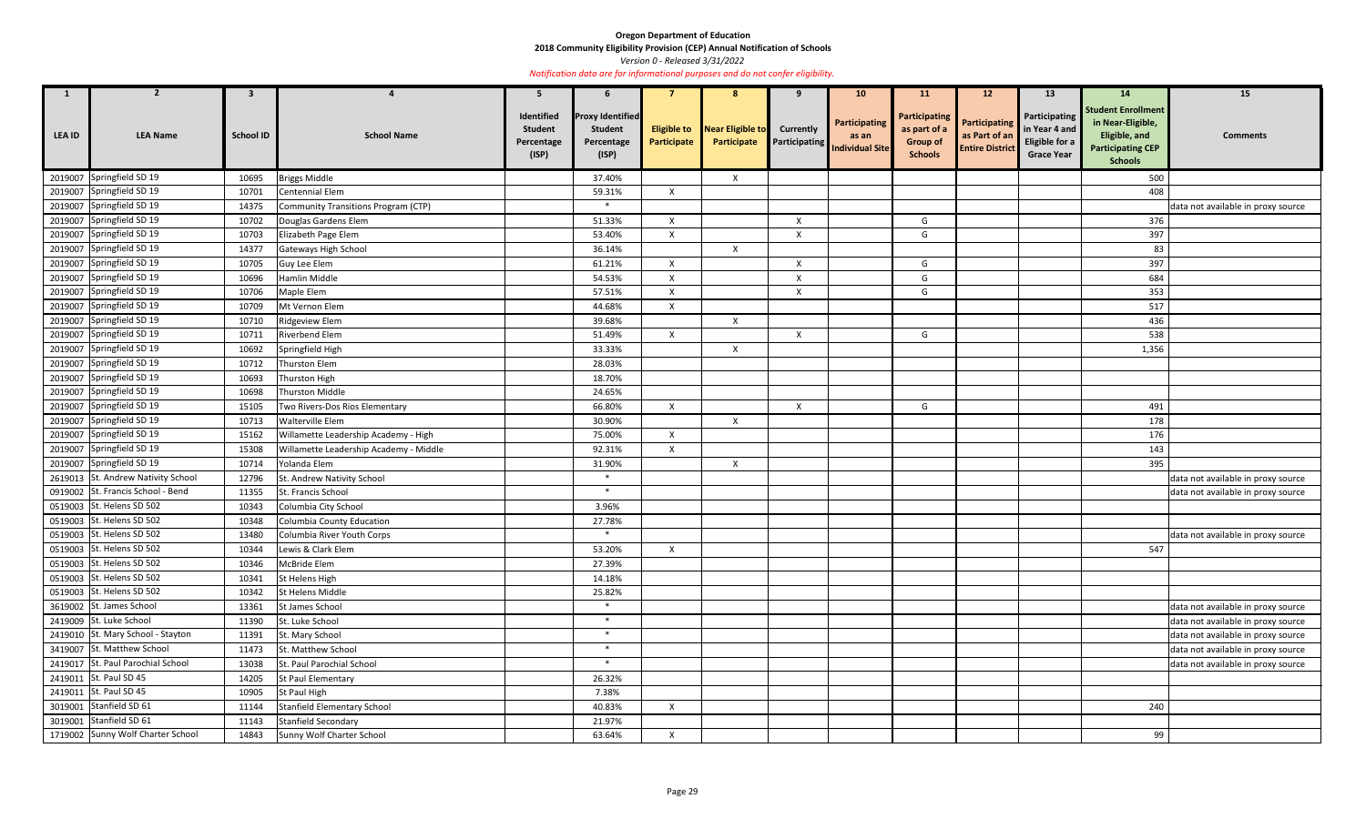**2018 Community Eligibility Provision (CEP) Annual Notification of Schools** 

*Version 0 - Released 3/31/2022* 

| $\mathbf{1}$  | $\overline{2}$                    | 3                |                                            | 5                                                   | 6                                                                |                                   | 8                               | 9                         | 10 <sup>°</sup>                                                         | <b>11</b>                                                          | 12 <sup>2</sup>                                                 | 13                                                                    | 14                                                                                                            | 15                                 |
|---------------|-----------------------------------|------------------|--------------------------------------------|-----------------------------------------------------|------------------------------------------------------------------|-----------------------------------|---------------------------------|---------------------------|-------------------------------------------------------------------------|--------------------------------------------------------------------|-----------------------------------------------------------------|-----------------------------------------------------------------------|---------------------------------------------------------------------------------------------------------------|------------------------------------|
| <b>LEA ID</b> | <b>LEA Name</b>                   | <b>School ID</b> | <b>School Name</b>                         | Identified<br><b>Student</b><br>Percentage<br>(ISP) | <b>Proxy Identified</b><br><b>Student</b><br>Percentage<br>(ISP) | <b>Eligible to</b><br>Participate | Near Eligible to<br>Participate | <b>Currently</b>          | Participating<br>as an<br><b>Exercise Participating Individual Site</b> | Participating<br>as part of a<br><b>Group of</b><br><b>Schools</b> | <b>Participating</b><br>as Part of an<br><b>Entire District</b> | Participating<br>in Year 4 and<br>Eligible for a<br><b>Grace Year</b> | <b>Student Enrollment</b><br>in Near-Eligible,<br>Eligible, and<br><b>Participating CEP</b><br><b>Schools</b> | <b>Comments</b>                    |
|               | 2019007 Springfield SD 19         | 10695            | <b>Briggs Middle</b>                       |                                                     | 37.40%                                                           |                                   | $\boldsymbol{X}$                |                           |                                                                         |                                                                    |                                                                 |                                                                       | 500                                                                                                           |                                    |
|               | 2019007 Springfield SD 19         | 10701            | Centennial Elem                            |                                                     | 59.31%                                                           | $\mathsf{X}$                      |                                 |                           |                                                                         |                                                                    |                                                                 |                                                                       | 408                                                                                                           |                                    |
|               | 2019007 Springfield SD 19         | 14375            | <b>Community Transitions Program (CTP)</b> |                                                     | $\ast$                                                           |                                   |                                 |                           |                                                                         |                                                                    |                                                                 |                                                                       |                                                                                                               | data not available in proxy source |
|               | 2019007 Springfield SD 19         | 10702            | Douglas Gardens Elem                       |                                                     | 51.33%                                                           | $\boldsymbol{\mathsf{X}}$         |                                 | X                         |                                                                         | G                                                                  |                                                                 |                                                                       | 376                                                                                                           |                                    |
|               | 2019007 Springfield SD 19         | 10703            | Elizabeth Page Elem                        |                                                     | 53.40%                                                           | $\boldsymbol{\mathsf{X}}$         |                                 | $\mathsf{X}$              |                                                                         | G                                                                  |                                                                 |                                                                       | 397                                                                                                           |                                    |
|               | 2019007 Springfield SD 19         | 14377            | Gateways High School                       |                                                     | 36.14%                                                           |                                   | $\mathsf{X}$                    |                           |                                                                         |                                                                    |                                                                 |                                                                       | 83                                                                                                            |                                    |
|               | 2019007 Springfield SD 19         | 10705            | Guy Lee Elem                               |                                                     | 61.21%                                                           | $\mathsf{X}$                      |                                 | $\boldsymbol{\mathsf{X}}$ |                                                                         | G                                                                  |                                                                 |                                                                       | 397                                                                                                           |                                    |
|               | 2019007 Springfield SD 19         | 10696            | Hamlin Middle                              |                                                     | 54.53%                                                           | $\mathsf{X}$                      |                                 | X                         |                                                                         | G                                                                  |                                                                 |                                                                       | 684                                                                                                           |                                    |
|               | 2019007 Springfield SD 19         | 10706            | Maple Elem                                 |                                                     | 57.51%                                                           | X                                 |                                 | X                         |                                                                         | G                                                                  |                                                                 |                                                                       | 353                                                                                                           |                                    |
|               | 2019007 Springfield SD 19         | 10709            | Mt Vernon Elem                             |                                                     | 44.68%                                                           | $\mathsf{X}$                      |                                 |                           |                                                                         |                                                                    |                                                                 |                                                                       | 517                                                                                                           |                                    |
|               | 2019007 Springfield SD 19         | 10710            | <b>Ridgeview Elem</b>                      |                                                     | 39.68%                                                           |                                   | $\mathsf{X}$                    |                           |                                                                         |                                                                    |                                                                 |                                                                       | 436                                                                                                           |                                    |
|               | 2019007 Springfield SD 19         | 10711            | Riverbend Elem                             |                                                     | 51.49%                                                           | $\mathsf{X}$                      |                                 | Χ                         |                                                                         | G                                                                  |                                                                 |                                                                       | 538                                                                                                           |                                    |
|               | 2019007 Springfield SD 19         | 10692            | Springfield High                           |                                                     | 33.33%                                                           |                                   | $\boldsymbol{X}$                |                           |                                                                         |                                                                    |                                                                 |                                                                       | 1,356                                                                                                         |                                    |
|               | 2019007 Springfield SD 19         | 10712            | Thurston Elem                              |                                                     | 28.03%                                                           |                                   |                                 |                           |                                                                         |                                                                    |                                                                 |                                                                       |                                                                                                               |                                    |
|               | 2019007 Springfield SD 19         | 10693            | Thurston High                              |                                                     | 18.70%                                                           |                                   |                                 |                           |                                                                         |                                                                    |                                                                 |                                                                       |                                                                                                               |                                    |
|               | 2019007 Springfield SD 19         | 10698            | <b>Thurston Middle</b>                     |                                                     | 24.65%                                                           |                                   |                                 |                           |                                                                         |                                                                    |                                                                 |                                                                       |                                                                                                               |                                    |
|               | 2019007 Springfield SD 19         | 15105            | Two Rivers-Dos Rios Elementary             |                                                     | 66.80%                                                           | $\mathsf{X}$                      |                                 | X                         |                                                                         | G                                                                  |                                                                 |                                                                       | 491                                                                                                           |                                    |
|               | 2019007 Springfield SD 19         | 10713            | Walterville Elem                           |                                                     | 30.90%                                                           |                                   | $\boldsymbol{\mathsf{X}}$       |                           |                                                                         |                                                                    |                                                                 |                                                                       | 178                                                                                                           |                                    |
|               | 2019007 Springfield SD 19         | 15162            | Willamette Leadership Academy - High       |                                                     | 75.00%                                                           | $\mathsf{X}$                      |                                 |                           |                                                                         |                                                                    |                                                                 |                                                                       | 176                                                                                                           |                                    |
|               | 2019007 Springfield SD 19         | 15308            | Willamette Leadership Academy - Middle     |                                                     | 92.31%                                                           | $\mathsf{X}$                      |                                 |                           |                                                                         |                                                                    |                                                                 |                                                                       | 143                                                                                                           |                                    |
|               | 2019007 Springfield SD 19         | 10714            | Yolanda Elem                               |                                                     | 31.90%                                                           |                                   | $\boldsymbol{X}$                |                           |                                                                         |                                                                    |                                                                 |                                                                       | 395                                                                                                           |                                    |
| 2619013       | St. Andrew Nativity School        | 12796            | St. Andrew Nativity School                 |                                                     | $\ast$                                                           |                                   |                                 |                           |                                                                         |                                                                    |                                                                 |                                                                       |                                                                                                               | data not available in proxy source |
|               | 0919002 St. Francis School - Bend | 11355            | St. Francis School                         |                                                     | $\ast$                                                           |                                   |                                 |                           |                                                                         |                                                                    |                                                                 |                                                                       |                                                                                                               | data not available in proxy source |
|               | 0519003 St. Helens SD 502         | 10343            | Columbia City School                       |                                                     | 3.96%                                                            |                                   |                                 |                           |                                                                         |                                                                    |                                                                 |                                                                       |                                                                                                               |                                    |
|               | 0519003 St. Helens SD 502         | 10348            | Columbia County Education                  |                                                     | 27.78%                                                           |                                   |                                 |                           |                                                                         |                                                                    |                                                                 |                                                                       |                                                                                                               |                                    |
|               | 0519003 St. Helens SD 502         | 13480            | Columbia River Youth Corps                 |                                                     | $\ast$                                                           |                                   |                                 |                           |                                                                         |                                                                    |                                                                 |                                                                       |                                                                                                               | data not available in proxy source |
|               | 0519003 St. Helens SD 502         | 10344            | Lewis & Clark Elem                         |                                                     | 53.20%                                                           | $\mathsf{X}$                      |                                 |                           |                                                                         |                                                                    |                                                                 |                                                                       | 547                                                                                                           |                                    |
|               | 0519003 St. Helens SD 502         | 10346            | McBride Elem                               |                                                     | 27.39%                                                           |                                   |                                 |                           |                                                                         |                                                                    |                                                                 |                                                                       |                                                                                                               |                                    |
|               | 0519003 St. Helens SD 502         | 10341            | St Helens High                             |                                                     | 14.18%                                                           |                                   |                                 |                           |                                                                         |                                                                    |                                                                 |                                                                       |                                                                                                               |                                    |
|               | 0519003 St. Helens SD 502         | 10342            | St Helens Middle                           |                                                     | 25.82%                                                           |                                   |                                 |                           |                                                                         |                                                                    |                                                                 |                                                                       |                                                                                                               |                                    |
|               | 3619002 St. James School          | 13361            | St James School                            |                                                     | $\ast$                                                           |                                   |                                 |                           |                                                                         |                                                                    |                                                                 |                                                                       |                                                                                                               | data not available in proxy source |
|               | 2419009 St. Luke School           | 11390            | St. Luke School                            |                                                     | $\ast$                                                           |                                   |                                 |                           |                                                                         |                                                                    |                                                                 |                                                                       |                                                                                                               | data not available in proxy source |
|               | 2419010 St. Mary School - Stayton | 11391            | St. Mary School                            |                                                     | $\ast$                                                           |                                   |                                 |                           |                                                                         |                                                                    |                                                                 |                                                                       |                                                                                                               | data not available in proxy source |
|               | 3419007 St. Matthew School        | 11473            | St. Matthew School                         |                                                     | $*$                                                              |                                   |                                 |                           |                                                                         |                                                                    |                                                                 |                                                                       |                                                                                                               | data not available in proxy source |
|               | 2419017 St. Paul Parochial School | 13038            | St. Paul Parochial School                  |                                                     | $\ast$                                                           |                                   |                                 |                           |                                                                         |                                                                    |                                                                 |                                                                       |                                                                                                               | data not available in proxy source |
|               | 2419011 St. Paul SD 45            | 14205            | <b>St Paul Elementary</b>                  |                                                     | 26.32%                                                           |                                   |                                 |                           |                                                                         |                                                                    |                                                                 |                                                                       |                                                                                                               |                                    |
|               | 2419011 St. Paul SD 45            | 10905            | St Paul High                               |                                                     | 7.38%                                                            |                                   |                                 |                           |                                                                         |                                                                    |                                                                 |                                                                       |                                                                                                               |                                    |
|               | 3019001 Stanfield SD 61           | 11144            | Stanfield Elementary School                |                                                     | 40.83%                                                           | $\mathsf{X}$                      |                                 |                           |                                                                         |                                                                    |                                                                 |                                                                       | 240                                                                                                           |                                    |
|               | 3019001 Stanfield SD 61           | 11143            | <b>Stanfield Secondary</b>                 |                                                     | 21.97%                                                           |                                   |                                 |                           |                                                                         |                                                                    |                                                                 |                                                                       |                                                                                                               |                                    |
|               | 1719002 Sunny Wolf Charter School | 14843            | Sunny Wolf Charter School                  |                                                     | 63.64%                                                           | $\mathsf{X}$                      |                                 |                           |                                                                         |                                                                    |                                                                 |                                                                       | 99                                                                                                            |                                    |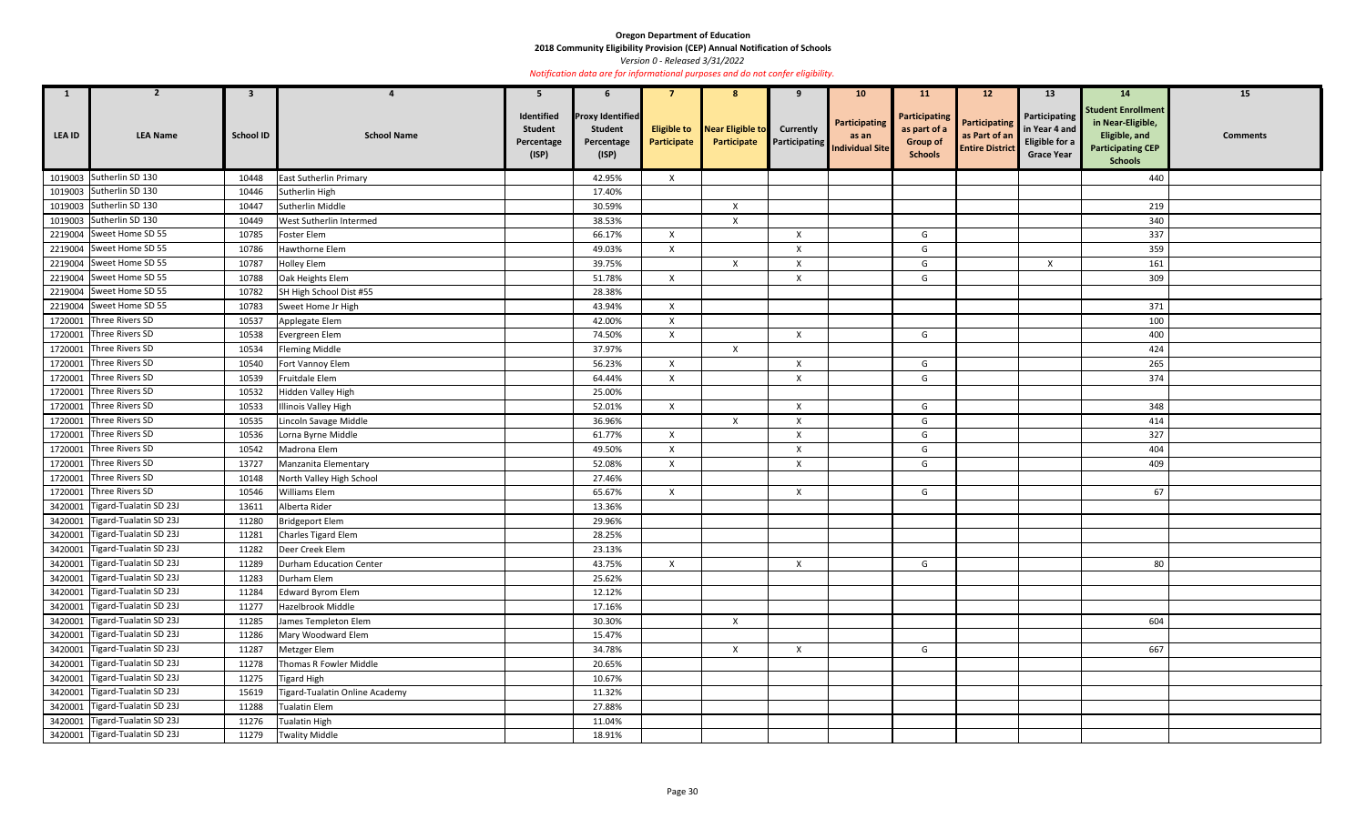**2018 Community Eligibility Provision (CEP) Annual Notification of Schools** 

*Version 0 - Released 3/31/2022* 

| $\mathbf{1}$  | $\overline{2}$                 | $\mathbf{3}$     |                                | 5                                                   | 6                                                                |                                   | -8                              | -9                        | 10 <sub>1</sub>                                                | <b>11</b>                                                          | 12 <sup>2</sup>                                          | 13                                                                    | 14                                                                                                            | 15              |
|---------------|--------------------------------|------------------|--------------------------------|-----------------------------------------------------|------------------------------------------------------------------|-----------------------------------|---------------------------------|---------------------------|----------------------------------------------------------------|--------------------------------------------------------------------|----------------------------------------------------------|-----------------------------------------------------------------------|---------------------------------------------------------------------------------------------------------------|-----------------|
| <b>LEA ID</b> | <b>LEA Name</b>                | <b>School ID</b> | <b>School Name</b>             | Identified<br><b>Student</b><br>Percentage<br>(ISP) | <b>Proxy Identified</b><br><b>Student</b><br>Percentage<br>(ISP) | <b>Eligible to</b><br>Participate | Near Eligible to<br>Participate | <b>Currently</b>          | Participating<br>as an<br><b>Participating</b> Individual Site | Participating<br>as part of a<br><b>Group of</b><br><b>Schools</b> | Participating<br>as Part of an<br><b>Entire District</b> | Participating<br>in Year 4 and<br>Eligible for a<br><b>Grace Year</b> | <b>Student Enrollment</b><br>in Near-Eligible,<br>Eligible, and<br><b>Participating CEP</b><br><b>Schools</b> | <b>Comments</b> |
|               | 1019003 Sutherlin SD 130       | 10448            | East Sutherlin Primary         |                                                     | 42.95%                                                           | $\mathsf{X}$                      |                                 |                           |                                                                |                                                                    |                                                          |                                                                       | 440                                                                                                           |                 |
|               | 1019003 Sutherlin SD 130       | 10446            | Sutherlin High                 |                                                     | 17.40%                                                           |                                   |                                 |                           |                                                                |                                                                    |                                                          |                                                                       |                                                                                                               |                 |
|               | 1019003 Sutherlin SD 130       | 10447            | Sutherlin Middle               |                                                     | 30.59%                                                           |                                   | $\boldsymbol{X}$                |                           |                                                                |                                                                    |                                                          |                                                                       | 219                                                                                                           |                 |
|               | 1019003 Sutherlin SD 130       | 10449            | West Sutherlin Intermed        |                                                     | 38.53%                                                           |                                   | $\mathsf{X}$                    |                           |                                                                |                                                                    |                                                          |                                                                       | 340                                                                                                           |                 |
|               | 2219004 Sweet Home SD 55       | 10785            | Foster Elem                    |                                                     | 66.17%                                                           | $\mathsf{X}$                      |                                 | $\mathsf{X}$              |                                                                | G                                                                  |                                                          |                                                                       | 337                                                                                                           |                 |
|               | 2219004 Sweet Home SD 55       | 10786            | Hawthorne Elem                 |                                                     | 49.03%                                                           | $\mathsf{X}$                      |                                 | $\mathsf{X}$              |                                                                | G                                                                  |                                                          |                                                                       | 359                                                                                                           |                 |
|               | 2219004 Sweet Home SD 55       | 10787            | <b>Holley Elem</b>             |                                                     | 39.75%                                                           |                                   | $\mathsf{X}$                    | X                         |                                                                | G                                                                  |                                                          | $\mathsf{x}$                                                          | 161                                                                                                           |                 |
|               | 2219004 Sweet Home SD 55       | 10788            | Oak Heights Elem               |                                                     | 51.78%                                                           | X                                 |                                 | Χ                         |                                                                | G                                                                  |                                                          |                                                                       | 309                                                                                                           |                 |
| 2219004       | Sweet Home SD 55               | 10782            | SH High School Dist #55        |                                                     | 28.38%                                                           |                                   |                                 |                           |                                                                |                                                                    |                                                          |                                                                       |                                                                                                               |                 |
|               | 2219004 Sweet Home SD 55       | 10783            | Sweet Home Jr High             |                                                     | 43.94%                                                           | $\mathsf{x}$                      |                                 |                           |                                                                |                                                                    |                                                          |                                                                       | 371                                                                                                           |                 |
|               | 1720001 Three Rivers SD        | 10537            | Applegate Elem                 |                                                     | 42.00%                                                           | $\mathsf{X}$                      |                                 |                           |                                                                |                                                                    |                                                          |                                                                       | 100                                                                                                           |                 |
|               | 1720001 Three Rivers SD        | 10538            | Evergreen Elem                 |                                                     | 74.50%                                                           | $\mathsf{X}$                      |                                 | $\mathsf{X}$              |                                                                | G                                                                  |                                                          |                                                                       | 400                                                                                                           |                 |
|               | 1720001 Three Rivers SD        | 10534            | <b>Fleming Middle</b>          |                                                     | 37.97%                                                           |                                   | $\mathsf{X}$                    |                           |                                                                |                                                                    |                                                          |                                                                       | 424                                                                                                           |                 |
|               | 1720001 Three Rivers SD        | 10540            | Fort Vannoy Elem               |                                                     | 56.23%                                                           | $\mathsf{X}$                      |                                 | $\mathsf{X}$              |                                                                | G                                                                  |                                                          |                                                                       | 265                                                                                                           |                 |
|               | 1720001 Three Rivers SD        | 10539            | Fruitdale Elem                 |                                                     | 64.44%                                                           | $\mathsf{X}$                      |                                 | $\mathsf{X}$              |                                                                | G                                                                  |                                                          |                                                                       | 374                                                                                                           |                 |
|               | 1720001 Three Rivers SD        | 10532            | Hidden Valley High             |                                                     | 25.00%                                                           |                                   |                                 |                           |                                                                |                                                                    |                                                          |                                                                       |                                                                                                               |                 |
|               | 1720001 Three Rivers SD        | 10533            | <b>Illinois Valley High</b>    |                                                     | 52.01%                                                           | $\mathsf{X}$                      |                                 | X                         |                                                                | G                                                                  |                                                          |                                                                       | 348                                                                                                           |                 |
|               | 1720001 Three Rivers SD        | 10535            | Lincoln Savage Middle          |                                                     | 36.96%                                                           |                                   | $\mathsf{X}$                    | $\boldsymbol{\mathsf{x}}$ |                                                                | G                                                                  |                                                          |                                                                       | 414                                                                                                           |                 |
|               | 1720001 Three Rivers SD        | 10536            | Lorna Byrne Middle             |                                                     | 61.77%                                                           | $\mathsf{X}$                      |                                 | X                         |                                                                | G                                                                  |                                                          |                                                                       | 327                                                                                                           |                 |
| 1720001       | Three Rivers SD                | 10542            | Madrona Elem                   |                                                     | 49.50%                                                           | $\mathsf{X}$                      |                                 | $\boldsymbol{\mathsf{X}}$ |                                                                | G                                                                  |                                                          |                                                                       | 404                                                                                                           |                 |
|               | 1720001 Three Rivers SD        | 13727            | Manzanita Elementary           |                                                     | 52.08%                                                           | $\boldsymbol{\mathsf{X}}$         |                                 | X                         |                                                                | G                                                                  |                                                          |                                                                       | 409                                                                                                           |                 |
| 1720001       | Three Rivers SD                | 10148            | North Valley High School       |                                                     | 27.46%                                                           |                                   |                                 |                           |                                                                |                                                                    |                                                          |                                                                       |                                                                                                               |                 |
|               | 1720001 Three Rivers SD        | 10546            | <b>Williams Elem</b>           |                                                     | 65.67%                                                           | $\mathsf{X}$                      |                                 | $\mathsf{X}$              |                                                                | G                                                                  |                                                          |                                                                       | 67                                                                                                            |                 |
|               | 3420001 Tigard-Tualatin SD 23J | 13611            | Alberta Rider                  |                                                     | 13.36%                                                           |                                   |                                 |                           |                                                                |                                                                    |                                                          |                                                                       |                                                                                                               |                 |
|               | 3420001 Tigard-Tualatin SD 23J | 11280            | <b>Bridgeport Elem</b>         |                                                     | 29.96%                                                           |                                   |                                 |                           |                                                                |                                                                    |                                                          |                                                                       |                                                                                                               |                 |
|               | 3420001 Tigard-Tualatin SD 23J | 11281            | Charles Tigard Elem            |                                                     | 28.25%                                                           |                                   |                                 |                           |                                                                |                                                                    |                                                          |                                                                       |                                                                                                               |                 |
|               | 3420001 Tigard-Tualatin SD 23J | 11282            | Deer Creek Elem                |                                                     | 23.13%                                                           |                                   |                                 |                           |                                                                |                                                                    |                                                          |                                                                       |                                                                                                               |                 |
|               | 3420001 Tigard-Tualatin SD 23J | 11289            | Durham Education Center        |                                                     | 43.75%                                                           | $\mathsf{X}$                      |                                 | $\mathsf{X}$              |                                                                | G                                                                  |                                                          |                                                                       | 80                                                                                                            |                 |
|               | 3420001 Tigard-Tualatin SD 23J | 11283            | Durham Elem                    |                                                     | 25.62%                                                           |                                   |                                 |                           |                                                                |                                                                    |                                                          |                                                                       |                                                                                                               |                 |
|               | 3420001 Tigard-Tualatin SD 23J | 11284            | Edward Byrom Elem              |                                                     | 12.12%                                                           |                                   |                                 |                           |                                                                |                                                                    |                                                          |                                                                       |                                                                                                               |                 |
|               | 3420001 Tigard-Tualatin SD 23J | 11277            | Hazelbrook Middle              |                                                     | 17.16%                                                           |                                   |                                 |                           |                                                                |                                                                    |                                                          |                                                                       |                                                                                                               |                 |
|               | 3420001 Tigard-Tualatin SD 23J | 11285            | James Templeton Elem           |                                                     | 30.30%                                                           |                                   | $\boldsymbol{X}$                |                           |                                                                |                                                                    |                                                          |                                                                       | 604                                                                                                           |                 |
|               | 3420001 Tigard-Tualatin SD 23J | 11286            | Mary Woodward Elem             |                                                     | 15.47%                                                           |                                   |                                 |                           |                                                                |                                                                    |                                                          |                                                                       |                                                                                                               |                 |
|               | 3420001 Tigard-Tualatin SD 23J | 11287            | Metzger Elem                   |                                                     | 34.78%                                                           |                                   | $\mathsf{X}$                    | $\mathsf{X}$              |                                                                | G                                                                  |                                                          |                                                                       | 667                                                                                                           |                 |
|               | 3420001 Tigard-Tualatin SD 23J | 11278            | Thomas R Fowler Middle         |                                                     | 20.65%                                                           |                                   |                                 |                           |                                                                |                                                                    |                                                          |                                                                       |                                                                                                               |                 |
|               | 3420001 Tigard-Tualatin SD 23J | 11275            | <b>Tigard High</b>             |                                                     | 10.67%                                                           |                                   |                                 |                           |                                                                |                                                                    |                                                          |                                                                       |                                                                                                               |                 |
|               | 3420001 Tigard-Tualatin SD 23J | 15619            | Tigard-Tualatin Online Academy |                                                     | 11.32%                                                           |                                   |                                 |                           |                                                                |                                                                    |                                                          |                                                                       |                                                                                                               |                 |
|               | 3420001 Tigard-Tualatin SD 23J | 11288            | <b>Tualatin Elem</b>           |                                                     | 27.88%                                                           |                                   |                                 |                           |                                                                |                                                                    |                                                          |                                                                       |                                                                                                               |                 |
|               | 3420001 Tigard-Tualatin SD 23J | 11276            | <b>Tualatin High</b>           |                                                     | 11.04%                                                           |                                   |                                 |                           |                                                                |                                                                    |                                                          |                                                                       |                                                                                                               |                 |
|               | 3420001 Tigard-Tualatin SD 23J | 11279            | <b>Twality Middle</b>          |                                                     | 18.91%                                                           |                                   |                                 |                           |                                                                |                                                                    |                                                          |                                                                       |                                                                                                               |                 |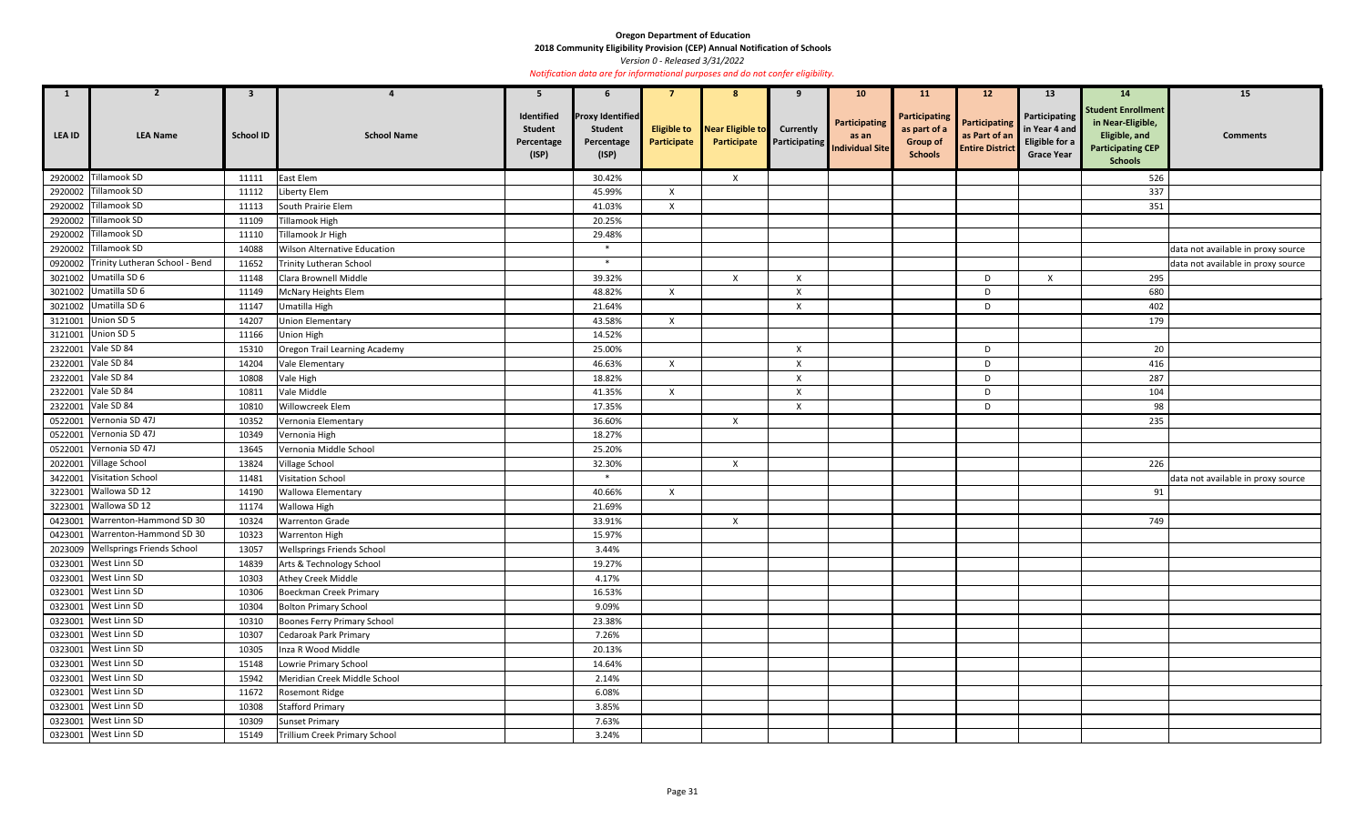**2018 Community Eligibility Provision (CEP) Annual Notification of Schools** 

*Version 0 - Released 3/31/2022* 

| $\mathbf{1}$ | $\overline{2}$                         | $\mathbf{3}$     |                                     | 5                                                   | $\mathbf b$                                                      |                                   | 8                               |                                          | 10 <sup>°</sup>                                         | <b>11</b>                                                          | 12                                                              | <b>13</b>                                                             | 14                                                                                                            | 15                                 |
|--------------|----------------------------------------|------------------|-------------------------------------|-----------------------------------------------------|------------------------------------------------------------------|-----------------------------------|---------------------------------|------------------------------------------|---------------------------------------------------------|--------------------------------------------------------------------|-----------------------------------------------------------------|-----------------------------------------------------------------------|---------------------------------------------------------------------------------------------------------------|------------------------------------|
| LEA ID       | <b>LEA Name</b>                        | <b>School ID</b> | <b>School Name</b>                  | Identified<br><b>Student</b><br>Percentage<br>(ISP) | <b>Proxy Identified</b><br><b>Student</b><br>Percentage<br>(ISP) | <b>Eligible to</b><br>Participate | Near Eligible to<br>Participate | <b>Currently</b><br><b>Participating</b> | <b>Participating</b><br>as an<br><b>Individual Site</b> | Participating<br>as part of a<br><b>Group of</b><br><b>Schools</b> | <b>Participating</b><br>as Part of an<br><b>Entire District</b> | Participating<br>in Year 4 and<br>Eligible for a<br><b>Grace Year</b> | <b>Student Enrollment</b><br>in Near-Eligible,<br>Eligible, and<br><b>Participating CEP</b><br><b>Schools</b> | <b>Comments</b>                    |
|              | 2920002 Tillamook SD                   | 11111            | East Elem                           |                                                     | 30.42%                                                           |                                   | $\mathsf{X}$                    |                                          |                                                         |                                                                    |                                                                 |                                                                       | 526                                                                                                           |                                    |
|              | 2920002 Tillamook SD                   | 11112            | Liberty Elem                        |                                                     | 45.99%                                                           | $\mathsf{X}$                      |                                 |                                          |                                                         |                                                                    |                                                                 |                                                                       | 337                                                                                                           |                                    |
|              | 2920002 Tillamook SD                   | 11113            | South Prairie Elem                  |                                                     | 41.03%                                                           | $\boldsymbol{\mathsf{x}}$         |                                 |                                          |                                                         |                                                                    |                                                                 |                                                                       | 351                                                                                                           |                                    |
|              | 2920002 Tillamook SD                   | 11109            | Tillamook High                      |                                                     | 20.25%                                                           |                                   |                                 |                                          |                                                         |                                                                    |                                                                 |                                                                       |                                                                                                               |                                    |
|              | 2920002 Tillamook SD                   | 11110            | Tillamook Jr High                   |                                                     | 29.48%                                                           |                                   |                                 |                                          |                                                         |                                                                    |                                                                 |                                                                       |                                                                                                               |                                    |
|              | 2920002 Tillamook SD                   | 14088            | <b>Wilson Alternative Education</b> |                                                     | $\ast$                                                           |                                   |                                 |                                          |                                                         |                                                                    |                                                                 |                                                                       |                                                                                                               | data not available in proxy source |
|              | 0920002 Trinity Lutheran School - Bend | 11652            | <b>Trinity Lutheran School</b>      |                                                     | $*$                                                              |                                   |                                 |                                          |                                                         |                                                                    |                                                                 |                                                                       |                                                                                                               | data not available in proxy source |
|              | 3021002 Umatilla SD 6                  | 11148            | Clara Brownell Middle               |                                                     | 39.32%                                                           |                                   | $\boldsymbol{\mathsf{X}}$       | Χ                                        |                                                         |                                                                    | D                                                               | X                                                                     | 295                                                                                                           |                                    |
|              | 3021002 Umatilla SD 6                  | 11149            | McNary Heights Elem                 |                                                     | 48.82%                                                           | X                                 |                                 | X                                        |                                                         |                                                                    | D                                                               |                                                                       | 680                                                                                                           |                                    |
|              | 3021002 Umatilla SD 6                  | 11147            | Umatilla High                       |                                                     | 21.64%                                                           |                                   |                                 | $\boldsymbol{\mathsf{x}}$                |                                                         |                                                                    | D                                                               |                                                                       | 402                                                                                                           |                                    |
|              | 3121001 Union SD 5                     | 14207            | <b>Union Elementary</b>             |                                                     | 43.58%                                                           | $\mathsf{X}$                      |                                 |                                          |                                                         |                                                                    |                                                                 |                                                                       | 179                                                                                                           |                                    |
|              | 3121001 Union SD 5                     | 11166            | Union High                          |                                                     | 14.52%                                                           |                                   |                                 |                                          |                                                         |                                                                    |                                                                 |                                                                       |                                                                                                               |                                    |
|              | 2322001 Vale SD 84                     | 15310            | Oregon Trail Learning Academy       |                                                     | 25.00%                                                           |                                   |                                 | X                                        |                                                         |                                                                    | D                                                               |                                                                       | 20                                                                                                            |                                    |
|              | 2322001 Vale SD 84                     | 14204            | Vale Elementary                     |                                                     | 46.63%                                                           | $\mathsf{X}$                      |                                 | $\boldsymbol{\mathsf{X}}$                |                                                         |                                                                    | D                                                               |                                                                       | 416                                                                                                           |                                    |
|              | 2322001 Vale SD 84                     | 10808            | Vale High                           |                                                     | 18.82%                                                           |                                   |                                 | $\mathsf{X}$                             |                                                         |                                                                    | D                                                               |                                                                       | 287                                                                                                           |                                    |
|              | 2322001 Vale SD 84                     | 10811            | Vale Middle                         |                                                     | 41.35%                                                           | $\mathsf{X}$                      |                                 | $\boldsymbol{\mathsf{X}}$                |                                                         |                                                                    | D                                                               |                                                                       | 104                                                                                                           |                                    |
|              | 2322001 Vale SD 84                     | 10810            | Willowcreek Elem                    |                                                     | 17.35%                                                           |                                   |                                 | X                                        |                                                         |                                                                    | D                                                               |                                                                       | 98                                                                                                            |                                    |
|              | 0522001 Vernonia SD 47J                | 10352            | Vernonia Elementary                 |                                                     | 36.60%                                                           |                                   | $\boldsymbol{\mathsf{X}}$       |                                          |                                                         |                                                                    |                                                                 |                                                                       | 235                                                                                                           |                                    |
|              | 0522001 Vernonia SD 47J                | 10349            | Vernonia High                       |                                                     | 18.27%                                                           |                                   |                                 |                                          |                                                         |                                                                    |                                                                 |                                                                       |                                                                                                               |                                    |
| 0522001      | Vernonia SD 47J                        | 13645            | Vernonia Middle School              |                                                     | 25.20%                                                           |                                   |                                 |                                          |                                                         |                                                                    |                                                                 |                                                                       |                                                                                                               |                                    |
|              | 2022001 Village School                 | 13824            | Village School                      |                                                     | 32.30%                                                           |                                   | $\boldsymbol{\mathsf{X}}$       |                                          |                                                         |                                                                    |                                                                 |                                                                       | 226                                                                                                           |                                    |
|              | 3422001 Visitation School              | 11481            | Visitation School                   |                                                     | $\ast$                                                           |                                   |                                 |                                          |                                                         |                                                                    |                                                                 |                                                                       |                                                                                                               | data not available in proxy source |
|              | 3223001 Wallowa SD 12                  | 14190            | Wallowa Elementary                  |                                                     | 40.66%                                                           | $\mathsf{X}$                      |                                 |                                          |                                                         |                                                                    |                                                                 |                                                                       | 91                                                                                                            |                                    |
|              | 3223001 Wallowa SD 12                  | 11174            | Wallowa High                        |                                                     | 21.69%                                                           |                                   |                                 |                                          |                                                         |                                                                    |                                                                 |                                                                       |                                                                                                               |                                    |
|              | 0423001 Warrenton-Hammond SD 30        | 10324            | <b>Warrenton Grade</b>              |                                                     | 33.91%                                                           |                                   | $\mathsf{X}$                    |                                          |                                                         |                                                                    |                                                                 |                                                                       | 749                                                                                                           |                                    |
|              | 0423001   Warrenton-Hammond SD 30      | 10323            | Warrenton High                      |                                                     | 15.97%                                                           |                                   |                                 |                                          |                                                         |                                                                    |                                                                 |                                                                       |                                                                                                               |                                    |
|              | 2023009 Wellsprings Friends School     | 13057            | Wellsprings Friends School          |                                                     | 3.44%                                                            |                                   |                                 |                                          |                                                         |                                                                    |                                                                 |                                                                       |                                                                                                               |                                    |
|              | 0323001 West Linn SD                   | 14839            | Arts & Technology School            |                                                     | 19.27%                                                           |                                   |                                 |                                          |                                                         |                                                                    |                                                                 |                                                                       |                                                                                                               |                                    |
|              | 0323001 West Linn SD                   | 10303            | Athey Creek Middle                  |                                                     | 4.17%                                                            |                                   |                                 |                                          |                                                         |                                                                    |                                                                 |                                                                       |                                                                                                               |                                    |
|              | 0323001 West Linn SD                   | 10306            | <b>Boeckman Creek Primary</b>       |                                                     | 16.53%                                                           |                                   |                                 |                                          |                                                         |                                                                    |                                                                 |                                                                       |                                                                                                               |                                    |
|              | 0323001 West Linn SD                   | 10304            | <b>Bolton Primary School</b>        |                                                     | 9.09%                                                            |                                   |                                 |                                          |                                                         |                                                                    |                                                                 |                                                                       |                                                                                                               |                                    |
|              | 0323001 West Linn SD                   | 10310            | Boones Ferry Primary School         |                                                     | 23.38%                                                           |                                   |                                 |                                          |                                                         |                                                                    |                                                                 |                                                                       |                                                                                                               |                                    |
|              | 0323001 West Linn SD                   | 10307            | <b>Cedaroak Park Primary</b>        |                                                     | 7.26%                                                            |                                   |                                 |                                          |                                                         |                                                                    |                                                                 |                                                                       |                                                                                                               |                                    |
|              | 0323001 West Linn SD                   | 10305            | Inza R Wood Middle                  |                                                     | 20.13%                                                           |                                   |                                 |                                          |                                                         |                                                                    |                                                                 |                                                                       |                                                                                                               |                                    |
|              | 0323001 West Linn SD                   | 15148            | Lowrie Primary School               |                                                     | 14.64%                                                           |                                   |                                 |                                          |                                                         |                                                                    |                                                                 |                                                                       |                                                                                                               |                                    |
|              | 0323001 West Linn SD                   | 15942            | Meridian Creek Middle School        |                                                     | 2.14%                                                            |                                   |                                 |                                          |                                                         |                                                                    |                                                                 |                                                                       |                                                                                                               |                                    |
|              | 0323001 West Linn SD                   | 11672            | Rosemont Ridge                      |                                                     | 6.08%                                                            |                                   |                                 |                                          |                                                         |                                                                    |                                                                 |                                                                       |                                                                                                               |                                    |
|              | 0323001 West Linn SD                   | 10308            | <b>Stafford Primary</b>             |                                                     | 3.85%                                                            |                                   |                                 |                                          |                                                         |                                                                    |                                                                 |                                                                       |                                                                                                               |                                    |
|              | 0323001 West Linn SD                   | 10309            | <b>Sunset Primary</b>               |                                                     | 7.63%                                                            |                                   |                                 |                                          |                                                         |                                                                    |                                                                 |                                                                       |                                                                                                               |                                    |
|              | 0323001 West Linn SD                   | 15149            | Trillium Creek Primary School       |                                                     | 3.24%                                                            |                                   |                                 |                                          |                                                         |                                                                    |                                                                 |                                                                       |                                                                                                               |                                    |